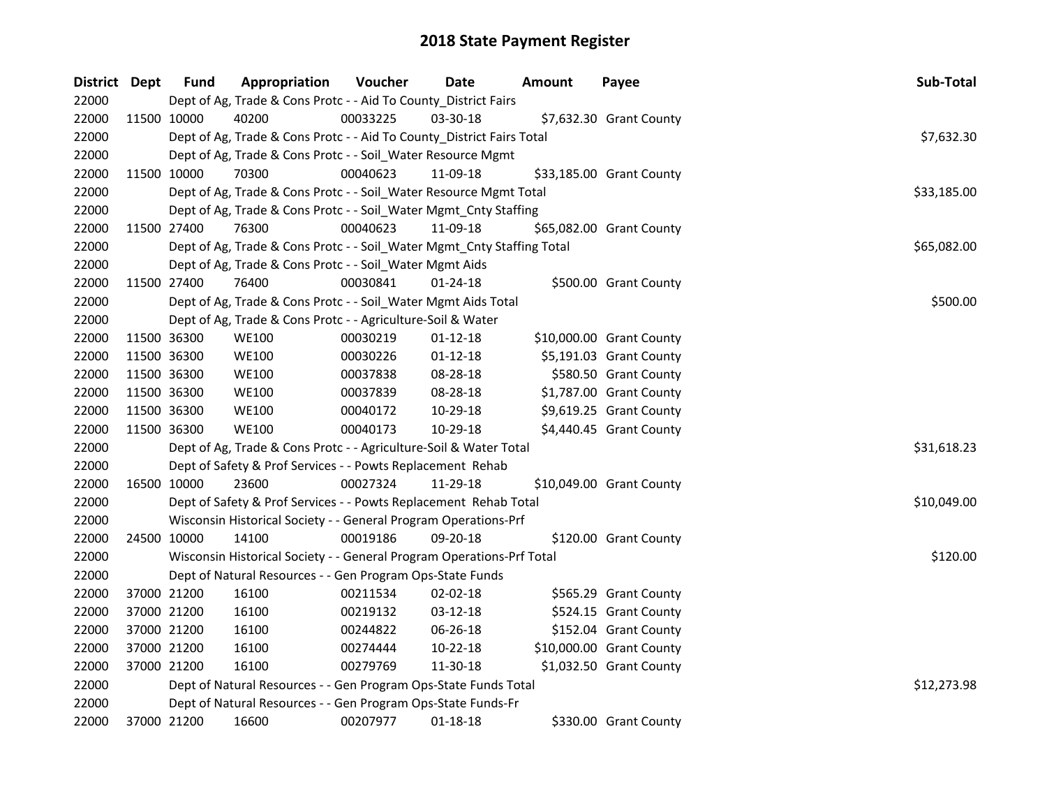| District Dept | <b>Fund</b> | Appropriation                                                          | Voucher  | Date           | <b>Amount</b> | Payee                    | Sub-Total   |
|---------------|-------------|------------------------------------------------------------------------|----------|----------------|---------------|--------------------------|-------------|
| 22000         |             | Dept of Ag, Trade & Cons Protc - - Aid To County_District Fairs        |          |                |               |                          |             |
| 22000         | 11500 10000 | 40200                                                                  | 00033225 | 03-30-18       |               | \$7,632.30 Grant County  |             |
| 22000         |             | Dept of Ag, Trade & Cons Protc - - Aid To County_District Fairs Total  |          |                |               |                          | \$7,632.30  |
| 22000         |             | Dept of Ag, Trade & Cons Protc - - Soil_Water Resource Mgmt            |          |                |               |                          |             |
| 22000         | 11500 10000 | 70300                                                                  | 00040623 | 11-09-18       |               | \$33,185.00 Grant County |             |
| 22000         |             | Dept of Ag, Trade & Cons Protc - - Soil_Water Resource Mgmt Total      |          |                |               |                          | \$33,185.00 |
| 22000         |             | Dept of Ag, Trade & Cons Protc - - Soil_Water Mgmt_Cnty Staffing       |          |                |               |                          |             |
| 22000         | 11500 27400 | 76300                                                                  | 00040623 | 11-09-18       |               | \$65,082.00 Grant County |             |
| 22000         |             | Dept of Ag, Trade & Cons Protc - - Soil_Water Mgmt_Cnty Staffing Total |          |                |               |                          | \$65,082.00 |
| 22000         |             | Dept of Ag, Trade & Cons Protc - - Soil_Water Mgmt Aids                |          |                |               |                          |             |
| 22000         | 11500 27400 | 76400                                                                  | 00030841 | $01 - 24 - 18$ |               | \$500.00 Grant County    |             |
| 22000         |             | Dept of Ag, Trade & Cons Protc - - Soil_Water Mgmt Aids Total          |          |                |               |                          | \$500.00    |
| 22000         |             | Dept of Ag, Trade & Cons Protc - - Agriculture-Soil & Water            |          |                |               |                          |             |
| 22000         | 11500 36300 | <b>WE100</b>                                                           | 00030219 | $01 - 12 - 18$ |               | \$10,000.00 Grant County |             |
| 22000         | 11500 36300 | <b>WE100</b>                                                           | 00030226 | $01 - 12 - 18$ |               | \$5,191.03 Grant County  |             |
| 22000         | 11500 36300 | <b>WE100</b>                                                           | 00037838 | 08-28-18       |               | \$580.50 Grant County    |             |
| 22000         | 11500 36300 | <b>WE100</b>                                                           | 00037839 | 08-28-18       |               | \$1,787.00 Grant County  |             |
| 22000         | 11500 36300 | <b>WE100</b>                                                           | 00040172 | 10-29-18       |               | \$9,619.25 Grant County  |             |
| 22000         | 11500 36300 | <b>WE100</b>                                                           | 00040173 | 10-29-18       |               | \$4,440.45 Grant County  |             |
| 22000         |             | Dept of Ag, Trade & Cons Protc - - Agriculture-Soil & Water Total      |          |                |               |                          | \$31,618.23 |
| 22000         |             | Dept of Safety & Prof Services - - Powts Replacement Rehab             |          |                |               |                          |             |
| 22000         | 16500 10000 | 23600                                                                  | 00027324 | 11-29-18       |               | \$10,049.00 Grant County |             |
| 22000         |             | Dept of Safety & Prof Services - - Powts Replacement Rehab Total       |          |                |               |                          | \$10,049.00 |
| 22000         |             | Wisconsin Historical Society - - General Program Operations-Prf        |          |                |               |                          |             |
| 22000         | 24500 10000 | 14100                                                                  | 00019186 | 09-20-18       |               | \$120.00 Grant County    |             |
| 22000         |             | Wisconsin Historical Society - - General Program Operations-Prf Total  |          |                |               |                          | \$120.00    |
| 22000         |             | Dept of Natural Resources - - Gen Program Ops-State Funds              |          |                |               |                          |             |
| 22000         | 37000 21200 | 16100                                                                  | 00211534 | 02-02-18       |               | \$565.29 Grant County    |             |
| 22000         | 37000 21200 | 16100                                                                  | 00219132 | 03-12-18       |               | \$524.15 Grant County    |             |
| 22000         | 37000 21200 | 16100                                                                  | 00244822 | 06-26-18       |               | \$152.04 Grant County    |             |
| 22000         | 37000 21200 | 16100                                                                  | 00274444 | 10-22-18       |               | \$10,000.00 Grant County |             |
| 22000         | 37000 21200 | 16100                                                                  | 00279769 | 11-30-18       |               | \$1,032.50 Grant County  |             |
| 22000         |             | Dept of Natural Resources - - Gen Program Ops-State Funds Total        |          |                |               |                          | \$12,273.98 |
| 22000         |             | Dept of Natural Resources - - Gen Program Ops-State Funds-Fr           |          |                |               |                          |             |
| 22000         | 37000 21200 | 16600                                                                  | 00207977 | 01-18-18       |               | \$330.00 Grant County    |             |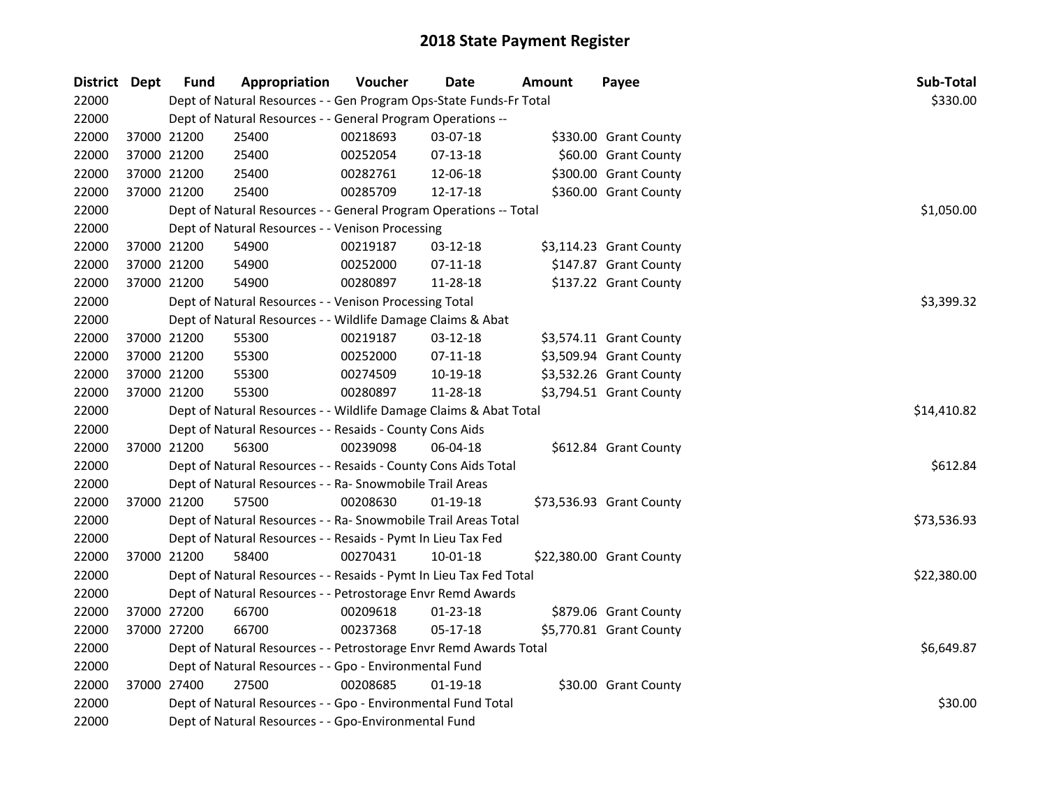| District Dept |             | <b>Fund</b> | Appropriation                                                      | Voucher    | <b>Date</b>    | Amount | Payee                    | Sub-Total   |
|---------------|-------------|-------------|--------------------------------------------------------------------|------------|----------------|--------|--------------------------|-------------|
| 22000         |             |             | Dept of Natural Resources - - Gen Program Ops-State Funds-Fr Total |            |                |        |                          | \$330.00    |
| 22000         |             |             | Dept of Natural Resources - - General Program Operations --        |            |                |        |                          |             |
| 22000         |             | 37000 21200 | 25400                                                              | 00218693   | 03-07-18       |        | \$330.00 Grant County    |             |
| 22000         |             | 37000 21200 | 25400                                                              | 00252054   | $07-13-18$     |        | \$60.00 Grant County     |             |
| 22000         |             | 37000 21200 | 25400                                                              | 00282761   | 12-06-18       |        | \$300.00 Grant County    |             |
| 22000         |             | 37000 21200 | 25400                                                              | 00285709   | 12-17-18       |        | \$360.00 Grant County    |             |
| 22000         |             |             | Dept of Natural Resources - - General Program Operations -- Total  |            |                |        |                          | \$1,050.00  |
| 22000         |             |             | Dept of Natural Resources - - Venison Processing                   |            |                |        |                          |             |
| 22000         |             | 37000 21200 | 54900                                                              | 00219187   | 03-12-18       |        | \$3,114.23 Grant County  |             |
| 22000         | 37000 21200 |             | 54900                                                              | 00252000   | 07-11-18       |        | \$147.87 Grant County    |             |
| 22000         | 37000 21200 |             | 54900                                                              | 00280897   | 11-28-18       |        | \$137.22 Grant County    |             |
| 22000         |             |             | Dept of Natural Resources - - Venison Processing Total             | \$3,399.32 |                |        |                          |             |
| 22000         |             |             | Dept of Natural Resources - - Wildlife Damage Claims & Abat        |            |                |        |                          |             |
| 22000         |             | 37000 21200 | 55300                                                              | 00219187   | 03-12-18       |        | \$3,574.11 Grant County  |             |
| 22000         |             | 37000 21200 | 55300                                                              | 00252000   | $07-11-18$     |        | \$3,509.94 Grant County  |             |
| 22000         |             | 37000 21200 | 55300                                                              | 00274509   | 10-19-18       |        | \$3,532.26 Grant County  |             |
| 22000         | 37000 21200 |             | 55300                                                              | 00280897   | 11-28-18       |        | \$3,794.51 Grant County  |             |
| 22000         |             |             | Dept of Natural Resources - - Wildlife Damage Claims & Abat Total  |            |                |        |                          | \$14,410.82 |
| 22000         |             |             | Dept of Natural Resources - - Resaids - County Cons Aids           |            |                |        |                          |             |
| 22000         |             | 37000 21200 | 56300                                                              | 00239098   | 06-04-18       |        | \$612.84 Grant County    |             |
| 22000         |             |             | Dept of Natural Resources - - Resaids - County Cons Aids Total     |            |                |        |                          | \$612.84    |
| 22000         |             |             | Dept of Natural Resources - - Ra- Snowmobile Trail Areas           |            |                |        |                          |             |
| 22000         | 37000 21200 |             | 57500                                                              | 00208630   | $01-19-18$     |        | \$73,536.93 Grant County |             |
| 22000         |             |             | Dept of Natural Resources - - Ra- Snowmobile Trail Areas Total     |            |                |        |                          | \$73,536.93 |
| 22000         |             |             | Dept of Natural Resources - - Resaids - Pymt In Lieu Tax Fed       |            |                |        |                          |             |
| 22000         | 37000 21200 |             | 58400                                                              | 00270431   | $10 - 01 - 18$ |        | \$22,380.00 Grant County |             |
| 22000         |             |             | Dept of Natural Resources - - Resaids - Pymt In Lieu Tax Fed Total |            |                |        |                          | \$22,380.00 |
| 22000         |             |             | Dept of Natural Resources - - Petrostorage Envr Remd Awards        |            |                |        |                          |             |
| 22000         |             | 37000 27200 | 66700                                                              | 00209618   | $01 - 23 - 18$ |        | \$879.06 Grant County    |             |
| 22000         | 37000 27200 |             | 66700                                                              | 00237368   | 05-17-18       |        | \$5,770.81 Grant County  |             |
| 22000         |             |             | Dept of Natural Resources - - Petrostorage Envr Remd Awards Total  |            |                |        |                          | \$6,649.87  |
| 22000         |             |             | Dept of Natural Resources - - Gpo - Environmental Fund             |            |                |        |                          |             |
| 22000         |             | 37000 27400 | 27500                                                              | 00208685   | $01-19-18$     |        | \$30.00 Grant County     |             |
| 22000         |             |             | Dept of Natural Resources - - Gpo - Environmental Fund Total       |            |                |        |                          | \$30.00     |
| 22000         |             |             | Dept of Natural Resources - - Gpo-Environmental Fund               |            |                |        |                          |             |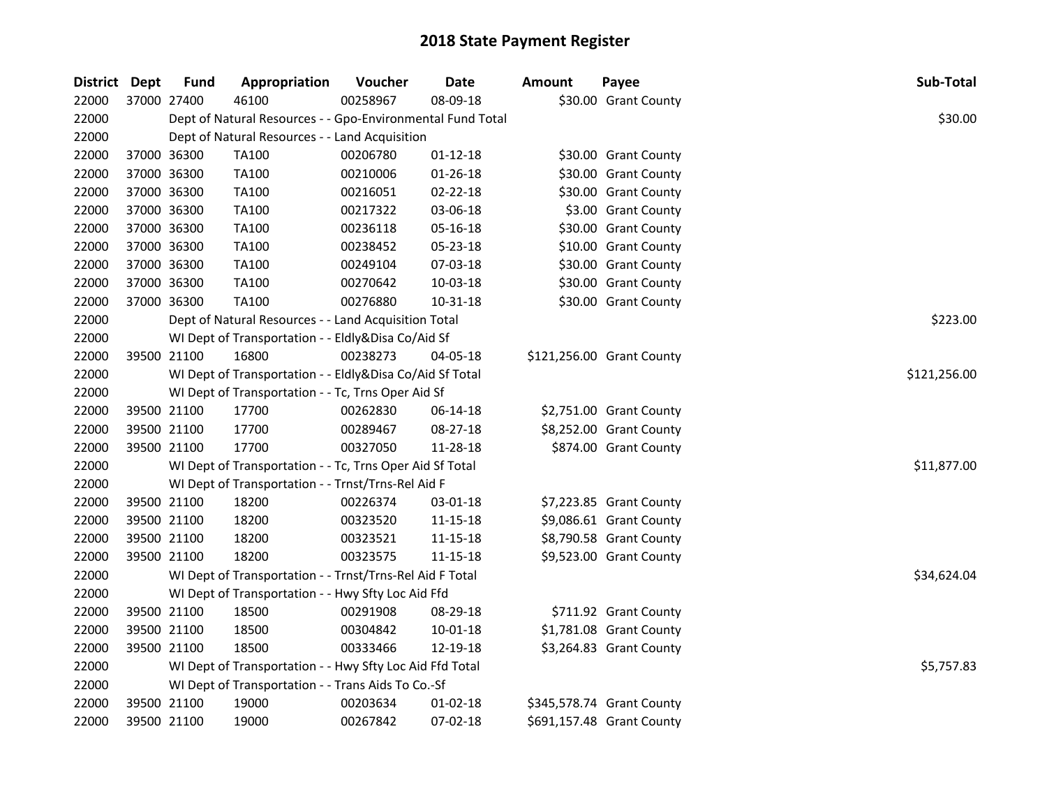| District Dept |             | <b>Fund</b> | Appropriation                                              | Voucher  | <b>Date</b>    | <b>Amount</b> | Payee                     | Sub-Total    |
|---------------|-------------|-------------|------------------------------------------------------------|----------|----------------|---------------|---------------------------|--------------|
| 22000         | 37000 27400 |             | 46100                                                      | 00258967 | 08-09-18       |               | \$30.00 Grant County      |              |
| 22000         |             |             | Dept of Natural Resources - - Gpo-Environmental Fund Total |          |                |               |                           | \$30.00      |
| 22000         |             |             | Dept of Natural Resources - - Land Acquisition             |          |                |               |                           |              |
| 22000         | 37000 36300 |             | <b>TA100</b>                                               | 00206780 | $01 - 12 - 18$ |               | \$30.00 Grant County      |              |
| 22000         |             | 37000 36300 | <b>TA100</b>                                               | 00210006 | 01-26-18       |               | \$30.00 Grant County      |              |
| 22000         | 37000 36300 |             | <b>TA100</b>                                               | 00216051 | 02-22-18       |               | \$30.00 Grant County      |              |
| 22000         | 37000 36300 |             | <b>TA100</b>                                               | 00217322 | 03-06-18       |               | \$3.00 Grant County       |              |
| 22000         |             | 37000 36300 | <b>TA100</b>                                               | 00236118 | 05-16-18       |               | \$30.00 Grant County      |              |
| 22000         | 37000 36300 |             | <b>TA100</b>                                               | 00238452 | 05-23-18       |               | \$10.00 Grant County      |              |
| 22000         | 37000 36300 |             | <b>TA100</b>                                               | 00249104 | 07-03-18       |               | \$30.00 Grant County      |              |
| 22000         | 37000 36300 |             | <b>TA100</b>                                               | 00270642 | 10-03-18       |               | \$30.00 Grant County      |              |
| 22000         | 37000 36300 |             | <b>TA100</b>                                               | 00276880 | 10-31-18       |               | \$30.00 Grant County      |              |
| 22000         |             |             | Dept of Natural Resources - - Land Acquisition Total       |          |                |               |                           | \$223.00     |
| 22000         |             |             | WI Dept of Transportation - - Eldly&Disa Co/Aid Sf         |          |                |               |                           |              |
| 22000         | 39500 21100 |             | 16800                                                      | 00238273 | 04-05-18       |               | \$121,256.00 Grant County |              |
| 22000         |             |             | WI Dept of Transportation - - Eldly&Disa Co/Aid Sf Total   |          |                |               |                           | \$121,256.00 |
| 22000         |             |             | WI Dept of Transportation - - Tc, Trns Oper Aid Sf         |          |                |               |                           |              |
| 22000         | 39500 21100 |             | 17700                                                      | 00262830 | 06-14-18       |               | \$2,751.00 Grant County   |              |
| 22000         | 39500 21100 |             | 17700                                                      | 00289467 | 08-27-18       |               | \$8,252.00 Grant County   |              |
| 22000         | 39500 21100 |             | 17700                                                      | 00327050 | 11-28-18       |               | \$874.00 Grant County     |              |
| 22000         |             |             | WI Dept of Transportation - - Tc, Trns Oper Aid Sf Total   |          |                |               |                           | \$11,877.00  |
| 22000         |             |             | WI Dept of Transportation - - Trnst/Trns-Rel Aid F         |          |                |               |                           |              |
| 22000         |             | 39500 21100 | 18200                                                      | 00226374 | 03-01-18       |               | \$7,223.85 Grant County   |              |
| 22000         | 39500 21100 |             | 18200                                                      | 00323520 | $11 - 15 - 18$ |               | \$9,086.61 Grant County   |              |
| 22000         | 39500 21100 |             | 18200                                                      | 00323521 | 11-15-18       |               | \$8,790.58 Grant County   |              |
| 22000         | 39500 21100 |             | 18200                                                      | 00323575 | $11 - 15 - 18$ |               | \$9,523.00 Grant County   |              |
| 22000         |             |             | WI Dept of Transportation - - Trnst/Trns-Rel Aid F Total   |          |                |               |                           | \$34,624.04  |
| 22000         |             |             | WI Dept of Transportation - - Hwy Sfty Loc Aid Ffd         |          |                |               |                           |              |
| 22000         |             | 39500 21100 | 18500                                                      | 00291908 | 08-29-18       |               | \$711.92 Grant County     |              |
| 22000         |             | 39500 21100 | 18500                                                      | 00304842 | 10-01-18       |               | \$1,781.08 Grant County   |              |
| 22000         | 39500 21100 |             | 18500                                                      | 00333466 | 12-19-18       |               | \$3,264.83 Grant County   |              |
| 22000         |             |             | WI Dept of Transportation - - Hwy Sfty Loc Aid Ffd Total   |          |                |               |                           | \$5,757.83   |
| 22000         |             |             | WI Dept of Transportation - - Trans Aids To Co.-Sf         |          |                |               |                           |              |
| 22000         |             | 39500 21100 | 19000                                                      | 00203634 | 01-02-18       |               | \$345,578.74 Grant County |              |
| 22000         | 39500 21100 |             | 19000                                                      | 00267842 | 07-02-18       |               | \$691,157.48 Grant County |              |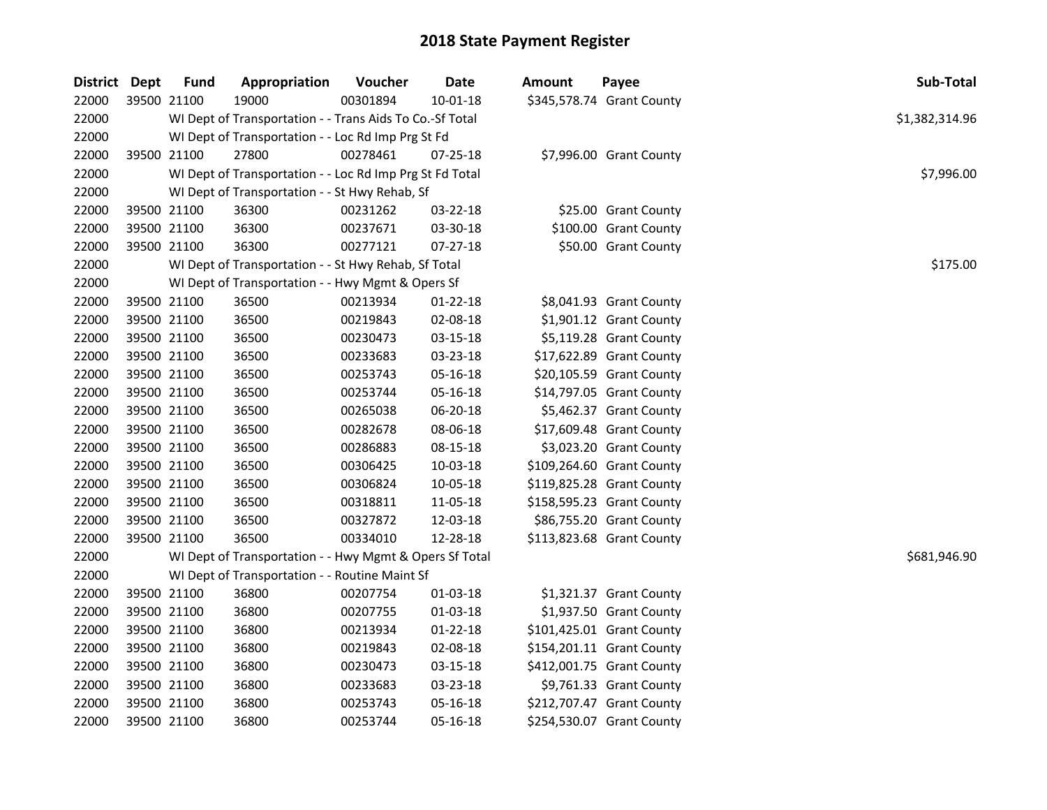| <b>District Dept</b> |             | <b>Fund</b> | Appropriation                                            | Voucher  | <b>Date</b>    | <b>Amount</b> | Payee                     | Sub-Total      |  |
|----------------------|-------------|-------------|----------------------------------------------------------|----------|----------------|---------------|---------------------------|----------------|--|
| 22000                | 39500 21100 |             | 19000                                                    | 00301894 | $10 - 01 - 18$ |               | \$345,578.74 Grant County |                |  |
| 22000                |             |             | WI Dept of Transportation - - Trans Aids To Co.-Sf Total |          |                |               |                           | \$1,382,314.96 |  |
| 22000                |             |             | WI Dept of Transportation - - Loc Rd Imp Prg St Fd       |          |                |               |                           |                |  |
| 22000                |             | 39500 21100 | 27800                                                    | 00278461 | 07-25-18       |               | \$7,996.00 Grant County   |                |  |
| 22000                |             |             | WI Dept of Transportation - - Loc Rd Imp Prg St Fd Total |          |                |               |                           | \$7,996.00     |  |
| 22000                |             |             | WI Dept of Transportation - - St Hwy Rehab, Sf           |          |                |               |                           |                |  |
| 22000                |             | 39500 21100 | 36300                                                    | 00231262 | 03-22-18       |               | \$25.00 Grant County      |                |  |
| 22000                | 39500 21100 |             | 36300                                                    | 00237671 | 03-30-18       |               | \$100.00 Grant County     |                |  |
| 22000                | 39500 21100 |             | 36300                                                    | 00277121 | 07-27-18       |               | \$50.00 Grant County      |                |  |
| 22000                |             |             | WI Dept of Transportation - - St Hwy Rehab, Sf Total     |          |                |               |                           | \$175.00       |  |
| 22000                |             |             | WI Dept of Transportation - - Hwy Mgmt & Opers Sf        |          |                |               |                           |                |  |
| 22000                | 39500 21100 |             | 36500                                                    | 00213934 | 01-22-18       |               | \$8,041.93 Grant County   |                |  |
| 22000                | 39500 21100 |             | 36500                                                    | 00219843 | 02-08-18       |               | \$1,901.12 Grant County   |                |  |
| 22000                | 39500 21100 |             | 36500                                                    | 00230473 | 03-15-18       |               | \$5,119.28 Grant County   |                |  |
| 22000                |             | 39500 21100 | 36500                                                    | 00233683 | 03-23-18       |               | \$17,622.89 Grant County  |                |  |
| 22000                | 39500 21100 |             | 36500                                                    | 00253743 | 05-16-18       |               | \$20,105.59 Grant County  |                |  |
| 22000                | 39500 21100 |             | 36500                                                    | 00253744 | 05-16-18       |               | \$14,797.05 Grant County  |                |  |
| 22000                | 39500 21100 |             | 36500                                                    | 00265038 | 06-20-18       |               | \$5,462.37 Grant County   |                |  |
| 22000                | 39500 21100 |             | 36500                                                    | 00282678 | 08-06-18       |               | \$17,609.48 Grant County  |                |  |
| 22000                | 39500 21100 |             | 36500                                                    | 00286883 | 08-15-18       |               | \$3,023.20 Grant County   |                |  |
| 22000                | 39500 21100 |             | 36500                                                    | 00306425 | 10-03-18       |               | \$109,264.60 Grant County |                |  |
| 22000                | 39500 21100 |             | 36500                                                    | 00306824 | 10-05-18       |               | \$119,825.28 Grant County |                |  |
| 22000                | 39500 21100 |             | 36500                                                    | 00318811 | 11-05-18       |               | \$158,595.23 Grant County |                |  |
| 22000                | 39500 21100 |             | 36500                                                    | 00327872 | 12-03-18       |               | \$86,755.20 Grant County  |                |  |
| 22000                | 39500 21100 |             | 36500                                                    | 00334010 | 12-28-18       |               | \$113,823.68 Grant County |                |  |
| 22000                |             |             | WI Dept of Transportation - - Hwy Mgmt & Opers Sf Total  |          |                |               |                           | \$681,946.90   |  |
| 22000                |             |             | WI Dept of Transportation - - Routine Maint Sf           |          |                |               |                           |                |  |
| 22000                |             | 39500 21100 | 36800                                                    | 00207754 | 01-03-18       |               | \$1,321.37 Grant County   |                |  |
| 22000                |             | 39500 21100 | 36800                                                    | 00207755 | 01-03-18       |               | \$1,937.50 Grant County   |                |  |
| 22000                | 39500 21100 |             | 36800                                                    | 00213934 | 01-22-18       |               | \$101,425.01 Grant County |                |  |
| 22000                | 39500 21100 |             | 36800                                                    | 00219843 | 02-08-18       |               | \$154,201.11 Grant County |                |  |
| 22000                | 39500 21100 |             | 36800                                                    | 00230473 | 03-15-18       |               | \$412,001.75 Grant County |                |  |
| 22000                | 39500 21100 |             | 36800                                                    | 00233683 | 03-23-18       |               | \$9,761.33 Grant County   |                |  |
| 22000                | 39500 21100 |             | 36800                                                    | 00253743 | 05-16-18       |               | \$212,707.47 Grant County |                |  |
| 22000                |             | 39500 21100 | 36800                                                    | 00253744 | 05-16-18       |               | \$254,530.07 Grant County |                |  |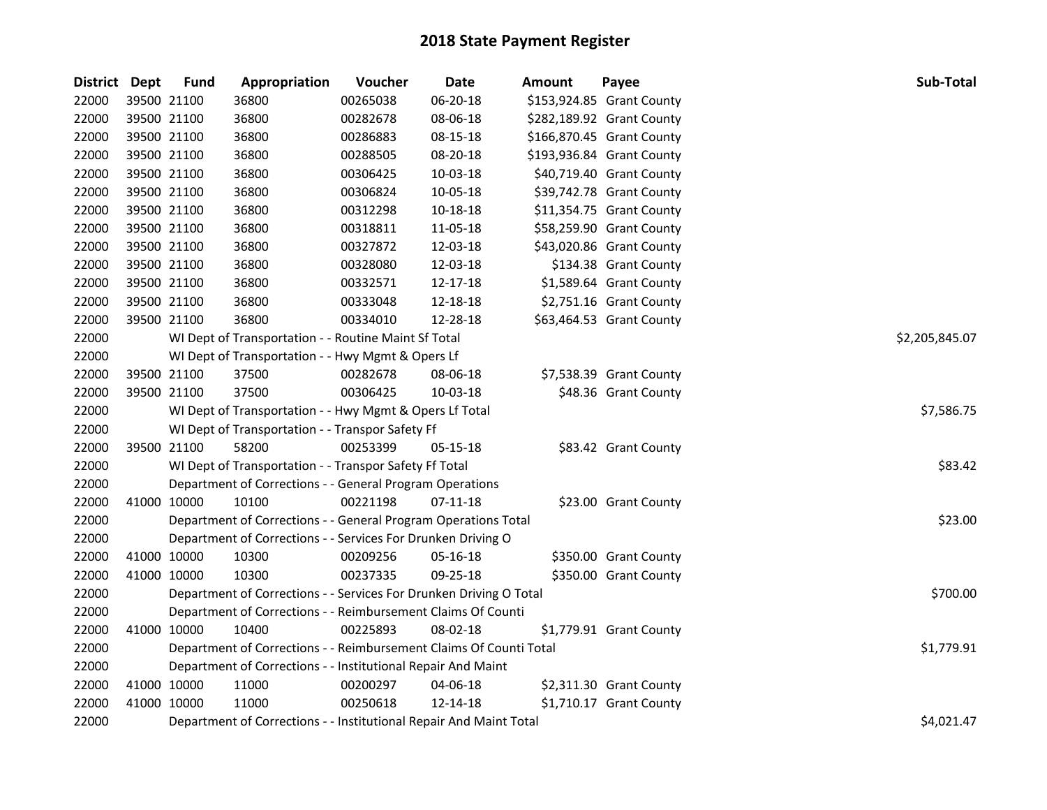| District Dept |             | <b>Fund</b> | Appropriation                                                      | Voucher  | <b>Date</b>    | Amount | Payee                     | Sub-Total      |
|---------------|-------------|-------------|--------------------------------------------------------------------|----------|----------------|--------|---------------------------|----------------|
| 22000         |             | 39500 21100 | 36800                                                              | 00265038 | 06-20-18       |        | \$153,924.85 Grant County |                |
| 22000         |             | 39500 21100 | 36800                                                              | 00282678 | 08-06-18       |        | \$282,189.92 Grant County |                |
| 22000         |             | 39500 21100 | 36800                                                              | 00286883 | 08-15-18       |        | \$166,870.45 Grant County |                |
| 22000         |             | 39500 21100 | 36800                                                              | 00288505 | 08-20-18       |        | \$193,936.84 Grant County |                |
| 22000         |             | 39500 21100 | 36800                                                              | 00306425 | 10-03-18       |        | \$40,719.40 Grant County  |                |
| 22000         |             | 39500 21100 | 36800                                                              | 00306824 | 10-05-18       |        | \$39,742.78 Grant County  |                |
| 22000         |             | 39500 21100 | 36800                                                              | 00312298 | $10 - 18 - 18$ |        | \$11,354.75 Grant County  |                |
| 22000         |             | 39500 21100 | 36800                                                              | 00318811 | 11-05-18       |        | \$58,259.90 Grant County  |                |
| 22000         |             | 39500 21100 | 36800                                                              | 00327872 | 12-03-18       |        | \$43,020.86 Grant County  |                |
| 22000         |             | 39500 21100 | 36800                                                              | 00328080 | 12-03-18       |        | \$134.38 Grant County     |                |
| 22000         |             | 39500 21100 | 36800                                                              | 00332571 | 12-17-18       |        | \$1,589.64 Grant County   |                |
| 22000         |             | 39500 21100 | 36800                                                              | 00333048 | 12-18-18       |        | \$2,751.16 Grant County   |                |
| 22000         | 39500 21100 |             | 36800                                                              | 00334010 | 12-28-18       |        | \$63,464.53 Grant County  |                |
| 22000         |             |             | WI Dept of Transportation - - Routine Maint Sf Total               |          |                |        |                           | \$2,205,845.07 |
| 22000         |             |             | WI Dept of Transportation - - Hwy Mgmt & Opers Lf                  |          |                |        |                           |                |
| 22000         |             | 39500 21100 | 37500                                                              | 00282678 | 08-06-18       |        | \$7,538.39 Grant County   |                |
| 22000         |             | 39500 21100 | 37500                                                              | 00306425 | 10-03-18       |        | \$48.36 Grant County      |                |
| 22000         |             |             | WI Dept of Transportation - - Hwy Mgmt & Opers Lf Total            |          |                |        |                           | \$7,586.75     |
| 22000         |             |             | WI Dept of Transportation - - Transpor Safety Ff                   |          |                |        |                           |                |
| 22000         |             | 39500 21100 | 58200                                                              | 00253399 | $05 - 15 - 18$ |        | \$83.42 Grant County      |                |
| 22000         |             |             | WI Dept of Transportation - - Transpor Safety Ff Total             |          |                |        |                           | \$83.42        |
| 22000         |             |             | Department of Corrections - - General Program Operations           |          |                |        |                           |                |
| 22000         |             | 41000 10000 | 10100                                                              | 00221198 | $07-11-18$     |        | \$23.00 Grant County      |                |
| 22000         |             |             | Department of Corrections - - General Program Operations Total     |          |                |        |                           | \$23.00        |
| 22000         |             |             | Department of Corrections - - Services For Drunken Driving O       |          |                |        |                           |                |
| 22000         |             | 41000 10000 | 10300                                                              | 00209256 | 05-16-18       |        | \$350.00 Grant County     |                |
| 22000         |             | 41000 10000 | 10300                                                              | 00237335 | 09-25-18       |        | \$350.00 Grant County     |                |
| 22000         |             |             | Department of Corrections - - Services For Drunken Driving O Total |          |                |        |                           | \$700.00       |
| 22000         |             |             | Department of Corrections - - Reimbursement Claims Of Counti       |          |                |        |                           |                |
| 22000         |             | 41000 10000 | 10400                                                              | 00225893 | 08-02-18       |        | \$1,779.91 Grant County   |                |
| 22000         |             |             | Department of Corrections - - Reimbursement Claims Of Counti Total |          |                |        |                           | \$1,779.91     |
| 22000         |             |             | Department of Corrections - - Institutional Repair And Maint       |          |                |        |                           |                |
| 22000         |             | 41000 10000 | 11000                                                              | 00200297 | 04-06-18       |        | \$2,311.30 Grant County   |                |
| 22000         |             | 41000 10000 | 11000                                                              | 00250618 | 12-14-18       |        | \$1,710.17 Grant County   |                |
| 22000         |             |             | Department of Corrections - - Institutional Repair And Maint Total |          |                |        |                           | \$4,021.47     |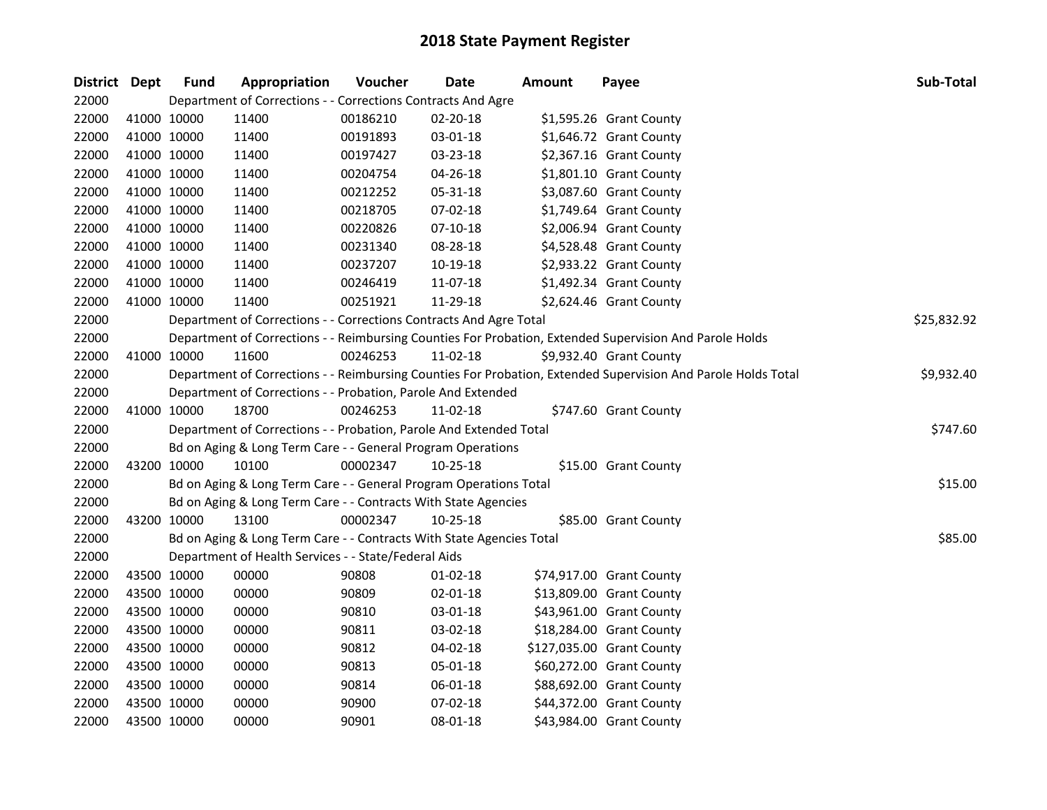| District Dept |             | <b>Fund</b> | Appropriation                                                        | Voucher  | <b>Date</b> | <b>Amount</b> | Payee                                                                                                         | Sub-Total   |
|---------------|-------------|-------------|----------------------------------------------------------------------|----------|-------------|---------------|---------------------------------------------------------------------------------------------------------------|-------------|
| 22000         |             |             | Department of Corrections - - Corrections Contracts And Agre         |          |             |               |                                                                                                               |             |
| 22000         |             | 41000 10000 | 11400                                                                | 00186210 | 02-20-18    |               | \$1,595.26 Grant County                                                                                       |             |
| 22000         |             | 41000 10000 | 11400                                                                | 00191893 | 03-01-18    |               | \$1,646.72 Grant County                                                                                       |             |
| 22000         |             | 41000 10000 | 11400                                                                | 00197427 | 03-23-18    |               | \$2,367.16 Grant County                                                                                       |             |
| 22000         |             | 41000 10000 | 11400                                                                | 00204754 | 04-26-18    |               | \$1,801.10 Grant County                                                                                       |             |
| 22000         |             | 41000 10000 | 11400                                                                | 00212252 | 05-31-18    |               | \$3,087.60 Grant County                                                                                       |             |
| 22000         |             | 41000 10000 | 11400                                                                | 00218705 | 07-02-18    |               | \$1,749.64 Grant County                                                                                       |             |
| 22000         |             | 41000 10000 | 11400                                                                | 00220826 | $07-10-18$  |               | \$2,006.94 Grant County                                                                                       |             |
| 22000         |             | 41000 10000 | 11400                                                                | 00231340 | 08-28-18    |               | \$4,528.48 Grant County                                                                                       |             |
| 22000         |             | 41000 10000 | 11400                                                                | 00237207 | 10-19-18    |               | \$2,933.22 Grant County                                                                                       |             |
| 22000         |             | 41000 10000 | 11400                                                                | 00246419 | 11-07-18    |               | \$1,492.34 Grant County                                                                                       |             |
| 22000         |             | 41000 10000 | 11400                                                                | 00251921 | 11-29-18    |               | \$2,624.46 Grant County                                                                                       |             |
| 22000         |             |             | Department of Corrections - - Corrections Contracts And Agre Total   |          |             |               |                                                                                                               | \$25,832.92 |
| 22000         |             |             |                                                                      |          |             |               | Department of Corrections - - Reimbursing Counties For Probation, Extended Supervision And Parole Holds       |             |
| 22000         |             | 41000 10000 | 11600                                                                | 00246253 | 11-02-18    |               | \$9,932.40 Grant County                                                                                       |             |
| 22000         |             |             |                                                                      |          |             |               | Department of Corrections - - Reimbursing Counties For Probation, Extended Supervision And Parole Holds Total | \$9,932.40  |
| 22000         |             |             | Department of Corrections - - Probation, Parole And Extended         |          |             |               |                                                                                                               |             |
| 22000         |             | 41000 10000 | 18700                                                                | 00246253 | 11-02-18    |               | \$747.60 Grant County                                                                                         |             |
| 22000         |             |             | Department of Corrections - - Probation, Parole And Extended Total   |          |             |               |                                                                                                               | \$747.60    |
| 22000         |             |             | Bd on Aging & Long Term Care - - General Program Operations          |          |             |               |                                                                                                               |             |
| 22000         |             | 43200 10000 | 10100                                                                | 00002347 | 10-25-18    |               | \$15.00 Grant County                                                                                          |             |
| 22000         |             |             | Bd on Aging & Long Term Care - - General Program Operations Total    |          |             |               |                                                                                                               | \$15.00     |
| 22000         |             |             | Bd on Aging & Long Term Care - - Contracts With State Agencies       |          |             |               |                                                                                                               |             |
| 22000         |             | 43200 10000 | 13100                                                                | 00002347 | 10-25-18    |               | \$85.00 Grant County                                                                                          |             |
| 22000         |             |             | Bd on Aging & Long Term Care - - Contracts With State Agencies Total |          |             |               |                                                                                                               | \$85.00     |
| 22000         |             |             | Department of Health Services - - State/Federal Aids                 |          |             |               |                                                                                                               |             |
| 22000         |             | 43500 10000 | 00000                                                                | 90808    | 01-02-18    |               | \$74,917.00 Grant County                                                                                      |             |
| 22000         |             | 43500 10000 | 00000                                                                | 90809    | 02-01-18    |               | \$13,809.00 Grant County                                                                                      |             |
| 22000         |             | 43500 10000 | 00000                                                                | 90810    | 03-01-18    |               | \$43,961.00 Grant County                                                                                      |             |
| 22000         |             | 43500 10000 | 00000                                                                | 90811    | 03-02-18    |               | \$18,284.00 Grant County                                                                                      |             |
| 22000         |             | 43500 10000 | 00000                                                                | 90812    | 04-02-18    |               | \$127,035.00 Grant County                                                                                     |             |
| 22000         |             | 43500 10000 | 00000                                                                | 90813    | 05-01-18    |               | \$60,272.00 Grant County                                                                                      |             |
| 22000         |             | 43500 10000 | 00000                                                                | 90814    | 06-01-18    |               | \$88,692.00 Grant County                                                                                      |             |
| 22000         |             | 43500 10000 | 00000                                                                | 90900    | 07-02-18    |               | \$44,372.00 Grant County                                                                                      |             |
| 22000         | 43500 10000 |             | 00000                                                                | 90901    | 08-01-18    |               | \$43,984.00 Grant County                                                                                      |             |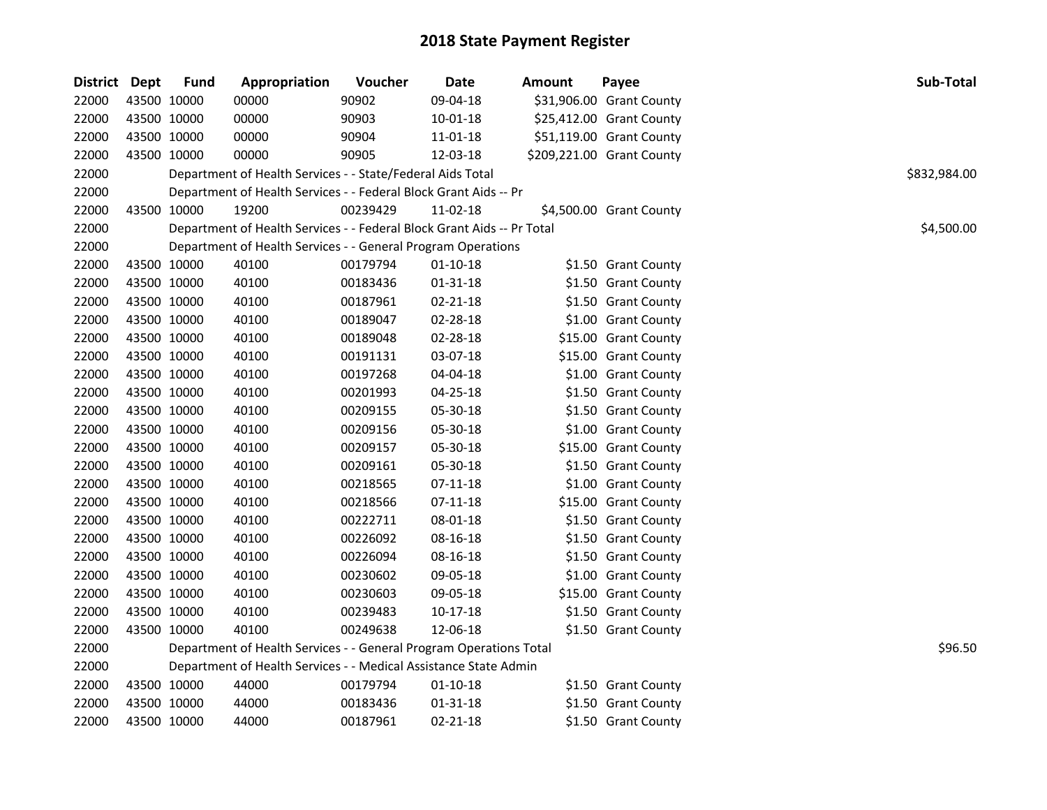| <b>District Dept</b> |             | <b>Fund</b> | Appropriation                                                          | Voucher  | Date           | Amount | Payee                     | Sub-Total    |
|----------------------|-------------|-------------|------------------------------------------------------------------------|----------|----------------|--------|---------------------------|--------------|
| 22000                |             | 43500 10000 | 00000                                                                  | 90902    | 09-04-18       |        | \$31,906.00 Grant County  |              |
| 22000                |             | 43500 10000 | 00000                                                                  | 90903    | $10 - 01 - 18$ |        | \$25,412.00 Grant County  |              |
| 22000                |             | 43500 10000 | 00000                                                                  | 90904    | 11-01-18       |        | \$51,119.00 Grant County  |              |
| 22000                |             | 43500 10000 | 00000                                                                  | 90905    | 12-03-18       |        | \$209,221.00 Grant County |              |
| 22000                |             |             | Department of Health Services - - State/Federal Aids Total             |          |                |        |                           | \$832,984.00 |
| 22000                |             |             | Department of Health Services - - Federal Block Grant Aids -- Pr       |          |                |        |                           |              |
| 22000                |             | 43500 10000 | 19200                                                                  | 00239429 | 11-02-18       |        | \$4,500.00 Grant County   |              |
| 22000                |             |             | Department of Health Services - - Federal Block Grant Aids -- Pr Total |          |                |        |                           | \$4,500.00   |
| 22000                |             |             | Department of Health Services - - General Program Operations           |          |                |        |                           |              |
| 22000                |             | 43500 10000 | 40100                                                                  | 00179794 | $01-10-18$     |        | \$1.50 Grant County       |              |
| 22000                | 43500 10000 |             | 40100                                                                  | 00183436 | $01 - 31 - 18$ |        | \$1.50 Grant County       |              |
| 22000                |             | 43500 10000 | 40100                                                                  | 00187961 | 02-21-18       |        | \$1.50 Grant County       |              |
| 22000                |             | 43500 10000 | 40100                                                                  | 00189047 | 02-28-18       |        | \$1.00 Grant County       |              |
| 22000                |             | 43500 10000 | 40100                                                                  | 00189048 | 02-28-18       |        | \$15.00 Grant County      |              |
| 22000                |             | 43500 10000 | 40100                                                                  | 00191131 | 03-07-18       |        | \$15.00 Grant County      |              |
| 22000                |             | 43500 10000 | 40100                                                                  | 00197268 | 04-04-18       |        | \$1.00 Grant County       |              |
| 22000                |             | 43500 10000 | 40100                                                                  | 00201993 | 04-25-18       |        | \$1.50 Grant County       |              |
| 22000                |             | 43500 10000 | 40100                                                                  | 00209155 | 05-30-18       |        | \$1.50 Grant County       |              |
| 22000                |             | 43500 10000 | 40100                                                                  | 00209156 | 05-30-18       |        | \$1.00 Grant County       |              |
| 22000                |             | 43500 10000 | 40100                                                                  | 00209157 | 05-30-18       |        | \$15.00 Grant County      |              |
| 22000                |             | 43500 10000 | 40100                                                                  | 00209161 | 05-30-18       |        | \$1.50 Grant County       |              |
| 22000                | 43500 10000 |             | 40100                                                                  | 00218565 | $07-11-18$     |        | \$1.00 Grant County       |              |
| 22000                | 43500 10000 |             | 40100                                                                  | 00218566 | $07-11-18$     |        | \$15.00 Grant County      |              |
| 22000                | 43500 10000 |             | 40100                                                                  | 00222711 | 08-01-18       |        | \$1.50 Grant County       |              |
| 22000                | 43500 10000 |             | 40100                                                                  | 00226092 | 08-16-18       |        | \$1.50 Grant County       |              |
| 22000                |             | 43500 10000 | 40100                                                                  | 00226094 | 08-16-18       |        | \$1.50 Grant County       |              |
| 22000                |             | 43500 10000 | 40100                                                                  | 00230602 | 09-05-18       |        | \$1.00 Grant County       |              |
| 22000                |             | 43500 10000 | 40100                                                                  | 00230603 | 09-05-18       |        | \$15.00 Grant County      |              |
| 22000                |             | 43500 10000 | 40100                                                                  | 00239483 | $10-17-18$     |        | \$1.50 Grant County       |              |
| 22000                |             | 43500 10000 | 40100                                                                  | 00249638 | 12-06-18       |        | \$1.50 Grant County       |              |
| 22000                |             |             | Department of Health Services - - General Program Operations Total     |          |                |        |                           | \$96.50      |
| 22000                |             |             | Department of Health Services - - Medical Assistance State Admin       |          |                |        |                           |              |
| 22000                |             | 43500 10000 | 44000                                                                  | 00179794 | $01-10-18$     |        | \$1.50 Grant County       |              |
| 22000                |             | 43500 10000 | 44000                                                                  | 00183436 | $01 - 31 - 18$ |        | \$1.50 Grant County       |              |
| 22000                |             | 43500 10000 | 44000                                                                  | 00187961 | 02-21-18       |        | \$1.50 Grant County       |              |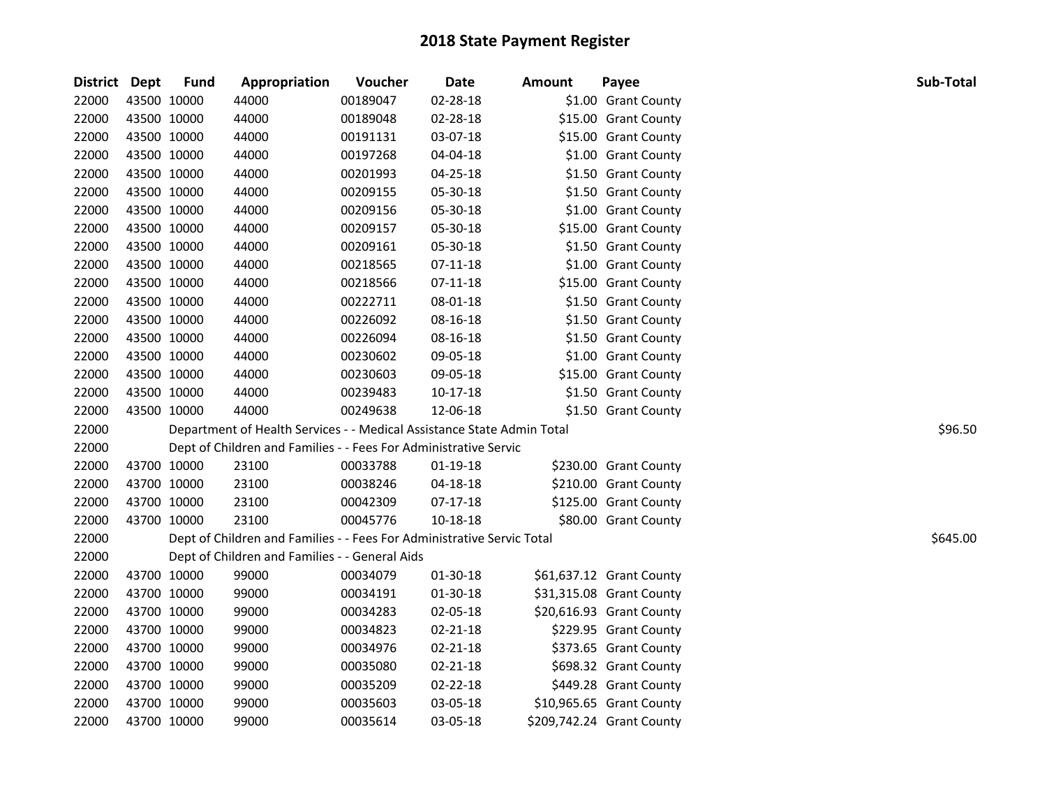| District Dept |             | <b>Fund</b> | Appropriation                                                          | Voucher  | Date           | <b>Amount</b> | Payee                     | Sub-Total |
|---------------|-------------|-------------|------------------------------------------------------------------------|----------|----------------|---------------|---------------------------|-----------|
| 22000         | 43500 10000 |             | 44000                                                                  | 00189047 | 02-28-18       |               | \$1.00 Grant County       |           |
| 22000         | 43500 10000 |             | 44000                                                                  | 00189048 | 02-28-18       |               | \$15.00 Grant County      |           |
| 22000         | 43500 10000 |             | 44000                                                                  | 00191131 | 03-07-18       |               | \$15.00 Grant County      |           |
| 22000         | 43500 10000 |             | 44000                                                                  | 00197268 | 04-04-18       |               | \$1.00 Grant County       |           |
| 22000         | 43500 10000 |             | 44000                                                                  | 00201993 | 04-25-18       |               | \$1.50 Grant County       |           |
| 22000         | 43500 10000 |             | 44000                                                                  | 00209155 | 05-30-18       |               | \$1.50 Grant County       |           |
| 22000         | 43500 10000 |             | 44000                                                                  | 00209156 | 05-30-18       |               | \$1.00 Grant County       |           |
| 22000         | 43500 10000 |             | 44000                                                                  | 00209157 | 05-30-18       |               | \$15.00 Grant County      |           |
| 22000         |             | 43500 10000 | 44000                                                                  | 00209161 | 05-30-18       |               | \$1.50 Grant County       |           |
| 22000         | 43500 10000 |             | 44000                                                                  | 00218565 | $07-11-18$     |               | \$1.00 Grant County       |           |
| 22000         | 43500 10000 |             | 44000                                                                  | 00218566 | $07-11-18$     |               | \$15.00 Grant County      |           |
| 22000         | 43500 10000 |             | 44000                                                                  | 00222711 | 08-01-18       |               | \$1.50 Grant County       |           |
| 22000         | 43500 10000 |             | 44000                                                                  | 00226092 | 08-16-18       |               | \$1.50 Grant County       |           |
| 22000         | 43500 10000 |             | 44000                                                                  | 00226094 | 08-16-18       |               | \$1.50 Grant County       |           |
| 22000         | 43500 10000 |             | 44000                                                                  | 00230602 | 09-05-18       |               | \$1.00 Grant County       |           |
| 22000         | 43500 10000 |             | 44000                                                                  | 00230603 | 09-05-18       |               | \$15.00 Grant County      |           |
| 22000         | 43500 10000 |             | 44000                                                                  | 00239483 | $10-17-18$     |               | \$1.50 Grant County       |           |
| 22000         | 43500 10000 |             | 44000                                                                  | 00249638 | 12-06-18       |               | \$1.50 Grant County       |           |
| 22000         |             |             | Department of Health Services - - Medical Assistance State Admin Total |          |                |               |                           | \$96.50   |
| 22000         |             |             | Dept of Children and Families - - Fees For Administrative Servic       |          |                |               |                           |           |
| 22000         | 43700 10000 |             | 23100                                                                  | 00033788 | 01-19-18       |               | \$230.00 Grant County     |           |
| 22000         | 43700 10000 |             | 23100                                                                  | 00038246 | $04 - 18 - 18$ |               | \$210.00 Grant County     |           |
| 22000         | 43700 10000 |             | 23100                                                                  | 00042309 | $07-17-18$     |               | \$125.00 Grant County     |           |
| 22000         | 43700 10000 |             | 23100                                                                  | 00045776 | 10-18-18       |               | \$80.00 Grant County      |           |
| 22000         |             |             | Dept of Children and Families - - Fees For Administrative Servic Total |          |                |               |                           | \$645.00  |
| 22000         |             |             | Dept of Children and Families - - General Aids                         |          |                |               |                           |           |
| 22000         | 43700 10000 |             | 99000                                                                  | 00034079 | 01-30-18       |               | \$61,637.12 Grant County  |           |
| 22000         | 43700 10000 |             | 99000                                                                  | 00034191 | 01-30-18       |               | \$31,315.08 Grant County  |           |
| 22000         | 43700 10000 |             | 99000                                                                  | 00034283 | 02-05-18       |               | \$20,616.93 Grant County  |           |
| 22000         | 43700 10000 |             | 99000                                                                  | 00034823 | 02-21-18       |               | \$229.95 Grant County     |           |
| 22000         |             | 43700 10000 | 99000                                                                  | 00034976 | $02 - 21 - 18$ |               | \$373.65 Grant County     |           |
| 22000         |             | 43700 10000 | 99000                                                                  | 00035080 | $02 - 21 - 18$ |               | \$698.32 Grant County     |           |
| 22000         | 43700 10000 |             | 99000                                                                  | 00035209 | 02-22-18       |               | \$449.28 Grant County     |           |
| 22000         |             | 43700 10000 | 99000                                                                  | 00035603 | 03-05-18       |               | \$10,965.65 Grant County  |           |
| 22000         | 43700 10000 |             | 99000                                                                  | 00035614 | 03-05-18       |               | \$209,742.24 Grant County |           |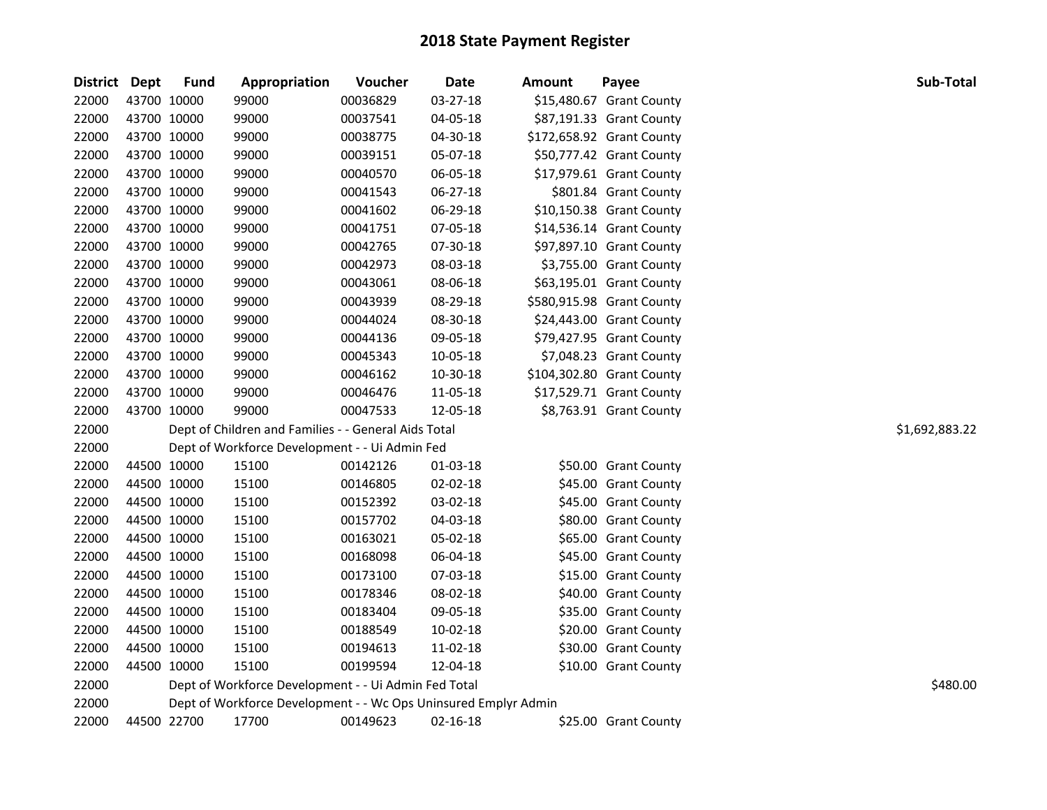| <b>District</b> | Dept        | <b>Fund</b> | Appropriation                                                   | Voucher  | <b>Date</b> | Amount | Payee                     | Sub-Total      |
|-----------------|-------------|-------------|-----------------------------------------------------------------|----------|-------------|--------|---------------------------|----------------|
| 22000           | 43700 10000 |             | 99000                                                           | 00036829 | 03-27-18    |        | \$15,480.67 Grant County  |                |
| 22000           | 43700 10000 |             | 99000                                                           | 00037541 | 04-05-18    |        | \$87,191.33 Grant County  |                |
| 22000           | 43700 10000 |             | 99000                                                           | 00038775 | 04-30-18    |        | \$172,658.92 Grant County |                |
| 22000           | 43700 10000 |             | 99000                                                           | 00039151 | 05-07-18    |        | \$50,777.42 Grant County  |                |
| 22000           | 43700 10000 |             | 99000                                                           | 00040570 | 06-05-18    |        | \$17,979.61 Grant County  |                |
| 22000           | 43700 10000 |             | 99000                                                           | 00041543 | 06-27-18    |        | \$801.84 Grant County     |                |
| 22000           | 43700 10000 |             | 99000                                                           | 00041602 | 06-29-18    |        | \$10,150.38 Grant County  |                |
| 22000           | 43700 10000 |             | 99000                                                           | 00041751 | 07-05-18    |        | \$14,536.14 Grant County  |                |
| 22000           | 43700 10000 |             | 99000                                                           | 00042765 | 07-30-18    |        | \$97,897.10 Grant County  |                |
| 22000           | 43700 10000 |             | 99000                                                           | 00042973 | 08-03-18    |        | \$3,755.00 Grant County   |                |
| 22000           | 43700 10000 |             | 99000                                                           | 00043061 | 08-06-18    |        | \$63,195.01 Grant County  |                |
| 22000           | 43700 10000 |             | 99000                                                           | 00043939 | 08-29-18    |        | \$580,915.98 Grant County |                |
| 22000           | 43700 10000 |             | 99000                                                           | 00044024 | 08-30-18    |        | \$24,443.00 Grant County  |                |
| 22000           | 43700 10000 |             | 99000                                                           | 00044136 | 09-05-18    |        | \$79,427.95 Grant County  |                |
| 22000           | 43700 10000 |             | 99000                                                           | 00045343 | 10-05-18    |        | \$7,048.23 Grant County   |                |
| 22000           | 43700 10000 |             | 99000                                                           | 00046162 | 10-30-18    |        | \$104,302.80 Grant County |                |
| 22000           | 43700 10000 |             | 99000                                                           | 00046476 | 11-05-18    |        | \$17,529.71 Grant County  |                |
| 22000           | 43700 10000 |             | 99000                                                           | 00047533 | 12-05-18    |        | \$8,763.91 Grant County   |                |
| 22000           |             |             | Dept of Children and Families - - General Aids Total            |          |             |        |                           | \$1,692,883.22 |
| 22000           |             |             | Dept of Workforce Development - - Ui Admin Fed                  |          |             |        |                           |                |
| 22000           | 44500 10000 |             | 15100                                                           | 00142126 | 01-03-18    |        | \$50.00 Grant County      |                |
| 22000           | 44500 10000 |             | 15100                                                           | 00146805 | 02-02-18    |        | \$45.00 Grant County      |                |
| 22000           | 44500 10000 |             | 15100                                                           | 00152392 | 03-02-18    |        | \$45.00 Grant County      |                |
| 22000           | 44500 10000 |             | 15100                                                           | 00157702 | 04-03-18    |        | \$80.00 Grant County      |                |
| 22000           | 44500 10000 |             | 15100                                                           | 00163021 | 05-02-18    |        | \$65.00 Grant County      |                |
| 22000           | 44500 10000 |             | 15100                                                           | 00168098 | 06-04-18    |        | \$45.00 Grant County      |                |
| 22000           | 44500 10000 |             | 15100                                                           | 00173100 | 07-03-18    |        | \$15.00 Grant County      |                |
| 22000           | 44500 10000 |             | 15100                                                           | 00178346 | 08-02-18    |        | \$40.00 Grant County      |                |
| 22000           | 44500 10000 |             | 15100                                                           | 00183404 | 09-05-18    |        | \$35.00 Grant County      |                |
| 22000           | 44500 10000 |             | 15100                                                           | 00188549 | 10-02-18    |        | \$20.00 Grant County      |                |
| 22000           | 44500 10000 |             | 15100                                                           | 00194613 | 11-02-18    |        | \$30.00 Grant County      |                |
| 22000           | 44500 10000 |             | 15100                                                           | 00199594 | 12-04-18    |        | \$10.00 Grant County      |                |
| 22000           |             |             | Dept of Workforce Development - - Ui Admin Fed Total            |          |             |        |                           | \$480.00       |
| 22000           |             |             | Dept of Workforce Development - - Wc Ops Uninsured Emplyr Admin |          |             |        |                           |                |
| 22000           | 44500 22700 |             | 17700                                                           | 00149623 | 02-16-18    |        | \$25.00 Grant County      |                |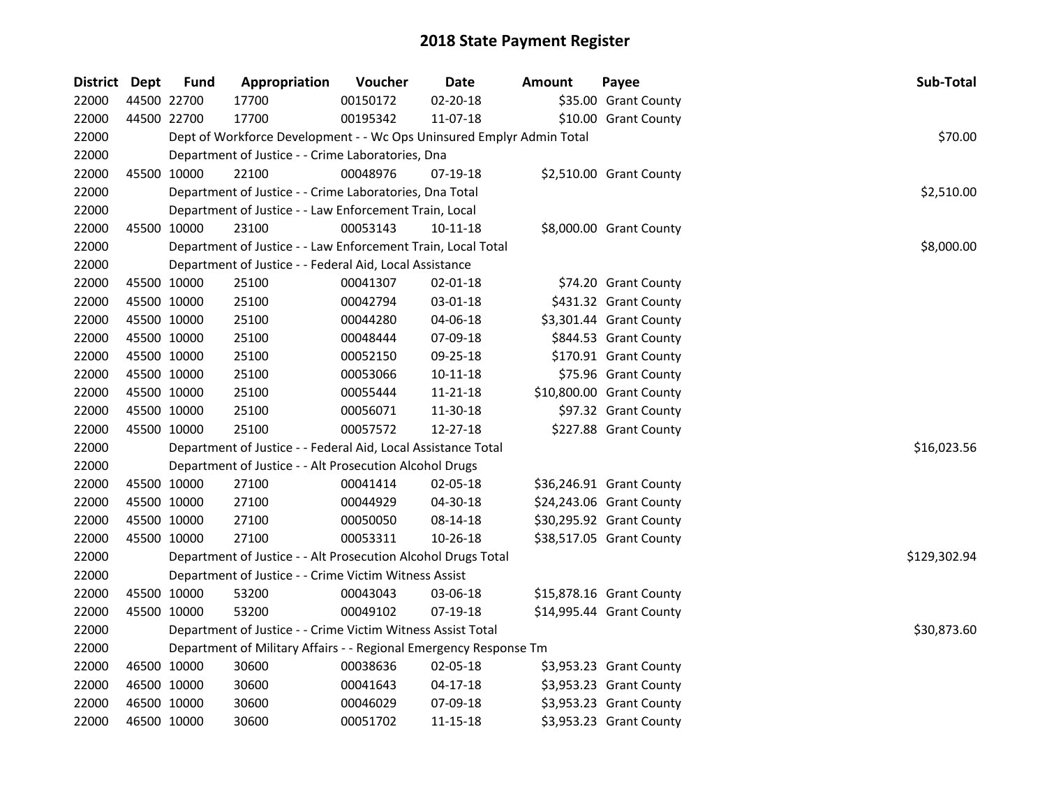| District Dept |             | <b>Fund</b> | Appropriation                                                         | Voucher  | <b>Date</b>    | <b>Amount</b> | Payee                    | Sub-Total    |
|---------------|-------------|-------------|-----------------------------------------------------------------------|----------|----------------|---------------|--------------------------|--------------|
| 22000         |             | 44500 22700 | 17700                                                                 | 00150172 | 02-20-18       |               | \$35.00 Grant County     |              |
| 22000         |             | 44500 22700 | 17700                                                                 | 00195342 | 11-07-18       |               | \$10.00 Grant County     |              |
| 22000         |             |             | Dept of Workforce Development - - Wc Ops Uninsured Emplyr Admin Total |          |                |               |                          | \$70.00      |
| 22000         |             |             | Department of Justice - - Crime Laboratories, Dna                     |          |                |               |                          |              |
| 22000         |             | 45500 10000 | 22100                                                                 | 00048976 | 07-19-18       |               | \$2,510.00 Grant County  |              |
| 22000         |             |             | Department of Justice - - Crime Laboratories, Dna Total               |          |                |               |                          | \$2,510.00   |
| 22000         |             |             | Department of Justice - - Law Enforcement Train, Local                |          |                |               |                          |              |
| 22000         |             | 45500 10000 | 23100                                                                 | 00053143 | $10 - 11 - 18$ |               | \$8,000.00 Grant County  |              |
| 22000         |             |             | Department of Justice - - Law Enforcement Train, Local Total          |          |                |               |                          | \$8,000.00   |
| 22000         |             |             | Department of Justice - - Federal Aid, Local Assistance               |          |                |               |                          |              |
| 22000         |             | 45500 10000 | 25100                                                                 | 00041307 | 02-01-18       |               | \$74.20 Grant County     |              |
| 22000         |             | 45500 10000 | 25100                                                                 | 00042794 | 03-01-18       |               | \$431.32 Grant County    |              |
| 22000         |             | 45500 10000 | 25100                                                                 | 00044280 | 04-06-18       |               | \$3,301.44 Grant County  |              |
| 22000         |             | 45500 10000 | 25100                                                                 | 00048444 | 07-09-18       |               | \$844.53 Grant County    |              |
| 22000         |             | 45500 10000 | 25100                                                                 | 00052150 | 09-25-18       |               | \$170.91 Grant County    |              |
| 22000         |             | 45500 10000 | 25100                                                                 | 00053066 | $10-11-18$     |               | \$75.96 Grant County     |              |
| 22000         |             | 45500 10000 | 25100                                                                 | 00055444 | 11-21-18       |               | \$10,800.00 Grant County |              |
| 22000         |             | 45500 10000 | 25100                                                                 | 00056071 | 11-30-18       |               | \$97.32 Grant County     |              |
| 22000         |             | 45500 10000 | 25100                                                                 | 00057572 | 12-27-18       |               | \$227.88 Grant County    |              |
| 22000         |             |             | Department of Justice - - Federal Aid, Local Assistance Total         |          |                |               |                          | \$16,023.56  |
| 22000         |             |             | Department of Justice - - Alt Prosecution Alcohol Drugs               |          |                |               |                          |              |
| 22000         |             | 45500 10000 | 27100                                                                 | 00041414 | 02-05-18       |               | \$36,246.91 Grant County |              |
| 22000         | 45500 10000 |             | 27100                                                                 | 00044929 | 04-30-18       |               | \$24,243.06 Grant County |              |
| 22000         | 45500 10000 |             | 27100                                                                 | 00050050 | 08-14-18       |               | \$30,295.92 Grant County |              |
| 22000         |             | 45500 10000 | 27100                                                                 | 00053311 | 10-26-18       |               | \$38,517.05 Grant County |              |
| 22000         |             |             | Department of Justice - - Alt Prosecution Alcohol Drugs Total         |          |                |               |                          | \$129,302.94 |
| 22000         |             |             | Department of Justice - - Crime Victim Witness Assist                 |          |                |               |                          |              |
| 22000         |             | 45500 10000 | 53200                                                                 | 00043043 | 03-06-18       |               | \$15,878.16 Grant County |              |
| 22000         |             | 45500 10000 | 53200                                                                 | 00049102 | 07-19-18       |               | \$14,995.44 Grant County |              |
| 22000         |             |             | Department of Justice - - Crime Victim Witness Assist Total           |          |                |               |                          | \$30,873.60  |
| 22000         |             |             | Department of Military Affairs - - Regional Emergency Response Tm     |          |                |               |                          |              |
| 22000         |             | 46500 10000 | 30600                                                                 | 00038636 | 02-05-18       |               | \$3,953.23 Grant County  |              |
| 22000         |             | 46500 10000 | 30600                                                                 | 00041643 | $04 - 17 - 18$ |               | \$3,953.23 Grant County  |              |
| 22000         |             | 46500 10000 | 30600                                                                 | 00046029 | 07-09-18       |               | \$3,953.23 Grant County  |              |
| 22000         |             | 46500 10000 | 30600                                                                 | 00051702 | 11-15-18       |               | \$3,953.23 Grant County  |              |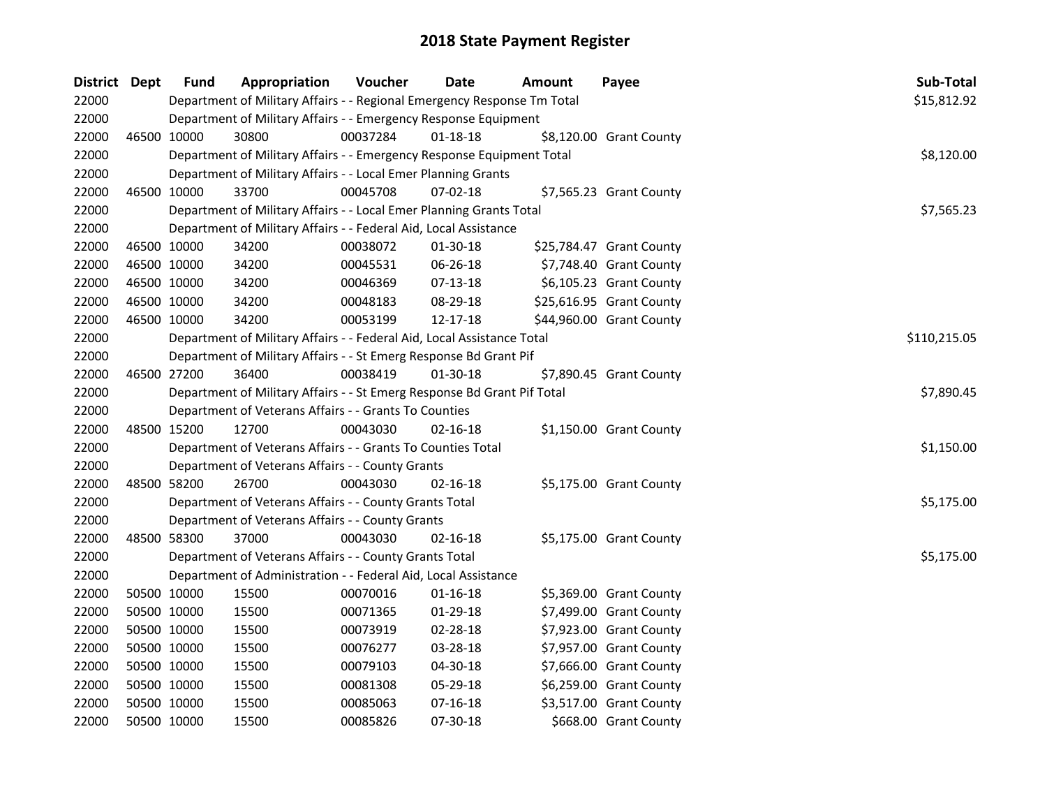| District Dept |             | <b>Fund</b> | Appropriation                                                           | Voucher  | Date           | Amount | Payee                    | Sub-Total    |
|---------------|-------------|-------------|-------------------------------------------------------------------------|----------|----------------|--------|--------------------------|--------------|
| 22000         |             |             | Department of Military Affairs - - Regional Emergency Response Tm Total |          |                |        |                          | \$15,812.92  |
| 22000         |             |             | Department of Military Affairs - - Emergency Response Equipment         |          |                |        |                          |              |
| 22000         | 46500 10000 |             | 30800                                                                   | 00037284 | $01 - 18 - 18$ |        | \$8,120.00 Grant County  |              |
| 22000         |             |             | Department of Military Affairs - - Emergency Response Equipment Total   |          |                |        |                          | \$8,120.00   |
| 22000         |             |             | Department of Military Affairs - - Local Emer Planning Grants           |          |                |        |                          |              |
| 22000         | 46500 10000 |             | 33700                                                                   | 00045708 | $07 - 02 - 18$ |        | \$7,565.23 Grant County  |              |
| 22000         |             |             | Department of Military Affairs - - Local Emer Planning Grants Total     |          |                |        |                          | \$7,565.23   |
| 22000         |             |             | Department of Military Affairs - - Federal Aid, Local Assistance        |          |                |        |                          |              |
| 22000         |             | 46500 10000 | 34200                                                                   | 00038072 | 01-30-18       |        | \$25,784.47 Grant County |              |
| 22000         | 46500 10000 |             | 34200                                                                   | 00045531 | 06-26-18       |        | \$7,748.40 Grant County  |              |
| 22000         | 46500 10000 |             | 34200                                                                   | 00046369 | 07-13-18       |        | \$6,105.23 Grant County  |              |
| 22000         | 46500 10000 |             | 34200                                                                   | 00048183 | 08-29-18       |        | \$25,616.95 Grant County |              |
| 22000         | 46500 10000 |             | 34200                                                                   | 00053199 | 12-17-18       |        | \$44,960.00 Grant County |              |
| 22000         |             |             | Department of Military Affairs - - Federal Aid, Local Assistance Total  |          |                |        |                          | \$110,215.05 |
| 22000         |             |             | Department of Military Affairs - - St Emerg Response Bd Grant Pif       |          |                |        |                          |              |
| 22000         | 46500 27200 |             | 36400                                                                   | 00038419 | 01-30-18       |        | \$7,890.45 Grant County  |              |
| 22000         |             |             | Department of Military Affairs - - St Emerg Response Bd Grant Pif Total |          |                |        |                          | \$7,890.45   |
| 22000         |             |             | Department of Veterans Affairs - - Grants To Counties                   |          |                |        |                          |              |
| 22000         | 48500 15200 |             | 12700                                                                   | 00043030 | $02 - 16 - 18$ |        | \$1,150.00 Grant County  |              |
| 22000         |             |             | Department of Veterans Affairs - - Grants To Counties Total             |          |                |        |                          | \$1,150.00   |
| 22000         |             |             | Department of Veterans Affairs - - County Grants                        |          |                |        |                          |              |
| 22000         |             | 48500 58200 | 26700                                                                   | 00043030 | $02 - 16 - 18$ |        | \$5,175.00 Grant County  |              |
| 22000         |             |             | Department of Veterans Affairs - - County Grants Total                  |          |                |        |                          | \$5,175.00   |
| 22000         |             |             | Department of Veterans Affairs - - County Grants                        |          |                |        |                          |              |
| 22000         | 48500 58300 |             | 37000                                                                   | 00043030 | 02-16-18       |        | \$5,175.00 Grant County  |              |
| 22000         |             |             | Department of Veterans Affairs - - County Grants Total                  |          |                |        |                          | \$5,175.00   |
| 22000         |             |             | Department of Administration - - Federal Aid, Local Assistance          |          |                |        |                          |              |
| 22000         | 50500 10000 |             | 15500                                                                   | 00070016 | $01 - 16 - 18$ |        | \$5,369.00 Grant County  |              |
| 22000         |             | 50500 10000 | 15500                                                                   | 00071365 | 01-29-18       |        | \$7,499.00 Grant County  |              |
| 22000         |             | 50500 10000 | 15500                                                                   | 00073919 | 02-28-18       |        | \$7,923.00 Grant County  |              |
| 22000         | 50500 10000 |             | 15500                                                                   | 00076277 | 03-28-18       |        | \$7,957.00 Grant County  |              |
| 22000         | 50500 10000 |             | 15500                                                                   | 00079103 | 04-30-18       |        | \$7,666.00 Grant County  |              |
| 22000         | 50500 10000 |             | 15500                                                                   | 00081308 | 05-29-18       |        | \$6,259.00 Grant County  |              |
| 22000         | 50500 10000 |             | 15500                                                                   | 00085063 | $07-16-18$     |        | \$3,517.00 Grant County  |              |
| 22000         | 50500 10000 |             | 15500                                                                   | 00085826 | 07-30-18       |        | \$668.00 Grant County    |              |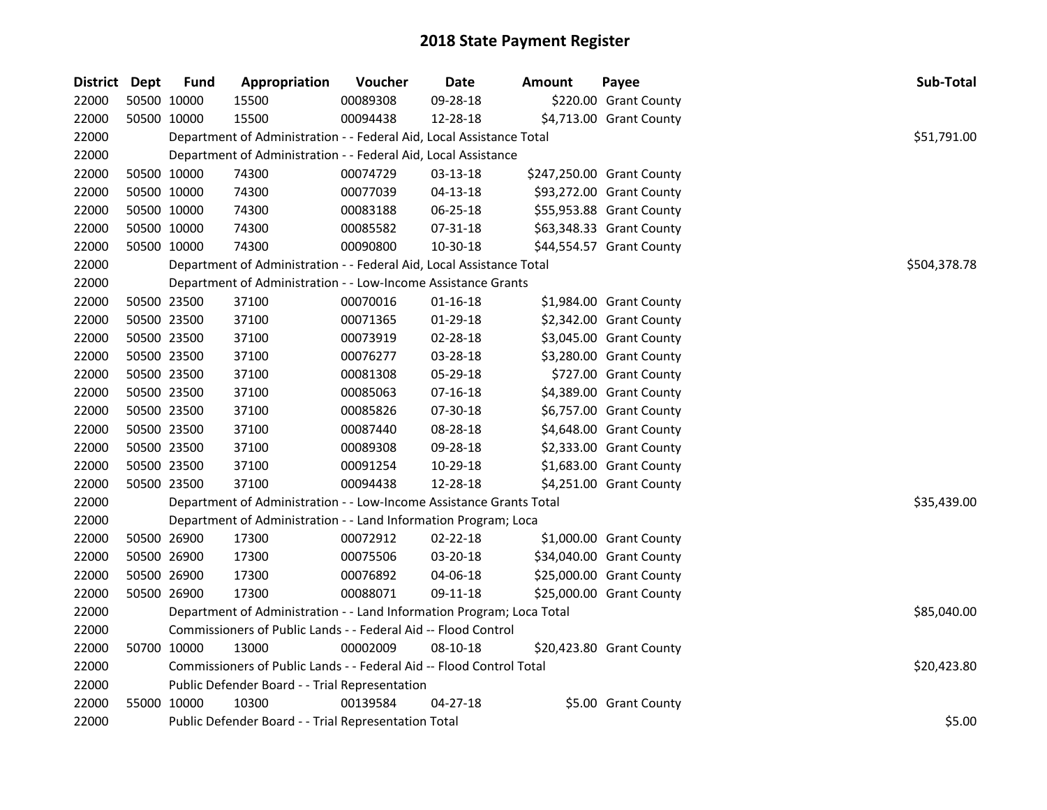| District Dept |             | <b>Fund</b> | Appropriation                                                         | Voucher  | Date           | <b>Amount</b> | Payee                     | Sub-Total    |
|---------------|-------------|-------------|-----------------------------------------------------------------------|----------|----------------|---------------|---------------------------|--------------|
| 22000         | 50500 10000 |             | 15500                                                                 | 00089308 | 09-28-18       |               | \$220.00 Grant County     |              |
| 22000         |             | 50500 10000 | 15500                                                                 | 00094438 | 12-28-18       |               | \$4,713.00 Grant County   |              |
| 22000         |             |             | Department of Administration - - Federal Aid, Local Assistance Total  |          |                |               |                           | \$51,791.00  |
| 22000         |             |             | Department of Administration - - Federal Aid, Local Assistance        |          |                |               |                           |              |
| 22000         |             | 50500 10000 | 74300                                                                 | 00074729 | 03-13-18       |               | \$247,250.00 Grant County |              |
| 22000         | 50500 10000 |             | 74300                                                                 | 00077039 | $04 - 13 - 18$ |               | \$93,272.00 Grant County  |              |
| 22000         | 50500 10000 |             | 74300                                                                 | 00083188 | 06-25-18       |               | \$55,953.88 Grant County  |              |
| 22000         | 50500 10000 |             | 74300                                                                 | 00085582 | 07-31-18       |               | \$63,348.33 Grant County  |              |
| 22000         | 50500 10000 |             | 74300                                                                 | 00090800 | 10-30-18       |               | \$44,554.57 Grant County  |              |
| 22000         |             |             | Department of Administration - - Federal Aid, Local Assistance Total  |          |                |               |                           | \$504,378.78 |
| 22000         |             |             | Department of Administration - - Low-Income Assistance Grants         |          |                |               |                           |              |
| 22000         | 50500 23500 |             | 37100                                                                 | 00070016 | 01-16-18       |               | \$1,984.00 Grant County   |              |
| 22000         |             | 50500 23500 | 37100                                                                 | 00071365 | 01-29-18       |               | \$2,342.00 Grant County   |              |
| 22000         | 50500 23500 |             | 37100                                                                 | 00073919 | 02-28-18       |               | \$3,045.00 Grant County   |              |
| 22000         | 50500 23500 |             | 37100                                                                 | 00076277 | 03-28-18       |               | \$3,280.00 Grant County   |              |
| 22000         | 50500 23500 |             | 37100                                                                 | 00081308 | 05-29-18       |               | \$727.00 Grant County     |              |
| 22000         | 50500 23500 |             | 37100                                                                 | 00085063 | 07-16-18       |               | \$4,389.00 Grant County   |              |
| 22000         | 50500 23500 |             | 37100                                                                 | 00085826 | 07-30-18       |               | \$6,757.00 Grant County   |              |
| 22000         | 50500 23500 |             | 37100                                                                 | 00087440 | 08-28-18       |               | \$4,648.00 Grant County   |              |
| 22000         | 50500 23500 |             | 37100                                                                 | 00089308 | 09-28-18       |               | \$2,333.00 Grant County   |              |
| 22000         | 50500 23500 |             | 37100                                                                 | 00091254 | 10-29-18       |               | \$1,683.00 Grant County   |              |
| 22000         | 50500 23500 |             | 37100                                                                 | 00094438 | 12-28-18       |               | \$4,251.00 Grant County   |              |
| 22000         |             |             | Department of Administration - - Low-Income Assistance Grants Total   |          |                |               |                           | \$35,439.00  |
| 22000         |             |             | Department of Administration - - Land Information Program; Loca       |          |                |               |                           |              |
| 22000         | 50500 26900 |             | 17300                                                                 | 00072912 | 02-22-18       |               | \$1,000.00 Grant County   |              |
| 22000         | 50500 26900 |             | 17300                                                                 | 00075506 | 03-20-18       |               | \$34,040.00 Grant County  |              |
| 22000         | 50500 26900 |             | 17300                                                                 | 00076892 | 04-06-18       |               | \$25,000.00 Grant County  |              |
| 22000         |             | 50500 26900 | 17300                                                                 | 00088071 | 09-11-18       |               | \$25,000.00 Grant County  |              |
| 22000         |             |             | Department of Administration - - Land Information Program; Loca Total |          |                |               |                           | \$85,040.00  |
| 22000         |             |             | Commissioners of Public Lands - - Federal Aid -- Flood Control        |          |                |               |                           |              |
| 22000         |             | 50700 10000 | 13000                                                                 | 00002009 | 08-10-18       |               | \$20,423.80 Grant County  |              |
| 22000         |             |             | Commissioners of Public Lands - - Federal Aid -- Flood Control Total  |          |                |               |                           | \$20,423.80  |
| 22000         |             |             | Public Defender Board - - Trial Representation                        |          |                |               |                           |              |
| 22000         | 55000 10000 |             | 10300                                                                 | 00139584 | 04-27-18       |               | \$5.00 Grant County       |              |
| 22000         |             |             | Public Defender Board - - Trial Representation Total                  |          |                |               |                           | \$5.00       |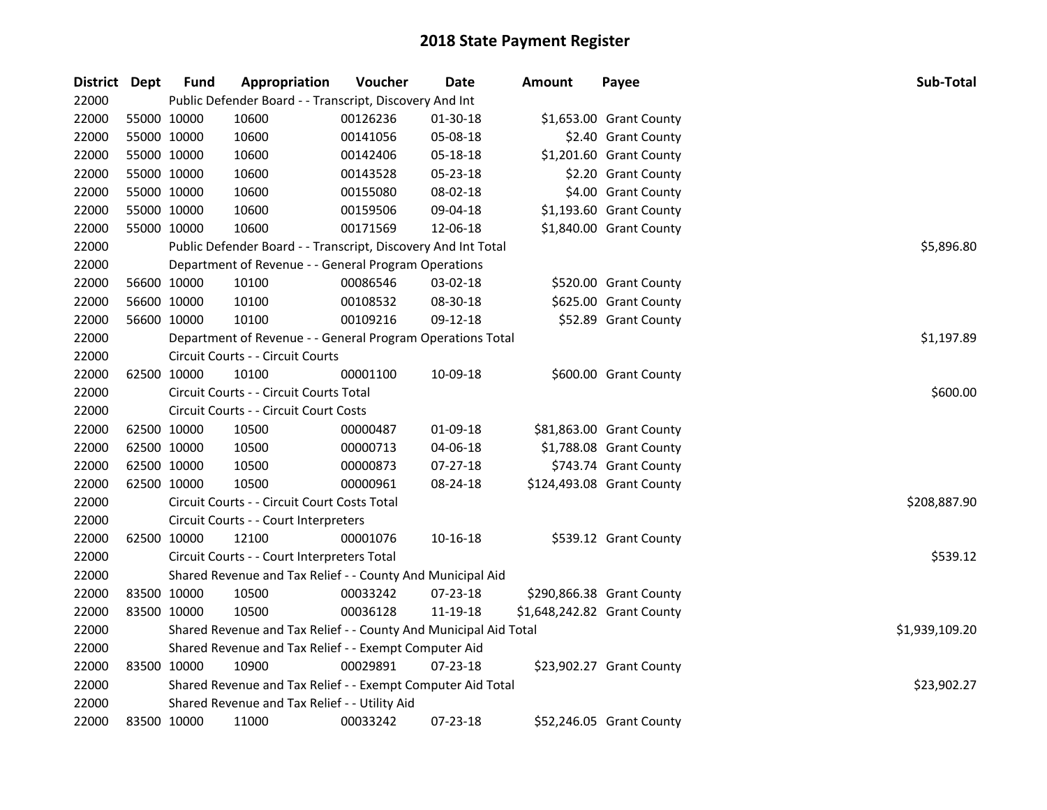| District Dept |             | <b>Fund</b> | Appropriation                                                    | Voucher  | <b>Date</b> | <b>Amount</b>               | Payee                     | Sub-Total      |
|---------------|-------------|-------------|------------------------------------------------------------------|----------|-------------|-----------------------------|---------------------------|----------------|
| 22000         |             |             | Public Defender Board - - Transcript, Discovery And Int          |          |             |                             |                           |                |
| 22000         | 55000 10000 |             | 10600                                                            | 00126236 | 01-30-18    |                             | \$1,653.00 Grant County   |                |
| 22000         | 55000 10000 |             | 10600                                                            | 00141056 | 05-08-18    |                             | \$2.40 Grant County       |                |
| 22000         | 55000 10000 |             | 10600                                                            | 00142406 | 05-18-18    |                             | \$1,201.60 Grant County   |                |
| 22000         | 55000 10000 |             | 10600                                                            | 00143528 | 05-23-18    |                             | \$2.20 Grant County       |                |
| 22000         | 55000 10000 |             | 10600                                                            | 00155080 | 08-02-18    |                             | \$4.00 Grant County       |                |
| 22000         | 55000 10000 |             | 10600                                                            | 00159506 | 09-04-18    |                             | \$1,193.60 Grant County   |                |
| 22000         | 55000 10000 |             | 10600                                                            | 00171569 | 12-06-18    |                             | \$1,840.00 Grant County   |                |
| 22000         |             |             | Public Defender Board - - Transcript, Discovery And Int Total    |          |             |                             |                           | \$5,896.80     |
| 22000         |             |             | Department of Revenue - - General Program Operations             |          |             |                             |                           |                |
| 22000         | 56600 10000 |             | 10100                                                            | 00086546 | 03-02-18    |                             | \$520.00 Grant County     |                |
| 22000         | 56600 10000 |             | 10100                                                            | 00108532 | 08-30-18    |                             | \$625.00 Grant County     |                |
| 22000         |             | 56600 10000 | 10100                                                            | 00109216 | 09-12-18    |                             | \$52.89 Grant County      |                |
| 22000         |             |             | Department of Revenue - - General Program Operations Total       |          |             |                             |                           | \$1,197.89     |
| 22000         |             |             | Circuit Courts - - Circuit Courts                                |          |             |                             |                           |                |
| 22000         | 62500 10000 |             | 10100                                                            | 00001100 | 10-09-18    |                             | \$600.00 Grant County     |                |
| 22000         |             |             | Circuit Courts - - Circuit Courts Total                          |          |             |                             |                           | \$600.00       |
| 22000         |             |             | Circuit Courts - - Circuit Court Costs                           |          |             |                             |                           |                |
| 22000         | 62500 10000 |             | 10500                                                            | 00000487 | 01-09-18    |                             | \$81,863.00 Grant County  |                |
| 22000         | 62500 10000 |             | 10500                                                            | 00000713 | 04-06-18    |                             | \$1,788.08 Grant County   |                |
| 22000         | 62500 10000 |             | 10500                                                            | 00000873 | 07-27-18    |                             | \$743.74 Grant County     |                |
| 22000         | 62500 10000 |             | 10500                                                            | 00000961 | 08-24-18    |                             | \$124,493.08 Grant County |                |
| 22000         |             |             | Circuit Courts - - Circuit Court Costs Total                     |          |             |                             |                           | \$208,887.90   |
| 22000         |             |             | Circuit Courts - - Court Interpreters                            |          |             |                             |                           |                |
| 22000         | 62500 10000 |             | 12100                                                            | 00001076 | 10-16-18    |                             | \$539.12 Grant County     |                |
| 22000         |             |             | Circuit Courts - - Court Interpreters Total                      |          |             |                             |                           | \$539.12       |
| 22000         |             |             | Shared Revenue and Tax Relief - - County And Municipal Aid       |          |             |                             |                           |                |
| 22000         | 83500 10000 |             | 10500                                                            | 00033242 | 07-23-18    |                             | \$290,866.38 Grant County |                |
| 22000         | 83500 10000 |             | 10500                                                            | 00036128 | 11-19-18    | \$1,648,242.82 Grant County |                           |                |
| 22000         |             |             | Shared Revenue and Tax Relief - - County And Municipal Aid Total |          |             |                             |                           | \$1,939,109.20 |
| 22000         |             |             | Shared Revenue and Tax Relief - - Exempt Computer Aid            |          |             |                             |                           |                |
| 22000         | 83500 10000 |             | 10900                                                            | 00029891 | 07-23-18    |                             | \$23,902.27 Grant County  |                |
| 22000         |             |             | Shared Revenue and Tax Relief - - Exempt Computer Aid Total      |          |             |                             |                           | \$23,902.27    |
| 22000         |             |             | Shared Revenue and Tax Relief - - Utility Aid                    |          |             |                             |                           |                |
| 22000         | 83500 10000 |             | 11000                                                            | 00033242 | 07-23-18    |                             | \$52,246.05 Grant County  |                |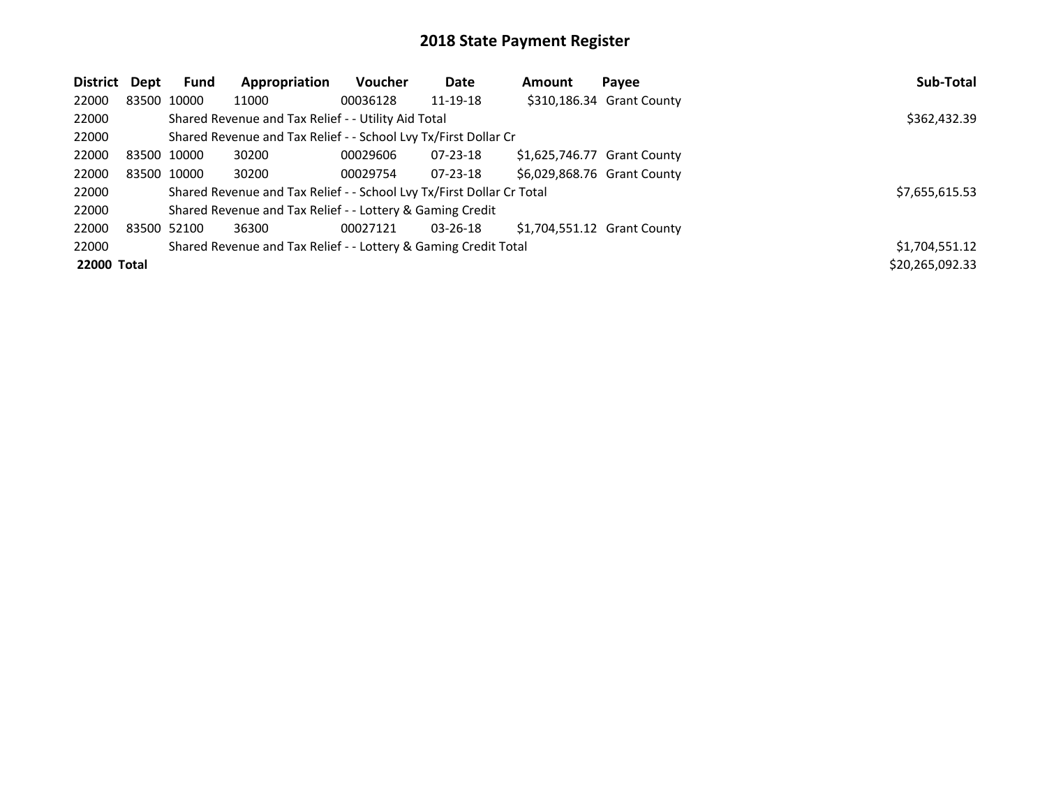| <b>District</b>    | Dept | <b>Fund</b> | Appropriation                                                         | Voucher  | Date           | Amount | Payee                       | Sub-Total       |
|--------------------|------|-------------|-----------------------------------------------------------------------|----------|----------------|--------|-----------------------------|-----------------|
| 22000              |      | 83500 10000 | 11000                                                                 | 00036128 | 11-19-18       |        | \$310,186.34 Grant County   |                 |
| 22000              |      |             | Shared Revenue and Tax Relief - - Utility Aid Total                   |          |                |        |                             | \$362,432.39    |
| 22000              |      |             | Shared Revenue and Tax Relief - - School Lvy Tx/First Dollar Cr       |          |                |        |                             |                 |
| 22000              |      | 83500 10000 | 30200                                                                 | 00029606 | $07 - 23 - 18$ |        | \$1,625,746.77 Grant County |                 |
| 22000              |      | 83500 10000 | 30200                                                                 | 00029754 | $07 - 23 - 18$ |        | \$6,029,868.76 Grant County |                 |
| 22000              |      |             | Shared Revenue and Tax Relief - - School Lvy Tx/First Dollar Cr Total |          |                |        |                             | \$7,655,615.53  |
| 22000              |      |             | Shared Revenue and Tax Relief - - Lottery & Gaming Credit             |          |                |        |                             |                 |
| 22000              |      | 83500 52100 | 36300                                                                 | 00027121 | $03 - 26 - 18$ |        | \$1,704,551.12 Grant County |                 |
| 22000              |      |             | Shared Revenue and Tax Relief - - Lottery & Gaming Credit Total       |          |                |        |                             | \$1,704,551.12  |
| <b>22000 Total</b> |      |             |                                                                       |          |                |        |                             | \$20,265,092.33 |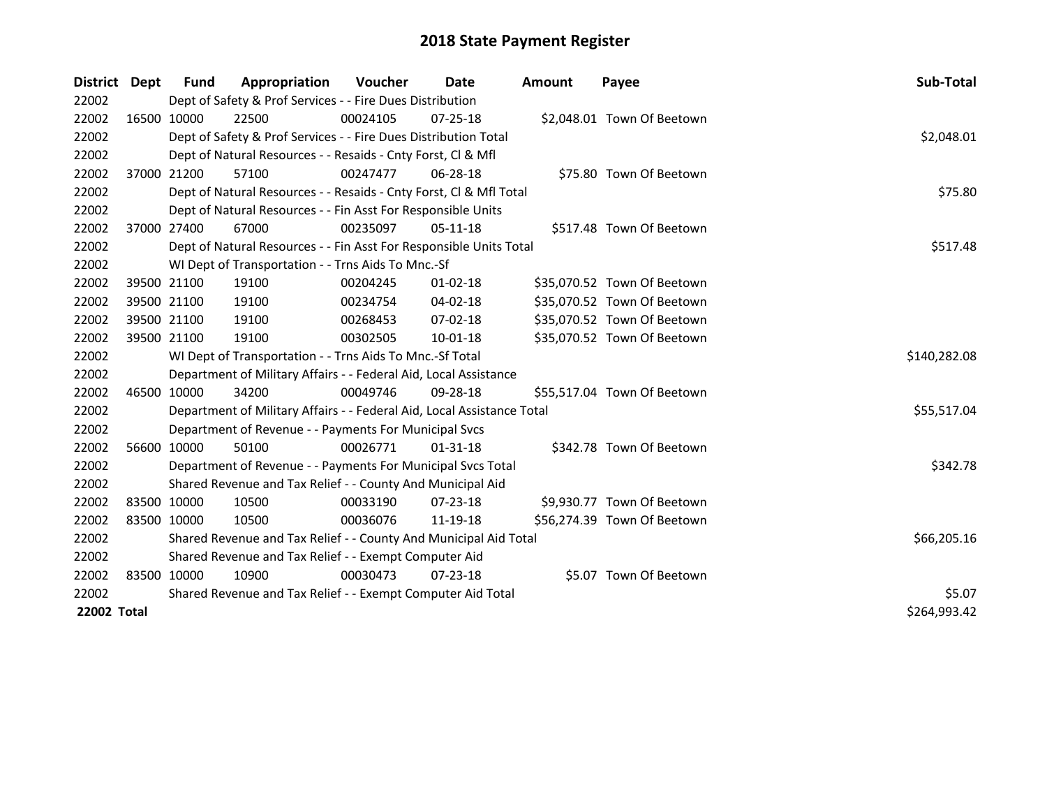| <b>District</b>    | Dept | <b>Fund</b> | Appropriation                                                          | Voucher  | <b>Date</b>    | <b>Amount</b> | Payee                       | Sub-Total    |
|--------------------|------|-------------|------------------------------------------------------------------------|----------|----------------|---------------|-----------------------------|--------------|
| 22002              |      |             | Dept of Safety & Prof Services - - Fire Dues Distribution              |          |                |               |                             |              |
| 22002              |      | 16500 10000 | 22500                                                                  | 00024105 | $07 - 25 - 18$ |               | \$2,048.01 Town Of Beetown  |              |
| 22002              |      |             | Dept of Safety & Prof Services - - Fire Dues Distribution Total        |          |                |               |                             | \$2,048.01   |
| 22002              |      |             | Dept of Natural Resources - - Resaids - Cnty Forst, Cl & Mfl           |          |                |               |                             |              |
| 22002              |      | 37000 21200 | 57100                                                                  | 00247477 | $06 - 28 - 18$ |               | \$75.80 Town Of Beetown     |              |
| 22002              |      |             | Dept of Natural Resources - - Resaids - Cnty Forst, Cl & Mfl Total     |          |                |               |                             | \$75.80      |
| 22002              |      |             | Dept of Natural Resources - - Fin Asst For Responsible Units           |          |                |               |                             |              |
| 22002              |      | 37000 27400 | 67000                                                                  | 00235097 | $05-11-18$     |               | \$517.48 Town Of Beetown    |              |
| 22002              |      |             | Dept of Natural Resources - - Fin Asst For Responsible Units Total     |          |                |               |                             | \$517.48     |
| 22002              |      |             | WI Dept of Transportation - - Trns Aids To Mnc.-Sf                     |          |                |               |                             |              |
| 22002              |      | 39500 21100 | 19100                                                                  | 00204245 | $01 - 02 - 18$ |               | \$35,070.52 Town Of Beetown |              |
| 22002              |      | 39500 21100 | 19100                                                                  | 00234754 | 04-02-18       |               | \$35,070.52 Town Of Beetown |              |
| 22002              |      | 39500 21100 | 19100                                                                  | 00268453 | 07-02-18       |               | \$35,070.52 Town Of Beetown |              |
| 22002              |      | 39500 21100 | 19100                                                                  | 00302505 | 10-01-18       |               | \$35,070.52 Town Of Beetown |              |
| 22002              |      |             | WI Dept of Transportation - - Trns Aids To Mnc.-Sf Total               |          |                |               |                             | \$140,282.08 |
| 22002              |      |             | Department of Military Affairs - - Federal Aid, Local Assistance       |          |                |               |                             |              |
| 22002              |      | 46500 10000 | 34200                                                                  | 00049746 | 09-28-18       |               | \$55,517.04 Town Of Beetown |              |
| 22002              |      |             | Department of Military Affairs - - Federal Aid, Local Assistance Total |          |                |               |                             | \$55,517.04  |
| 22002              |      |             | Department of Revenue - - Payments For Municipal Svcs                  |          |                |               |                             |              |
| 22002              |      | 56600 10000 | 50100                                                                  | 00026771 | $01 - 31 - 18$ |               | \$342.78 Town Of Beetown    |              |
| 22002              |      |             | Department of Revenue - - Payments For Municipal Svcs Total            |          |                |               |                             | \$342.78     |
| 22002              |      |             | Shared Revenue and Tax Relief - - County And Municipal Aid             |          |                |               |                             |              |
| 22002              |      | 83500 10000 | 10500                                                                  | 00033190 | $07 - 23 - 18$ |               | \$9,930.77 Town Of Beetown  |              |
| 22002              |      | 83500 10000 | 10500                                                                  | 00036076 | 11-19-18       |               | \$56,274.39 Town Of Beetown |              |
| 22002              |      |             | Shared Revenue and Tax Relief - - County And Municipal Aid Total       |          |                |               |                             | \$66,205.16  |
| 22002              |      |             | Shared Revenue and Tax Relief - - Exempt Computer Aid                  |          |                |               |                             |              |
| 22002              |      | 83500 10000 | 10900                                                                  | 00030473 | $07 - 23 - 18$ |               | \$5.07 Town Of Beetown      |              |
| 22002              |      |             | Shared Revenue and Tax Relief - - Exempt Computer Aid Total            |          |                |               |                             | \$5.07       |
| <b>22002 Total</b> |      |             |                                                                        |          |                |               |                             | \$264,993.42 |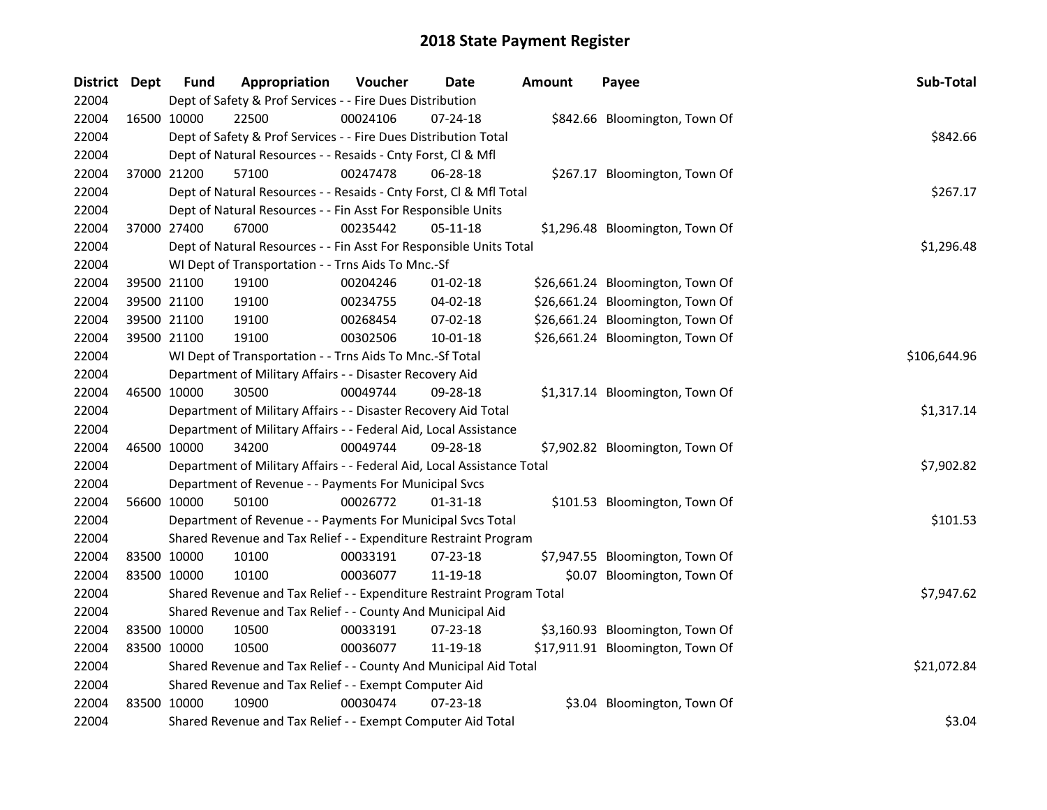| District Dept |             | <b>Fund</b> | Appropriation                                                          | Voucher  | Date           | <b>Amount</b> | Payee                            | Sub-Total    |
|---------------|-------------|-------------|------------------------------------------------------------------------|----------|----------------|---------------|----------------------------------|--------------|
| 22004         |             |             | Dept of Safety & Prof Services - - Fire Dues Distribution              |          |                |               |                                  |              |
| 22004         | 16500 10000 |             | 22500                                                                  | 00024106 | 07-24-18       |               | \$842.66 Bloomington, Town Of    |              |
| 22004         |             |             | Dept of Safety & Prof Services - - Fire Dues Distribution Total        |          |                |               |                                  | \$842.66     |
| 22004         |             |             | Dept of Natural Resources - - Resaids - Cnty Forst, Cl & Mfl           |          |                |               |                                  |              |
| 22004         |             | 37000 21200 | 57100                                                                  | 00247478 | 06-28-18       |               | \$267.17 Bloomington, Town Of    |              |
| 22004         |             |             | Dept of Natural Resources - - Resaids - Cnty Forst, Cl & Mfl Total     |          |                |               |                                  | \$267.17     |
| 22004         |             |             | Dept of Natural Resources - - Fin Asst For Responsible Units           |          |                |               |                                  |              |
| 22004         |             | 37000 27400 | 67000                                                                  | 00235442 | 05-11-18       |               | \$1,296.48 Bloomington, Town Of  |              |
| 22004         |             |             | Dept of Natural Resources - - Fin Asst For Responsible Units Total     |          |                |               |                                  | \$1,296.48   |
| 22004         |             |             | WI Dept of Transportation - - Trns Aids To Mnc.-Sf                     |          |                |               |                                  |              |
| 22004         |             | 39500 21100 | 19100                                                                  | 00204246 | $01-02-18$     |               | \$26,661.24 Bloomington, Town Of |              |
| 22004         |             | 39500 21100 | 19100                                                                  | 00234755 | 04-02-18       |               | \$26,661.24 Bloomington, Town Of |              |
| 22004         |             | 39500 21100 | 19100                                                                  | 00268454 | 07-02-18       |               | \$26,661.24 Bloomington, Town Of |              |
| 22004         |             | 39500 21100 | 19100                                                                  | 00302506 | 10-01-18       |               | \$26,661.24 Bloomington, Town Of |              |
| 22004         |             |             | WI Dept of Transportation - - Trns Aids To Mnc.-Sf Total               |          |                |               |                                  | \$106,644.96 |
| 22004         |             |             | Department of Military Affairs - - Disaster Recovery Aid               |          |                |               |                                  |              |
| 22004         |             | 46500 10000 | 30500                                                                  | 00049744 | 09-28-18       |               | \$1,317.14 Bloomington, Town Of  |              |
| 22004         |             |             | Department of Military Affairs - - Disaster Recovery Aid Total         |          |                |               |                                  | \$1,317.14   |
| 22004         |             |             | Department of Military Affairs - - Federal Aid, Local Assistance       |          |                |               |                                  |              |
| 22004         |             | 46500 10000 | 34200                                                                  | 00049744 | 09-28-18       |               | \$7,902.82 Bloomington, Town Of  |              |
| 22004         |             |             | Department of Military Affairs - - Federal Aid, Local Assistance Total |          |                |               |                                  | \$7,902.82   |
| 22004         |             |             | Department of Revenue - - Payments For Municipal Svcs                  |          |                |               |                                  |              |
| 22004         |             | 56600 10000 | 50100                                                                  | 00026772 | $01 - 31 - 18$ |               | \$101.53 Bloomington, Town Of    |              |
| 22004         |             |             | Department of Revenue - - Payments For Municipal Svcs Total            |          |                |               |                                  | \$101.53     |
| 22004         |             |             | Shared Revenue and Tax Relief - - Expenditure Restraint Program        |          |                |               |                                  |              |
| 22004         |             | 83500 10000 | 10100                                                                  | 00033191 | 07-23-18       |               | \$7,947.55 Bloomington, Town Of  |              |
| 22004         |             | 83500 10000 | 10100                                                                  | 00036077 | 11-19-18       |               | \$0.07 Bloomington, Town Of      |              |
| 22004         |             |             | Shared Revenue and Tax Relief - - Expenditure Restraint Program Total  |          |                |               |                                  | \$7,947.62   |
| 22004         |             |             | Shared Revenue and Tax Relief - - County And Municipal Aid             |          |                |               |                                  |              |
| 22004         |             | 83500 10000 | 10500                                                                  | 00033191 | 07-23-18       |               | \$3,160.93 Bloomington, Town Of  |              |
| 22004         |             | 83500 10000 | 10500                                                                  | 00036077 | 11-19-18       |               | \$17,911.91 Bloomington, Town Of |              |
| 22004         |             |             | Shared Revenue and Tax Relief - - County And Municipal Aid Total       |          |                |               |                                  | \$21,072.84  |
| 22004         |             |             | Shared Revenue and Tax Relief - - Exempt Computer Aid                  |          |                |               |                                  |              |
| 22004         | 83500 10000 |             | 10900                                                                  | 00030474 | $07 - 23 - 18$ |               | \$3.04 Bloomington, Town Of      |              |
| 22004         |             |             | Shared Revenue and Tax Relief - - Exempt Computer Aid Total            |          |                |               |                                  | \$3.04       |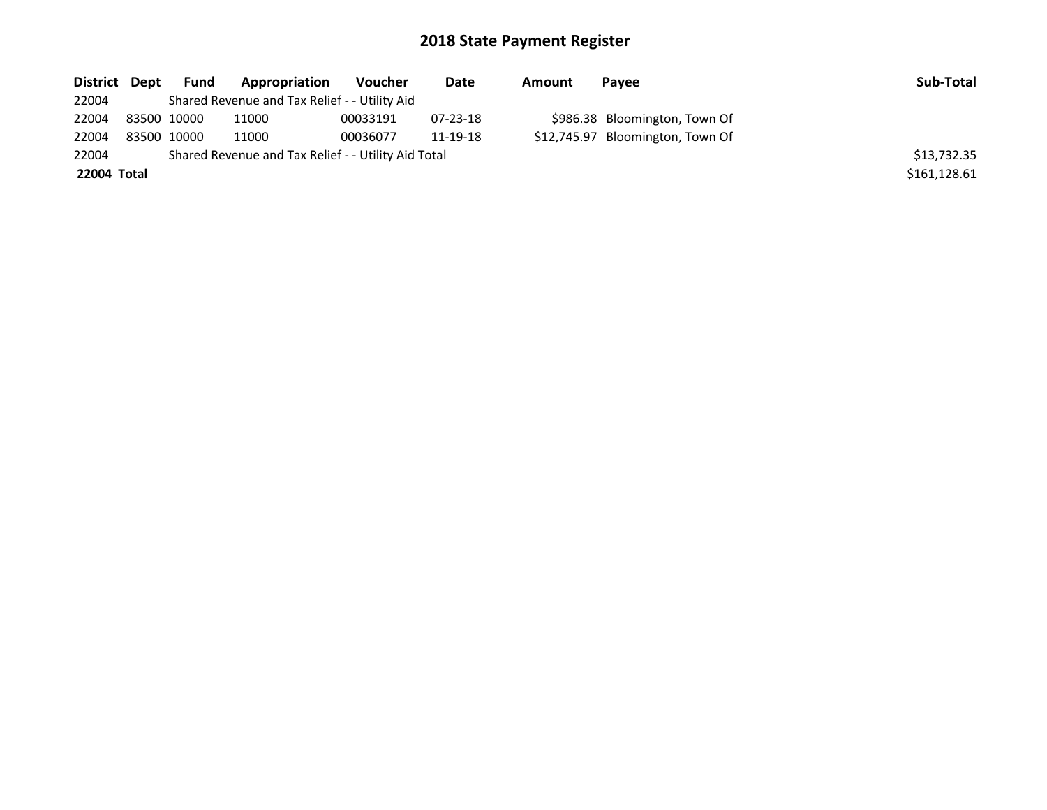| District Dept | Fund        | Appropriation                                       | Voucher  | Date           | Amount | Payee                            | Sub-Total    |
|---------------|-------------|-----------------------------------------------------|----------|----------------|--------|----------------------------------|--------------|
| 22004         |             | Shared Revenue and Tax Relief - - Utility Aid       |          |                |        |                                  |              |
| 22004         | 83500 10000 | 11000                                               | 00033191 | $07 - 23 - 18$ |        | \$986.38 Bloomington, Town Of    |              |
| 22004         | 83500 10000 | 11000                                               | 00036077 | 11-19-18       |        | \$12,745.97 Bloomington, Town Of |              |
| 22004         |             | Shared Revenue and Tax Relief - - Utility Aid Total |          |                |        |                                  | \$13,732.35  |
| 22004 Total   |             |                                                     |          |                |        |                                  | \$161,128.61 |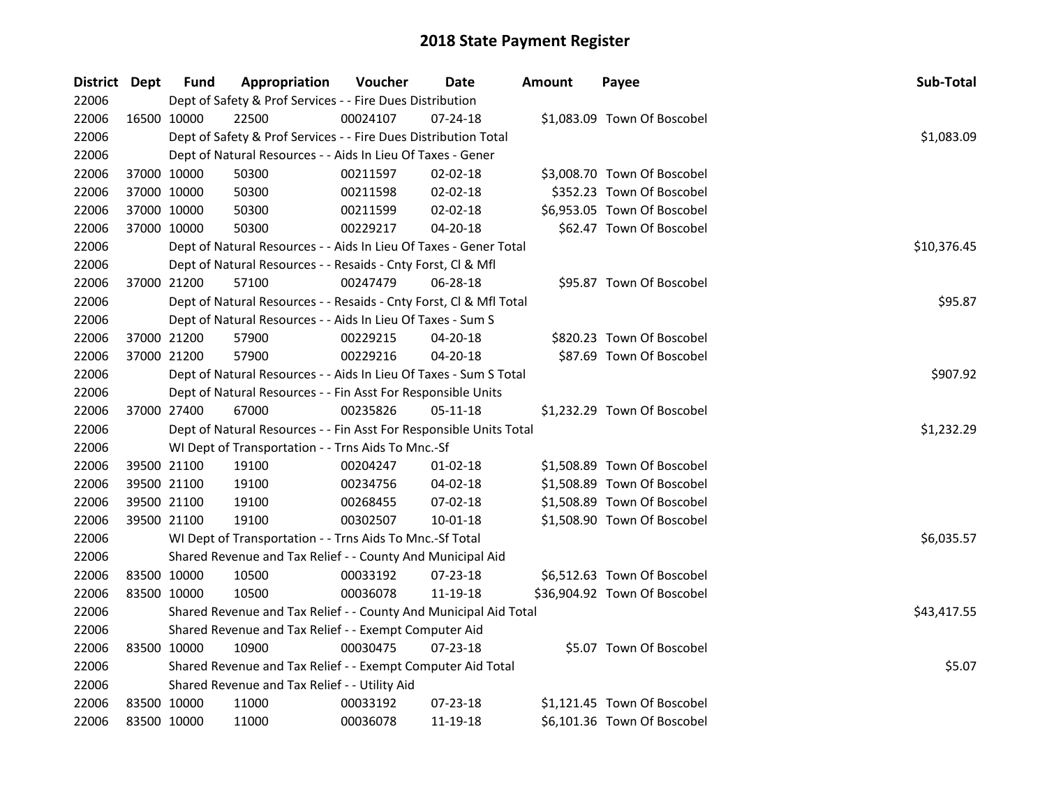| District Dept |             | <b>Fund</b> | Appropriation                                                      | Voucher  | Date           | <b>Amount</b> | Payee                        | Sub-Total   |
|---------------|-------------|-------------|--------------------------------------------------------------------|----------|----------------|---------------|------------------------------|-------------|
| 22006         |             |             | Dept of Safety & Prof Services - - Fire Dues Distribution          |          |                |               |                              |             |
| 22006         |             | 16500 10000 | 22500                                                              | 00024107 | $07 - 24 - 18$ |               | \$1,083.09 Town Of Boscobel  |             |
| 22006         |             |             | Dept of Safety & Prof Services - - Fire Dues Distribution Total    |          |                |               |                              | \$1,083.09  |
| 22006         |             |             | Dept of Natural Resources - - Aids In Lieu Of Taxes - Gener        |          |                |               |                              |             |
| 22006         | 37000 10000 |             | 50300                                                              | 00211597 | $02 - 02 - 18$ |               | \$3,008.70 Town Of Boscobel  |             |
| 22006         | 37000 10000 |             | 50300                                                              | 00211598 | 02-02-18       |               | \$352.23 Town Of Boscobel    |             |
| 22006         | 37000 10000 |             | 50300                                                              | 00211599 | $02 - 02 - 18$ |               | \$6,953.05 Town Of Boscobel  |             |
| 22006         | 37000 10000 |             | 50300                                                              | 00229217 | 04-20-18       |               | \$62.47 Town Of Boscobel     |             |
| 22006         |             |             | Dept of Natural Resources - - Aids In Lieu Of Taxes - Gener Total  |          |                |               |                              | \$10,376.45 |
| 22006         |             |             | Dept of Natural Resources - - Resaids - Cnty Forst, Cl & Mfl       |          |                |               |                              |             |
| 22006         | 37000 21200 |             | 57100                                                              | 00247479 | 06-28-18       |               | \$95.87 Town Of Boscobel     |             |
| 22006         |             |             | Dept of Natural Resources - - Resaids - Cnty Forst, Cl & Mfl Total |          |                |               |                              | \$95.87     |
| 22006         |             |             | Dept of Natural Resources - - Aids In Lieu Of Taxes - Sum S        |          |                |               |                              |             |
| 22006         |             | 37000 21200 | 57900                                                              | 00229215 | 04-20-18       |               | \$820.23 Town Of Boscobel    |             |
| 22006         | 37000 21200 |             | 57900                                                              | 00229216 | 04-20-18       |               | \$87.69 Town Of Boscobel     |             |
| 22006         |             |             | Dept of Natural Resources - - Aids In Lieu Of Taxes - Sum S Total  |          |                |               |                              | \$907.92    |
| 22006         |             |             | Dept of Natural Resources - - Fin Asst For Responsible Units       |          |                |               |                              |             |
| 22006         | 37000 27400 |             | 67000                                                              | 00235826 | $05 - 11 - 18$ |               | \$1,232.29 Town Of Boscobel  |             |
| 22006         |             |             | Dept of Natural Resources - - Fin Asst For Responsible Units Total |          |                |               |                              | \$1,232.29  |
| 22006         |             |             | WI Dept of Transportation - - Trns Aids To Mnc.-Sf                 |          |                |               |                              |             |
| 22006         | 39500 21100 |             | 19100                                                              | 00204247 | $01 - 02 - 18$ |               | \$1,508.89 Town Of Boscobel  |             |
| 22006         | 39500 21100 |             | 19100                                                              | 00234756 | 04-02-18       |               | \$1,508.89 Town Of Boscobel  |             |
| 22006         | 39500 21100 |             | 19100                                                              | 00268455 | 07-02-18       |               | \$1,508.89 Town Of Boscobel  |             |
| 22006         | 39500 21100 |             | 19100                                                              | 00302507 | 10-01-18       |               | \$1,508.90 Town Of Boscobel  |             |
| 22006         |             |             | WI Dept of Transportation - - Trns Aids To Mnc.-Sf Total           |          |                |               |                              | \$6,035.57  |
| 22006         |             |             | Shared Revenue and Tax Relief - - County And Municipal Aid         |          |                |               |                              |             |
| 22006         |             | 83500 10000 | 10500                                                              | 00033192 | 07-23-18       |               | \$6,512.63 Town Of Boscobel  |             |
| 22006         | 83500 10000 |             | 10500                                                              | 00036078 | 11-19-18       |               | \$36,904.92 Town Of Boscobel |             |
| 22006         |             |             | Shared Revenue and Tax Relief - - County And Municipal Aid Total   |          |                |               |                              | \$43,417.55 |
| 22006         |             |             | Shared Revenue and Tax Relief - - Exempt Computer Aid              |          |                |               |                              |             |
| 22006         |             | 83500 10000 | 10900                                                              | 00030475 | $07 - 23 - 18$ |               | \$5.07 Town Of Boscobel      |             |
| 22006         |             |             | Shared Revenue and Tax Relief - - Exempt Computer Aid Total        |          |                |               |                              | \$5.07      |
| 22006         |             |             | Shared Revenue and Tax Relief - - Utility Aid                      |          |                |               |                              |             |
| 22006         | 83500 10000 |             | 11000                                                              | 00033192 | 07-23-18       |               | \$1,121.45 Town Of Boscobel  |             |
| 22006         | 83500 10000 |             | 11000                                                              | 00036078 | 11-19-18       |               | \$6,101.36 Town Of Boscobel  |             |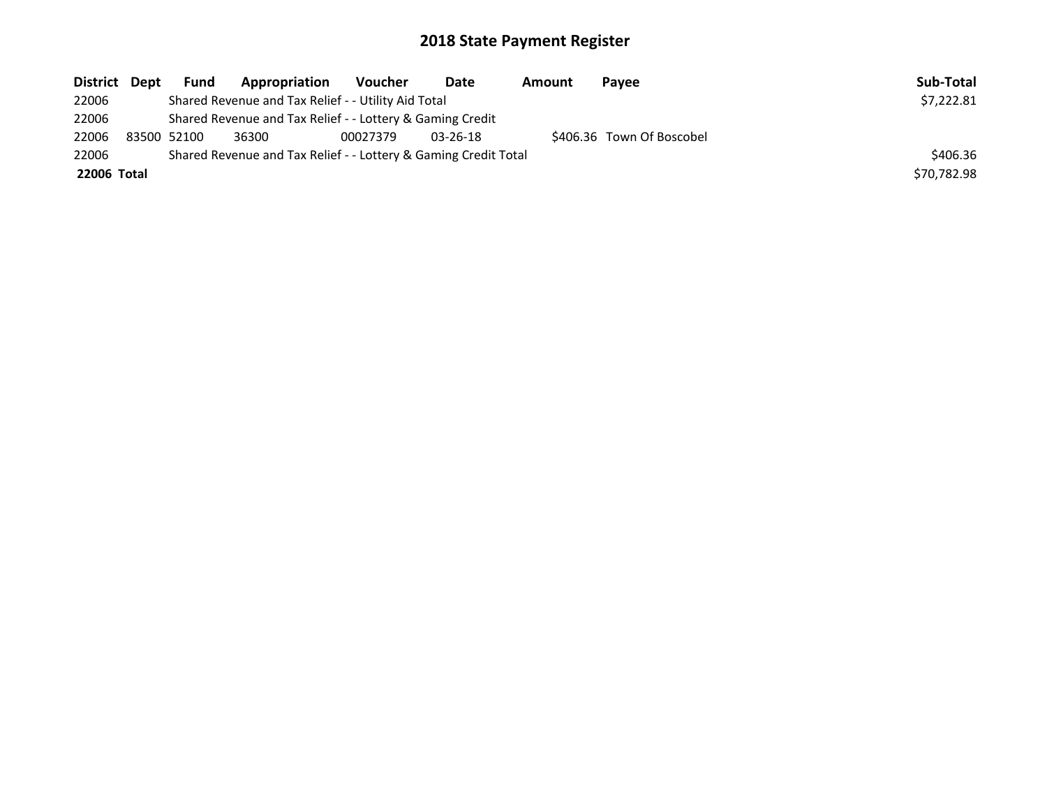| District Dept | <b>Fund</b> | Appropriation                                                   | Voucher  | Date       | Amount | Payee                     | Sub-Total   |
|---------------|-------------|-----------------------------------------------------------------|----------|------------|--------|---------------------------|-------------|
| 22006         |             | Shared Revenue and Tax Relief - - Utility Aid Total             |          |            |        |                           | \$7,222.81  |
| 22006         |             | Shared Revenue and Tax Relief - - Lottery & Gaming Credit       |          |            |        |                           |             |
| 22006         | 83500 52100 | 36300                                                           | 00027379 | $03-26-18$ |        | \$406.36 Town Of Boscobel |             |
| 22006         |             | Shared Revenue and Tax Relief - - Lottery & Gaming Credit Total |          |            |        |                           | \$406.36    |
| 22006 Total   |             |                                                                 |          |            |        |                           | \$70,782.98 |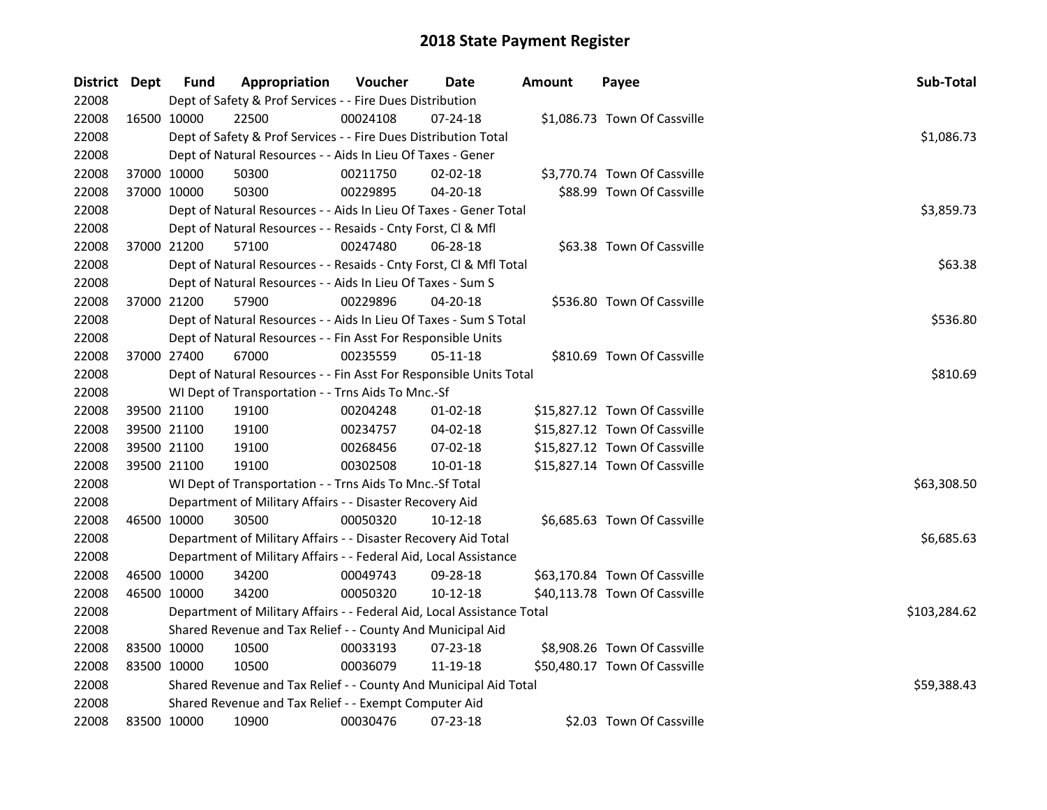| <b>District Dept</b> |             | <b>Fund</b> | Appropriation                                                          | Voucher  | Date           | Amount | Payee                         | Sub-Total    |
|----------------------|-------------|-------------|------------------------------------------------------------------------|----------|----------------|--------|-------------------------------|--------------|
| 22008                |             |             | Dept of Safety & Prof Services - - Fire Dues Distribution              |          |                |        |                               |              |
| 22008                | 16500 10000 |             | 22500                                                                  | 00024108 | $07 - 24 - 18$ |        | \$1,086.73 Town Of Cassville  |              |
| 22008                |             |             | Dept of Safety & Prof Services - - Fire Dues Distribution Total        |          |                |        |                               | \$1,086.73   |
| 22008                |             |             | Dept of Natural Resources - - Aids In Lieu Of Taxes - Gener            |          |                |        |                               |              |
| 22008                | 37000 10000 |             | 50300                                                                  | 00211750 | 02-02-18       |        | \$3,770.74 Town Of Cassville  |              |
| 22008                | 37000 10000 |             | 50300                                                                  | 00229895 | 04-20-18       |        | \$88.99 Town Of Cassville     |              |
| 22008                |             |             | Dept of Natural Resources - - Aids In Lieu Of Taxes - Gener Total      |          |                |        |                               | \$3,859.73   |
| 22008                |             |             | Dept of Natural Resources - - Resaids - Cnty Forst, Cl & Mfl           |          |                |        |                               |              |
| 22008                |             | 37000 21200 | 57100                                                                  | 00247480 | 06-28-18       |        | \$63.38 Town Of Cassville     |              |
| 22008                |             |             | Dept of Natural Resources - - Resaids - Cnty Forst, Cl & Mfl Total     |          |                |        |                               | \$63.38      |
| 22008                |             |             | Dept of Natural Resources - - Aids In Lieu Of Taxes - Sum S            |          |                |        |                               |              |
| 22008                | 37000 21200 |             | 57900                                                                  | 00229896 | 04-20-18       |        | \$536.80 Town Of Cassville    |              |
| 22008                |             |             | Dept of Natural Resources - - Aids In Lieu Of Taxes - Sum S Total      |          |                |        |                               | \$536.80     |
| 22008                |             |             | Dept of Natural Resources - - Fin Asst For Responsible Units           |          |                |        |                               |              |
| 22008                | 37000 27400 |             | 67000                                                                  | 00235559 | 05-11-18       |        | \$810.69 Town Of Cassville    |              |
| 22008                |             |             | Dept of Natural Resources - - Fin Asst For Responsible Units Total     |          |                |        |                               | \$810.69     |
| 22008                |             |             | WI Dept of Transportation - - Trns Aids To Mnc.-Sf                     |          |                |        |                               |              |
| 22008                | 39500 21100 |             | 19100                                                                  | 00204248 | $01 - 02 - 18$ |        | \$15,827.12 Town Of Cassville |              |
| 22008                | 39500 21100 |             | 19100                                                                  | 00234757 | 04-02-18       |        | \$15,827.12 Town Of Cassville |              |
| 22008                | 39500 21100 |             | 19100                                                                  | 00268456 | 07-02-18       |        | \$15,827.12 Town Of Cassville |              |
| 22008                | 39500 21100 |             | 19100                                                                  | 00302508 | 10-01-18       |        | \$15,827.14 Town Of Cassville |              |
| 22008                |             |             | WI Dept of Transportation - - Trns Aids To Mnc.-Sf Total               |          |                |        |                               | \$63,308.50  |
| 22008                |             |             | Department of Military Affairs - - Disaster Recovery Aid               |          |                |        |                               |              |
| 22008                | 46500 10000 |             | 30500                                                                  | 00050320 | 10-12-18       |        | \$6,685.63 Town Of Cassville  |              |
| 22008                |             |             | Department of Military Affairs - - Disaster Recovery Aid Total         |          |                |        |                               | \$6,685.63   |
| 22008                |             |             | Department of Military Affairs - - Federal Aid, Local Assistance       |          |                |        |                               |              |
| 22008                | 46500 10000 |             | 34200                                                                  | 00049743 | 09-28-18       |        | \$63,170.84 Town Of Cassville |              |
| 22008                | 46500 10000 |             | 34200                                                                  | 00050320 | 10-12-18       |        | \$40,113.78 Town Of Cassville |              |
| 22008                |             |             | Department of Military Affairs - - Federal Aid, Local Assistance Total |          |                |        |                               | \$103,284.62 |
| 22008                |             |             | Shared Revenue and Tax Relief - - County And Municipal Aid             |          |                |        |                               |              |
| 22008                | 83500 10000 |             | 10500                                                                  | 00033193 | 07-23-18       |        | \$8,908.26 Town Of Cassville  |              |
| 22008                | 83500 10000 |             | 10500                                                                  | 00036079 | 11-19-18       |        | \$50,480.17 Town Of Cassville |              |
| 22008                |             |             | Shared Revenue and Tax Relief - - County And Municipal Aid Total       |          |                |        |                               | \$59,388.43  |
| 22008                |             |             | Shared Revenue and Tax Relief - - Exempt Computer Aid                  |          |                |        |                               |              |
| 22008                | 83500 10000 |             | 10900                                                                  | 00030476 | 07-23-18       |        | \$2.03 Town Of Cassville      |              |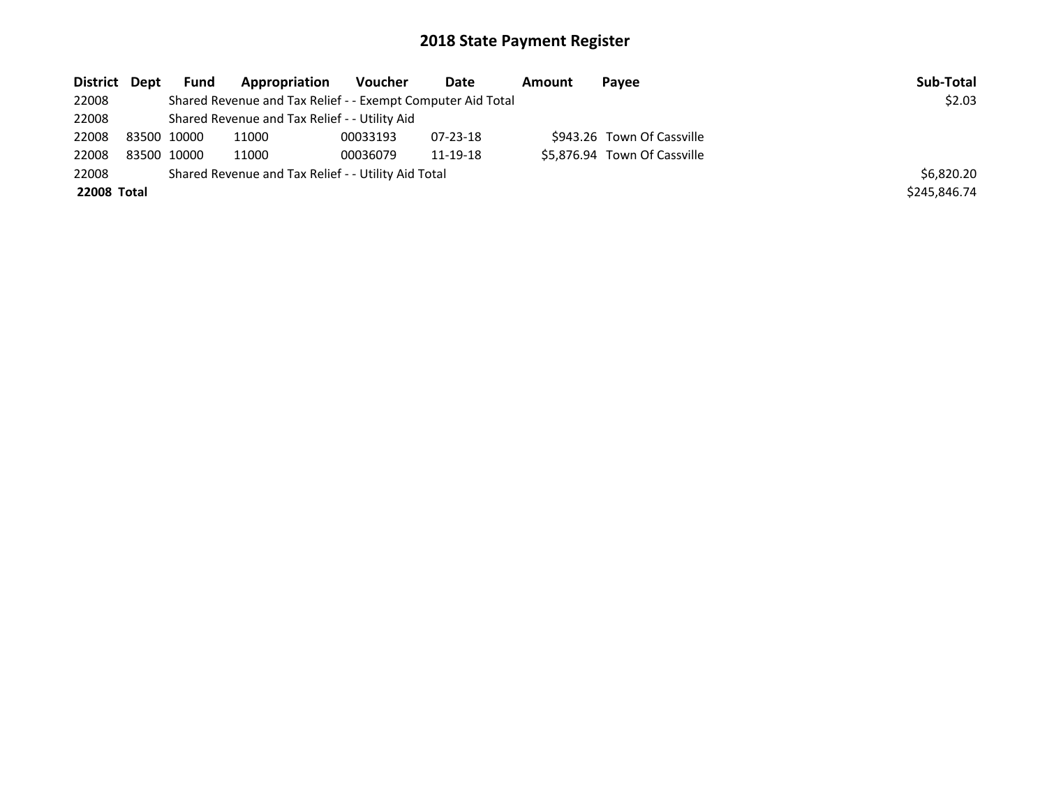| \$2.03       |
|--------------|
|              |
|              |
|              |
|              |
| \$6,820.20   |
| \$245,846.74 |
|              |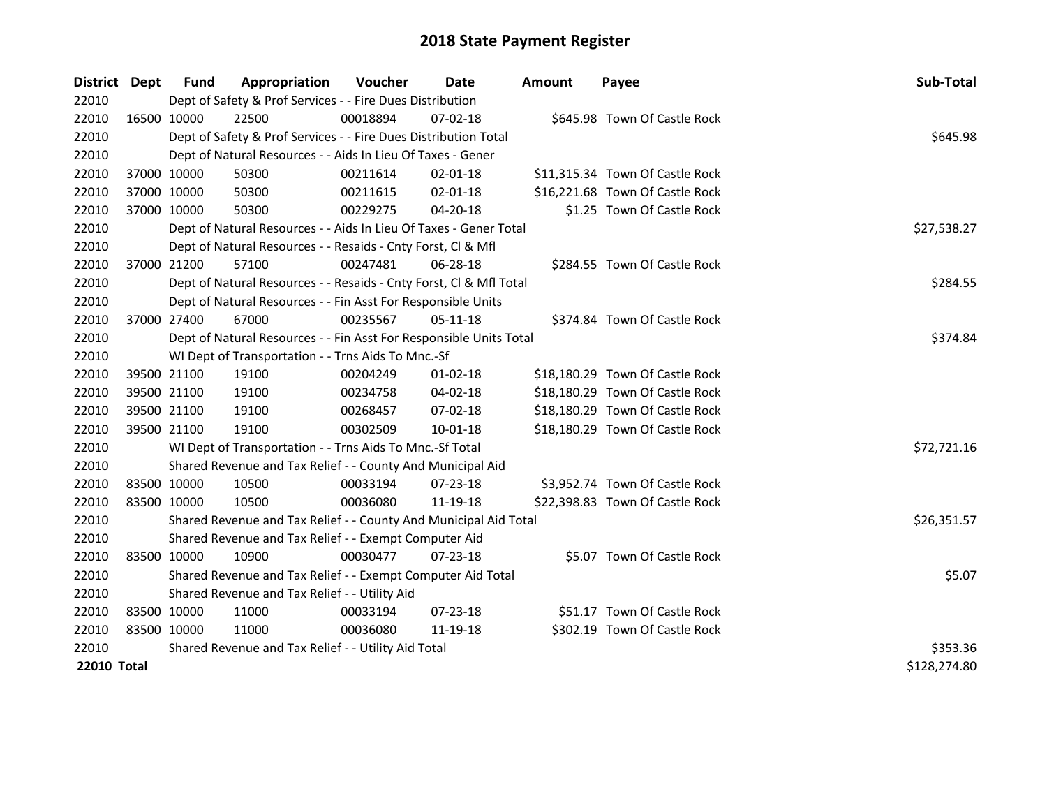| District Dept      |             | Fund        | Appropriation                                                      | <b>Voucher</b> | Date           | <b>Amount</b> | Payee                           | Sub-Total    |
|--------------------|-------------|-------------|--------------------------------------------------------------------|----------------|----------------|---------------|---------------------------------|--------------|
| 22010              |             |             | Dept of Safety & Prof Services - - Fire Dues Distribution          |                |                |               |                                 |              |
| 22010              | 16500 10000 |             | 22500                                                              | 00018894       | 07-02-18       |               | \$645.98 Town Of Castle Rock    |              |
| 22010              |             |             | Dept of Safety & Prof Services - - Fire Dues Distribution Total    |                |                |               |                                 | \$645.98     |
| 22010              |             |             | Dept of Natural Resources - - Aids In Lieu Of Taxes - Gener        |                |                |               |                                 |              |
| 22010              |             | 37000 10000 | 50300                                                              | 00211614       | $02 - 01 - 18$ |               | \$11,315.34 Town Of Castle Rock |              |
| 22010              | 37000 10000 |             | 50300                                                              | 00211615       | $02 - 01 - 18$ |               | \$16,221.68 Town Of Castle Rock |              |
| 22010              |             | 37000 10000 | 50300                                                              | 00229275       | 04-20-18       |               | \$1.25 Town Of Castle Rock      |              |
| 22010              |             |             | Dept of Natural Resources - - Aids In Lieu Of Taxes - Gener Total  |                |                |               |                                 | \$27,538.27  |
| 22010              |             |             | Dept of Natural Resources - - Resaids - Cnty Forst, Cl & Mfl       |                |                |               |                                 |              |
| 22010              |             | 37000 21200 | 57100                                                              | 00247481       | 06-28-18       |               | \$284.55 Town Of Castle Rock    |              |
| 22010              |             |             | Dept of Natural Resources - - Resaids - Cnty Forst, Cl & Mfl Total |                |                |               |                                 | \$284.55     |
| 22010              |             |             | Dept of Natural Resources - - Fin Asst For Responsible Units       |                |                |               |                                 |              |
| 22010              |             | 37000 27400 | 67000                                                              | 00235567       | 05-11-18       |               | \$374.84 Town Of Castle Rock    |              |
| 22010              |             |             | Dept of Natural Resources - - Fin Asst For Responsible Units Total |                |                |               |                                 | \$374.84     |
| 22010              |             |             | WI Dept of Transportation - - Trns Aids To Mnc.-Sf                 |                |                |               |                                 |              |
| 22010              |             | 39500 21100 | 19100                                                              | 00204249       | $01 - 02 - 18$ |               | \$18,180.29 Town Of Castle Rock |              |
| 22010              |             | 39500 21100 | 19100                                                              | 00234758       | 04-02-18       |               | \$18,180.29 Town Of Castle Rock |              |
| 22010              |             | 39500 21100 | 19100                                                              | 00268457       | 07-02-18       |               | \$18,180.29 Town Of Castle Rock |              |
| 22010              |             | 39500 21100 | 19100                                                              | 00302509       | $10 - 01 - 18$ |               | \$18,180.29 Town Of Castle Rock |              |
| 22010              |             |             | WI Dept of Transportation - - Trns Aids To Mnc.-Sf Total           |                |                |               |                                 | \$72,721.16  |
| 22010              |             |             | Shared Revenue and Tax Relief - - County And Municipal Aid         |                |                |               |                                 |              |
| 22010              |             | 83500 10000 | 10500                                                              | 00033194       | $07 - 23 - 18$ |               | \$3,952.74 Town Of Castle Rock  |              |
| 22010              | 83500 10000 |             | 10500                                                              | 00036080       | 11-19-18       |               | \$22,398.83 Town Of Castle Rock |              |
| 22010              |             |             | Shared Revenue and Tax Relief - - County And Municipal Aid Total   |                |                |               |                                 | \$26,351.57  |
| 22010              |             |             | Shared Revenue and Tax Relief - - Exempt Computer Aid              |                |                |               |                                 |              |
| 22010              |             | 83500 10000 | 10900                                                              | 00030477       | 07-23-18       |               | \$5.07 Town Of Castle Rock      |              |
| 22010              |             |             | Shared Revenue and Tax Relief - - Exempt Computer Aid Total        |                |                |               |                                 | \$5.07       |
| 22010              |             |             | Shared Revenue and Tax Relief - - Utility Aid                      |                |                |               |                                 |              |
| 22010              |             | 83500 10000 | 11000                                                              | 00033194       | $07 - 23 - 18$ |               | \$51.17 Town Of Castle Rock     |              |
| 22010              | 83500 10000 |             | 11000                                                              | 00036080       | 11-19-18       |               | \$302.19 Town Of Castle Rock    |              |
| 22010              |             |             | Shared Revenue and Tax Relief - - Utility Aid Total                | \$353.36       |                |               |                                 |              |
| <b>22010 Total</b> |             |             |                                                                    |                |                |               |                                 | \$128,274.80 |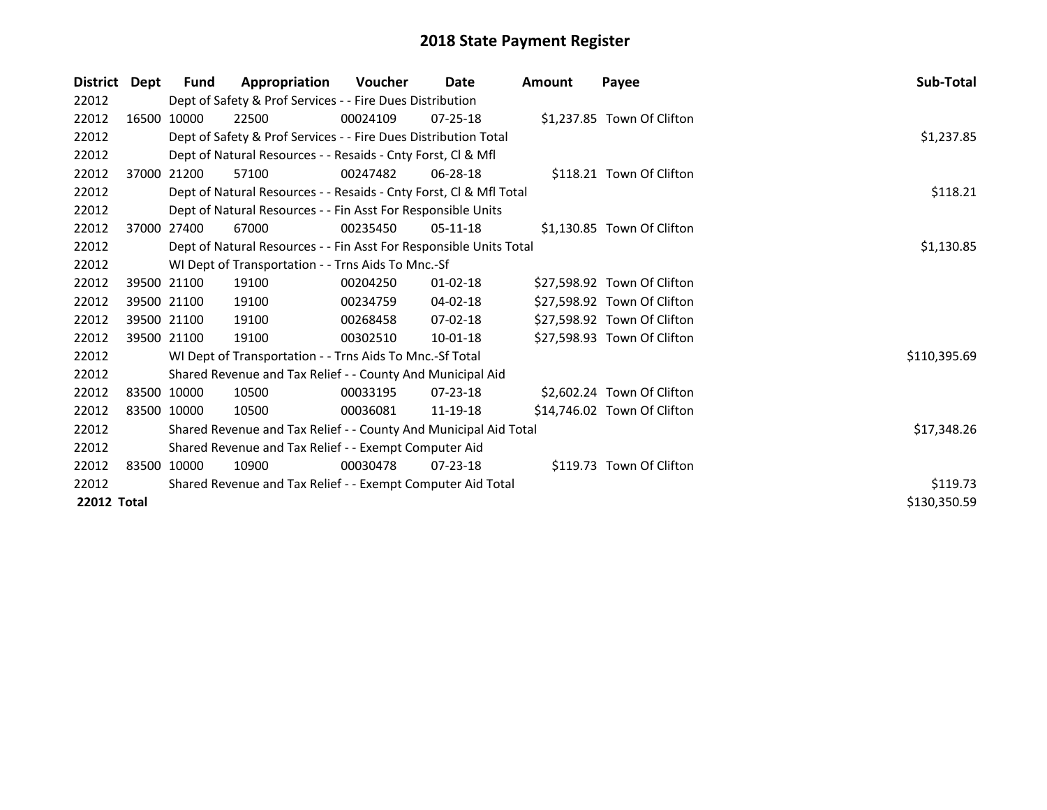| <b>District</b>    | Dept | Fund        | Appropriation                                                      | <b>Voucher</b> | Date           | Amount | Payee                       | Sub-Total    |
|--------------------|------|-------------|--------------------------------------------------------------------|----------------|----------------|--------|-----------------------------|--------------|
| 22012              |      |             | Dept of Safety & Prof Services - - Fire Dues Distribution          |                |                |        |                             |              |
| 22012              |      | 16500 10000 | 22500                                                              | 00024109       | $07 - 25 - 18$ |        | \$1,237.85 Town Of Clifton  |              |
| 22012              |      |             | Dept of Safety & Prof Services - - Fire Dues Distribution Total    |                |                |        |                             | \$1,237.85   |
| 22012              |      |             | Dept of Natural Resources - - Resaids - Cnty Forst, CI & Mfl       |                |                |        |                             |              |
| 22012              |      | 37000 21200 | 57100                                                              | 00247482       | 06-28-18       |        | \$118.21 Town Of Clifton    |              |
| 22012              |      |             | Dept of Natural Resources - - Resaids - Cnty Forst, Cl & Mfl Total |                |                |        |                             | \$118.21     |
| 22012              |      |             | Dept of Natural Resources - - Fin Asst For Responsible Units       |                |                |        |                             |              |
| 22012              |      | 37000 27400 | 67000                                                              | 00235450       | 05-11-18       |        | \$1,130.85 Town Of Clifton  |              |
| 22012              |      |             | Dept of Natural Resources - - Fin Asst For Responsible Units Total |                |                |        |                             | \$1,130.85   |
| 22012              |      |             | WI Dept of Transportation - - Trns Aids To Mnc.-Sf                 |                |                |        |                             |              |
| 22012              |      | 39500 21100 | 19100                                                              | 00204250       | $01 - 02 - 18$ |        | \$27,598.92 Town Of Clifton |              |
| 22012              |      | 39500 21100 | 19100                                                              | 00234759       | 04-02-18       |        | \$27,598.92 Town Of Clifton |              |
| 22012              |      | 39500 21100 | 19100                                                              | 00268458       | $07 - 02 - 18$ |        | \$27,598.92 Town Of Clifton |              |
| 22012              |      | 39500 21100 | 19100                                                              | 00302510       | 10-01-18       |        | \$27,598.93 Town Of Clifton |              |
| 22012              |      |             | WI Dept of Transportation - - Trns Aids To Mnc.-Sf Total           |                |                |        |                             | \$110,395.69 |
| 22012              |      |             | Shared Revenue and Tax Relief - - County And Municipal Aid         |                |                |        |                             |              |
| 22012              |      | 83500 10000 | 10500                                                              | 00033195       | $07 - 23 - 18$ |        | \$2,602.24 Town Of Clifton  |              |
| 22012              |      | 83500 10000 | 10500                                                              | 00036081       | 11-19-18       |        | \$14,746.02 Town Of Clifton |              |
| 22012              |      |             | Shared Revenue and Tax Relief - - County And Municipal Aid Total   |                |                |        |                             | \$17,348.26  |
| 22012              |      |             | Shared Revenue and Tax Relief - - Exempt Computer Aid              |                |                |        |                             |              |
| 22012              |      | 83500 10000 | 10900                                                              | 00030478       | $07 - 23 - 18$ |        | \$119.73 Town Of Clifton    |              |
| 22012              |      |             | Shared Revenue and Tax Relief - - Exempt Computer Aid Total        |                |                |        |                             | \$119.73     |
| <b>22012 Total</b> |      |             |                                                                    |                |                |        |                             | \$130,350.59 |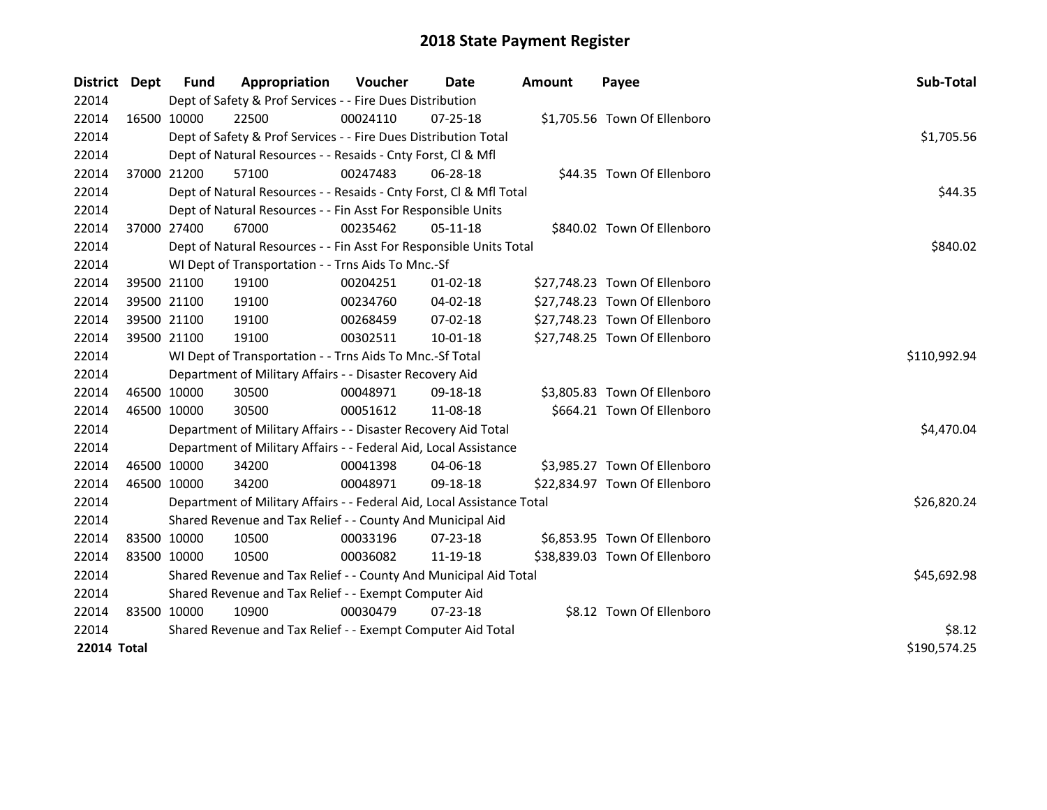| District Dept | <b>Fund</b> | Appropriation                                                          | Voucher  | Date           | <b>Amount</b> | Payee                         | Sub-Total    |
|---------------|-------------|------------------------------------------------------------------------|----------|----------------|---------------|-------------------------------|--------------|
| 22014         |             | Dept of Safety & Prof Services - - Fire Dues Distribution              |          |                |               |                               |              |
| 22014         | 16500 10000 | 22500                                                                  | 00024110 | $07 - 25 - 18$ |               | \$1,705.56 Town Of Ellenboro  |              |
| 22014         |             | Dept of Safety & Prof Services - - Fire Dues Distribution Total        |          |                |               |                               | \$1,705.56   |
| 22014         |             | Dept of Natural Resources - - Resaids - Cnty Forst, Cl & Mfl           |          |                |               |                               |              |
| 22014         | 37000 21200 | 57100                                                                  | 00247483 | 06-28-18       |               | \$44.35 Town Of Ellenboro     |              |
| 22014         |             | Dept of Natural Resources - - Resaids - Cnty Forst, Cl & Mfl Total     |          |                |               |                               | \$44.35      |
| 22014         |             | Dept of Natural Resources - - Fin Asst For Responsible Units           |          |                |               |                               |              |
| 22014         | 37000 27400 | 67000                                                                  | 00235462 | $05-11-18$     |               | \$840.02 Town Of Ellenboro    |              |
| 22014         |             | Dept of Natural Resources - - Fin Asst For Responsible Units Total     |          |                |               |                               | \$840.02     |
| 22014         |             | WI Dept of Transportation - - Trns Aids To Mnc.-Sf                     |          |                |               |                               |              |
| 22014         | 39500 21100 | 19100                                                                  | 00204251 | $01-02-18$     |               | \$27,748.23 Town Of Ellenboro |              |
| 22014         | 39500 21100 | 19100                                                                  | 00234760 | $04 - 02 - 18$ |               | \$27,748.23 Town Of Ellenboro |              |
| 22014         | 39500 21100 | 19100                                                                  | 00268459 | 07-02-18       |               | \$27,748.23 Town Of Ellenboro |              |
| 22014         | 39500 21100 | 19100                                                                  | 00302511 | 10-01-18       |               | \$27,748.25 Town Of Ellenboro |              |
| 22014         |             | WI Dept of Transportation - - Trns Aids To Mnc.-Sf Total               |          |                |               |                               | \$110,992.94 |
| 22014         |             | Department of Military Affairs - - Disaster Recovery Aid               |          |                |               |                               |              |
| 22014         | 46500 10000 | 30500                                                                  | 00048971 | 09-18-18       |               | \$3,805.83 Town Of Ellenboro  |              |
| 22014         | 46500 10000 | 30500                                                                  | 00051612 | 11-08-18       |               | \$664.21 Town Of Ellenboro    |              |
| 22014         |             | Department of Military Affairs - - Disaster Recovery Aid Total         |          |                |               |                               | \$4,470.04   |
| 22014         |             | Department of Military Affairs - - Federal Aid, Local Assistance       |          |                |               |                               |              |
| 22014         | 46500 10000 | 34200                                                                  | 00041398 | $04 - 06 - 18$ |               | \$3,985.27 Town Of Ellenboro  |              |
| 22014         | 46500 10000 | 34200                                                                  | 00048971 | 09-18-18       |               | \$22,834.97 Town Of Ellenboro |              |
| 22014         |             | Department of Military Affairs - - Federal Aid, Local Assistance Total |          |                |               |                               | \$26,820.24  |
| 22014         |             | Shared Revenue and Tax Relief - - County And Municipal Aid             |          |                |               |                               |              |
| 22014         | 83500 10000 | 10500                                                                  | 00033196 | $07 - 23 - 18$ |               | \$6,853.95 Town Of Ellenboro  |              |
| 22014         | 83500 10000 | 10500                                                                  | 00036082 | 11-19-18       |               | \$38,839.03 Town Of Ellenboro |              |
| 22014         |             | Shared Revenue and Tax Relief - - County And Municipal Aid Total       |          |                |               |                               | \$45,692.98  |
| 22014         |             | Shared Revenue and Tax Relief - - Exempt Computer Aid                  |          |                |               |                               |              |
| 22014         | 83500 10000 | 10900                                                                  | 00030479 | $07 - 23 - 18$ |               | \$8.12 Town Of Ellenboro      |              |
| 22014         |             | Shared Revenue and Tax Relief - - Exempt Computer Aid Total            |          |                |               |                               | \$8.12       |
| 22014 Total   |             |                                                                        |          |                |               |                               | \$190,574.25 |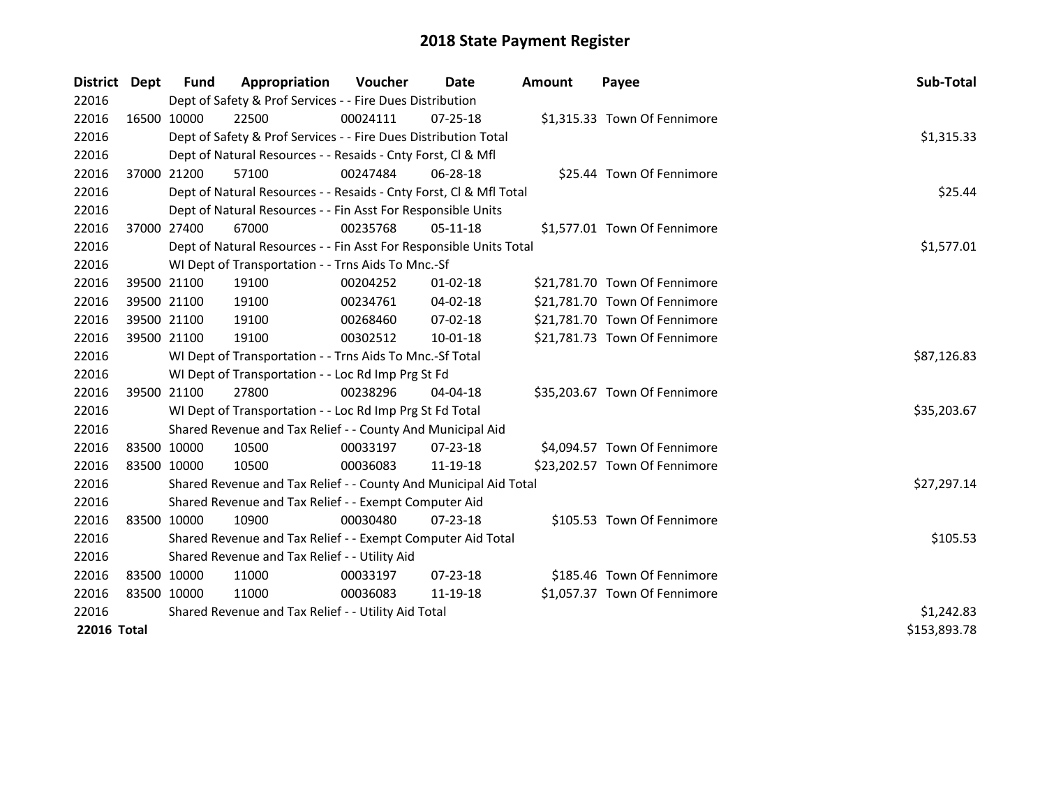| District    | Dept         | Fund        | Appropriation                                                      | <b>Voucher</b> | Date           | <b>Amount</b> | Payee                         | Sub-Total   |
|-------------|--------------|-------------|--------------------------------------------------------------------|----------------|----------------|---------------|-------------------------------|-------------|
| 22016       |              |             | Dept of Safety & Prof Services - - Fire Dues Distribution          |                |                |               |                               |             |
| 22016       |              | 16500 10000 | 22500                                                              | 00024111       | $07 - 25 - 18$ |               | \$1,315.33 Town Of Fennimore  |             |
| 22016       |              |             | Dept of Safety & Prof Services - - Fire Dues Distribution Total    |                |                |               |                               | \$1,315.33  |
| 22016       |              |             | Dept of Natural Resources - - Resaids - Cnty Forst, Cl & Mfl       |                |                |               |                               |             |
| 22016       |              | 37000 21200 | 57100                                                              | 00247484       | 06-28-18       |               | \$25.44 Town Of Fennimore     |             |
| 22016       |              |             | Dept of Natural Resources - - Resaids - Cnty Forst, Cl & Mfl Total |                |                |               |                               | \$25.44     |
| 22016       |              |             | Dept of Natural Resources - - Fin Asst For Responsible Units       |                |                |               |                               |             |
| 22016       |              | 37000 27400 | 67000                                                              | 00235768       | 05-11-18       |               | \$1,577.01 Town Of Fennimore  |             |
| 22016       |              |             | Dept of Natural Resources - - Fin Asst For Responsible Units Total |                |                | \$1,577.01    |                               |             |
| 22016       |              |             | WI Dept of Transportation - - Trns Aids To Mnc.-Sf                 |                |                |               |                               |             |
| 22016       |              | 39500 21100 | 19100                                                              | 00204252       | 01-02-18       |               | \$21,781.70 Town Of Fennimore |             |
| 22016       |              | 39500 21100 | 19100                                                              | 00234761       | 04-02-18       |               | \$21,781.70 Town Of Fennimore |             |
| 22016       |              | 39500 21100 | 19100                                                              | 00268460       | 07-02-18       |               | \$21,781.70 Town Of Fennimore |             |
| 22016       |              | 39500 21100 | 19100                                                              | 00302512       | 10-01-18       |               | \$21,781.73 Town Of Fennimore |             |
| 22016       |              |             | WI Dept of Transportation - - Trns Aids To Mnc.-Sf Total           | \$87,126.83    |                |               |                               |             |
| 22016       |              |             | WI Dept of Transportation - - Loc Rd Imp Prg St Fd                 |                |                |               |                               |             |
| 22016       |              | 39500 21100 | 27800                                                              | 00238296       | 04-04-18       |               | \$35,203.67 Town Of Fennimore |             |
| 22016       |              |             | WI Dept of Transportation - - Loc Rd Imp Prg St Fd Total           |                |                |               |                               | \$35,203.67 |
| 22016       |              |             | Shared Revenue and Tax Relief - - County And Municipal Aid         |                |                |               |                               |             |
| 22016       |              | 83500 10000 | 10500                                                              | 00033197       | $07 - 23 - 18$ |               | \$4,094.57 Town Of Fennimore  |             |
| 22016       |              | 83500 10000 | 10500                                                              | 00036083       | 11-19-18       |               | \$23,202.57 Town Of Fennimore |             |
| 22016       |              |             | Shared Revenue and Tax Relief - - County And Municipal Aid Total   |                |                |               |                               | \$27,297.14 |
| 22016       |              |             | Shared Revenue and Tax Relief - - Exempt Computer Aid              |                |                |               |                               |             |
| 22016       |              | 83500 10000 | 10900                                                              | 00030480       | $07 - 23 - 18$ |               | \$105.53 Town Of Fennimore    |             |
| 22016       |              |             | Shared Revenue and Tax Relief - - Exempt Computer Aid Total        | \$105.53       |                |               |                               |             |
| 22016       |              |             | Shared Revenue and Tax Relief - - Utility Aid                      |                |                |               |                               |             |
| 22016       |              | 83500 10000 | 11000                                                              | 00033197       | 07-23-18       |               | \$185.46 Town Of Fennimore    |             |
| 22016       |              | 83500 10000 | 11000                                                              | 00036083       | 11-19-18       |               | \$1,057.37 Town Of Fennimore  |             |
| 22016       |              |             | Shared Revenue and Tax Relief - - Utility Aid Total                |                |                |               |                               | \$1,242.83  |
| 22016 Total | \$153,893.78 |             |                                                                    |                |                |               |                               |             |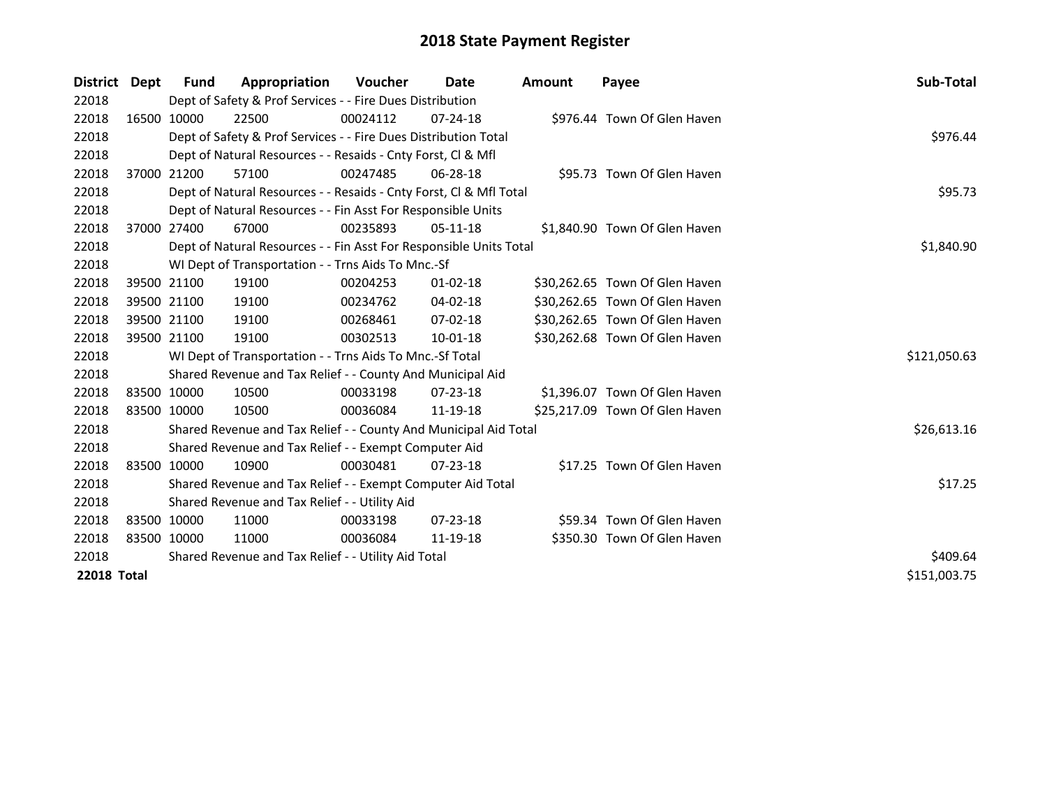| District           | Dept | <b>Fund</b> | Appropriation                                                      | <b>Voucher</b> | Date           | <b>Amount</b> | Payee                          | Sub-Total    |
|--------------------|------|-------------|--------------------------------------------------------------------|----------------|----------------|---------------|--------------------------------|--------------|
| 22018              |      |             | Dept of Safety & Prof Services - - Fire Dues Distribution          |                |                |               |                                |              |
| 22018              |      | 16500 10000 | 22500                                                              | 00024112       | $07 - 24 - 18$ |               | \$976.44 Town Of Glen Haven    |              |
| 22018              |      |             | Dept of Safety & Prof Services - - Fire Dues Distribution Total    |                |                |               |                                | \$976.44     |
| 22018              |      |             | Dept of Natural Resources - - Resaids - Cnty Forst, CI & Mfl       |                |                |               |                                |              |
| 22018              |      | 37000 21200 | 57100                                                              | 00247485       | $06 - 28 - 18$ |               | \$95.73 Town Of Glen Haven     |              |
| 22018              |      |             | Dept of Natural Resources - - Resaids - Cnty Forst, Cl & Mfl Total |                |                |               |                                | \$95.73      |
| 22018              |      |             | Dept of Natural Resources - - Fin Asst For Responsible Units       |                |                |               |                                |              |
| 22018              |      | 37000 27400 | 67000                                                              | 00235893       | $05-11-18$     |               | \$1,840.90 Town Of Glen Haven  |              |
| 22018              |      |             | Dept of Natural Resources - - Fin Asst For Responsible Units Total |                |                |               |                                | \$1,840.90   |
| 22018              |      |             | WI Dept of Transportation - - Trns Aids To Mnc.-Sf                 |                |                |               |                                |              |
| 22018              |      | 39500 21100 | 19100                                                              | 00204253       | $01 - 02 - 18$ |               | \$30,262.65 Town Of Glen Haven |              |
| 22018              |      | 39500 21100 | 19100                                                              | 00234762       | 04-02-18       |               | \$30,262.65 Town Of Glen Haven |              |
| 22018              |      | 39500 21100 | 19100                                                              | 00268461       | $07 - 02 - 18$ |               | \$30,262.65 Town Of Glen Haven |              |
| 22018              |      | 39500 21100 | 19100                                                              | 00302513       | 10-01-18       |               | \$30,262.68 Town Of Glen Haven |              |
| 22018              |      |             | WI Dept of Transportation - - Trns Aids To Mnc.-Sf Total           |                |                |               |                                | \$121,050.63 |
| 22018              |      |             | Shared Revenue and Tax Relief - - County And Municipal Aid         |                |                |               |                                |              |
| 22018              |      | 83500 10000 | 10500                                                              | 00033198       | 07-23-18       |               | \$1,396.07 Town Of Glen Haven  |              |
| 22018              |      | 83500 10000 | 10500                                                              | 00036084       | 11-19-18       |               | \$25,217.09 Town Of Glen Haven |              |
| 22018              |      |             | Shared Revenue and Tax Relief - - County And Municipal Aid Total   |                |                |               |                                | \$26,613.16  |
| 22018              |      |             | Shared Revenue and Tax Relief - - Exempt Computer Aid              |                |                |               |                                |              |
| 22018              |      | 83500 10000 | 10900                                                              | 00030481       | $07 - 23 - 18$ |               | \$17.25 Town Of Glen Haven     |              |
| 22018              |      |             | Shared Revenue and Tax Relief - - Exempt Computer Aid Total        |                |                |               |                                | \$17.25      |
| 22018              |      |             | Shared Revenue and Tax Relief - - Utility Aid                      |                |                |               |                                |              |
| 22018              |      | 83500 10000 | 11000                                                              | 00033198       | $07 - 23 - 18$ |               | \$59.34 Town Of Glen Haven     |              |
| 22018              |      | 83500 10000 | 11000                                                              | 00036084       | 11-19-18       |               | \$350.30 Town Of Glen Haven    |              |
| 22018              |      |             | Shared Revenue and Tax Relief - - Utility Aid Total                | \$409.64       |                |               |                                |              |
| <b>22018 Total</b> |      |             |                                                                    |                |                |               |                                | \$151,003.75 |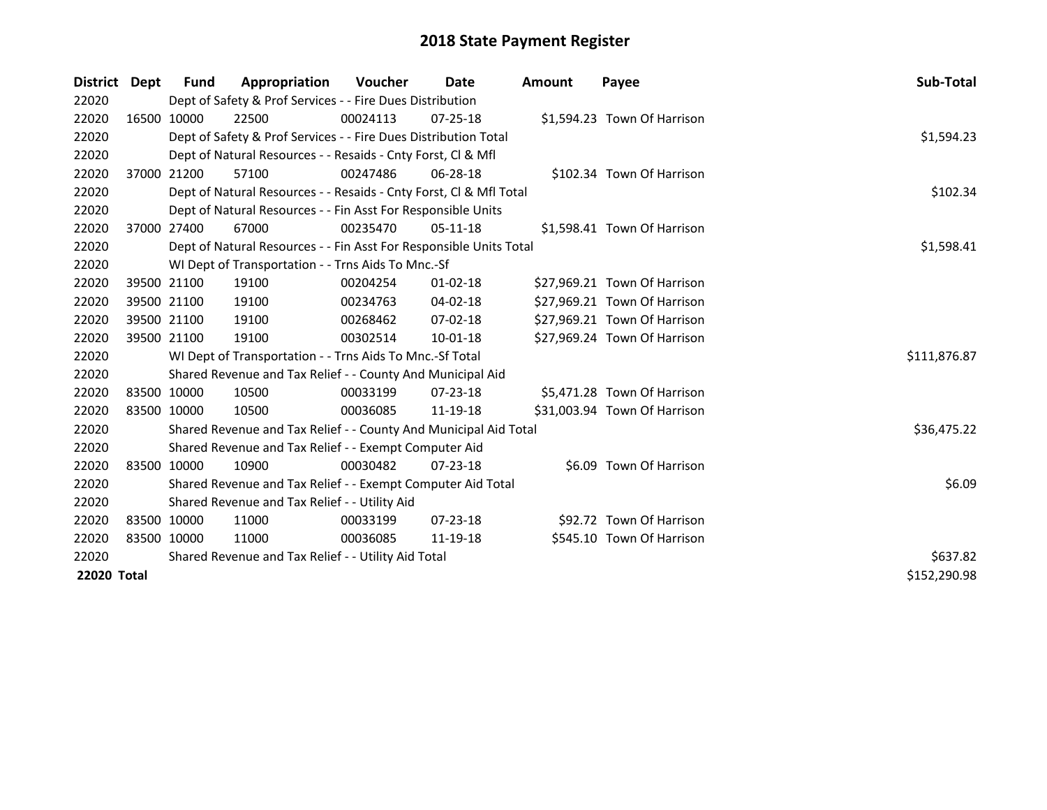| District Dept | Fund        | Appropriation                                                      | <b>Voucher</b> | Date           | <b>Amount</b> | Payee                        | <b>Sub-Total</b> |
|---------------|-------------|--------------------------------------------------------------------|----------------|----------------|---------------|------------------------------|------------------|
| 22020         |             | Dept of Safety & Prof Services - - Fire Dues Distribution          |                |                |               |                              |                  |
| 22020         | 16500 10000 | 22500                                                              | 00024113       | $07 - 25 - 18$ |               | \$1,594.23 Town Of Harrison  |                  |
| 22020         |             | Dept of Safety & Prof Services - - Fire Dues Distribution Total    |                |                |               |                              | \$1,594.23       |
| 22020         |             | Dept of Natural Resources - - Resaids - Cnty Forst, Cl & Mfl       |                |                |               |                              |                  |
| 22020         | 37000 21200 | 57100                                                              | 00247486       | $06 - 28 - 18$ |               | \$102.34 Town Of Harrison    |                  |
| 22020         |             | Dept of Natural Resources - - Resaids - Cnty Forst, Cl & Mfl Total |                |                |               |                              | \$102.34         |
| 22020         |             | Dept of Natural Resources - - Fin Asst For Responsible Units       |                |                |               |                              |                  |
| 22020         | 37000 27400 | 67000                                                              | 00235470       | $05-11-18$     |               | \$1,598.41 Town Of Harrison  |                  |
| 22020         |             | Dept of Natural Resources - - Fin Asst For Responsible Units Total |                |                |               |                              | \$1,598.41       |
| 22020         |             | WI Dept of Transportation - - Trns Aids To Mnc.-Sf                 |                |                |               |                              |                  |
| 22020         | 39500 21100 | 19100                                                              | 00204254       | $01 - 02 - 18$ |               | \$27,969.21 Town Of Harrison |                  |
| 22020         | 39500 21100 | 19100                                                              | 00234763       | 04-02-18       |               | \$27,969.21 Town Of Harrison |                  |
| 22020         | 39500 21100 | 19100                                                              | 00268462       | $07 - 02 - 18$ |               | \$27,969.21 Town Of Harrison |                  |
| 22020         | 39500 21100 | 19100                                                              | 00302514       | 10-01-18       |               | \$27,969.24 Town Of Harrison |                  |
| 22020         |             | WI Dept of Transportation - - Trns Aids To Mnc.-Sf Total           |                |                |               |                              | \$111,876.87     |
| 22020         |             | Shared Revenue and Tax Relief - - County And Municipal Aid         |                |                |               |                              |                  |
| 22020         | 83500 10000 | 10500                                                              | 00033199       | $07 - 23 - 18$ |               | \$5,471.28 Town Of Harrison  |                  |
| 22020         | 83500 10000 | 10500                                                              | 00036085       | 11-19-18       |               | \$31,003.94 Town Of Harrison |                  |
| 22020         |             | Shared Revenue and Tax Relief - - County And Municipal Aid Total   |                |                |               |                              | \$36,475.22      |
| 22020         |             | Shared Revenue and Tax Relief - - Exempt Computer Aid              |                |                |               |                              |                  |
| 22020         | 83500 10000 | 10900                                                              | 00030482       | $07 - 23 - 18$ |               | \$6.09 Town Of Harrison      |                  |
| 22020         |             | Shared Revenue and Tax Relief - - Exempt Computer Aid Total        |                |                |               |                              | \$6.09           |
| 22020         |             | Shared Revenue and Tax Relief - - Utility Aid                      |                |                |               |                              |                  |
| 22020         | 83500 10000 | 11000                                                              | 00033199       | $07 - 23 - 18$ |               | \$92.72 Town Of Harrison     |                  |
| 22020         | 83500 10000 | 11000                                                              | 00036085       | 11-19-18       |               | \$545.10 Town Of Harrison    |                  |
| 22020         |             | Shared Revenue and Tax Relief - - Utility Aid Total                | \$637.82       |                |               |                              |                  |
| 22020 Total   |             |                                                                    |                |                |               |                              | \$152,290.98     |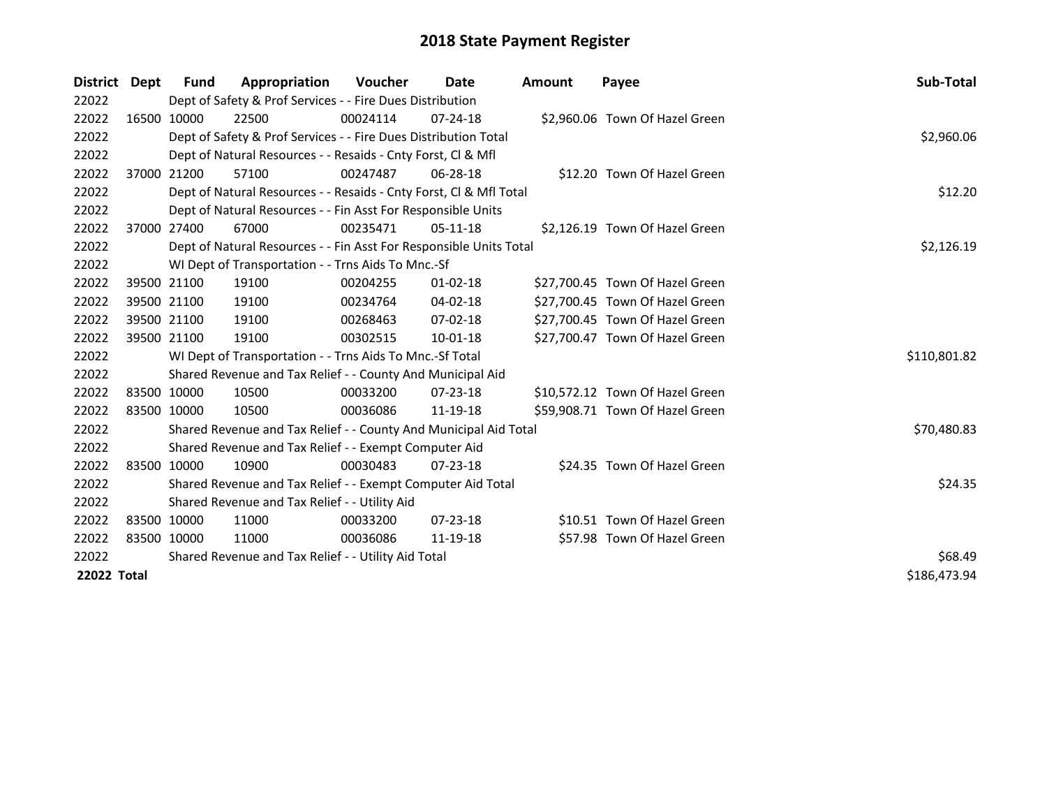| <b>District</b> | Dept | <b>Fund</b> | Appropriation                                                      | <b>Voucher</b> | Date           | <b>Amount</b> | Payee                           | Sub-Total    |
|-----------------|------|-------------|--------------------------------------------------------------------|----------------|----------------|---------------|---------------------------------|--------------|
| 22022           |      |             | Dept of Safety & Prof Services - - Fire Dues Distribution          |                |                |               |                                 |              |
| 22022           |      | 16500 10000 | 22500                                                              | 00024114       | $07 - 24 - 18$ |               | \$2,960.06 Town Of Hazel Green  |              |
| 22022           |      |             | Dept of Safety & Prof Services - - Fire Dues Distribution Total    |                |                |               |                                 | \$2,960.06   |
| 22022           |      |             | Dept of Natural Resources - - Resaids - Cnty Forst, CI & Mfl       |                |                |               |                                 |              |
| 22022           |      | 37000 21200 | 57100                                                              | 00247487       | 06-28-18       |               | \$12.20 Town Of Hazel Green     |              |
| 22022           |      |             | Dept of Natural Resources - - Resaids - Cnty Forst, Cl & Mfl Total |                |                |               |                                 | \$12.20      |
| 22022           |      |             | Dept of Natural Resources - - Fin Asst For Responsible Units       |                |                |               |                                 |              |
| 22022           |      | 37000 27400 | 67000                                                              | 00235471       | $05-11-18$     |               | \$2,126.19 Town Of Hazel Green  |              |
| 22022           |      |             | Dept of Natural Resources - - Fin Asst For Responsible Units Total |                |                |               |                                 | \$2,126.19   |
| 22022           |      |             | WI Dept of Transportation - - Trns Aids To Mnc.-Sf                 |                |                |               |                                 |              |
| 22022           |      | 39500 21100 | 19100                                                              | 00204255       | $01 - 02 - 18$ |               | \$27,700.45 Town Of Hazel Green |              |
| 22022           |      | 39500 21100 | 19100                                                              | 00234764       | 04-02-18       |               | \$27,700.45 Town Of Hazel Green |              |
| 22022           |      | 39500 21100 | 19100                                                              | 00268463       | $07 - 02 - 18$ |               | \$27,700.45 Town Of Hazel Green |              |
| 22022           |      | 39500 21100 | 19100                                                              | 00302515       | $10-01-18$     |               | \$27,700.47 Town Of Hazel Green |              |
| 22022           |      |             | WI Dept of Transportation - - Trns Aids To Mnc.-Sf Total           |                |                |               |                                 | \$110,801.82 |
| 22022           |      |             | Shared Revenue and Tax Relief - - County And Municipal Aid         |                |                |               |                                 |              |
| 22022           |      | 83500 10000 | 10500                                                              | 00033200       | $07 - 23 - 18$ |               | \$10,572.12 Town Of Hazel Green |              |
| 22022           |      | 83500 10000 | 10500                                                              | 00036086       | 11-19-18       |               | \$59,908.71 Town Of Hazel Green |              |
| 22022           |      |             | Shared Revenue and Tax Relief - - County And Municipal Aid Total   |                |                |               |                                 | \$70,480.83  |
| 22022           |      |             | Shared Revenue and Tax Relief - - Exempt Computer Aid              |                |                |               |                                 |              |
| 22022           |      | 83500 10000 | 10900                                                              | 00030483       | $07 - 23 - 18$ |               | \$24.35 Town Of Hazel Green     |              |
| 22022           |      |             | Shared Revenue and Tax Relief - - Exempt Computer Aid Total        |                |                |               |                                 | \$24.35      |
| 22022           |      |             | Shared Revenue and Tax Relief - - Utility Aid                      |                |                |               |                                 |              |
| 22022           |      | 83500 10000 | 11000                                                              | 00033200       | $07 - 23 - 18$ |               | \$10.51 Town Of Hazel Green     |              |
| 22022           |      | 83500 10000 | 11000                                                              | 00036086       | 11-19-18       |               | \$57.98 Town Of Hazel Green     |              |
| 22022           |      |             | Shared Revenue and Tax Relief - - Utility Aid Total                |                |                |               |                                 | \$68.49      |
| 22022 Total     |      |             |                                                                    |                |                |               |                                 | \$186,473.94 |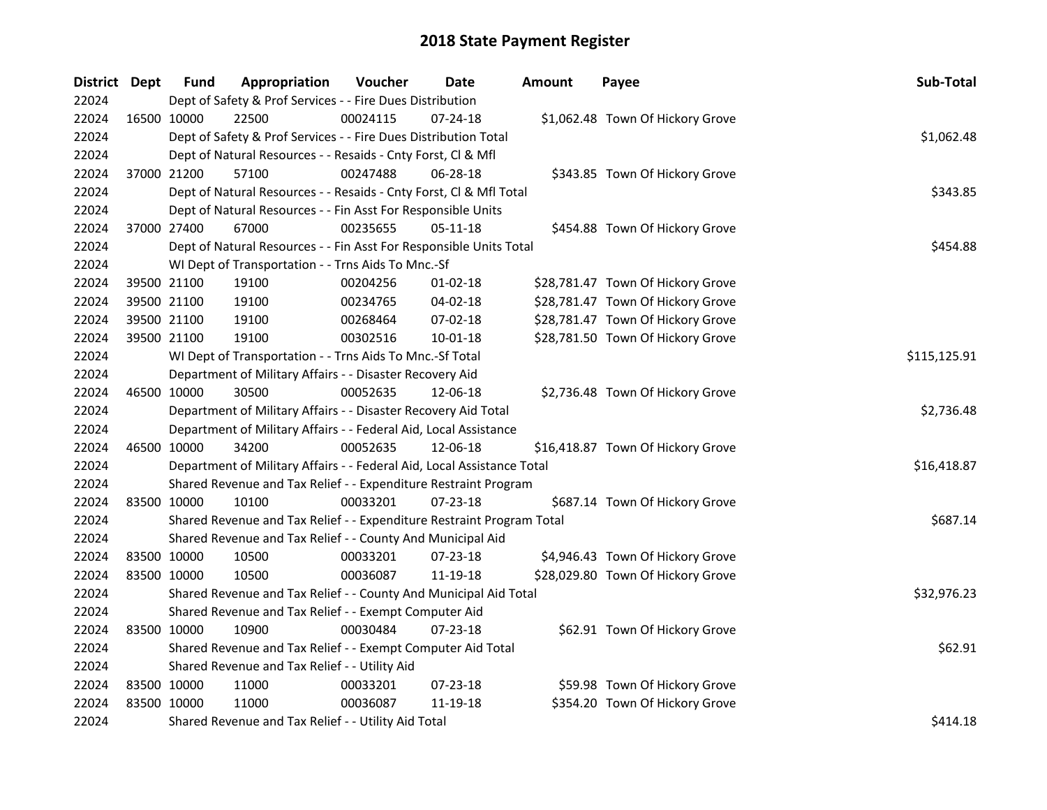| District Dept |             | Fund        | Appropriation                                                          | Voucher  | Date           | <b>Amount</b> | Payee                             | Sub-Total    |
|---------------|-------------|-------------|------------------------------------------------------------------------|----------|----------------|---------------|-----------------------------------|--------------|
| 22024         |             |             | Dept of Safety & Prof Services - - Fire Dues Distribution              |          |                |               |                                   |              |
| 22024         | 16500 10000 |             | 22500                                                                  | 00024115 | 07-24-18       |               | \$1,062.48 Town Of Hickory Grove  |              |
| 22024         |             |             | Dept of Safety & Prof Services - - Fire Dues Distribution Total        |          |                |               |                                   | \$1,062.48   |
| 22024         |             |             | Dept of Natural Resources - - Resaids - Cnty Forst, Cl & Mfl           |          |                |               |                                   |              |
| 22024         | 37000 21200 |             | 57100                                                                  | 00247488 | 06-28-18       |               | \$343.85 Town Of Hickory Grove    |              |
| 22024         |             |             | Dept of Natural Resources - - Resaids - Cnty Forst, Cl & Mfl Total     |          |                |               |                                   | \$343.85     |
| 22024         |             |             | Dept of Natural Resources - - Fin Asst For Responsible Units           |          |                |               |                                   |              |
| 22024         |             | 37000 27400 | 67000                                                                  | 00235655 | $05-11-18$     |               | \$454.88 Town Of Hickory Grove    |              |
| 22024         |             |             | Dept of Natural Resources - - Fin Asst For Responsible Units Total     |          |                |               |                                   | \$454.88     |
| 22024         |             |             | WI Dept of Transportation - - Trns Aids To Mnc.-Sf                     |          |                |               |                                   |              |
| 22024         | 39500 21100 |             | 19100                                                                  | 00204256 | $01 - 02 - 18$ |               | \$28,781.47 Town Of Hickory Grove |              |
| 22024         | 39500 21100 |             | 19100                                                                  | 00234765 | 04-02-18       |               | \$28,781.47 Town Of Hickory Grove |              |
| 22024         | 39500 21100 |             | 19100                                                                  | 00268464 | 07-02-18       |               | \$28,781.47 Town Of Hickory Grove |              |
| 22024         | 39500 21100 |             | 19100                                                                  | 00302516 | 10-01-18       |               | \$28,781.50 Town Of Hickory Grove |              |
| 22024         |             |             | WI Dept of Transportation - - Trns Aids To Mnc.-Sf Total               |          |                |               |                                   | \$115,125.91 |
| 22024         |             |             | Department of Military Affairs - - Disaster Recovery Aid               |          |                |               |                                   |              |
| 22024         | 46500 10000 |             | 30500                                                                  | 00052635 | 12-06-18       |               | \$2,736.48 Town Of Hickory Grove  |              |
| 22024         |             |             | Department of Military Affairs - - Disaster Recovery Aid Total         |          |                |               |                                   | \$2,736.48   |
| 22024         |             |             | Department of Military Affairs - - Federal Aid, Local Assistance       |          |                |               |                                   |              |
| 22024         | 46500 10000 |             | 34200                                                                  | 00052635 | 12-06-18       |               | \$16,418.87 Town Of Hickory Grove |              |
| 22024         |             |             | Department of Military Affairs - - Federal Aid, Local Assistance Total |          |                |               |                                   | \$16,418.87  |
| 22024         |             |             | Shared Revenue and Tax Relief - - Expenditure Restraint Program        |          |                |               |                                   |              |
| 22024         |             | 83500 10000 | 10100                                                                  | 00033201 | 07-23-18       |               | \$687.14 Town Of Hickory Grove    |              |
| 22024         |             |             | Shared Revenue and Tax Relief - - Expenditure Restraint Program Total  |          |                |               |                                   | \$687.14     |
| 22024         |             |             | Shared Revenue and Tax Relief - - County And Municipal Aid             |          |                |               |                                   |              |
| 22024         | 83500 10000 |             | 10500                                                                  | 00033201 | 07-23-18       |               | \$4,946.43 Town Of Hickory Grove  |              |
| 22024         | 83500 10000 |             | 10500                                                                  | 00036087 | 11-19-18       |               | \$28,029.80 Town Of Hickory Grove |              |
| 22024         |             |             | Shared Revenue and Tax Relief - - County And Municipal Aid Total       |          |                |               |                                   | \$32,976.23  |
| 22024         |             |             | Shared Revenue and Tax Relief - - Exempt Computer Aid                  |          |                |               |                                   |              |
| 22024         | 83500 10000 |             | 10900                                                                  | 00030484 | 07-23-18       |               | \$62.91 Town Of Hickory Grove     |              |
| 22024         |             |             | Shared Revenue and Tax Relief - - Exempt Computer Aid Total            |          |                |               |                                   | \$62.91      |
| 22024         |             |             | Shared Revenue and Tax Relief - - Utility Aid                          |          |                |               |                                   |              |
| 22024         |             | 83500 10000 | 11000                                                                  | 00033201 | 07-23-18       |               | \$59.98 Town Of Hickory Grove     |              |
| 22024         | 83500 10000 |             | 11000                                                                  | 00036087 | 11-19-18       |               | \$354.20 Town Of Hickory Grove    |              |
| 22024         |             |             | Shared Revenue and Tax Relief - - Utility Aid Total                    |          |                |               |                                   | \$414.18     |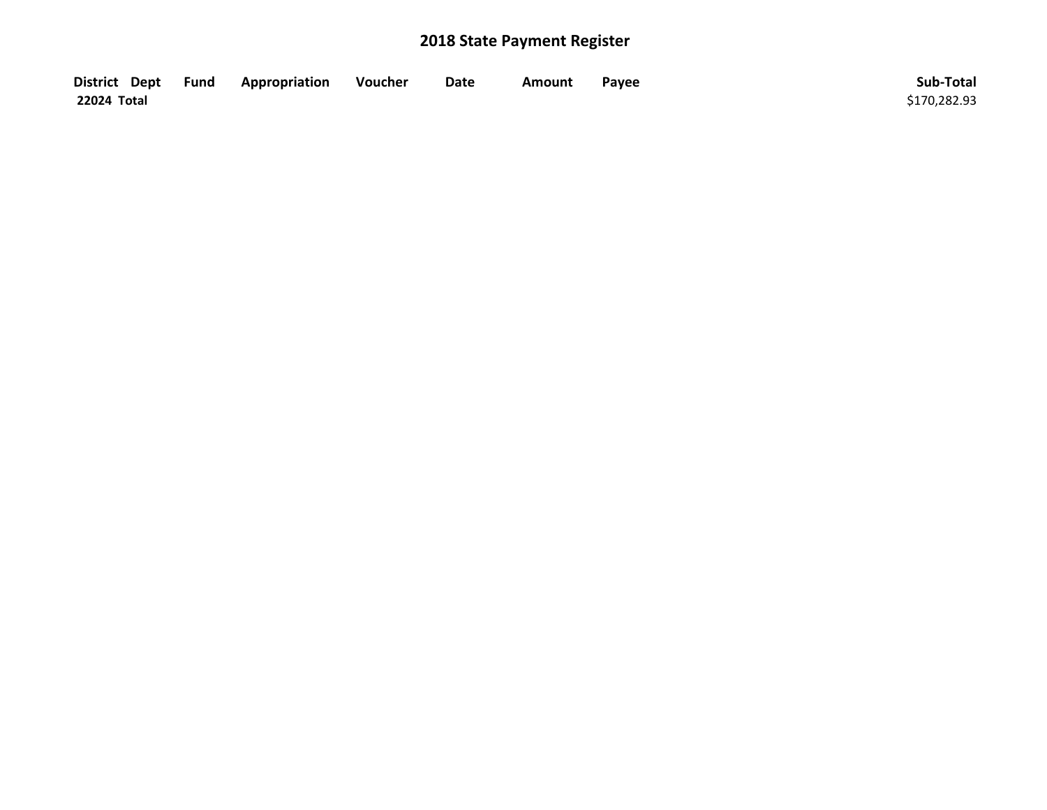| District Dept Fund | Appropriation | Voucher | Date | Amount | Payee | Sub-Total    |
|--------------------|---------------|---------|------|--------|-------|--------------|
| 22024 Total        |               |         |      |        |       | \$170,282.93 |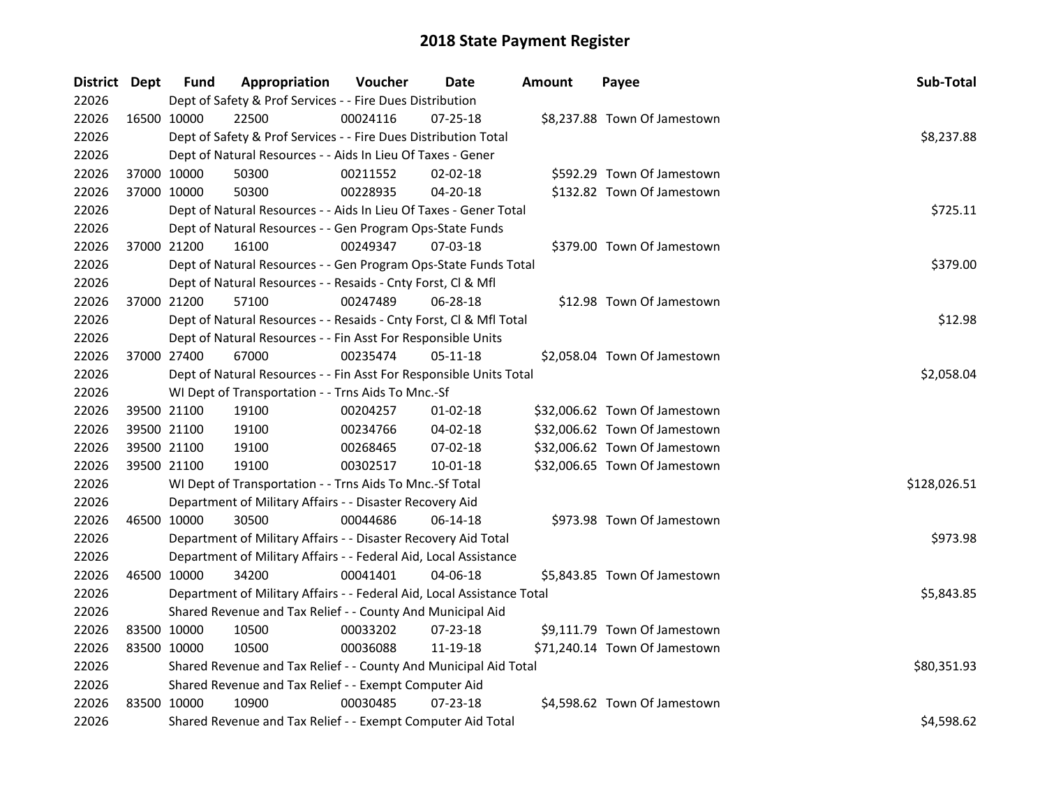| District Dept |             | <b>Fund</b> | Appropriation                                                          | Voucher    | Date           | <b>Amount</b> | Payee                         | Sub-Total    |
|---------------|-------------|-------------|------------------------------------------------------------------------|------------|----------------|---------------|-------------------------------|--------------|
| 22026         |             |             | Dept of Safety & Prof Services - - Fire Dues Distribution              |            |                |               |                               |              |
| 22026         | 16500 10000 |             | 22500                                                                  | 00024116   | 07-25-18       |               | \$8,237.88 Town Of Jamestown  |              |
| 22026         |             |             | Dept of Safety & Prof Services - - Fire Dues Distribution Total        |            |                |               |                               | \$8,237.88   |
| 22026         |             |             | Dept of Natural Resources - - Aids In Lieu Of Taxes - Gener            |            |                |               |                               |              |
| 22026         | 37000 10000 |             | 50300                                                                  | 00211552   | 02-02-18       |               | \$592.29 Town Of Jamestown    |              |
| 22026         | 37000 10000 |             | 50300                                                                  | 00228935   | 04-20-18       |               | \$132.82 Town Of Jamestown    |              |
| 22026         |             |             | Dept of Natural Resources - - Aids In Lieu Of Taxes - Gener Total      |            |                |               |                               | \$725.11     |
| 22026         |             |             | Dept of Natural Resources - - Gen Program Ops-State Funds              |            |                |               |                               |              |
| 22026         | 37000 21200 |             | 16100                                                                  | 00249347   | $07 - 03 - 18$ |               | \$379.00 Town Of Jamestown    |              |
| 22026         |             |             | Dept of Natural Resources - - Gen Program Ops-State Funds Total        |            |                |               |                               | \$379.00     |
| 22026         |             |             | Dept of Natural Resources - - Resaids - Cnty Forst, Cl & Mfl           |            |                |               |                               |              |
| 22026         | 37000 21200 |             | 57100                                                                  | 00247489   | 06-28-18       |               | \$12.98 Town Of Jamestown     |              |
| 22026         |             |             | Dept of Natural Resources - - Resaids - Cnty Forst, Cl & Mfl Total     |            |                |               |                               | \$12.98      |
| 22026         |             |             | Dept of Natural Resources - - Fin Asst For Responsible Units           |            |                |               |                               |              |
| 22026         | 37000 27400 |             | 67000                                                                  | 00235474   | $05 - 11 - 18$ |               | \$2,058.04 Town Of Jamestown  |              |
| 22026         |             |             | Dept of Natural Resources - - Fin Asst For Responsible Units Total     | \$2,058.04 |                |               |                               |              |
| 22026         |             |             | WI Dept of Transportation - - Trns Aids To Mnc.-Sf                     |            |                |               |                               |              |
| 22026         | 39500 21100 |             | 19100                                                                  | 00204257   | $01-02-18$     |               | \$32,006.62 Town Of Jamestown |              |
| 22026         | 39500 21100 |             | 19100                                                                  | 00234766   | 04-02-18       |               | \$32,006.62 Town Of Jamestown |              |
| 22026         | 39500 21100 |             | 19100                                                                  | 00268465   | 07-02-18       |               | \$32,006.62 Town Of Jamestown |              |
| 22026         | 39500 21100 |             | 19100                                                                  | 00302517   | $10 - 01 - 18$ |               | \$32,006.65 Town Of Jamestown |              |
| 22026         |             |             | WI Dept of Transportation - - Trns Aids To Mnc.-Sf Total               |            |                |               |                               | \$128,026.51 |
| 22026         |             |             | Department of Military Affairs - - Disaster Recovery Aid               |            |                |               |                               |              |
| 22026         | 46500 10000 |             | 30500                                                                  | 00044686   | 06-14-18       |               | \$973.98 Town Of Jamestown    |              |
| 22026         |             |             | Department of Military Affairs - - Disaster Recovery Aid Total         |            |                |               |                               | \$973.98     |
| 22026         |             |             | Department of Military Affairs - - Federal Aid, Local Assistance       |            |                |               |                               |              |
| 22026         |             | 46500 10000 | 34200                                                                  | 00041401   | 04-06-18       |               | \$5,843.85 Town Of Jamestown  |              |
| 22026         |             |             | Department of Military Affairs - - Federal Aid, Local Assistance Total |            |                |               |                               | \$5,843.85   |
| 22026         |             |             | Shared Revenue and Tax Relief - - County And Municipal Aid             |            |                |               |                               |              |
| 22026         | 83500 10000 |             | 10500                                                                  | 00033202   | 07-23-18       |               | \$9,111.79 Town Of Jamestown  |              |
| 22026         | 83500 10000 |             | 10500                                                                  | 00036088   | 11-19-18       |               | \$71,240.14 Town Of Jamestown |              |
| 22026         |             |             | Shared Revenue and Tax Relief - - County And Municipal Aid Total       |            |                |               |                               | \$80,351.93  |
| 22026         |             |             | Shared Revenue and Tax Relief - - Exempt Computer Aid                  |            |                |               |                               |              |
| 22026         |             | 83500 10000 | 10900                                                                  | 00030485   | $07 - 23 - 18$ |               | \$4,598.62 Town Of Jamestown  |              |
| 22026         |             |             | Shared Revenue and Tax Relief - - Exempt Computer Aid Total            |            |                |               |                               | \$4,598.62   |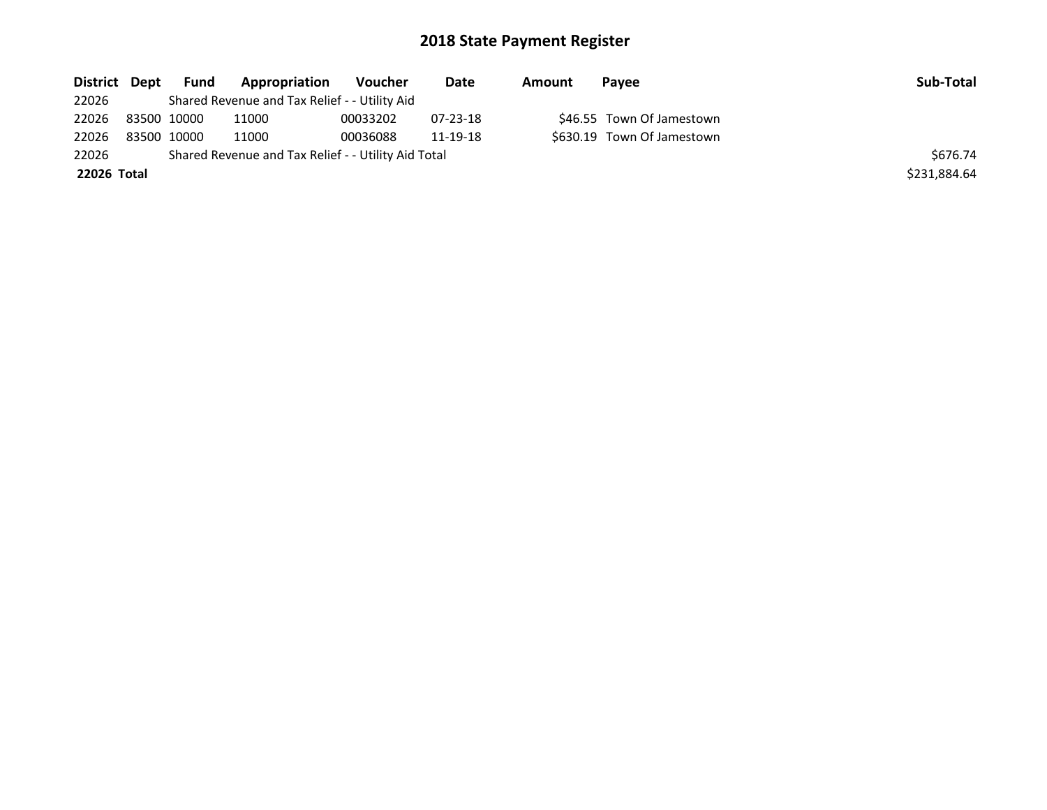| District Dept | Fund        | Appropriation                                       | Voucher  | Date     | Amount | Payee                      | Sub-Total    |
|---------------|-------------|-----------------------------------------------------|----------|----------|--------|----------------------------|--------------|
| 22026         |             | Shared Revenue and Tax Relief - - Utility Aid       |          |          |        |                            |              |
| 22026         | 83500 10000 | 11000                                               | 00033202 | 07-23-18 |        | \$46.55 Town Of Jamestown  |              |
| 22026         | 83500 10000 | 11000                                               | 00036088 | 11-19-18 |        | \$630.19 Town Of Jamestown |              |
| 22026         |             | Shared Revenue and Tax Relief - - Utility Aid Total |          |          |        |                            | \$676.74     |
| 22026 Total   |             |                                                     |          |          |        |                            | \$231,884.64 |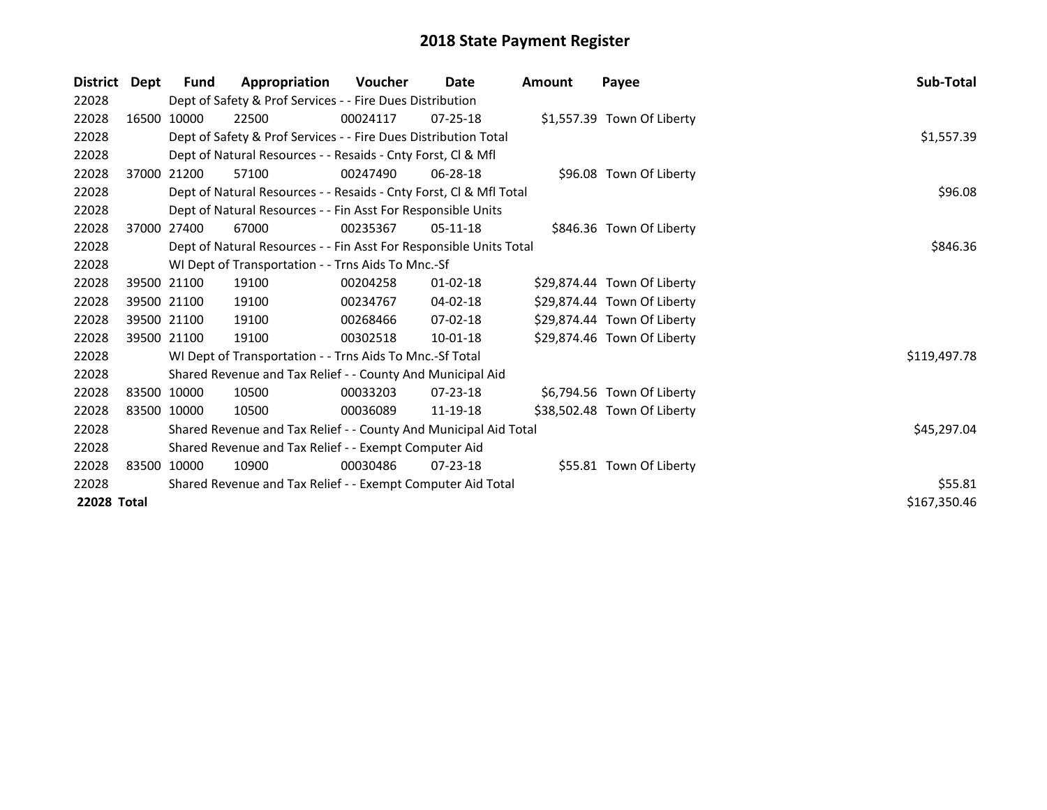| <b>District</b> | Dept | <b>Fund</b> | Appropriation                                                      | <b>Voucher</b> | Date           | Amount | Payee                       | Sub-Total    |
|-----------------|------|-------------|--------------------------------------------------------------------|----------------|----------------|--------|-----------------------------|--------------|
| 22028           |      |             | Dept of Safety & Prof Services - - Fire Dues Distribution          |                |                |        |                             |              |
| 22028           |      | 16500 10000 | 22500                                                              | 00024117       | $07 - 25 - 18$ |        | \$1,557.39 Town Of Liberty  |              |
| 22028           |      |             | Dept of Safety & Prof Services - - Fire Dues Distribution Total    |                |                |        |                             | \$1,557.39   |
| 22028           |      |             | Dept of Natural Resources - - Resaids - Cnty Forst, CI & Mfl       |                |                |        |                             |              |
| 22028           |      | 37000 21200 | 57100                                                              | 00247490       | 06-28-18       |        | \$96.08 Town Of Liberty     |              |
| 22028           |      |             | Dept of Natural Resources - - Resaids - Cnty Forst, Cl & Mfl Total | \$96.08        |                |        |                             |              |
| 22028           |      |             | Dept of Natural Resources - - Fin Asst For Responsible Units       |                |                |        |                             |              |
| 22028           |      | 37000 27400 | 67000                                                              | 00235367       | $05-11-18$     |        | \$846.36 Town Of Liberty    |              |
| 22028           |      |             | Dept of Natural Resources - - Fin Asst For Responsible Units Total | \$846.36       |                |        |                             |              |
| 22028           |      |             | WI Dept of Transportation - - Trns Aids To Mnc.-Sf                 |                |                |        |                             |              |
| 22028           |      | 39500 21100 | 19100                                                              | 00204258       | $01 - 02 - 18$ |        | \$29,874.44 Town Of Liberty |              |
| 22028           |      | 39500 21100 | 19100                                                              | 00234767       | 04-02-18       |        | \$29,874.44 Town Of Liberty |              |
| 22028           |      | 39500 21100 | 19100                                                              | 00268466       | $07 - 02 - 18$ |        | \$29,874.44 Town Of Liberty |              |
| 22028           |      | 39500 21100 | 19100                                                              | 00302518       | 10-01-18       |        | \$29,874.46 Town Of Liberty |              |
| 22028           |      |             | WI Dept of Transportation - - Trns Aids To Mnc.-Sf Total           |                |                |        |                             | \$119,497.78 |
| 22028           |      |             | Shared Revenue and Tax Relief - - County And Municipal Aid         |                |                |        |                             |              |
| 22028           |      | 83500 10000 | 10500                                                              | 00033203       | $07 - 23 - 18$ |        | \$6,794.56 Town Of Liberty  |              |
| 22028           |      | 83500 10000 | 10500                                                              | 00036089       | 11-19-18       |        | \$38,502.48 Town Of Liberty |              |
| 22028           |      |             | Shared Revenue and Tax Relief - - County And Municipal Aid Total   |                |                |        |                             | \$45,297.04  |
| 22028           |      |             | Shared Revenue and Tax Relief - - Exempt Computer Aid              |                |                |        |                             |              |
| 22028           |      | 83500 10000 | 10900                                                              | 00030486       | $07 - 23 - 18$ |        | \$55.81 Town Of Liberty     |              |
| 22028           |      |             | Shared Revenue and Tax Relief - - Exempt Computer Aid Total        |                |                |        |                             | \$55.81      |
| 22028 Total     |      |             |                                                                    |                |                |        |                             | \$167,350.46 |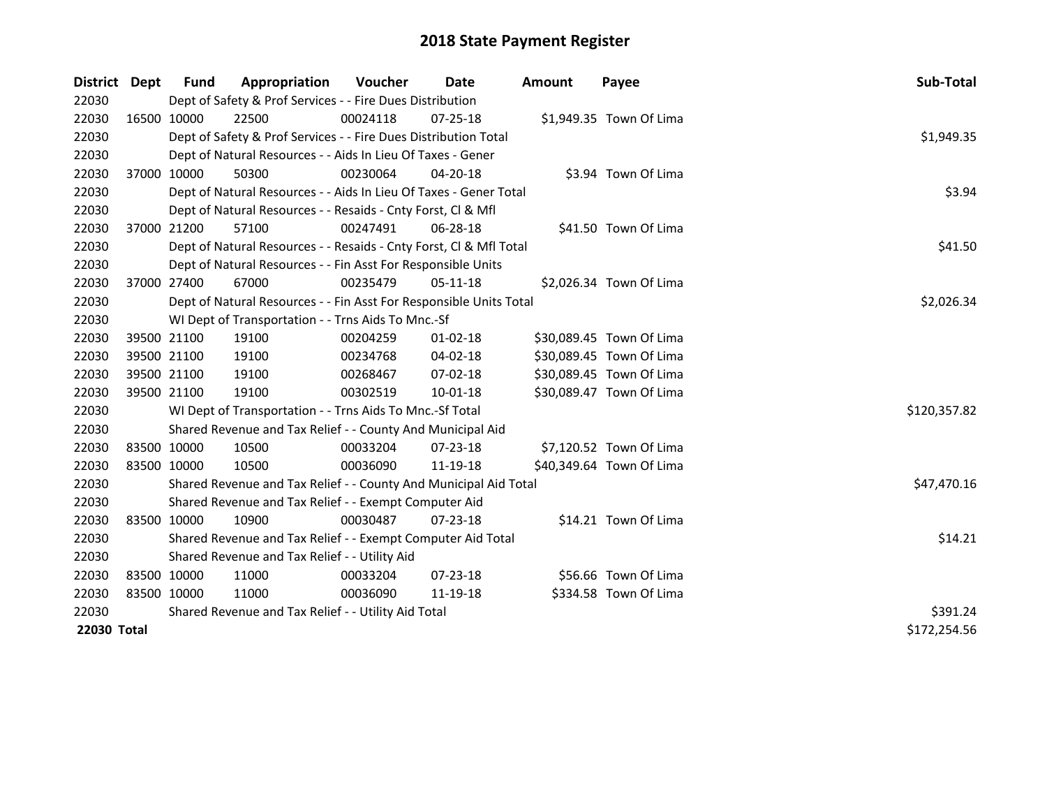| District    | Dept        | Fund        | Appropriation                                                      | Voucher  | Date           | <b>Amount</b> | Payee                    | Sub-Total    |
|-------------|-------------|-------------|--------------------------------------------------------------------|----------|----------------|---------------|--------------------------|--------------|
| 22030       |             |             | Dept of Safety & Prof Services - - Fire Dues Distribution          |          |                |               |                          |              |
| 22030       |             | 16500 10000 | 22500                                                              | 00024118 | $07 - 25 - 18$ |               | \$1,949.35 Town Of Lima  |              |
| 22030       |             |             | Dept of Safety & Prof Services - - Fire Dues Distribution Total    |          |                |               |                          | \$1,949.35   |
| 22030       |             |             | Dept of Natural Resources - - Aids In Lieu Of Taxes - Gener        |          |                |               |                          |              |
| 22030       | 37000 10000 |             | 50300                                                              | 00230064 | $04 - 20 - 18$ |               | \$3.94 Town Of Lima      |              |
| 22030       |             |             | Dept of Natural Resources - - Aids In Lieu Of Taxes - Gener Total  |          |                |               |                          | \$3.94       |
| 22030       |             |             | Dept of Natural Resources - - Resaids - Cnty Forst, Cl & Mfl       |          |                |               |                          |              |
| 22030       |             | 37000 21200 | 57100                                                              | 00247491 | 06-28-18       |               | \$41.50 Town Of Lima     |              |
| 22030       |             |             | Dept of Natural Resources - - Resaids - Cnty Forst, Cl & Mfl Total | \$41.50  |                |               |                          |              |
| 22030       |             |             | Dept of Natural Resources - - Fin Asst For Responsible Units       |          |                |               |                          |              |
| 22030       |             | 37000 27400 | 67000                                                              | 00235479 | $05-11-18$     |               | \$2,026.34 Town Of Lima  |              |
| 22030       |             |             | Dept of Natural Resources - - Fin Asst For Responsible Units Total |          |                |               |                          | \$2,026.34   |
| 22030       |             |             | WI Dept of Transportation - - Trns Aids To Mnc.-Sf                 |          |                |               |                          |              |
| 22030       |             | 39500 21100 | 19100                                                              | 00204259 | 01-02-18       |               | \$30,089.45 Town Of Lima |              |
| 22030       |             | 39500 21100 | 19100                                                              | 00234768 | 04-02-18       |               | \$30,089.45 Town Of Lima |              |
| 22030       |             | 39500 21100 | 19100                                                              | 00268467 | 07-02-18       |               | \$30,089.45 Town Of Lima |              |
| 22030       | 39500 21100 |             | 19100                                                              | 00302519 | $10 - 01 - 18$ |               | \$30,089.47 Town Of Lima |              |
| 22030       |             |             | WI Dept of Transportation - - Trns Aids To Mnc.-Sf Total           |          |                |               |                          | \$120,357.82 |
| 22030       |             |             | Shared Revenue and Tax Relief - - County And Municipal Aid         |          |                |               |                          |              |
| 22030       |             | 83500 10000 | 10500                                                              | 00033204 | $07 - 23 - 18$ |               | \$7,120.52 Town Of Lima  |              |
| 22030       | 83500 10000 |             | 10500                                                              | 00036090 | 11-19-18       |               | \$40,349.64 Town Of Lima |              |
| 22030       |             |             | Shared Revenue and Tax Relief - - County And Municipal Aid Total   |          |                |               |                          | \$47,470.16  |
| 22030       |             |             | Shared Revenue and Tax Relief - - Exempt Computer Aid              |          |                |               |                          |              |
| 22030       | 83500 10000 |             | 10900                                                              | 00030487 | $07 - 23 - 18$ |               | \$14.21 Town Of Lima     |              |
| 22030       |             |             | Shared Revenue and Tax Relief - - Exempt Computer Aid Total        | \$14.21  |                |               |                          |              |
| 22030       |             |             | Shared Revenue and Tax Relief - - Utility Aid                      |          |                |               |                          |              |
| 22030       |             | 83500 10000 | 11000                                                              | 00033204 | $07 - 23 - 18$ |               | \$56.66 Town Of Lima     |              |
| 22030       | 83500 10000 |             | 11000                                                              | 00036090 | 11-19-18       |               | \$334.58 Town Of Lima    |              |
| 22030       |             |             | Shared Revenue and Tax Relief - - Utility Aid Total                |          |                |               |                          | \$391.24     |
| 22030 Total |             |             |                                                                    |          |                |               |                          | \$172,254.56 |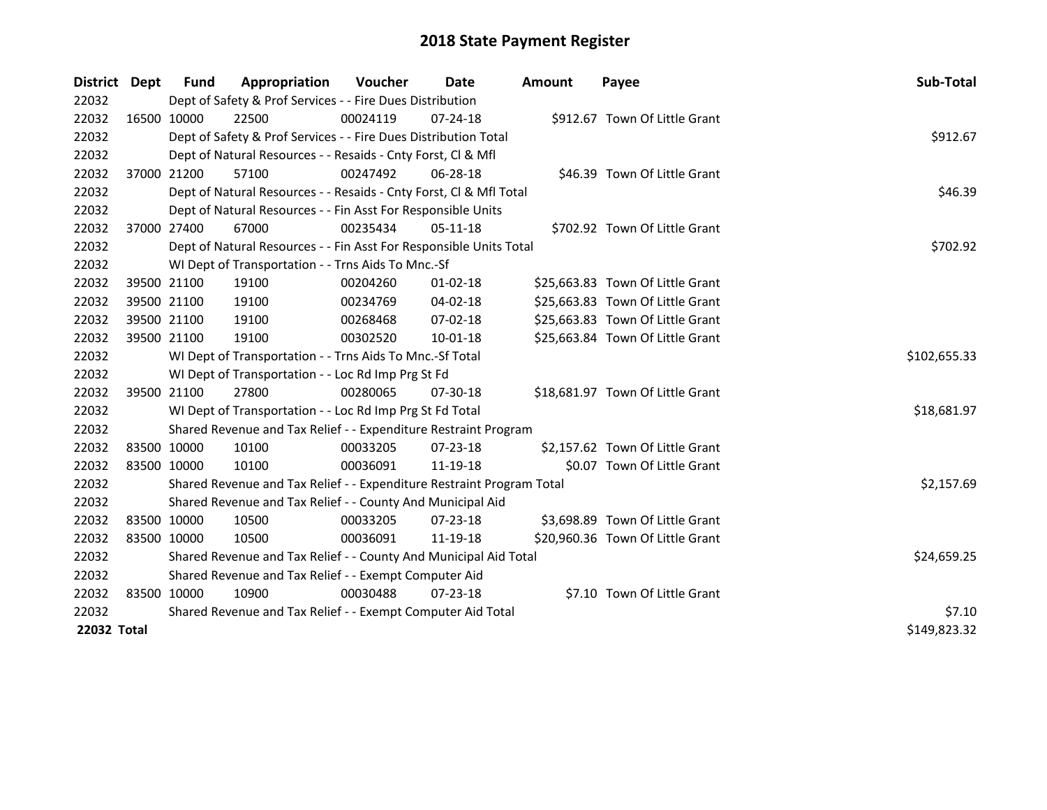| District Dept      | Fund        | Appropriation                                                         | Voucher      | Date           | <b>Amount</b> | Payee                            | Sub-Total    |
|--------------------|-------------|-----------------------------------------------------------------------|--------------|----------------|---------------|----------------------------------|--------------|
| 22032              |             | Dept of Safety & Prof Services - - Fire Dues Distribution             |              |                |               |                                  |              |
| 22032              | 16500 10000 | 22500                                                                 | 00024119     | $07 - 24 - 18$ |               | \$912.67 Town Of Little Grant    |              |
| 22032              |             | Dept of Safety & Prof Services - - Fire Dues Distribution Total       |              |                |               |                                  | \$912.67     |
| 22032              |             | Dept of Natural Resources - - Resaids - Cnty Forst, Cl & Mfl          |              |                |               |                                  |              |
| 22032              | 37000 21200 | 57100                                                                 | 00247492     | 06-28-18       |               | \$46.39 Town Of Little Grant     |              |
| 22032              |             | Dept of Natural Resources - - Resaids - Cnty Forst, Cl & Mfl Total    |              |                |               |                                  | \$46.39      |
| 22032              |             | Dept of Natural Resources - - Fin Asst For Responsible Units          |              |                |               |                                  |              |
| 22032              | 37000 27400 | 67000                                                                 | 00235434     | $05-11-18$     |               | \$702.92 Town Of Little Grant    |              |
| 22032              |             | Dept of Natural Resources - - Fin Asst For Responsible Units Total    |              |                |               |                                  | \$702.92     |
| 22032              |             | WI Dept of Transportation - - Trns Aids To Mnc.-Sf                    |              |                |               |                                  |              |
| 22032              | 39500 21100 | 19100                                                                 | 00204260     | $01 - 02 - 18$ |               | \$25,663.83 Town Of Little Grant |              |
| 22032              | 39500 21100 | 19100                                                                 | 00234769     | 04-02-18       |               | \$25,663.83 Town Of Little Grant |              |
| 22032              | 39500 21100 | 19100                                                                 | 00268468     | $07 - 02 - 18$ |               | \$25,663.83 Town Of Little Grant |              |
| 22032              | 39500 21100 | 19100                                                                 | 00302520     | 10-01-18       |               | \$25,663.84 Town Of Little Grant |              |
| 22032              |             | WI Dept of Transportation - - Trns Aids To Mnc.-Sf Total              | \$102,655.33 |                |               |                                  |              |
| 22032              |             | WI Dept of Transportation - - Loc Rd Imp Prg St Fd                    |              |                |               |                                  |              |
| 22032              | 39500 21100 | 27800                                                                 | 00280065     | 07-30-18       |               | \$18,681.97 Town Of Little Grant |              |
| 22032              |             | WI Dept of Transportation - - Loc Rd Imp Prg St Fd Total              |              |                |               |                                  | \$18,681.97  |
| 22032              |             | Shared Revenue and Tax Relief - - Expenditure Restraint Program       |              |                |               |                                  |              |
| 22032              | 83500 10000 | 10100                                                                 | 00033205     | $07 - 23 - 18$ |               | \$2,157.62 Town Of Little Grant  |              |
| 22032              | 83500 10000 | 10100                                                                 | 00036091     | 11-19-18       |               | \$0.07 Town Of Little Grant      |              |
| 22032              |             | Shared Revenue and Tax Relief - - Expenditure Restraint Program Total |              |                |               |                                  | \$2,157.69   |
| 22032              |             | Shared Revenue and Tax Relief - - County And Municipal Aid            |              |                |               |                                  |              |
| 22032              | 83500 10000 | 10500                                                                 | 00033205     | 07-23-18       |               | \$3,698.89 Town Of Little Grant  |              |
| 22032              | 83500 10000 | 10500                                                                 | 00036091     | 11-19-18       |               | \$20,960.36 Town Of Little Grant |              |
| 22032              |             | Shared Revenue and Tax Relief - - County And Municipal Aid Total      | \$24,659.25  |                |               |                                  |              |
| 22032              |             | Shared Revenue and Tax Relief - - Exempt Computer Aid                 |              |                |               |                                  |              |
| 22032              | 83500 10000 | 10900                                                                 | 00030488     | $07 - 23 - 18$ |               | \$7.10 Town Of Little Grant      |              |
| 22032              |             | Shared Revenue and Tax Relief - - Exempt Computer Aid Total           | \$7.10       |                |               |                                  |              |
| <b>22032 Total</b> |             |                                                                       |              |                |               |                                  | \$149,823.32 |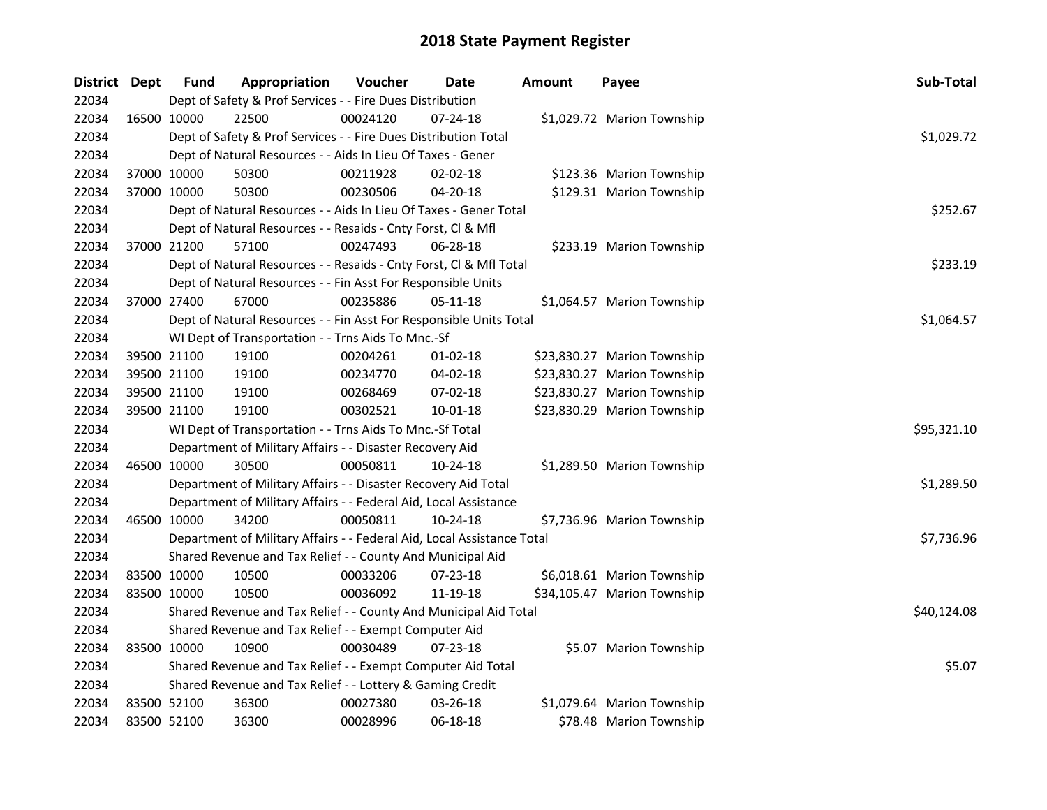| District Dept |             | <b>Fund</b> | Appropriation                                                          | Voucher  | Date           | <b>Amount</b> | Payee                       | Sub-Total   |
|---------------|-------------|-------------|------------------------------------------------------------------------|----------|----------------|---------------|-----------------------------|-------------|
| 22034         |             |             | Dept of Safety & Prof Services - - Fire Dues Distribution              |          |                |               |                             |             |
| 22034         | 16500 10000 |             | 22500                                                                  | 00024120 | $07 - 24 - 18$ |               | \$1,029.72 Marion Township  |             |
| 22034         |             |             | Dept of Safety & Prof Services - - Fire Dues Distribution Total        |          |                |               |                             | \$1,029.72  |
| 22034         |             |             | Dept of Natural Resources - - Aids In Lieu Of Taxes - Gener            |          |                |               |                             |             |
| 22034         | 37000 10000 |             | 50300                                                                  | 00211928 | $02 - 02 - 18$ |               | \$123.36 Marion Township    |             |
| 22034         | 37000 10000 |             | 50300                                                                  | 00230506 | 04-20-18       |               | \$129.31 Marion Township    |             |
| 22034         |             |             | Dept of Natural Resources - - Aids In Lieu Of Taxes - Gener Total      |          |                |               |                             | \$252.67    |
| 22034         |             |             | Dept of Natural Resources - - Resaids - Cnty Forst, Cl & Mfl           |          |                |               |                             |             |
| 22034         | 37000 21200 |             | 57100                                                                  | 00247493 | 06-28-18       |               | \$233.19 Marion Township    |             |
| 22034         |             |             | Dept of Natural Resources - - Resaids - Cnty Forst, CI & Mfl Total     |          |                |               |                             | \$233.19    |
| 22034         |             |             | Dept of Natural Resources - - Fin Asst For Responsible Units           |          |                |               |                             |             |
| 22034         | 37000 27400 |             | 67000                                                                  | 00235886 | 05-11-18       |               | \$1,064.57 Marion Township  |             |
| 22034         |             |             | Dept of Natural Resources - - Fin Asst For Responsible Units Total     |          |                |               |                             | \$1,064.57  |
| 22034         |             |             | WI Dept of Transportation - - Trns Aids To Mnc.-Sf                     |          |                |               |                             |             |
| 22034         | 39500 21100 |             | 19100                                                                  | 00204261 | $01 - 02 - 18$ |               | \$23,830.27 Marion Township |             |
| 22034         | 39500 21100 |             | 19100                                                                  | 00234770 | 04-02-18       |               | \$23,830.27 Marion Township |             |
| 22034         | 39500 21100 |             | 19100                                                                  | 00268469 | 07-02-18       |               | \$23,830.27 Marion Township |             |
| 22034         | 39500 21100 |             | 19100                                                                  | 00302521 | 10-01-18       |               | \$23,830.29 Marion Township |             |
| 22034         |             |             | WI Dept of Transportation - - Trns Aids To Mnc.-Sf Total               |          |                |               |                             | \$95,321.10 |
| 22034         |             |             | Department of Military Affairs - - Disaster Recovery Aid               |          |                |               |                             |             |
| 22034         | 46500 10000 |             | 30500                                                                  | 00050811 | 10-24-18       |               | \$1,289.50 Marion Township  |             |
| 22034         |             |             | Department of Military Affairs - - Disaster Recovery Aid Total         |          |                |               |                             | \$1,289.50  |
| 22034         |             |             | Department of Military Affairs - - Federal Aid, Local Assistance       |          |                |               |                             |             |
| 22034         | 46500 10000 |             | 34200                                                                  | 00050811 | 10-24-18       |               | \$7,736.96 Marion Township  |             |
| 22034         |             |             | Department of Military Affairs - - Federal Aid, Local Assistance Total |          |                |               |                             | \$7,736.96  |
| 22034         |             |             | Shared Revenue and Tax Relief - - County And Municipal Aid             |          |                |               |                             |             |
| 22034         |             | 83500 10000 | 10500                                                                  | 00033206 | 07-23-18       |               | \$6,018.61 Marion Township  |             |
| 22034         | 83500 10000 |             | 10500                                                                  | 00036092 | 11-19-18       |               | \$34,105.47 Marion Township |             |
| 22034         |             |             | Shared Revenue and Tax Relief - - County And Municipal Aid Total       |          |                |               |                             | \$40,124.08 |
| 22034         |             |             | Shared Revenue and Tax Relief - - Exempt Computer Aid                  |          |                |               |                             |             |
| 22034         |             | 83500 10000 | 10900                                                                  | 00030489 | 07-23-18       |               | \$5.07 Marion Township      |             |
| 22034         |             |             | Shared Revenue and Tax Relief - - Exempt Computer Aid Total            |          |                |               |                             | \$5.07      |
| 22034         |             |             | Shared Revenue and Tax Relief - - Lottery & Gaming Credit              |          |                |               |                             |             |
| 22034         | 83500 52100 |             | 36300                                                                  | 00027380 | 03-26-18       |               | \$1,079.64 Marion Township  |             |
| 22034         | 83500 52100 |             | 36300                                                                  | 00028996 | 06-18-18       |               | \$78.48 Marion Township     |             |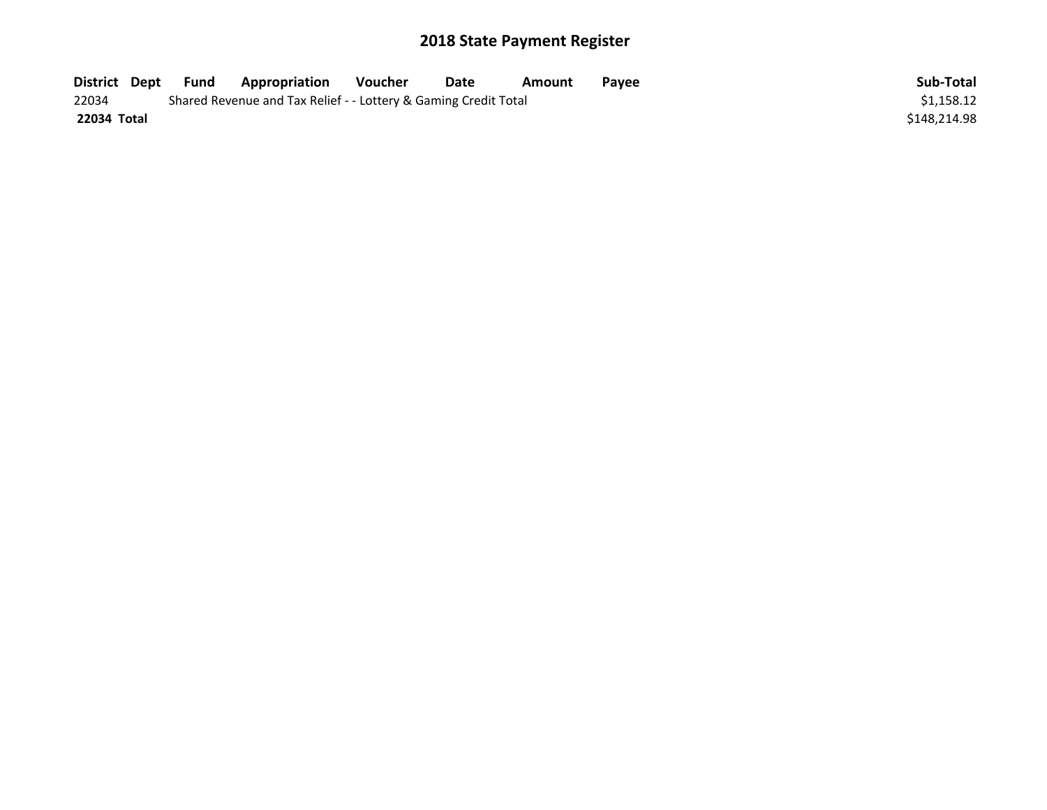| District Dept | Fund | <b>Appropriation</b>                                            | Voucher | Date | Amount | Pavee | Sub-Total    |
|---------------|------|-----------------------------------------------------------------|---------|------|--------|-------|--------------|
| 22034         |      | Shared Revenue and Tax Relief - - Lottery & Gaming Credit Total |         |      |        |       | \$1.158.12   |
| 22034 Total   |      |                                                                 |         |      |        |       | \$148.214.98 |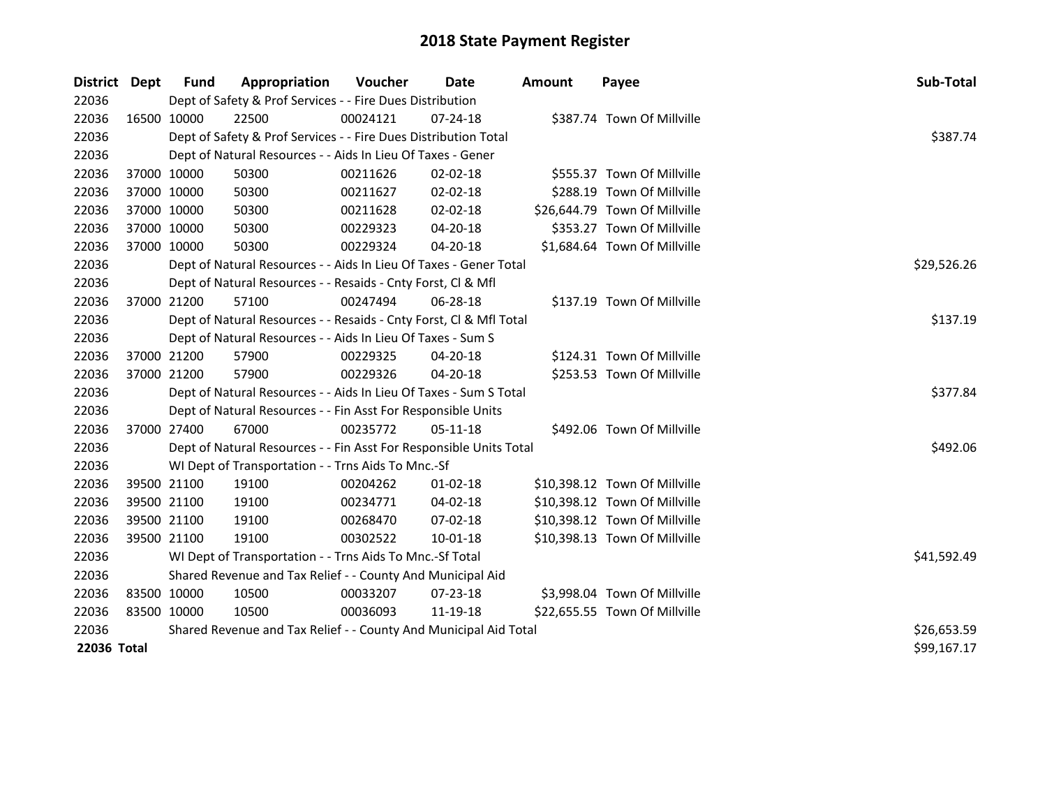| District Dept |             | <b>Fund</b> | Appropriation                                                      | Voucher     | <b>Date</b>    | Amount | Payee                         | Sub-Total   |
|---------------|-------------|-------------|--------------------------------------------------------------------|-------------|----------------|--------|-------------------------------|-------------|
| 22036         |             |             | Dept of Safety & Prof Services - - Fire Dues Distribution          |             |                |        |                               |             |
| 22036         |             | 16500 10000 | 22500                                                              | 00024121    | 07-24-18       |        | \$387.74 Town Of Millville    |             |
| 22036         |             |             | Dept of Safety & Prof Services - - Fire Dues Distribution Total    |             |                |        |                               | \$387.74    |
| 22036         |             |             | Dept of Natural Resources - - Aids In Lieu Of Taxes - Gener        |             |                |        |                               |             |
| 22036         |             | 37000 10000 | 50300                                                              | 00211626    | 02-02-18       |        | \$555.37 Town Of Millville    |             |
| 22036         |             | 37000 10000 | 50300                                                              | 00211627    | 02-02-18       |        | \$288.19 Town Of Millville    |             |
| 22036         |             | 37000 10000 | 50300                                                              | 00211628    | 02-02-18       |        | \$26,644.79 Town Of Millville |             |
| 22036         |             | 37000 10000 | 50300                                                              | 00229323    | 04-20-18       |        | \$353.27 Town Of Millville    |             |
| 22036         |             | 37000 10000 | 50300                                                              | 00229324    | 04-20-18       |        | \$1,684.64 Town Of Millville  |             |
| 22036         |             |             | Dept of Natural Resources - - Aids In Lieu Of Taxes - Gener Total  | \$29,526.26 |                |        |                               |             |
| 22036         |             |             | Dept of Natural Resources - - Resaids - Cnty Forst, Cl & Mfl       |             |                |        |                               |             |
| 22036         |             | 37000 21200 | 57100                                                              | 00247494    | 06-28-18       |        | \$137.19 Town Of Millville    |             |
| 22036         |             |             | Dept of Natural Resources - - Resaids - Cnty Forst, Cl & Mfl Total |             |                |        |                               | \$137.19    |
| 22036         |             |             | Dept of Natural Resources - - Aids In Lieu Of Taxes - Sum S        |             |                |        |                               |             |
| 22036         |             | 37000 21200 | 57900                                                              | 00229325    | 04-20-18       |        | \$124.31 Town Of Millville    |             |
| 22036         |             | 37000 21200 | 57900                                                              | 00229326    | 04-20-18       |        | \$253.53 Town Of Millville    |             |
| 22036         |             |             | Dept of Natural Resources - - Aids In Lieu Of Taxes - Sum S Total  |             |                |        |                               | \$377.84    |
| 22036         |             |             | Dept of Natural Resources - - Fin Asst For Responsible Units       |             |                |        |                               |             |
| 22036         |             | 37000 27400 | 67000                                                              | 00235772    | 05-11-18       |        | \$492.06 Town Of Millville    |             |
| 22036         |             |             | Dept of Natural Resources - - Fin Asst For Responsible Units Total |             |                |        |                               | \$492.06    |
| 22036         |             |             | WI Dept of Transportation - - Trns Aids To Mnc.-Sf                 |             |                |        |                               |             |
| 22036         |             | 39500 21100 | 19100                                                              | 00204262    | $01 - 02 - 18$ |        | \$10,398.12 Town Of Millville |             |
| 22036         |             | 39500 21100 | 19100                                                              | 00234771    | 04-02-18       |        | \$10,398.12 Town Of Millville |             |
| 22036         |             | 39500 21100 | 19100                                                              | 00268470    | 07-02-18       |        | \$10,398.12 Town Of Millville |             |
| 22036         |             | 39500 21100 | 19100                                                              | 00302522    | 10-01-18       |        | \$10,398.13 Town Of Millville |             |
| 22036         |             |             | WI Dept of Transportation - - Trns Aids To Mnc.-Sf Total           |             |                |        |                               | \$41,592.49 |
| 22036         |             |             | Shared Revenue and Tax Relief - - County And Municipal Aid         |             |                |        |                               |             |
| 22036         |             | 83500 10000 | 10500                                                              | 00033207    | $07 - 23 - 18$ |        | \$3,998.04 Town Of Millville  |             |
| 22036         | 83500 10000 |             | 10500                                                              | 00036093    | 11-19-18       |        | \$22,655.55 Town Of Millville |             |
| 22036         |             |             | Shared Revenue and Tax Relief - - County And Municipal Aid Total   |             |                |        |                               | \$26,653.59 |
| 22036 Total   |             |             |                                                                    |             |                |        |                               | \$99,167.17 |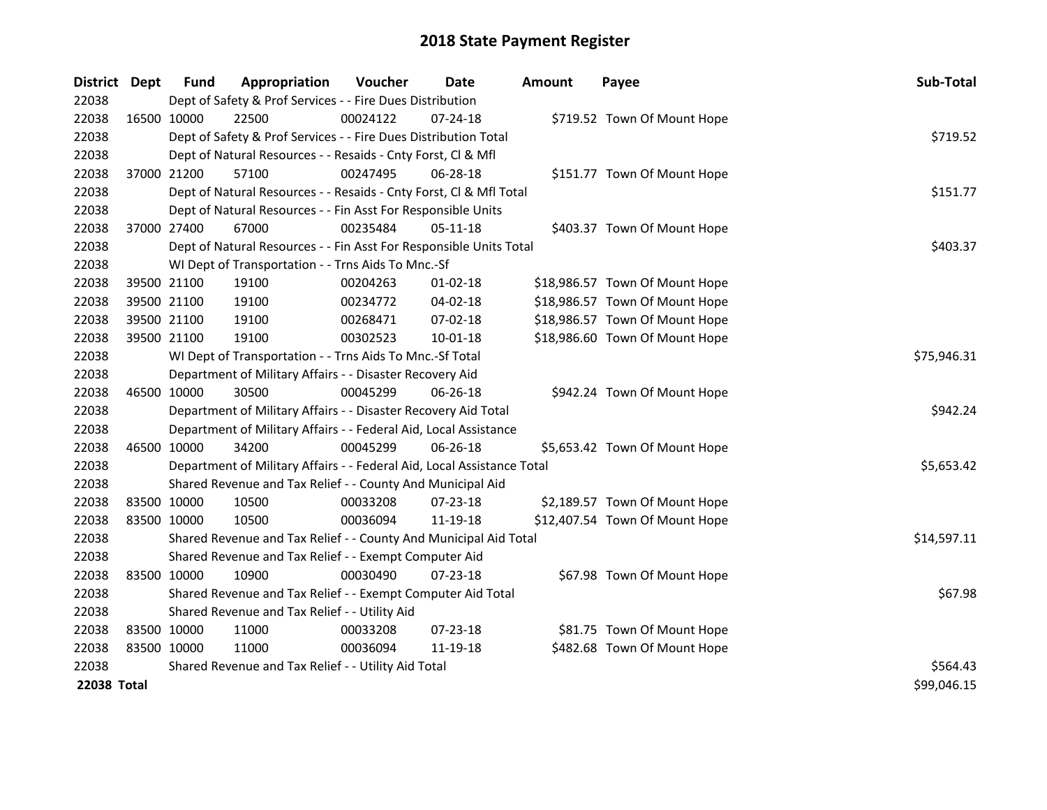| District Dept      |             | <b>Fund</b>                                   | Appropriation                                                          | Voucher     | <b>Date</b>    | <b>Amount</b> | Payee                          | Sub-Total   |  |  |
|--------------------|-------------|-----------------------------------------------|------------------------------------------------------------------------|-------------|----------------|---------------|--------------------------------|-------------|--|--|
| 22038              |             |                                               | Dept of Safety & Prof Services - - Fire Dues Distribution              |             |                |               |                                |             |  |  |
| 22038              |             | 16500 10000                                   | 22500                                                                  | 00024122    | $07 - 24 - 18$ |               | \$719.52 Town Of Mount Hope    |             |  |  |
| 22038              |             |                                               | Dept of Safety & Prof Services - - Fire Dues Distribution Total        |             |                |               |                                | \$719.52    |  |  |
| 22038              |             |                                               | Dept of Natural Resources - - Resaids - Cnty Forst, Cl & Mfl           |             |                |               |                                |             |  |  |
| 22038              |             | 37000 21200                                   | 57100                                                                  | 00247495    | 06-28-18       |               | \$151.77 Town Of Mount Hope    |             |  |  |
| 22038              |             |                                               | Dept of Natural Resources - - Resaids - Cnty Forst, Cl & Mfl Total     |             |                | \$151.77      |                                |             |  |  |
| 22038              |             |                                               | Dept of Natural Resources - - Fin Asst For Responsible Units           |             |                |               |                                |             |  |  |
| 22038              |             | 37000 27400                                   | 67000                                                                  | 00235484    | 05-11-18       |               | \$403.37 Town Of Mount Hope    |             |  |  |
| 22038              |             |                                               | Dept of Natural Resources - - Fin Asst For Responsible Units Total     |             |                |               |                                | \$403.37    |  |  |
| 22038              |             |                                               | WI Dept of Transportation - - Trns Aids To Mnc.-Sf                     |             |                |               |                                |             |  |  |
| 22038              |             | 39500 21100                                   | 19100                                                                  | 00204263    | 01-02-18       |               | \$18,986.57 Town Of Mount Hope |             |  |  |
| 22038              |             | 39500 21100                                   | 19100                                                                  | 00234772    | 04-02-18       |               | \$18,986.57 Town Of Mount Hope |             |  |  |
| 22038              |             | 39500 21100                                   | 19100                                                                  | 00268471    | 07-02-18       |               | \$18,986.57 Town Of Mount Hope |             |  |  |
| 22038              |             | 39500 21100                                   | 19100                                                                  | 00302523    | 10-01-18       |               | \$18,986.60 Town Of Mount Hope |             |  |  |
| 22038              |             |                                               | WI Dept of Transportation - - Trns Aids To Mnc.-Sf Total               | \$75,946.31 |                |               |                                |             |  |  |
| 22038              |             |                                               | Department of Military Affairs - - Disaster Recovery Aid               |             |                |               |                                |             |  |  |
| 22038              |             | 46500 10000                                   | 30500                                                                  | 00045299    | 06-26-18       |               | \$942.24 Town Of Mount Hope    |             |  |  |
| 22038              |             |                                               | Department of Military Affairs - - Disaster Recovery Aid Total         |             |                |               |                                | \$942.24    |  |  |
| 22038              |             |                                               | Department of Military Affairs - - Federal Aid, Local Assistance       |             |                |               |                                |             |  |  |
| 22038              |             | 46500 10000                                   | 34200                                                                  | 00045299    | 06-26-18       |               | \$5,653.42 Town Of Mount Hope  |             |  |  |
| 22038              |             |                                               | Department of Military Affairs - - Federal Aid, Local Assistance Total |             |                |               |                                | \$5,653.42  |  |  |
| 22038              |             |                                               | Shared Revenue and Tax Relief - - County And Municipal Aid             |             |                |               |                                |             |  |  |
| 22038              |             | 83500 10000                                   | 10500                                                                  | 00033208    | 07-23-18       |               | \$2,189.57 Town Of Mount Hope  |             |  |  |
| 22038              | 83500 10000 |                                               | 10500                                                                  | 00036094    | 11-19-18       |               | \$12,407.54 Town Of Mount Hope |             |  |  |
| 22038              |             |                                               | Shared Revenue and Tax Relief - - County And Municipal Aid Total       |             |                |               |                                | \$14,597.11 |  |  |
| 22038              |             |                                               | Shared Revenue and Tax Relief - - Exempt Computer Aid                  |             |                |               |                                |             |  |  |
| 22038              |             | 83500 10000                                   | 10900                                                                  | 00030490    | 07-23-18       |               | \$67.98 Town Of Mount Hope     |             |  |  |
| 22038              |             |                                               | Shared Revenue and Tax Relief - - Exempt Computer Aid Total            |             |                |               |                                | \$67.98     |  |  |
| 22038              |             | Shared Revenue and Tax Relief - - Utility Aid |                                                                        |             |                |               |                                |             |  |  |
| 22038              |             | 83500 10000                                   | 11000                                                                  | 00033208    | 07-23-18       |               | \$81.75 Town Of Mount Hope     |             |  |  |
| 22038              | 83500 10000 |                                               | 11000                                                                  | 00036094    | 11-19-18       |               | \$482.68 Town Of Mount Hope    |             |  |  |
| 22038              |             |                                               | Shared Revenue and Tax Relief - - Utility Aid Total                    | \$564.43    |                |               |                                |             |  |  |
| <b>22038 Total</b> |             |                                               |                                                                        |             |                |               |                                | \$99,046.15 |  |  |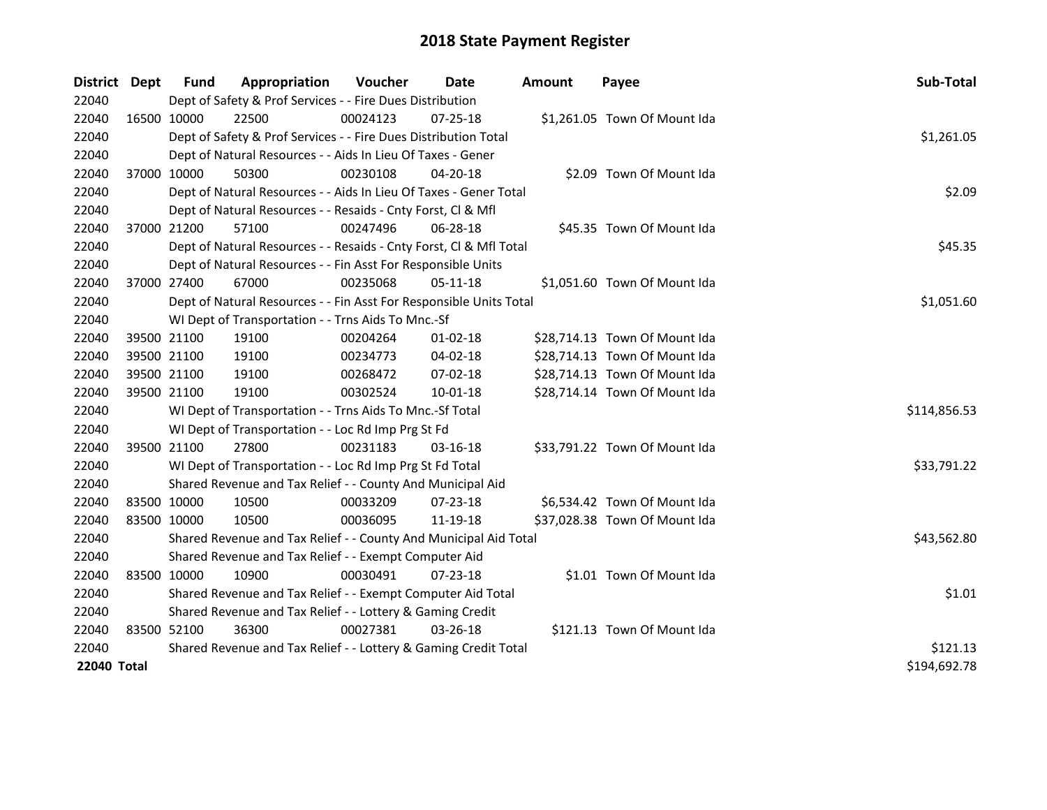| District           | <b>Dept</b> | Fund                                                        | Appropriation                                                      | <b>Voucher</b> | Date           | <b>Amount</b> | Payee                         | Sub-Total    |  |  |
|--------------------|-------------|-------------------------------------------------------------|--------------------------------------------------------------------|----------------|----------------|---------------|-------------------------------|--------------|--|--|
| 22040              |             |                                                             | Dept of Safety & Prof Services - - Fire Dues Distribution          |                |                |               |                               |              |  |  |
| 22040              |             | 16500 10000                                                 | 22500                                                              | 00024123       | 07-25-18       |               | \$1,261.05 Town Of Mount Ida  |              |  |  |
| 22040              |             |                                                             | Dept of Safety & Prof Services - - Fire Dues Distribution Total    |                |                |               |                               | \$1,261.05   |  |  |
| 22040              |             |                                                             | Dept of Natural Resources - - Aids In Lieu Of Taxes - Gener        |                |                |               |                               |              |  |  |
| 22040              |             | 37000 10000                                                 | 50300                                                              | 00230108       | 04-20-18       |               | \$2.09 Town Of Mount Ida      |              |  |  |
| 22040              |             |                                                             | Dept of Natural Resources - - Aids In Lieu Of Taxes - Gener Total  |                |                |               |                               | \$2.09       |  |  |
| 22040              |             |                                                             | Dept of Natural Resources - - Resaids - Cnty Forst, Cl & Mfl       |                |                |               |                               |              |  |  |
| 22040              |             | 37000 21200                                                 | 57100                                                              | 00247496       | 06-28-18       |               | \$45.35 Town Of Mount Ida     |              |  |  |
| 22040              |             |                                                             | Dept of Natural Resources - - Resaids - Cnty Forst, Cl & Mfl Total |                |                |               |                               | \$45.35      |  |  |
| 22040              |             |                                                             | Dept of Natural Resources - - Fin Asst For Responsible Units       |                |                |               |                               |              |  |  |
| 22040              |             | 37000 27400                                                 | 67000                                                              | 00235068       | 05-11-18       |               | \$1,051.60 Town Of Mount Ida  |              |  |  |
| 22040              |             |                                                             | Dept of Natural Resources - - Fin Asst For Responsible Units Total |                |                |               |                               | \$1,051.60   |  |  |
| 22040              |             |                                                             | WI Dept of Transportation - - Trns Aids To Mnc.-Sf                 |                |                |               |                               |              |  |  |
| 22040              |             | 39500 21100                                                 | 19100                                                              | 00204264       | $01 - 02 - 18$ |               | \$28,714.13 Town Of Mount Ida |              |  |  |
| 22040              |             | 39500 21100                                                 | 19100                                                              | 00234773       | 04-02-18       |               | \$28,714.13 Town Of Mount Ida |              |  |  |
| 22040              |             | 39500 21100                                                 | 19100                                                              | 00268472       | 07-02-18       |               | \$28,714.13 Town Of Mount Ida |              |  |  |
| 22040              |             | 39500 21100                                                 | 19100                                                              | 00302524       | $10 - 01 - 18$ |               | \$28,714.14 Town Of Mount Ida |              |  |  |
| 22040              |             |                                                             | WI Dept of Transportation - - Trns Aids To Mnc.-Sf Total           |                |                |               |                               | \$114,856.53 |  |  |
| 22040              |             |                                                             | WI Dept of Transportation - - Loc Rd Imp Prg St Fd                 |                |                |               |                               |              |  |  |
| 22040              |             | 39500 21100                                                 | 27800                                                              | 00231183       | 03-16-18       |               | \$33,791.22 Town Of Mount Ida |              |  |  |
| 22040              |             |                                                             | WI Dept of Transportation - - Loc Rd Imp Prg St Fd Total           |                |                |               |                               | \$33,791.22  |  |  |
| 22040              |             |                                                             | Shared Revenue and Tax Relief - - County And Municipal Aid         |                |                |               |                               |              |  |  |
| 22040              |             | 83500 10000                                                 | 10500                                                              | 00033209       | $07 - 23 - 18$ |               | \$6,534.42 Town Of Mount Ida  |              |  |  |
| 22040              |             | 83500 10000                                                 | 10500                                                              | 00036095       | 11-19-18       |               | \$37,028.38 Town Of Mount Ida |              |  |  |
| 22040              |             |                                                             | Shared Revenue and Tax Relief - - County And Municipal Aid Total   |                |                |               |                               | \$43,562.80  |  |  |
| 22040              |             |                                                             | Shared Revenue and Tax Relief - - Exempt Computer Aid              |                |                |               |                               |              |  |  |
| 22040              |             | 83500 10000                                                 | 10900                                                              | 00030491       | $07 - 23 - 18$ |               | \$1.01 Town Of Mount Ida      |              |  |  |
| 22040              |             | Shared Revenue and Tax Relief - - Exempt Computer Aid Total | \$1.01                                                             |                |                |               |                               |              |  |  |
| 22040              |             | Shared Revenue and Tax Relief - - Lottery & Gaming Credit   |                                                                    |                |                |               |                               |              |  |  |
| 22040              |             | 83500 52100                                                 | 36300                                                              | 00027381       | 03-26-18       |               | \$121.13 Town Of Mount Ida    |              |  |  |
| 22040              |             |                                                             | Shared Revenue and Tax Relief - - Lottery & Gaming Credit Total    | \$121.13       |                |               |                               |              |  |  |
| <b>22040 Total</b> |             |                                                             |                                                                    |                |                |               |                               |              |  |  |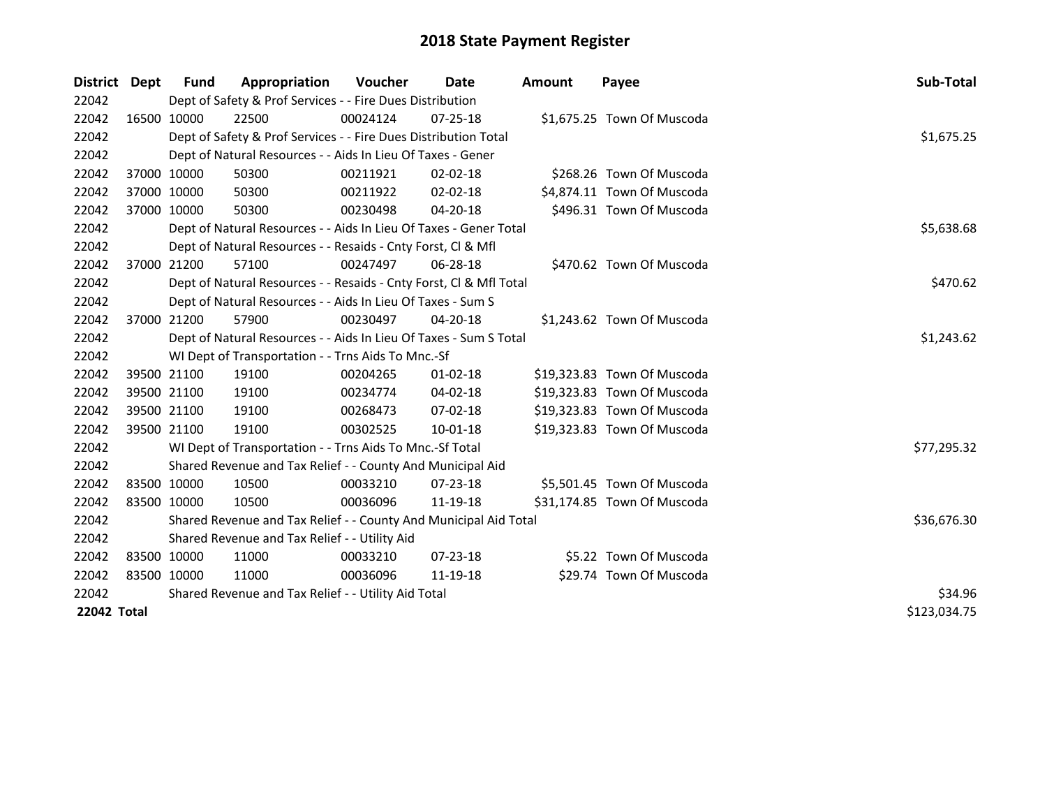| District Dept | <b>Fund</b> | Appropriation                                                      | <b>Voucher</b> | Date           | <b>Amount</b> | Payee                       | Sub-Total    |
|---------------|-------------|--------------------------------------------------------------------|----------------|----------------|---------------|-----------------------------|--------------|
| 22042         |             | Dept of Safety & Prof Services - - Fire Dues Distribution          |                |                |               |                             |              |
| 22042         | 16500 10000 | 22500                                                              | 00024124       | 07-25-18       |               | \$1,675.25 Town Of Muscoda  |              |
| 22042         |             | Dept of Safety & Prof Services - - Fire Dues Distribution Total    |                |                |               |                             | \$1,675.25   |
| 22042         |             | Dept of Natural Resources - - Aids In Lieu Of Taxes - Gener        |                |                |               |                             |              |
| 22042         | 37000 10000 | 50300                                                              | 00211921       | $02 - 02 - 18$ |               | \$268.26 Town Of Muscoda    |              |
| 22042         | 37000 10000 | 50300                                                              | 00211922       | $02 - 02 - 18$ |               | \$4,874.11 Town Of Muscoda  |              |
| 22042         | 37000 10000 | 50300                                                              | 00230498       | 04-20-18       |               | \$496.31 Town Of Muscoda    |              |
| 22042         |             | Dept of Natural Resources - - Aids In Lieu Of Taxes - Gener Total  | \$5,638.68     |                |               |                             |              |
| 22042         |             | Dept of Natural Resources - - Resaids - Cnty Forst, CI & Mfl       |                |                |               |                             |              |
| 22042         | 37000 21200 | 57100                                                              | 00247497       | 06-28-18       |               | \$470.62 Town Of Muscoda    |              |
| 22042         |             | Dept of Natural Resources - - Resaids - Cnty Forst, Cl & Mfl Total |                |                |               |                             | \$470.62     |
| 22042         |             | Dept of Natural Resources - - Aids In Lieu Of Taxes - Sum S        |                |                |               |                             |              |
| 22042         | 37000 21200 | 57900                                                              | 00230497       | 04-20-18       |               | \$1,243.62 Town Of Muscoda  |              |
| 22042         |             | Dept of Natural Resources - - Aids In Lieu Of Taxes - Sum S Total  | \$1,243.62     |                |               |                             |              |
| 22042         |             | WI Dept of Transportation - - Trns Aids To Mnc.-Sf                 |                |                |               |                             |              |
| 22042         | 39500 21100 | 19100                                                              | 00204265       | $01 - 02 - 18$ |               | \$19,323.83 Town Of Muscoda |              |
| 22042         | 39500 21100 | 19100                                                              | 00234774       | 04-02-18       |               | \$19,323.83 Town Of Muscoda |              |
| 22042         | 39500 21100 | 19100                                                              | 00268473       | $07 - 02 - 18$ |               | \$19,323.83 Town Of Muscoda |              |
| 22042         | 39500 21100 | 19100                                                              | 00302525       | $10 - 01 - 18$ |               | \$19,323.83 Town Of Muscoda |              |
| 22042         |             | WI Dept of Transportation - - Trns Aids To Mnc.-Sf Total           |                |                |               |                             | \$77,295.32  |
| 22042         |             | Shared Revenue and Tax Relief - - County And Municipal Aid         |                |                |               |                             |              |
| 22042         | 83500 10000 | 10500                                                              | 00033210       | 07-23-18       |               | \$5,501.45 Town Of Muscoda  |              |
| 22042         | 83500 10000 | 10500                                                              | 00036096       | 11-19-18       |               | \$31,174.85 Town Of Muscoda |              |
| 22042         |             | Shared Revenue and Tax Relief - - County And Municipal Aid Total   | \$36,676.30    |                |               |                             |              |
| 22042         |             | Shared Revenue and Tax Relief - - Utility Aid                      |                |                |               |                             |              |
| 22042         | 83500 10000 | 11000                                                              | 00033210       | 07-23-18       |               | \$5.22 Town Of Muscoda      |              |
| 22042         | 83500 10000 | 11000                                                              | 00036096       | 11-19-18       |               | \$29.74 Town Of Muscoda     |              |
| 22042         |             | Shared Revenue and Tax Relief - - Utility Aid Total                | \$34.96        |                |               |                             |              |
| 22042 Total   |             |                                                                    |                |                |               |                             | \$123,034.75 |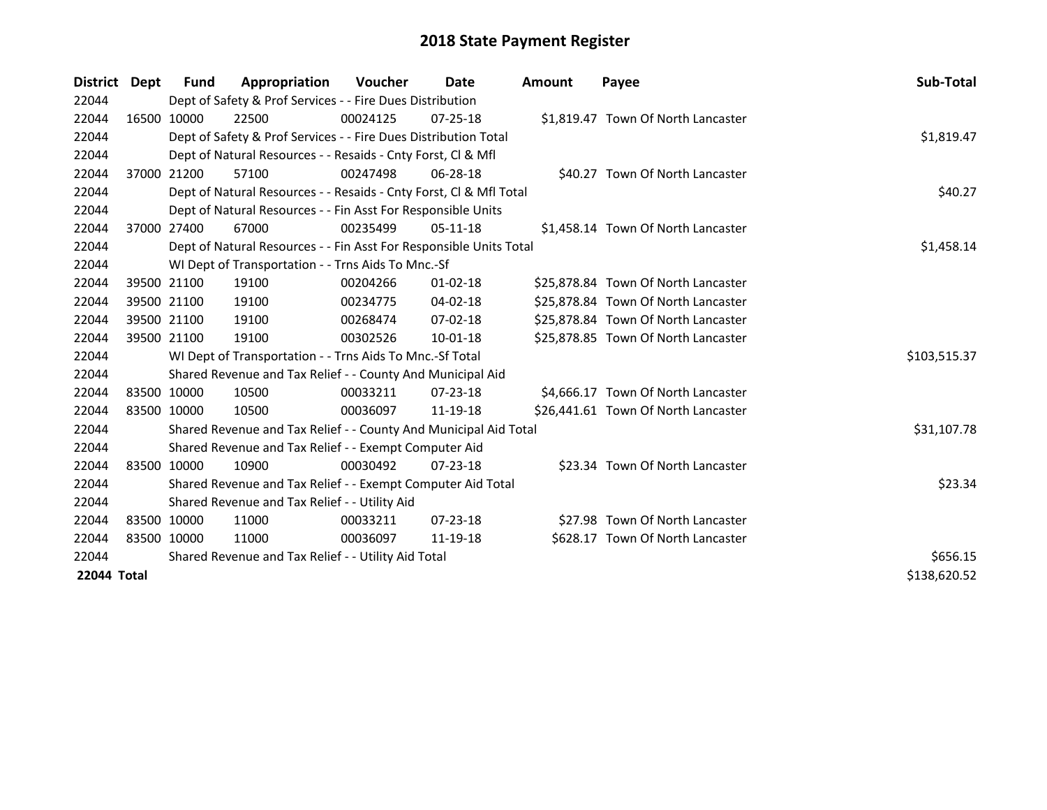| District    | Dept | <b>Fund</b> | Appropriation                                                      | <b>Voucher</b> | Date           | <b>Amount</b> | Payee                               | Sub-Total    |  |  |
|-------------|------|-------------|--------------------------------------------------------------------|----------------|----------------|---------------|-------------------------------------|--------------|--|--|
| 22044       |      |             | Dept of Safety & Prof Services - - Fire Dues Distribution          |                |                |               |                                     |              |  |  |
| 22044       |      | 16500 10000 | 22500                                                              | 00024125       | $07 - 25 - 18$ |               | \$1,819.47 Town Of North Lancaster  |              |  |  |
| 22044       |      |             | Dept of Safety & Prof Services - - Fire Dues Distribution Total    |                |                |               |                                     | \$1,819.47   |  |  |
| 22044       |      |             | Dept of Natural Resources - - Resaids - Cnty Forst, CI & Mfl       |                |                |               |                                     |              |  |  |
| 22044       |      | 37000 21200 | 57100                                                              | 00247498       | $06 - 28 - 18$ |               | \$40.27 Town Of North Lancaster     |              |  |  |
| 22044       |      |             | Dept of Natural Resources - - Resaids - Cnty Forst, Cl & Mfl Total | \$40.27        |                |               |                                     |              |  |  |
| 22044       |      |             | Dept of Natural Resources - - Fin Asst For Responsible Units       |                |                |               |                                     |              |  |  |
| 22044       |      | 37000 27400 | 67000                                                              | 00235499       | $05-11-18$     |               | \$1,458.14 Town Of North Lancaster  |              |  |  |
| 22044       |      |             | Dept of Natural Resources - - Fin Asst For Responsible Units Total |                |                |               |                                     | \$1,458.14   |  |  |
| 22044       |      |             | WI Dept of Transportation - - Trns Aids To Mnc.-Sf                 |                |                |               |                                     |              |  |  |
| 22044       |      | 39500 21100 | 19100                                                              | 00204266       | $01 - 02 - 18$ |               | \$25,878.84 Town Of North Lancaster |              |  |  |
| 22044       |      | 39500 21100 | 19100                                                              | 00234775       | 04-02-18       |               | \$25,878.84 Town Of North Lancaster |              |  |  |
| 22044       |      | 39500 21100 | 19100                                                              | 00268474       | $07 - 02 - 18$ |               | \$25,878.84 Town Of North Lancaster |              |  |  |
| 22044       |      | 39500 21100 | 19100                                                              | 00302526       | 10-01-18       |               | \$25,878.85 Town Of North Lancaster |              |  |  |
| 22044       |      |             | WI Dept of Transportation - - Trns Aids To Mnc.-Sf Total           |                |                |               |                                     | \$103,515.37 |  |  |
| 22044       |      |             | Shared Revenue and Tax Relief - - County And Municipal Aid         |                |                |               |                                     |              |  |  |
| 22044       |      | 83500 10000 | 10500                                                              | 00033211       | 07-23-18       |               | \$4,666.17 Town Of North Lancaster  |              |  |  |
| 22044       |      | 83500 10000 | 10500                                                              | 00036097       | 11-19-18       |               | \$26,441.61 Town Of North Lancaster |              |  |  |
| 22044       |      |             | Shared Revenue and Tax Relief - - County And Municipal Aid Total   |                |                |               |                                     | \$31,107.78  |  |  |
| 22044       |      |             | Shared Revenue and Tax Relief - - Exempt Computer Aid              |                |                |               |                                     |              |  |  |
| 22044       |      | 83500 10000 | 10900                                                              | 00030492       | $07 - 23 - 18$ |               | \$23.34 Town Of North Lancaster     |              |  |  |
| 22044       |      |             | Shared Revenue and Tax Relief - - Exempt Computer Aid Total        |                |                |               |                                     | \$23.34      |  |  |
| 22044       |      |             | Shared Revenue and Tax Relief - - Utility Aid                      |                |                |               |                                     |              |  |  |
| 22044       |      | 83500 10000 | 11000                                                              | 00033211       | $07 - 23 - 18$ |               | \$27.98 Town Of North Lancaster     |              |  |  |
| 22044       |      | 83500 10000 | 11000                                                              | 00036097       | 11-19-18       |               | \$628.17 Town Of North Lancaster    |              |  |  |
| 22044       |      |             | Shared Revenue and Tax Relief - - Utility Aid Total                | \$656.15       |                |               |                                     |              |  |  |
| 22044 Total |      |             |                                                                    |                |                |               |                                     | \$138,620.52 |  |  |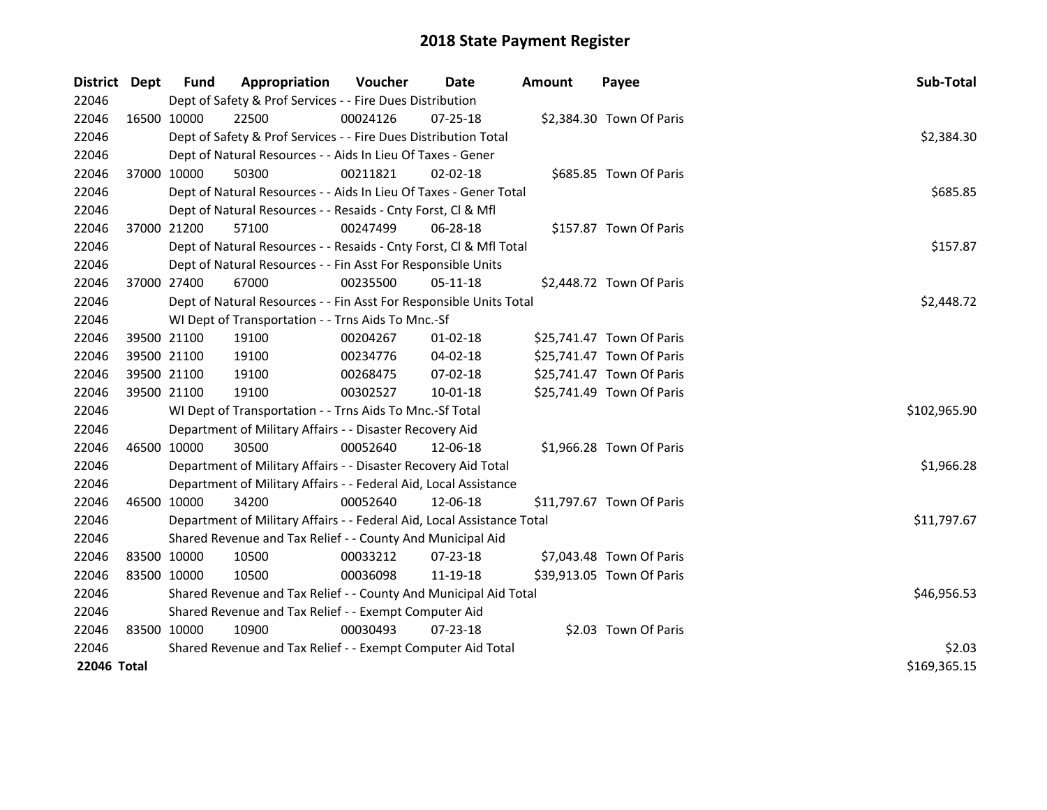| District    | <b>Dept</b> | Fund                                                        | Appropriation                                                          | <b>Voucher</b> | Date           | <b>Amount</b> | Payee                     | Sub-Total    |
|-------------|-------------|-------------------------------------------------------------|------------------------------------------------------------------------|----------------|----------------|---------------|---------------------------|--------------|
| 22046       |             |                                                             | Dept of Safety & Prof Services - - Fire Dues Distribution              |                |                |               |                           |              |
| 22046       |             | 16500 10000                                                 | 22500                                                                  | 00024126       | 07-25-18       |               | \$2,384.30 Town Of Paris  |              |
| 22046       |             |                                                             | Dept of Safety & Prof Services - - Fire Dues Distribution Total        |                |                |               |                           | \$2,384.30   |
| 22046       |             |                                                             | Dept of Natural Resources - - Aids In Lieu Of Taxes - Gener            |                |                |               |                           |              |
| 22046       |             | 37000 10000                                                 | 50300                                                                  | 00211821       | 02-02-18       |               | \$685.85 Town Of Paris    |              |
| 22046       |             |                                                             | Dept of Natural Resources - - Aids In Lieu Of Taxes - Gener Total      |                |                |               |                           | \$685.85     |
| 22046       |             |                                                             | Dept of Natural Resources - - Resaids - Cnty Forst, Cl & Mfl           |                |                |               |                           |              |
| 22046       |             | 37000 21200                                                 | 57100                                                                  | 00247499       | 06-28-18       |               | \$157.87 Town Of Paris    |              |
| 22046       |             |                                                             | Dept of Natural Resources - - Resaids - Cnty Forst, Cl & Mfl Total     |                |                |               |                           | \$157.87     |
| 22046       |             |                                                             | Dept of Natural Resources - - Fin Asst For Responsible Units           |                |                |               |                           |              |
| 22046       |             | 37000 27400                                                 | 67000                                                                  | 00235500       | 05-11-18       |               | \$2,448.72 Town Of Paris  |              |
| 22046       |             |                                                             | Dept of Natural Resources - - Fin Asst For Responsible Units Total     |                |                |               |                           | \$2,448.72   |
| 22046       |             |                                                             | WI Dept of Transportation - - Trns Aids To Mnc.-Sf                     |                |                |               |                           |              |
| 22046       |             | 39500 21100                                                 | 19100                                                                  | 00204267       | $01 - 02 - 18$ |               | \$25,741.47 Town Of Paris |              |
| 22046       |             | 39500 21100                                                 | 19100                                                                  | 00234776       | 04-02-18       |               | \$25,741.47 Town Of Paris |              |
| 22046       |             | 39500 21100                                                 | 19100                                                                  | 00268475       | 07-02-18       |               | \$25,741.47 Town Of Paris |              |
| 22046       |             | 39500 21100                                                 | 19100                                                                  | 00302527       | $10 - 01 - 18$ |               | \$25,741.49 Town Of Paris |              |
| 22046       |             |                                                             | WI Dept of Transportation - - Trns Aids To Mnc.-Sf Total               |                |                |               |                           | \$102,965.90 |
| 22046       |             |                                                             | Department of Military Affairs - - Disaster Recovery Aid               |                |                |               |                           |              |
| 22046       |             | 46500 10000                                                 | 30500                                                                  | 00052640       | 12-06-18       |               | \$1,966.28 Town Of Paris  |              |
| 22046       |             |                                                             | Department of Military Affairs - - Disaster Recovery Aid Total         |                |                |               |                           | \$1,966.28   |
| 22046       |             |                                                             | Department of Military Affairs - - Federal Aid, Local Assistance       |                |                |               |                           |              |
| 22046       |             | 46500 10000                                                 | 34200                                                                  | 00052640       | 12-06-18       |               | \$11,797.67 Town Of Paris |              |
| 22046       |             |                                                             | Department of Military Affairs - - Federal Aid, Local Assistance Total |                |                |               |                           | \$11,797.67  |
| 22046       |             |                                                             | Shared Revenue and Tax Relief - - County And Municipal Aid             |                |                |               |                           |              |
| 22046       |             | 83500 10000                                                 | 10500                                                                  | 00033212       | 07-23-18       |               | \$7,043.48 Town Of Paris  |              |
| 22046       |             | 83500 10000                                                 | 10500                                                                  | 00036098       | 11-19-18       |               | \$39,913.05 Town Of Paris |              |
| 22046       |             |                                                             | Shared Revenue and Tax Relief - - County And Municipal Aid Total       |                |                |               |                           | \$46,956.53  |
| 22046       |             |                                                             | Shared Revenue and Tax Relief - - Exempt Computer Aid                  |                |                |               |                           |              |
| 22046       |             | 83500 10000                                                 | 10900                                                                  | 00030493       | 07-23-18       |               | \$2.03 Town Of Paris      |              |
| 22046       |             | Shared Revenue and Tax Relief - - Exempt Computer Aid Total | \$2.03                                                                 |                |                |               |                           |              |
| 22046 Total |             |                                                             |                                                                        |                |                |               |                           | \$169,365.15 |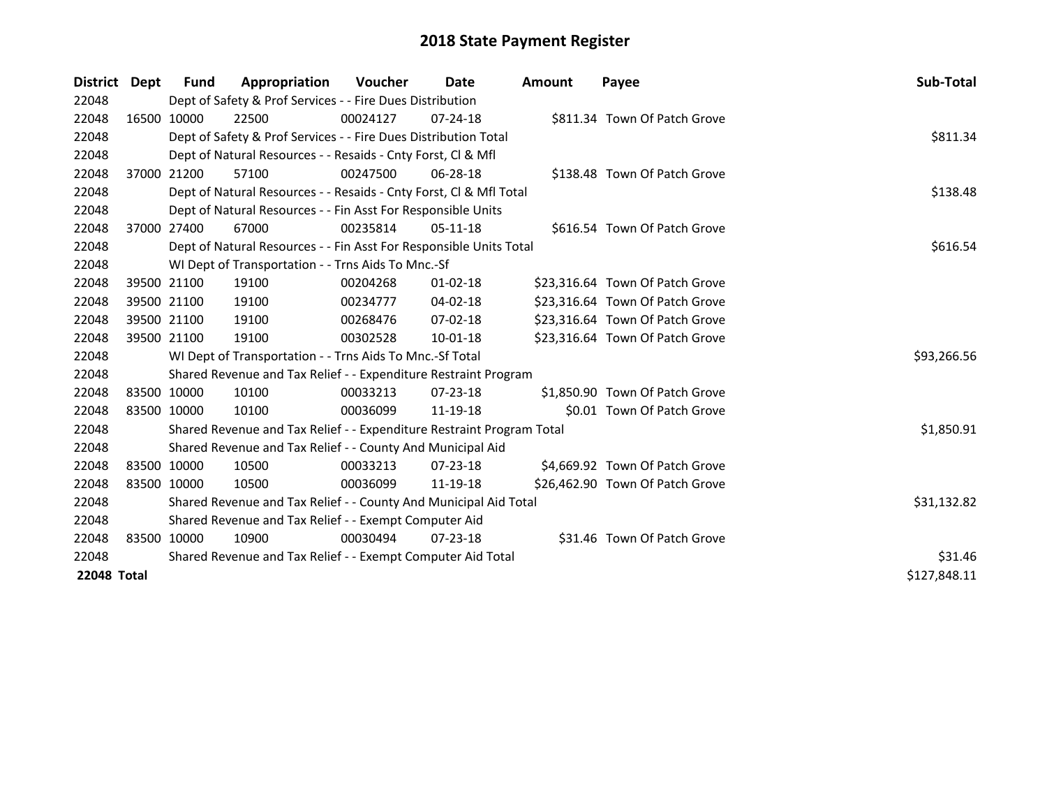| <b>District</b> | Dept         | <b>Fund</b>                                           | Appropriation                                                         | <b>Voucher</b> | Date           | Amount | Payee                           | Sub-Total   |  |  |  |
|-----------------|--------------|-------------------------------------------------------|-----------------------------------------------------------------------|----------------|----------------|--------|---------------------------------|-------------|--|--|--|
| 22048           |              |                                                       | Dept of Safety & Prof Services - - Fire Dues Distribution             |                |                |        |                                 |             |  |  |  |
| 22048           |              | 16500 10000                                           | 22500                                                                 | 00024127       | $07 - 24 - 18$ |        | \$811.34 Town Of Patch Grove    |             |  |  |  |
| 22048           |              |                                                       | Dept of Safety & Prof Services - - Fire Dues Distribution Total       |                |                |        |                                 | \$811.34    |  |  |  |
| 22048           |              |                                                       | Dept of Natural Resources - - Resaids - Cnty Forst, CI & Mfl          |                |                |        |                                 |             |  |  |  |
| 22048           |              | 37000 21200                                           | 57100                                                                 | 00247500       | 06-28-18       |        | \$138.48 Town Of Patch Grove    |             |  |  |  |
| 22048           |              |                                                       | Dept of Natural Resources - - Resaids - Cnty Forst, Cl & Mfl Total    |                | \$138.48       |        |                                 |             |  |  |  |
| 22048           |              |                                                       | Dept of Natural Resources - - Fin Asst For Responsible Units          |                |                |        |                                 |             |  |  |  |
| 22048           |              | 37000 27400                                           | 67000                                                                 | 00235814       | $05-11-18$     |        | \$616.54 Town Of Patch Grove    |             |  |  |  |
| 22048           |              |                                                       | Dept of Natural Resources - - Fin Asst For Responsible Units Total    |                |                |        |                                 |             |  |  |  |
| 22048           |              |                                                       | WI Dept of Transportation - - Trns Aids To Mnc.-Sf                    |                |                |        |                                 |             |  |  |  |
| 22048           |              | 39500 21100                                           | 19100                                                                 | 00204268       | $01 - 02 - 18$ |        | \$23,316.64 Town Of Patch Grove |             |  |  |  |
| 22048           |              | 39500 21100                                           | 19100                                                                 | 00234777       | $04 - 02 - 18$ |        | \$23,316.64 Town Of Patch Grove |             |  |  |  |
| 22048           |              | 39500 21100                                           | 19100                                                                 | 00268476       | $07-02-18$     |        | \$23,316.64 Town Of Patch Grove |             |  |  |  |
| 22048           |              | 39500 21100                                           | 19100                                                                 | 00302528       | $10 - 01 - 18$ |        | \$23,316.64 Town Of Patch Grove |             |  |  |  |
| 22048           |              |                                                       | WI Dept of Transportation - - Trns Aids To Mnc.-Sf Total              |                |                |        |                                 | \$93,266.56 |  |  |  |
| 22048           |              |                                                       | Shared Revenue and Tax Relief - - Expenditure Restraint Program       |                |                |        |                                 |             |  |  |  |
| 22048           |              | 83500 10000                                           | 10100                                                                 | 00033213       | 07-23-18       |        | \$1,850.90 Town Of Patch Grove  |             |  |  |  |
| 22048           |              | 83500 10000                                           | 10100                                                                 | 00036099       | 11-19-18       |        | \$0.01 Town Of Patch Grove      |             |  |  |  |
| 22048           |              |                                                       | Shared Revenue and Tax Relief - - Expenditure Restraint Program Total |                |                |        |                                 | \$1,850.91  |  |  |  |
| 22048           |              |                                                       | Shared Revenue and Tax Relief - - County And Municipal Aid            |                |                |        |                                 |             |  |  |  |
| 22048           |              | 83500 10000                                           | 10500                                                                 | 00033213       | $07 - 23 - 18$ |        | \$4,669.92 Town Of Patch Grove  |             |  |  |  |
| 22048           |              | 83500 10000                                           | 10500                                                                 | 00036099       | 11-19-18       |        | \$26,462.90 Town Of Patch Grove |             |  |  |  |
| 22048           |              |                                                       | Shared Revenue and Tax Relief - - County And Municipal Aid Total      |                |                |        |                                 | \$31,132.82 |  |  |  |
| 22048           |              | Shared Revenue and Tax Relief - - Exempt Computer Aid |                                                                       |                |                |        |                                 |             |  |  |  |
| 22048           |              | 83500 10000                                           | 10900                                                                 | 00030494       | $07 - 23 - 18$ |        | \$31.46 Town Of Patch Grove     |             |  |  |  |
| 22048           |              |                                                       | Shared Revenue and Tax Relief - - Exempt Computer Aid Total           | \$31.46        |                |        |                                 |             |  |  |  |
| 22048 Total     | \$127,848.11 |                                                       |                                                                       |                |                |        |                                 |             |  |  |  |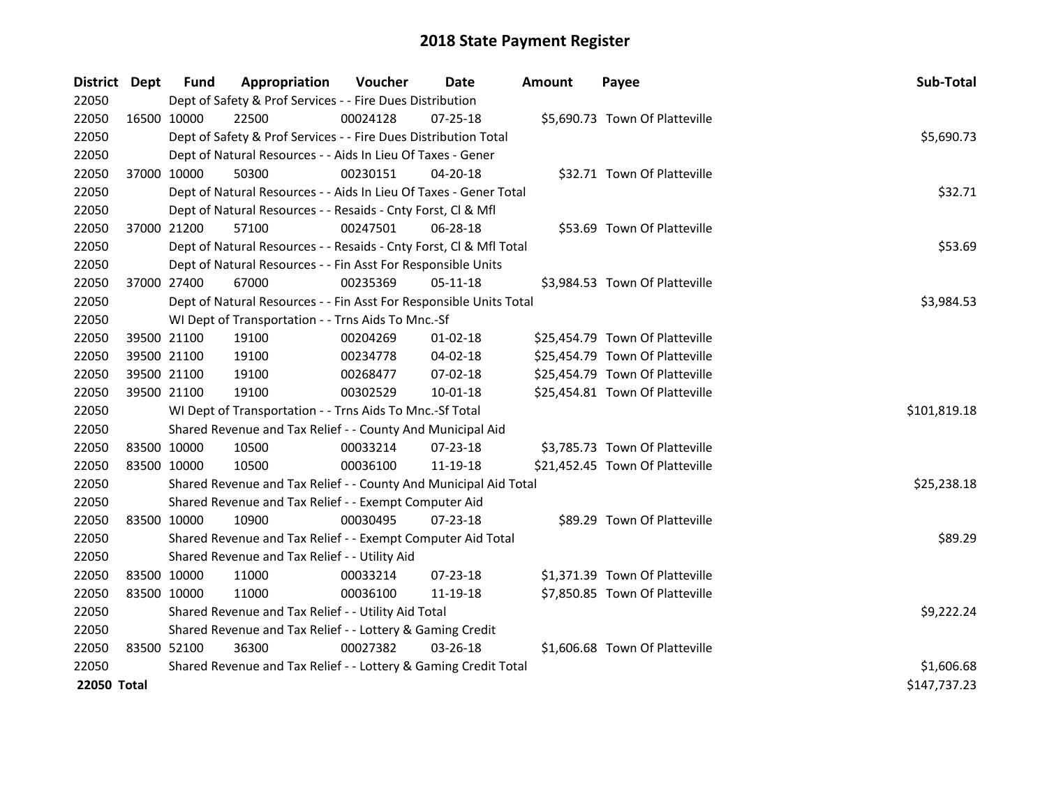| District Dept | <b>Fund</b>                                               | Appropriation                                                      | Voucher  | Date           | <b>Amount</b> | Payee                           | Sub-Total    |  |  |
|---------------|-----------------------------------------------------------|--------------------------------------------------------------------|----------|----------------|---------------|---------------------------------|--------------|--|--|
| 22050         |                                                           | Dept of Safety & Prof Services - - Fire Dues Distribution          |          |                |               |                                 |              |  |  |
| 22050         | 16500 10000                                               | 22500                                                              | 00024128 | 07-25-18       |               | \$5,690.73 Town Of Platteville  |              |  |  |
| 22050         |                                                           | Dept of Safety & Prof Services - - Fire Dues Distribution Total    |          |                |               |                                 | \$5,690.73   |  |  |
| 22050         |                                                           | Dept of Natural Resources - - Aids In Lieu Of Taxes - Gener        |          |                |               |                                 |              |  |  |
| 22050         | 37000 10000                                               | 50300                                                              | 00230151 | 04-20-18       |               | \$32.71 Town Of Platteville     |              |  |  |
| 22050         |                                                           | Dept of Natural Resources - - Aids In Lieu Of Taxes - Gener Total  |          |                |               |                                 | \$32.71      |  |  |
| 22050         |                                                           | Dept of Natural Resources - - Resaids - Cnty Forst, Cl & Mfl       |          |                |               |                                 |              |  |  |
| 22050         | 37000 21200                                               | 57100                                                              | 00247501 | 06-28-18       |               | \$53.69 Town Of Platteville     |              |  |  |
| 22050         |                                                           | Dept of Natural Resources - - Resaids - Cnty Forst, Cl & Mfl Total |          |                |               |                                 | \$53.69      |  |  |
| 22050         |                                                           | Dept of Natural Resources - - Fin Asst For Responsible Units       |          |                |               |                                 |              |  |  |
| 22050         | 37000 27400                                               | 67000                                                              | 00235369 | $05-11-18$     |               | \$3,984.53 Town Of Platteville  |              |  |  |
| 22050         |                                                           | Dept of Natural Resources - - Fin Asst For Responsible Units Total |          |                |               |                                 | \$3,984.53   |  |  |
| 22050         |                                                           | WI Dept of Transportation - - Trns Aids To Mnc.-Sf                 |          |                |               |                                 |              |  |  |
| 22050         | 39500 21100                                               | 19100                                                              | 00204269 | 01-02-18       |               | \$25,454.79 Town Of Platteville |              |  |  |
| 22050         | 39500 21100                                               | 19100                                                              | 00234778 | 04-02-18       |               | \$25,454.79 Town Of Platteville |              |  |  |
| 22050         | 39500 21100                                               | 19100                                                              | 00268477 | 07-02-18       |               | \$25,454.79 Town Of Platteville |              |  |  |
| 22050         | 39500 21100                                               | 19100                                                              | 00302529 | $10 - 01 - 18$ |               | \$25,454.81 Town Of Platteville |              |  |  |
| 22050         |                                                           | WI Dept of Transportation - - Trns Aids To Mnc.-Sf Total           |          |                |               |                                 | \$101,819.18 |  |  |
| 22050         |                                                           | Shared Revenue and Tax Relief - - County And Municipal Aid         |          |                |               |                                 |              |  |  |
| 22050         | 83500 10000                                               | 10500                                                              | 00033214 | 07-23-18       |               | \$3,785.73 Town Of Platteville  |              |  |  |
| 22050         | 83500 10000                                               | 10500                                                              | 00036100 | 11-19-18       |               | \$21,452.45 Town Of Platteville |              |  |  |
| 22050         |                                                           | Shared Revenue and Tax Relief - - County And Municipal Aid Total   |          |                |               |                                 | \$25,238.18  |  |  |
| 22050         |                                                           | Shared Revenue and Tax Relief - - Exempt Computer Aid              |          |                |               |                                 |              |  |  |
| 22050         | 83500 10000                                               | 10900                                                              | 00030495 | 07-23-18       |               | \$89.29 Town Of Platteville     |              |  |  |
| 22050         |                                                           | Shared Revenue and Tax Relief - - Exempt Computer Aid Total        |          |                |               |                                 | \$89.29      |  |  |
| 22050         |                                                           | Shared Revenue and Tax Relief - - Utility Aid                      |          |                |               |                                 |              |  |  |
| 22050         | 83500 10000                                               | 11000                                                              | 00033214 | $07 - 23 - 18$ |               | \$1,371.39 Town Of Platteville  |              |  |  |
| 22050         | 83500 10000                                               | 11000                                                              | 00036100 | 11-19-18       |               | \$7,850.85 Town Of Platteville  |              |  |  |
| 22050         | Shared Revenue and Tax Relief - - Utility Aid Total       | \$9,222.24                                                         |          |                |               |                                 |              |  |  |
| 22050         | Shared Revenue and Tax Relief - - Lottery & Gaming Credit |                                                                    |          |                |               |                                 |              |  |  |
| 22050         | 83500 52100                                               | 36300                                                              | 00027382 | $03 - 26 - 18$ |               | \$1,606.68 Town Of Platteville  |              |  |  |
| 22050         |                                                           | Shared Revenue and Tax Relief - - Lottery & Gaming Credit Total    |          |                |               |                                 | \$1,606.68   |  |  |
| 22050 Total   |                                                           |                                                                    |          |                |               |                                 | \$147,737.23 |  |  |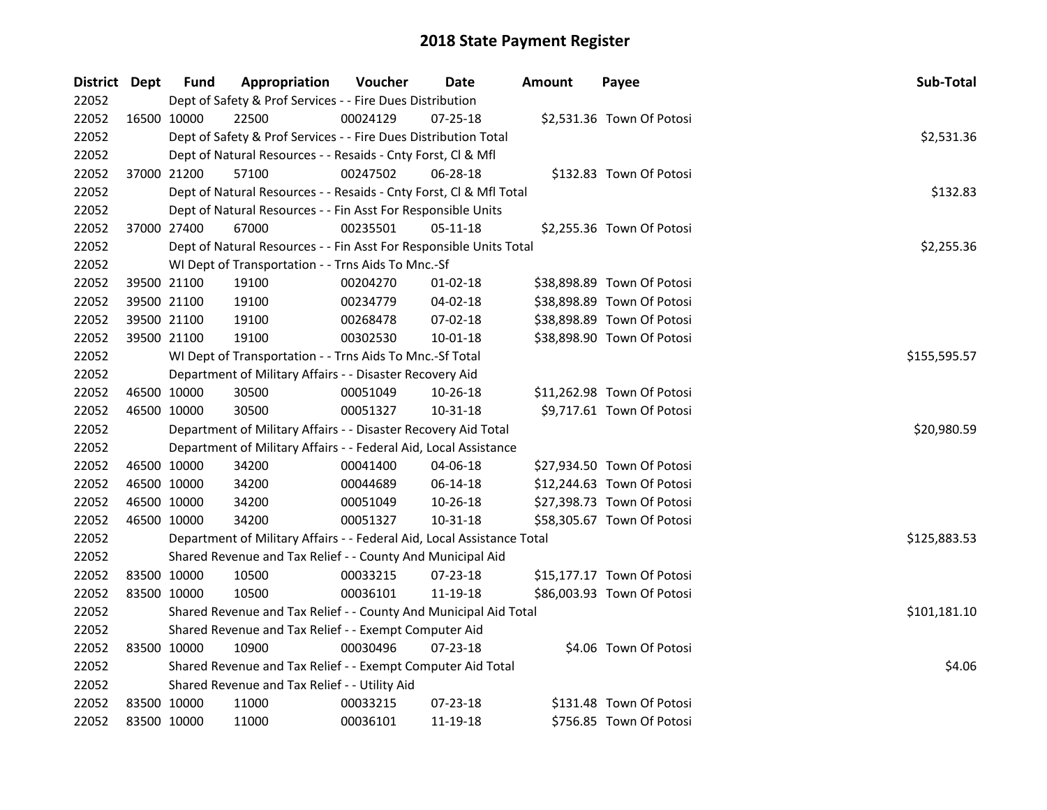| District Dept |             | <b>Fund</b> | Appropriation                                                          | Voucher  | Date     | <b>Amount</b> | Payee                      | Sub-Total    |
|---------------|-------------|-------------|------------------------------------------------------------------------|----------|----------|---------------|----------------------------|--------------|
| 22052         |             |             | Dept of Safety & Prof Services - - Fire Dues Distribution              |          |          |               |                            |              |
| 22052         |             | 16500 10000 | 22500                                                                  | 00024129 | 07-25-18 |               | \$2,531.36 Town Of Potosi  |              |
| 22052         |             |             | Dept of Safety & Prof Services - - Fire Dues Distribution Total        |          |          |               |                            | \$2,531.36   |
| 22052         |             |             | Dept of Natural Resources - - Resaids - Cnty Forst, Cl & Mfl           |          |          |               |                            |              |
| 22052         |             | 37000 21200 | 57100                                                                  | 00247502 | 06-28-18 |               | \$132.83 Town Of Potosi    |              |
| 22052         |             |             | Dept of Natural Resources - - Resaids - Cnty Forst, Cl & Mfl Total     |          |          |               |                            | \$132.83     |
| 22052         |             |             | Dept of Natural Resources - - Fin Asst For Responsible Units           |          |          |               |                            |              |
| 22052         | 37000 27400 |             | 67000                                                                  | 00235501 | 05-11-18 |               | \$2,255.36 Town Of Potosi  |              |
| 22052         |             |             | Dept of Natural Resources - - Fin Asst For Responsible Units Total     |          |          |               |                            | \$2,255.36   |
| 22052         |             |             | WI Dept of Transportation - - Trns Aids To Mnc.-Sf                     |          |          |               |                            |              |
| 22052         | 39500 21100 |             | 19100                                                                  | 00204270 | 01-02-18 |               | \$38,898.89 Town Of Potosi |              |
| 22052         |             | 39500 21100 | 19100                                                                  | 00234779 | 04-02-18 |               | \$38,898.89 Town Of Potosi |              |
| 22052         |             | 39500 21100 | 19100                                                                  | 00268478 | 07-02-18 |               | \$38,898.89 Town Of Potosi |              |
| 22052         |             | 39500 21100 | 19100                                                                  | 00302530 | 10-01-18 |               | \$38,898.90 Town Of Potosi |              |
| 22052         |             |             | WI Dept of Transportation - - Trns Aids To Mnc.-Sf Total               |          |          |               |                            | \$155,595.57 |
| 22052         |             |             | Department of Military Affairs - - Disaster Recovery Aid               |          |          |               |                            |              |
| 22052         | 46500 10000 |             | 30500                                                                  | 00051049 | 10-26-18 |               | \$11,262.98 Town Of Potosi |              |
| 22052         | 46500 10000 |             | 30500                                                                  | 00051327 | 10-31-18 |               | \$9,717.61 Town Of Potosi  |              |
| 22052         |             |             | Department of Military Affairs - - Disaster Recovery Aid Total         |          |          |               |                            | \$20,980.59  |
| 22052         |             |             | Department of Military Affairs - - Federal Aid, Local Assistance       |          |          |               |                            |              |
| 22052         | 46500 10000 |             | 34200                                                                  | 00041400 | 04-06-18 |               | \$27,934.50 Town Of Potosi |              |
| 22052         | 46500 10000 |             | 34200                                                                  | 00044689 | 06-14-18 |               | \$12,244.63 Town Of Potosi |              |
| 22052         | 46500 10000 |             | 34200                                                                  | 00051049 | 10-26-18 |               | \$27,398.73 Town Of Potosi |              |
| 22052         | 46500 10000 |             | 34200                                                                  | 00051327 | 10-31-18 |               | \$58,305.67 Town Of Potosi |              |
| 22052         |             |             | Department of Military Affairs - - Federal Aid, Local Assistance Total |          |          |               |                            | \$125,883.53 |
| 22052         |             |             | Shared Revenue and Tax Relief - - County And Municipal Aid             |          |          |               |                            |              |
| 22052         | 83500 10000 |             | 10500                                                                  | 00033215 | 07-23-18 |               | \$15,177.17 Town Of Potosi |              |
| 22052         | 83500 10000 |             | 10500                                                                  | 00036101 | 11-19-18 |               | \$86,003.93 Town Of Potosi |              |
| 22052         |             |             | Shared Revenue and Tax Relief - - County And Municipal Aid Total       |          |          |               |                            | \$101,181.10 |
| 22052         |             |             | Shared Revenue and Tax Relief - - Exempt Computer Aid                  |          |          |               |                            |              |
| 22052         | 83500 10000 |             | 10900                                                                  | 00030496 | 07-23-18 |               | \$4.06 Town Of Potosi      |              |
| 22052         |             |             | Shared Revenue and Tax Relief - - Exempt Computer Aid Total            |          |          |               |                            | \$4.06       |
| 22052         |             |             | Shared Revenue and Tax Relief - - Utility Aid                          |          |          |               |                            |              |
| 22052         | 83500 10000 |             | 11000                                                                  | 00033215 | 07-23-18 |               | \$131.48 Town Of Potosi    |              |
| 22052         | 83500 10000 |             | 11000                                                                  | 00036101 | 11-19-18 |               | \$756.85 Town Of Potosi    |              |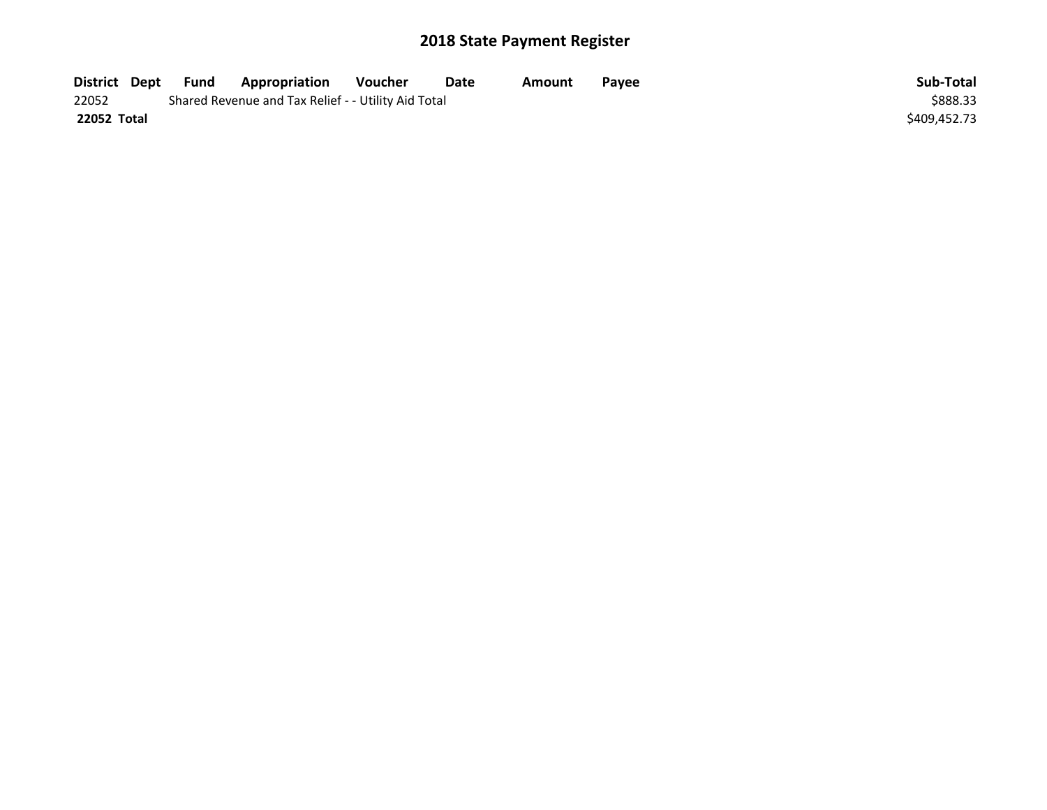| District Dept | Fund | Appropriation                                       | Voucher | Date | Amount | Payee | Sub-Total    |
|---------------|------|-----------------------------------------------------|---------|------|--------|-------|--------------|
| 22052         |      | Shared Revenue and Tax Relief - - Utility Aid Total |         |      |        |       | \$888.33     |
| 22052 Total   |      |                                                     |         |      |        |       | \$409,452.73 |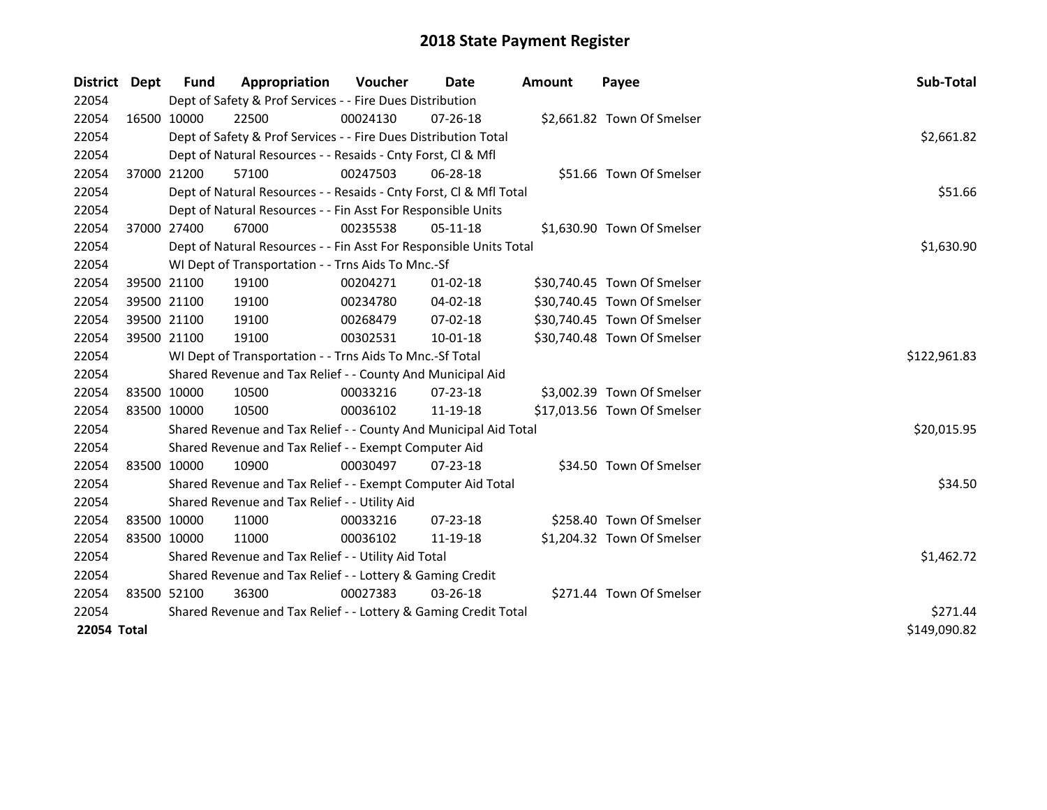| District | <b>Dept</b>                 | Fund                                                      | Appropriation                                                      | <b>Voucher</b> | Date           | <b>Amount</b> | Payee                       | Sub-Total    |  |  |
|----------|-----------------------------|-----------------------------------------------------------|--------------------------------------------------------------------|----------------|----------------|---------------|-----------------------------|--------------|--|--|
| 22054    |                             |                                                           | Dept of Safety & Prof Services - - Fire Dues Distribution          |                |                |               |                             |              |  |  |
| 22054    |                             | 16500 10000                                               | 22500                                                              | 00024130       | $07 - 26 - 18$ |               | \$2,661.82 Town Of Smelser  |              |  |  |
| 22054    |                             |                                                           | Dept of Safety & Prof Services - - Fire Dues Distribution Total    |                |                |               |                             | \$2,661.82   |  |  |
| 22054    |                             |                                                           | Dept of Natural Resources - - Resaids - Cnty Forst, Cl & Mfl       |                |                |               |                             |              |  |  |
| 22054    |                             | 37000 21200                                               | 57100                                                              | 00247503       | 06-28-18       |               | \$51.66 Town Of Smelser     |              |  |  |
| 22054    |                             |                                                           | Dept of Natural Resources - - Resaids - Cnty Forst, Cl & Mfl Total |                |                |               |                             | \$51.66      |  |  |
| 22054    |                             |                                                           | Dept of Natural Resources - - Fin Asst For Responsible Units       |                |                |               |                             |              |  |  |
| 22054    |                             | 37000 27400                                               | 67000                                                              | 00235538       | 05-11-18       |               | \$1,630.90 Town Of Smelser  |              |  |  |
| 22054    |                             |                                                           | Dept of Natural Resources - - Fin Asst For Responsible Units Total |                |                |               |                             | \$1,630.90   |  |  |
| 22054    |                             |                                                           | WI Dept of Transportation - - Trns Aids To Mnc.-Sf                 |                |                |               |                             |              |  |  |
| 22054    |                             | 39500 21100                                               | 19100                                                              | 00204271       | $01 - 02 - 18$ |               | \$30,740.45 Town Of Smelser |              |  |  |
| 22054    |                             | 39500 21100                                               | 19100                                                              | 00234780       | 04-02-18       |               | \$30,740.45 Town Of Smelser |              |  |  |
| 22054    |                             | 39500 21100                                               | 19100                                                              | 00268479       | 07-02-18       |               | \$30,740.45 Town Of Smelser |              |  |  |
| 22054    |                             | 39500 21100                                               | 19100                                                              | 00302531       | $10 - 01 - 18$ |               | \$30,740.48 Town Of Smelser |              |  |  |
| 22054    |                             |                                                           | WI Dept of Transportation - - Trns Aids To Mnc.-Sf Total           |                |                |               |                             | \$122,961.83 |  |  |
| 22054    |                             |                                                           | Shared Revenue and Tax Relief - - County And Municipal Aid         |                |                |               |                             |              |  |  |
| 22054    |                             | 83500 10000                                               | 10500                                                              | 00033216       | 07-23-18       |               | \$3,002.39 Town Of Smelser  |              |  |  |
| 22054    |                             | 83500 10000                                               | 10500                                                              | 00036102       | 11-19-18       |               | \$17,013.56 Town Of Smelser |              |  |  |
| 22054    |                             |                                                           | Shared Revenue and Tax Relief - - County And Municipal Aid Total   |                |                |               |                             | \$20,015.95  |  |  |
| 22054    |                             |                                                           | Shared Revenue and Tax Relief - - Exempt Computer Aid              |                |                |               |                             |              |  |  |
| 22054    |                             | 83500 10000                                               | 10900                                                              | 00030497       | 07-23-18       |               | \$34.50 Town Of Smelser     |              |  |  |
| 22054    |                             |                                                           | Shared Revenue and Tax Relief - - Exempt Computer Aid Total        |                |                |               |                             | \$34.50      |  |  |
| 22054    |                             |                                                           | Shared Revenue and Tax Relief - - Utility Aid                      |                |                |               |                             |              |  |  |
| 22054    |                             | 83500 10000                                               | 11000                                                              | 00033216       | 07-23-18       |               | \$258.40 Town Of Smelser    |              |  |  |
| 22054    |                             | 83500 10000                                               | 11000                                                              | 00036102       | 11-19-18       |               | \$1,204.32 Town Of Smelser  |              |  |  |
| 22054    |                             |                                                           | Shared Revenue and Tax Relief - - Utility Aid Total                |                |                |               |                             | \$1,462.72   |  |  |
| 22054    |                             | Shared Revenue and Tax Relief - - Lottery & Gaming Credit |                                                                    |                |                |               |                             |              |  |  |
| 22054    |                             | 83500 52100                                               | 36300                                                              | 00027383       | 03-26-18       |               | \$271.44 Town Of Smelser    |              |  |  |
| 22054    |                             |                                                           | Shared Revenue and Tax Relief - - Lottery & Gaming Credit Total    |                |                |               |                             | \$271.44     |  |  |
|          | 22054 Total<br>\$149,090.82 |                                                           |                                                                    |                |                |               |                             |              |  |  |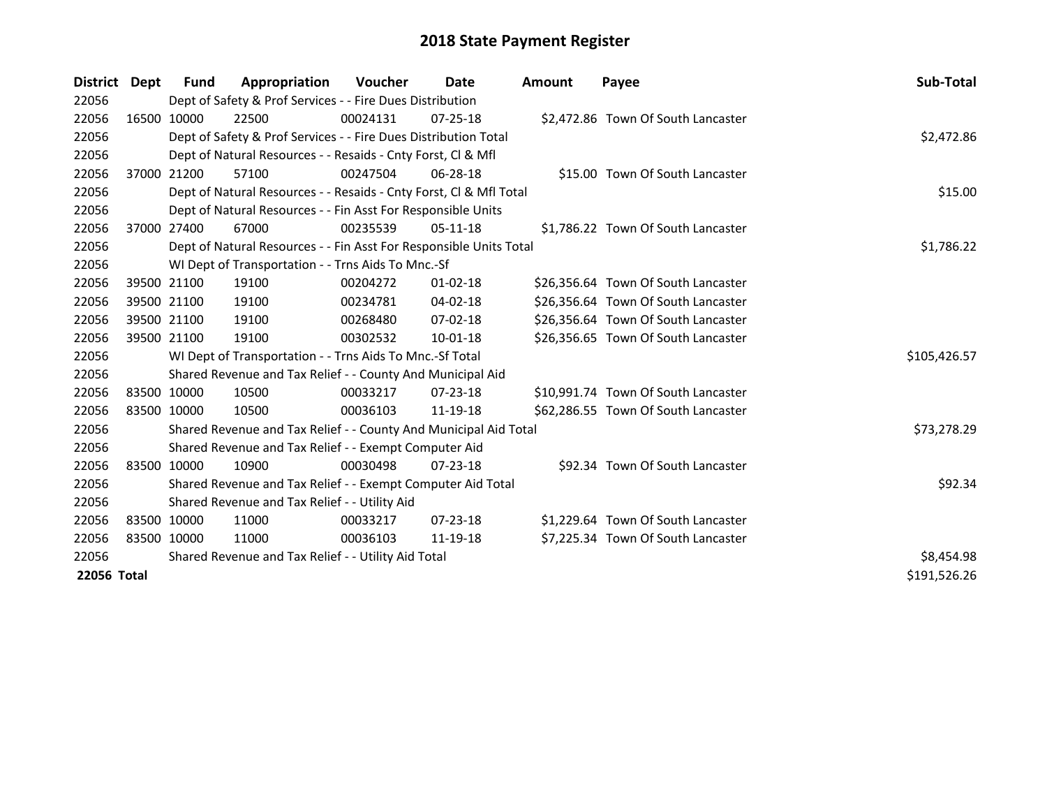| District Dept | <b>Fund</b> | Appropriation                                                      | Voucher  | Date           | <b>Amount</b> | Payee                               | <b>Sub-Total</b> |
|---------------|-------------|--------------------------------------------------------------------|----------|----------------|---------------|-------------------------------------|------------------|
| 22056         |             | Dept of Safety & Prof Services - - Fire Dues Distribution          |          |                |               |                                     |                  |
| 22056         | 16500 10000 | 22500                                                              | 00024131 | $07 - 25 - 18$ |               | \$2,472.86 Town Of South Lancaster  |                  |
| 22056         |             | Dept of Safety & Prof Services - - Fire Dues Distribution Total    |          |                |               |                                     | \$2,472.86       |
| 22056         |             | Dept of Natural Resources - - Resaids - Cnty Forst, CI & Mfl       |          |                |               |                                     |                  |
| 22056         | 37000 21200 | 57100                                                              | 00247504 | 06-28-18       |               | \$15.00 Town Of South Lancaster     |                  |
| 22056         |             | Dept of Natural Resources - - Resaids - Cnty Forst, Cl & Mfl Total |          |                |               |                                     | \$15.00          |
| 22056         |             | Dept of Natural Resources - - Fin Asst For Responsible Units       |          |                |               |                                     |                  |
| 22056         | 37000 27400 | 67000                                                              | 00235539 | $05-11-18$     |               | \$1,786.22 Town Of South Lancaster  |                  |
| 22056         |             | Dept of Natural Resources - - Fin Asst For Responsible Units Total |          |                |               |                                     | \$1,786.22       |
| 22056         |             | WI Dept of Transportation - - Trns Aids To Mnc.-Sf                 |          |                |               |                                     |                  |
| 22056         | 39500 21100 | 19100                                                              | 00204272 | $01 - 02 - 18$ |               | \$26,356.64 Town Of South Lancaster |                  |
| 22056         | 39500 21100 | 19100                                                              | 00234781 | 04-02-18       |               | \$26,356.64 Town Of South Lancaster |                  |
| 22056         | 39500 21100 | 19100                                                              | 00268480 | $07 - 02 - 18$ |               | \$26,356.64 Town Of South Lancaster |                  |
| 22056         | 39500 21100 | 19100                                                              | 00302532 | 10-01-18       |               | \$26,356.65 Town Of South Lancaster |                  |
| 22056         |             | WI Dept of Transportation - - Trns Aids To Mnc.-Sf Total           |          |                |               |                                     | \$105,426.57     |
| 22056         |             | Shared Revenue and Tax Relief - - County And Municipal Aid         |          |                |               |                                     |                  |
| 22056         | 83500 10000 | 10500                                                              | 00033217 | 07-23-18       |               | \$10,991.74 Town Of South Lancaster |                  |
| 22056         | 83500 10000 | 10500                                                              | 00036103 | 11-19-18       |               | \$62,286.55 Town Of South Lancaster |                  |
| 22056         |             | Shared Revenue and Tax Relief - - County And Municipal Aid Total   |          |                |               |                                     | \$73,278.29      |
| 22056         |             | Shared Revenue and Tax Relief - - Exempt Computer Aid              |          |                |               |                                     |                  |
| 22056         | 83500 10000 | 10900                                                              | 00030498 | $07 - 23 - 18$ |               | \$92.34 Town Of South Lancaster     |                  |
| 22056         |             | Shared Revenue and Tax Relief - - Exempt Computer Aid Total        |          |                |               |                                     | \$92.34          |
| 22056         |             | Shared Revenue and Tax Relief - - Utility Aid                      |          |                |               |                                     |                  |
| 22056         | 83500 10000 | 11000                                                              | 00033217 | $07 - 23 - 18$ |               | \$1,229.64 Town Of South Lancaster  |                  |
| 22056         | 83500 10000 | 11000                                                              | 00036103 | 11-19-18       |               | \$7,225.34 Town Of South Lancaster  |                  |
| 22056         |             | Shared Revenue and Tax Relief - - Utility Aid Total                |          |                |               |                                     | \$8,454.98       |
| 22056 Total   |             |                                                                    |          |                |               |                                     | \$191,526.26     |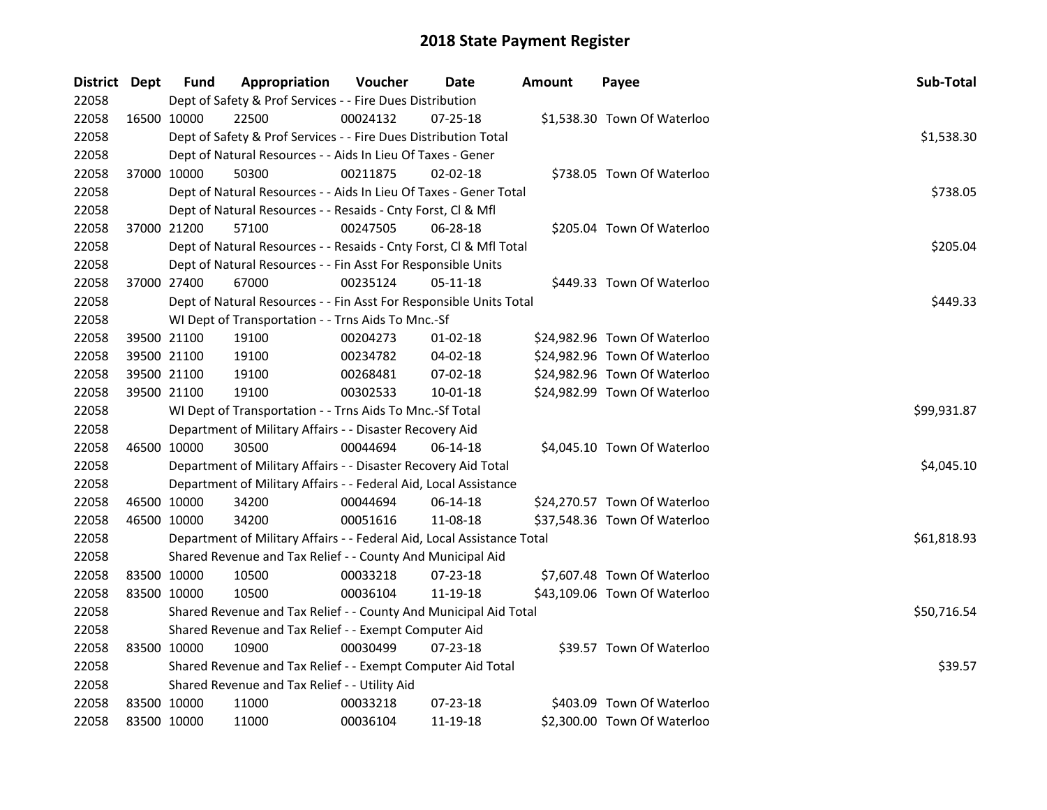| District Dept |             | <b>Fund</b> | Appropriation                                                          | Voucher  | Date           | <b>Amount</b> | Payee                        | Sub-Total   |
|---------------|-------------|-------------|------------------------------------------------------------------------|----------|----------------|---------------|------------------------------|-------------|
| 22058         |             |             | Dept of Safety & Prof Services - - Fire Dues Distribution              |          |                |               |                              |             |
| 22058         |             | 16500 10000 | 22500                                                                  | 00024132 | $07 - 25 - 18$ |               | \$1,538.30 Town Of Waterloo  |             |
| 22058         |             |             | Dept of Safety & Prof Services - - Fire Dues Distribution Total        |          |                |               |                              | \$1,538.30  |
| 22058         |             |             | Dept of Natural Resources - - Aids In Lieu Of Taxes - Gener            |          |                |               |                              |             |
| 22058         | 37000 10000 |             | 50300                                                                  | 00211875 | $02 - 02 - 18$ |               | \$738.05 Town Of Waterloo    |             |
| 22058         |             |             | Dept of Natural Resources - - Aids In Lieu Of Taxes - Gener Total      |          |                |               |                              | \$738.05    |
| 22058         |             |             | Dept of Natural Resources - - Resaids - Cnty Forst, Cl & Mfl           |          |                |               |                              |             |
| 22058         |             | 37000 21200 | 57100                                                                  | 00247505 | 06-28-18       |               | \$205.04 Town Of Waterloo    |             |
| 22058         |             |             | Dept of Natural Resources - - Resaids - Cnty Forst, Cl & Mfl Total     |          |                |               |                              | \$205.04    |
| 22058         |             |             | Dept of Natural Resources - - Fin Asst For Responsible Units           |          |                |               |                              |             |
| 22058         |             | 37000 27400 | 67000                                                                  | 00235124 | 05-11-18       |               | \$449.33 Town Of Waterloo    |             |
| 22058         |             |             | Dept of Natural Resources - - Fin Asst For Responsible Units Total     |          |                |               |                              | \$449.33    |
| 22058         |             |             | WI Dept of Transportation - - Trns Aids To Mnc.-Sf                     |          |                |               |                              |             |
| 22058         |             | 39500 21100 | 19100                                                                  | 00204273 | 01-02-18       |               | \$24,982.96 Town Of Waterloo |             |
| 22058         |             | 39500 21100 | 19100                                                                  | 00234782 | 04-02-18       |               | \$24,982.96 Town Of Waterloo |             |
| 22058         |             | 39500 21100 | 19100                                                                  | 00268481 | 07-02-18       |               | \$24,982.96 Town Of Waterloo |             |
| 22058         |             | 39500 21100 | 19100                                                                  | 00302533 | 10-01-18       |               | \$24,982.99 Town Of Waterloo |             |
| 22058         |             |             | WI Dept of Transportation - - Trns Aids To Mnc.-Sf Total               |          |                |               |                              | \$99,931.87 |
| 22058         |             |             | Department of Military Affairs - - Disaster Recovery Aid               |          |                |               |                              |             |
| 22058         |             | 46500 10000 | 30500                                                                  | 00044694 | $06-14-18$     |               | \$4,045.10 Town Of Waterloo  |             |
| 22058         |             |             | Department of Military Affairs - - Disaster Recovery Aid Total         |          |                |               |                              | \$4,045.10  |
| 22058         |             |             | Department of Military Affairs - - Federal Aid, Local Assistance       |          |                |               |                              |             |
| 22058         |             | 46500 10000 | 34200                                                                  | 00044694 | 06-14-18       |               | \$24,270.57 Town Of Waterloo |             |
| 22058         |             | 46500 10000 | 34200                                                                  | 00051616 | 11-08-18       |               | \$37,548.36 Town Of Waterloo |             |
| 22058         |             |             | Department of Military Affairs - - Federal Aid, Local Assistance Total |          |                |               |                              | \$61,818.93 |
| 22058         |             |             | Shared Revenue and Tax Relief - - County And Municipal Aid             |          |                |               |                              |             |
| 22058         |             | 83500 10000 | 10500                                                                  | 00033218 | 07-23-18       |               | \$7,607.48 Town Of Waterloo  |             |
| 22058         |             | 83500 10000 | 10500                                                                  | 00036104 | 11-19-18       |               | \$43,109.06 Town Of Waterloo |             |
| 22058         |             |             | Shared Revenue and Tax Relief - - County And Municipal Aid Total       |          |                |               |                              | \$50,716.54 |
| 22058         |             |             | Shared Revenue and Tax Relief - - Exempt Computer Aid                  |          |                |               |                              |             |
| 22058         |             | 83500 10000 | 10900                                                                  | 00030499 | $07 - 23 - 18$ |               | \$39.57 Town Of Waterloo     |             |
| 22058         |             |             | Shared Revenue and Tax Relief - - Exempt Computer Aid Total            |          |                |               |                              | \$39.57     |
| 22058         |             |             | Shared Revenue and Tax Relief - - Utility Aid                          |          |                |               |                              |             |
| 22058         |             | 83500 10000 | 11000                                                                  | 00033218 | 07-23-18       |               | \$403.09 Town Of Waterloo    |             |
| 22058         | 83500 10000 |             | 11000                                                                  | 00036104 | 11-19-18       |               | \$2,300.00 Town Of Waterloo  |             |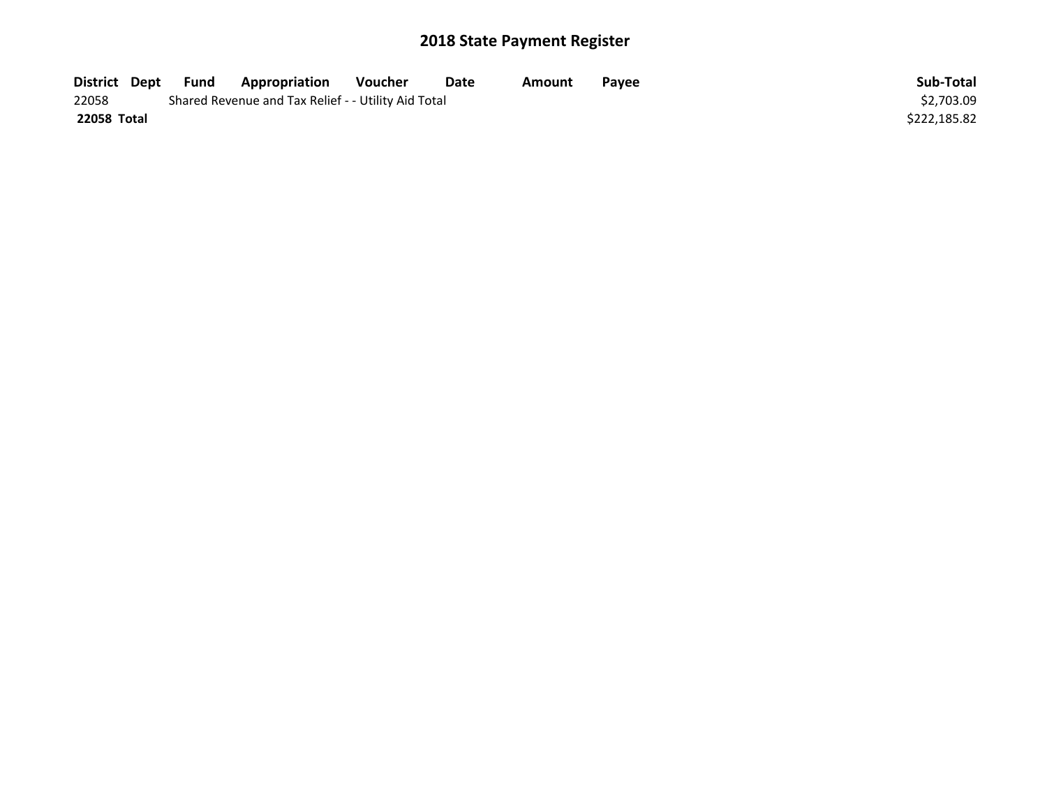| District Dept | Fund | <b>Appropriation</b>                                | Voucher    | Date | Amount | Pavee | Sub-Total    |
|---------------|------|-----------------------------------------------------|------------|------|--------|-------|--------------|
| 22058         |      | Shared Revenue and Tax Relief - - Utility Aid Total | \$2.703.09 |      |        |       |              |
| 22058 Total   |      |                                                     |            |      |        |       | \$222,185.82 |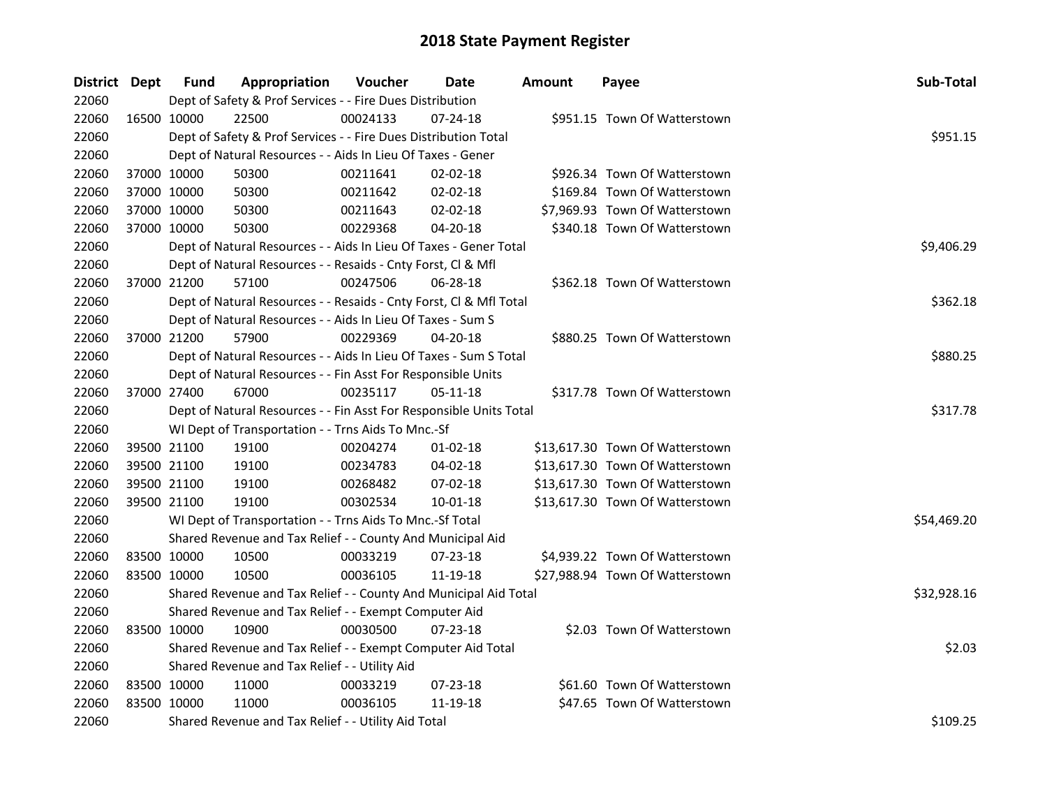| District Dept |             | Fund        | Appropriation                                                      | Voucher  | Date           | <b>Amount</b> | Payee                           | Sub-Total   |
|---------------|-------------|-------------|--------------------------------------------------------------------|----------|----------------|---------------|---------------------------------|-------------|
| 22060         |             |             | Dept of Safety & Prof Services - - Fire Dues Distribution          |          |                |               |                                 |             |
| 22060         | 16500 10000 |             | 22500                                                              | 00024133 | 07-24-18       |               | \$951.15 Town Of Watterstown    |             |
| 22060         |             |             | Dept of Safety & Prof Services - - Fire Dues Distribution Total    |          |                |               |                                 | \$951.15    |
| 22060         |             |             | Dept of Natural Resources - - Aids In Lieu Of Taxes - Gener        |          |                |               |                                 |             |
| 22060         |             | 37000 10000 | 50300                                                              | 00211641 | $02 - 02 - 18$ |               | \$926.34 Town Of Watterstown    |             |
| 22060         | 37000 10000 |             | 50300                                                              | 00211642 | $02 - 02 - 18$ |               | \$169.84 Town Of Watterstown    |             |
| 22060         | 37000 10000 |             | 50300                                                              | 00211643 | 02-02-18       |               | \$7,969.93 Town Of Watterstown  |             |
| 22060         | 37000 10000 |             | 50300                                                              | 00229368 | 04-20-18       |               | \$340.18 Town Of Watterstown    |             |
| 22060         |             |             | Dept of Natural Resources - - Aids In Lieu Of Taxes - Gener Total  |          | \$9,406.29     |               |                                 |             |
| 22060         |             |             | Dept of Natural Resources - - Resaids - Cnty Forst, Cl & Mfl       |          |                |               |                                 |             |
| 22060         |             | 37000 21200 | 57100                                                              | 00247506 | 06-28-18       |               | \$362.18 Town Of Watterstown    |             |
| 22060         |             |             | Dept of Natural Resources - - Resaids - Cnty Forst, Cl & Mfl Total |          |                |               |                                 | \$362.18    |
| 22060         |             |             | Dept of Natural Resources - - Aids In Lieu Of Taxes - Sum S        |          |                |               |                                 |             |
| 22060         |             | 37000 21200 | 57900                                                              | 00229369 | 04-20-18       |               | \$880.25 Town Of Watterstown    |             |
| 22060         |             |             | Dept of Natural Resources - - Aids In Lieu Of Taxes - Sum S Total  |          |                |               |                                 | \$880.25    |
| 22060         |             |             | Dept of Natural Resources - - Fin Asst For Responsible Units       |          |                |               |                                 |             |
| 22060         |             | 37000 27400 | 67000                                                              | 00235117 | 05-11-18       |               | \$317.78 Town Of Watterstown    |             |
| 22060         |             |             | Dept of Natural Resources - - Fin Asst For Responsible Units Total |          |                |               |                                 | \$317.78    |
| 22060         |             |             | WI Dept of Transportation - - Trns Aids To Mnc.-Sf                 |          |                |               |                                 |             |
| 22060         |             | 39500 21100 | 19100                                                              | 00204274 | $01-02-18$     |               | \$13,617.30 Town Of Watterstown |             |
| 22060         | 39500 21100 |             | 19100                                                              | 00234783 | 04-02-18       |               | \$13,617.30 Town Of Watterstown |             |
| 22060         |             | 39500 21100 | 19100                                                              | 00268482 | 07-02-18       |               | \$13,617.30 Town Of Watterstown |             |
| 22060         | 39500 21100 |             | 19100                                                              | 00302534 | 10-01-18       |               | \$13,617.30 Town Of Watterstown |             |
| 22060         |             |             | WI Dept of Transportation - - Trns Aids To Mnc.-Sf Total           |          |                |               |                                 | \$54,469.20 |
| 22060         |             |             | Shared Revenue and Tax Relief - - County And Municipal Aid         |          |                |               |                                 |             |
| 22060         | 83500 10000 |             | 10500                                                              | 00033219 | 07-23-18       |               | \$4,939.22 Town Of Watterstown  |             |
| 22060         | 83500 10000 |             | 10500                                                              | 00036105 | 11-19-18       |               | \$27,988.94 Town Of Watterstown |             |
| 22060         |             |             | Shared Revenue and Tax Relief - - County And Municipal Aid Total   |          |                |               |                                 | \$32,928.16 |
| 22060         |             |             | Shared Revenue and Tax Relief - - Exempt Computer Aid              |          |                |               |                                 |             |
| 22060         |             | 83500 10000 | 10900                                                              | 00030500 | $07 - 23 - 18$ |               | \$2.03 Town Of Watterstown      |             |
| 22060         |             |             | Shared Revenue and Tax Relief - - Exempt Computer Aid Total        |          |                |               |                                 | \$2.03      |
| 22060         |             |             | Shared Revenue and Tax Relief - - Utility Aid                      |          |                |               |                                 |             |
| 22060         | 83500 10000 |             | 11000                                                              | 00033219 | $07 - 23 - 18$ |               | \$61.60 Town Of Watterstown     |             |
| 22060         | 83500 10000 |             | 11000                                                              | 00036105 | 11-19-18       |               | \$47.65 Town Of Watterstown     |             |
| 22060         |             |             | Shared Revenue and Tax Relief - - Utility Aid Total                |          |                |               |                                 | \$109.25    |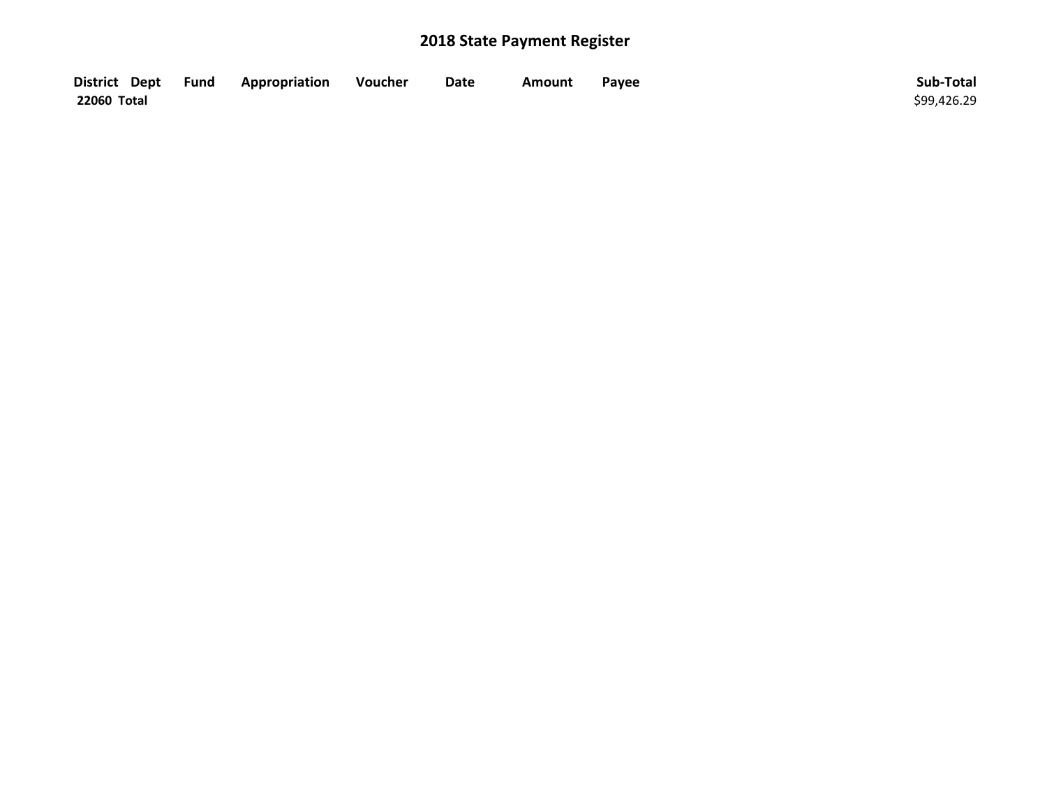| District Dept Fund | Appropriation | Voucher | Date | Amount | Payee | Sub-Total   |
|--------------------|---------------|---------|------|--------|-------|-------------|
| 22060 Total        |               |         |      |        |       | \$99,426.29 |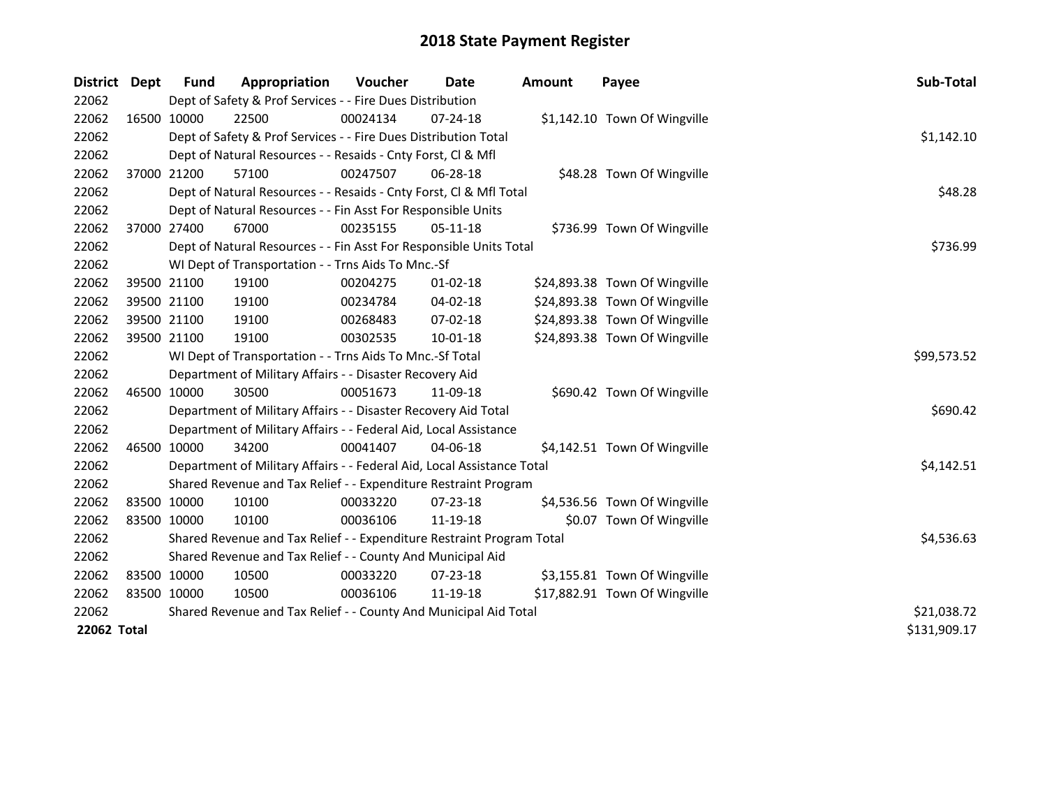| District           | <b>Dept</b> | Fund        | Appropriation                                                          | <b>Voucher</b> | Date           | <b>Amount</b> | Payee                         | Sub-Total    |
|--------------------|-------------|-------------|------------------------------------------------------------------------|----------------|----------------|---------------|-------------------------------|--------------|
| 22062              |             |             | Dept of Safety & Prof Services - - Fire Dues Distribution              |                |                |               |                               |              |
| 22062              |             | 16500 10000 | 22500                                                                  | 00024134       | $07 - 24 - 18$ |               | \$1,142.10 Town Of Wingville  |              |
| 22062              |             |             | Dept of Safety & Prof Services - - Fire Dues Distribution Total        |                |                |               |                               | \$1,142.10   |
| 22062              |             |             | Dept of Natural Resources - - Resaids - Cnty Forst, Cl & Mfl           |                |                |               |                               |              |
| 22062              | 37000 21200 |             | 57100                                                                  | 00247507       | $06 - 28 - 18$ |               | \$48.28 Town Of Wingville     |              |
| 22062              |             |             | Dept of Natural Resources - - Resaids - Cnty Forst, Cl & Mfl Total     |                |                |               |                               | \$48.28      |
| 22062              |             |             | Dept of Natural Resources - - Fin Asst For Responsible Units           |                |                |               |                               |              |
| 22062              |             | 37000 27400 | 67000                                                                  | 00235155       | $05 - 11 - 18$ |               | \$736.99 Town Of Wingville    |              |
| 22062              |             |             | Dept of Natural Resources - - Fin Asst For Responsible Units Total     | \$736.99       |                |               |                               |              |
| 22062              |             |             | WI Dept of Transportation - - Trns Aids To Mnc.-Sf                     |                |                |               |                               |              |
| 22062              |             | 39500 21100 | 19100                                                                  | 00204275       | $01 - 02 - 18$ |               | \$24,893.38 Town Of Wingville |              |
| 22062              |             | 39500 21100 | 19100                                                                  | 00234784       | $04 - 02 - 18$ |               | \$24,893.38 Town Of Wingville |              |
| 22062              |             | 39500 21100 | 19100                                                                  | 00268483       | 07-02-18       |               | \$24,893.38 Town Of Wingville |              |
| 22062              | 39500 21100 |             | 19100                                                                  | 00302535       | $10 - 01 - 18$ |               | \$24,893.38 Town Of Wingville |              |
| 22062              |             |             | WI Dept of Transportation - - Trns Aids To Mnc.-Sf Total               | \$99,573.52    |                |               |                               |              |
| 22062              |             |             | Department of Military Affairs - - Disaster Recovery Aid               |                |                |               |                               |              |
| 22062              | 46500 10000 |             | 30500                                                                  | 00051673       | 11-09-18       |               | \$690.42 Town Of Wingville    |              |
| 22062              |             |             | Department of Military Affairs - - Disaster Recovery Aid Total         |                |                |               |                               | \$690.42     |
| 22062              |             |             | Department of Military Affairs - - Federal Aid, Local Assistance       |                |                |               |                               |              |
| 22062              |             | 46500 10000 | 34200                                                                  | 00041407       | 04-06-18       |               | \$4,142.51 Town Of Wingville  |              |
| 22062              |             |             | Department of Military Affairs - - Federal Aid, Local Assistance Total |                |                |               |                               | \$4,142.51   |
| 22062              |             |             | Shared Revenue and Tax Relief - - Expenditure Restraint Program        |                |                |               |                               |              |
| 22062              |             | 83500 10000 | 10100                                                                  | 00033220       | $07 - 23 - 18$ |               | \$4,536.56 Town Of Wingville  |              |
| 22062              | 83500 10000 |             | 10100                                                                  | 00036106       | 11-19-18       |               | \$0.07 Town Of Wingville      |              |
| 22062              |             |             | Shared Revenue and Tax Relief - - Expenditure Restraint Program Total  | \$4,536.63     |                |               |                               |              |
| 22062              |             |             | Shared Revenue and Tax Relief - - County And Municipal Aid             |                |                |               |                               |              |
| 22062              | 83500 10000 |             | 10500                                                                  | 00033220       | 07-23-18       |               | \$3,155.81 Town Of Wingville  |              |
| 22062              | 83500 10000 |             | 10500                                                                  | 00036106       | 11-19-18       |               | \$17,882.91 Town Of Wingville |              |
| 22062              |             |             | Shared Revenue and Tax Relief - - County And Municipal Aid Total       |                |                |               |                               | \$21,038.72  |
| <b>22062 Total</b> |             |             |                                                                        |                |                |               |                               | \$131,909.17 |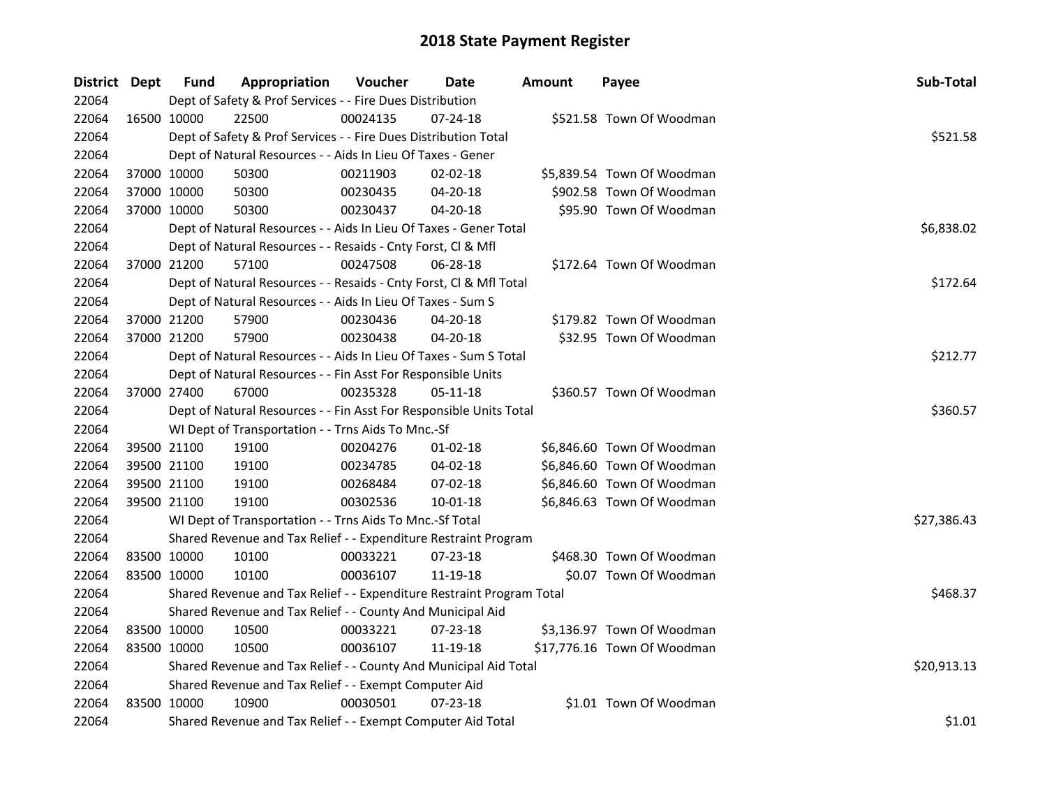| <b>District Dept</b> |             | <b>Fund</b> | Appropriation                                                         | Voucher  | Date           | <b>Amount</b> | Payee                       | Sub-Total   |
|----------------------|-------------|-------------|-----------------------------------------------------------------------|----------|----------------|---------------|-----------------------------|-------------|
| 22064                |             |             | Dept of Safety & Prof Services - - Fire Dues Distribution             |          |                |               |                             |             |
| 22064                | 16500 10000 |             | 22500                                                                 | 00024135 | $07 - 24 - 18$ |               | \$521.58 Town Of Woodman    |             |
| 22064                |             |             | Dept of Safety & Prof Services - - Fire Dues Distribution Total       |          |                |               |                             | \$521.58    |
| 22064                |             |             | Dept of Natural Resources - - Aids In Lieu Of Taxes - Gener           |          |                |               |                             |             |
| 22064                | 37000 10000 |             | 50300                                                                 | 00211903 | $02 - 02 - 18$ |               | \$5,839.54 Town Of Woodman  |             |
| 22064                | 37000 10000 |             | 50300                                                                 | 00230435 | 04-20-18       |               | \$902.58 Town Of Woodman    |             |
| 22064                | 37000 10000 |             | 50300                                                                 | 00230437 | 04-20-18       |               | \$95.90 Town Of Woodman     |             |
| 22064                |             |             | Dept of Natural Resources - - Aids In Lieu Of Taxes - Gener Total     |          |                |               |                             | \$6,838.02  |
| 22064                |             |             | Dept of Natural Resources - - Resaids - Cnty Forst, Cl & Mfl          |          |                |               |                             |             |
| 22064                |             | 37000 21200 | 57100                                                                 | 00247508 | 06-28-18       |               | \$172.64 Town Of Woodman    |             |
| 22064                |             |             | Dept of Natural Resources - - Resaids - Cnty Forst, Cl & Mfl Total    |          |                |               |                             | \$172.64    |
| 22064                |             |             | Dept of Natural Resources - - Aids In Lieu Of Taxes - Sum S           |          |                |               |                             |             |
| 22064                |             | 37000 21200 | 57900                                                                 | 00230436 | 04-20-18       |               | \$179.82 Town Of Woodman    |             |
| 22064                |             | 37000 21200 | 57900                                                                 | 00230438 | 04-20-18       |               | \$32.95 Town Of Woodman     |             |
| 22064                |             |             | Dept of Natural Resources - - Aids In Lieu Of Taxes - Sum S Total     |          |                |               |                             | \$212.77    |
| 22064                |             |             | Dept of Natural Resources - - Fin Asst For Responsible Units          |          |                |               |                             |             |
| 22064                |             | 37000 27400 | 67000                                                                 | 00235328 | 05-11-18       |               | \$360.57 Town Of Woodman    |             |
| 22064                |             |             | Dept of Natural Resources - - Fin Asst For Responsible Units Total    |          |                |               |                             | \$360.57    |
| 22064                |             |             | WI Dept of Transportation - - Trns Aids To Mnc.-Sf                    |          |                |               |                             |             |
| 22064                | 39500 21100 |             | 19100                                                                 | 00204276 | $01-02-18$     |               | \$6,846.60 Town Of Woodman  |             |
| 22064                | 39500 21100 |             | 19100                                                                 | 00234785 | 04-02-18       |               | \$6,846.60 Town Of Woodman  |             |
| 22064                | 39500 21100 |             | 19100                                                                 | 00268484 | 07-02-18       |               | \$6,846.60 Town Of Woodman  |             |
| 22064                |             | 39500 21100 | 19100                                                                 | 00302536 | 10-01-18       |               | \$6,846.63 Town Of Woodman  |             |
| 22064                |             |             | WI Dept of Transportation - - Trns Aids To Mnc.-Sf Total              |          |                |               |                             | \$27,386.43 |
| 22064                |             |             | Shared Revenue and Tax Relief - - Expenditure Restraint Program       |          |                |               |                             |             |
| 22064                |             | 83500 10000 | 10100                                                                 | 00033221 | $07 - 23 - 18$ |               | \$468.30 Town Of Woodman    |             |
| 22064                | 83500 10000 |             | 10100                                                                 | 00036107 | 11-19-18       |               | \$0.07 Town Of Woodman      |             |
| 22064                |             |             | Shared Revenue and Tax Relief - - Expenditure Restraint Program Total |          |                |               |                             | \$468.37    |
| 22064                |             |             | Shared Revenue and Tax Relief - - County And Municipal Aid            |          |                |               |                             |             |
| 22064                | 83500 10000 |             | 10500                                                                 | 00033221 | 07-23-18       |               | \$3,136.97 Town Of Woodman  |             |
| 22064                | 83500 10000 |             | 10500                                                                 | 00036107 | 11-19-18       |               | \$17,776.16 Town Of Woodman |             |
| 22064                |             |             | Shared Revenue and Tax Relief - - County And Municipal Aid Total      |          |                |               |                             | \$20,913.13 |
| 22064                |             |             | Shared Revenue and Tax Relief - - Exempt Computer Aid                 |          |                |               |                             |             |
| 22064                | 83500 10000 |             | 10900                                                                 | 00030501 | $07 - 23 - 18$ |               | \$1.01 Town Of Woodman      |             |
| 22064                |             |             | Shared Revenue and Tax Relief - - Exempt Computer Aid Total           |          |                |               |                             | \$1.01      |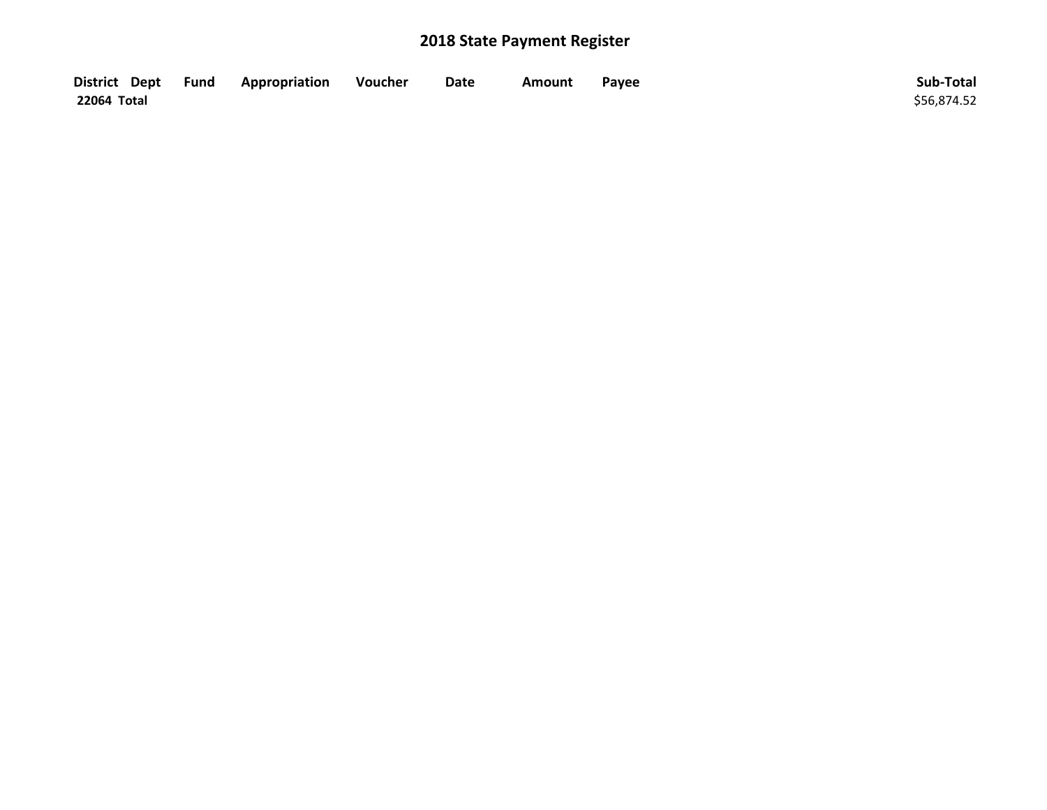| District Dept Fund | Appropriation | Voucher | Date | Amount | Payee | Sub-Total   |
|--------------------|---------------|---------|------|--------|-------|-------------|
| 22064 Total        |               |         |      |        |       | \$56,874.52 |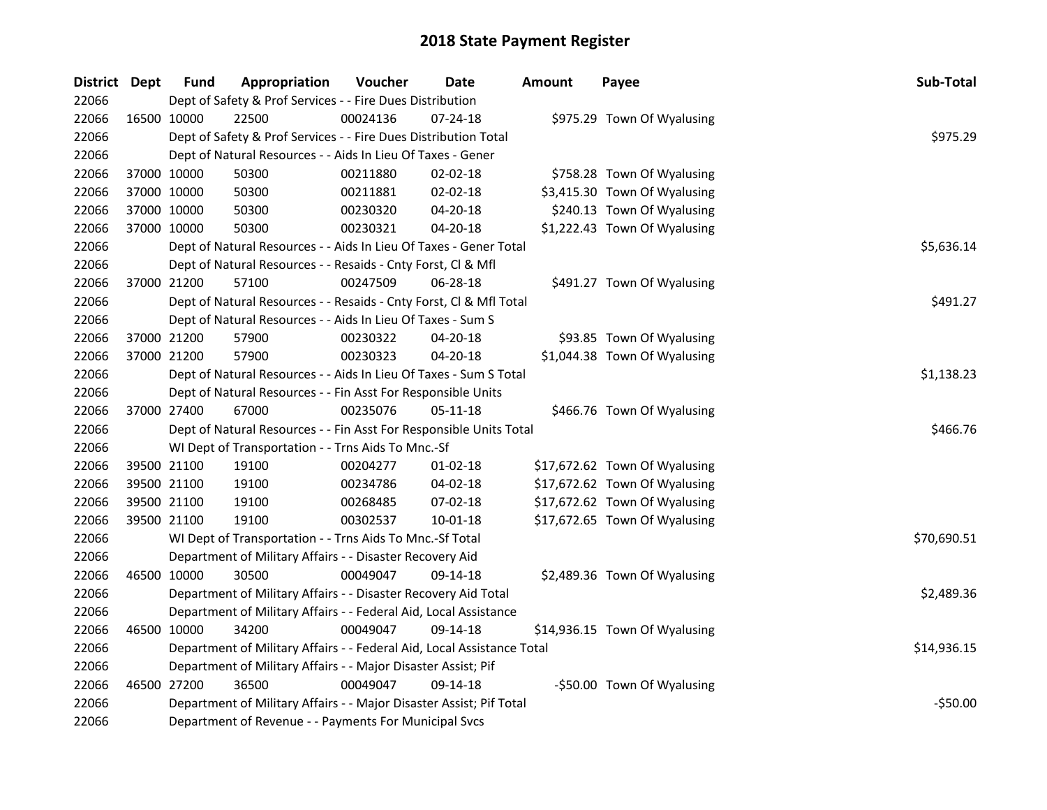| District Dept |             | <b>Fund</b> | Appropriation                                                          | Voucher  | Date           | <b>Amount</b> | Payee                         | Sub-Total   |
|---------------|-------------|-------------|------------------------------------------------------------------------|----------|----------------|---------------|-------------------------------|-------------|
| 22066         |             |             | Dept of Safety & Prof Services - - Fire Dues Distribution              |          |                |               |                               |             |
| 22066         | 16500 10000 |             | 22500                                                                  | 00024136 | 07-24-18       |               | \$975.29 Town Of Wyalusing    |             |
| 22066         |             |             | Dept of Safety & Prof Services - - Fire Dues Distribution Total        |          |                |               |                               | \$975.29    |
| 22066         |             |             | Dept of Natural Resources - - Aids In Lieu Of Taxes - Gener            |          |                |               |                               |             |
| 22066         |             | 37000 10000 | 50300                                                                  | 00211880 | 02-02-18       |               | \$758.28 Town Of Wyalusing    |             |
| 22066         | 37000 10000 |             | 50300                                                                  | 00211881 | 02-02-18       |               | \$3,415.30 Town Of Wyalusing  |             |
| 22066         | 37000 10000 |             | 50300                                                                  | 00230320 | 04-20-18       |               | \$240.13 Town Of Wyalusing    |             |
| 22066         | 37000 10000 |             | 50300                                                                  | 00230321 | 04-20-18       |               | \$1,222.43 Town Of Wyalusing  |             |
| 22066         |             |             | Dept of Natural Resources - - Aids In Lieu Of Taxes - Gener Total      |          |                |               |                               | \$5,636.14  |
| 22066         |             |             | Dept of Natural Resources - - Resaids - Cnty Forst, Cl & Mfl           |          |                |               |                               |             |
| 22066         | 37000 21200 |             | 57100                                                                  | 00247509 | 06-28-18       |               | \$491.27 Town Of Wyalusing    |             |
| 22066         |             |             | Dept of Natural Resources - - Resaids - Cnty Forst, Cl & Mfl Total     |          |                |               |                               | \$491.27    |
| 22066         |             |             | Dept of Natural Resources - - Aids In Lieu Of Taxes - Sum S            |          |                |               |                               |             |
| 22066         | 37000 21200 |             | 57900                                                                  | 00230322 | 04-20-18       |               | \$93.85 Town Of Wyalusing     |             |
| 22066         | 37000 21200 |             | 57900                                                                  | 00230323 | $04 - 20 - 18$ |               | \$1,044.38 Town Of Wyalusing  |             |
| 22066         |             |             | Dept of Natural Resources - - Aids In Lieu Of Taxes - Sum S Total      |          | \$1,138.23     |               |                               |             |
| 22066         |             |             | Dept of Natural Resources - - Fin Asst For Responsible Units           |          |                |               |                               |             |
| 22066         | 37000 27400 |             | 67000                                                                  | 00235076 | 05-11-18       |               | \$466.76 Town Of Wyalusing    |             |
| 22066         |             |             | Dept of Natural Resources - - Fin Asst For Responsible Units Total     |          |                |               |                               | \$466.76    |
| 22066         |             |             | WI Dept of Transportation - - Trns Aids To Mnc.-Sf                     |          |                |               |                               |             |
| 22066         | 39500 21100 |             | 19100                                                                  | 00204277 | $01 - 02 - 18$ |               | \$17,672.62 Town Of Wyalusing |             |
| 22066         | 39500 21100 |             | 19100                                                                  | 00234786 | 04-02-18       |               | \$17,672.62 Town Of Wyalusing |             |
| 22066         | 39500 21100 |             | 19100                                                                  | 00268485 | 07-02-18       |               | \$17,672.62 Town Of Wyalusing |             |
| 22066         |             | 39500 21100 | 19100                                                                  | 00302537 | 10-01-18       |               | \$17,672.65 Town Of Wyalusing |             |
| 22066         |             |             | WI Dept of Transportation - - Trns Aids To Mnc.-Sf Total               |          |                |               |                               | \$70,690.51 |
| 22066         |             |             | Department of Military Affairs - - Disaster Recovery Aid               |          |                |               |                               |             |
| 22066         | 46500 10000 |             | 30500                                                                  | 00049047 | 09-14-18       |               | \$2,489.36 Town Of Wyalusing  |             |
| 22066         |             |             | Department of Military Affairs - - Disaster Recovery Aid Total         |          |                |               |                               | \$2,489.36  |
| 22066         |             |             | Department of Military Affairs - - Federal Aid, Local Assistance       |          |                |               |                               |             |
| 22066         |             | 46500 10000 | 34200                                                                  | 00049047 | 09-14-18       |               | \$14,936.15 Town Of Wyalusing |             |
| 22066         |             |             | Department of Military Affairs - - Federal Aid, Local Assistance Total |          |                |               |                               | \$14,936.15 |
| 22066         |             |             | Department of Military Affairs - - Major Disaster Assist; Pif          |          |                |               |                               |             |
| 22066         | 46500 27200 |             | 36500                                                                  | 00049047 | 09-14-18       |               | -\$50.00 Town Of Wyalusing    |             |
| 22066         |             |             | Department of Military Affairs - - Major Disaster Assist; Pif Total    |          |                |               |                               | $-$50.00$   |
| 22066         |             |             | Department of Revenue - - Payments For Municipal Svcs                  |          |                |               |                               |             |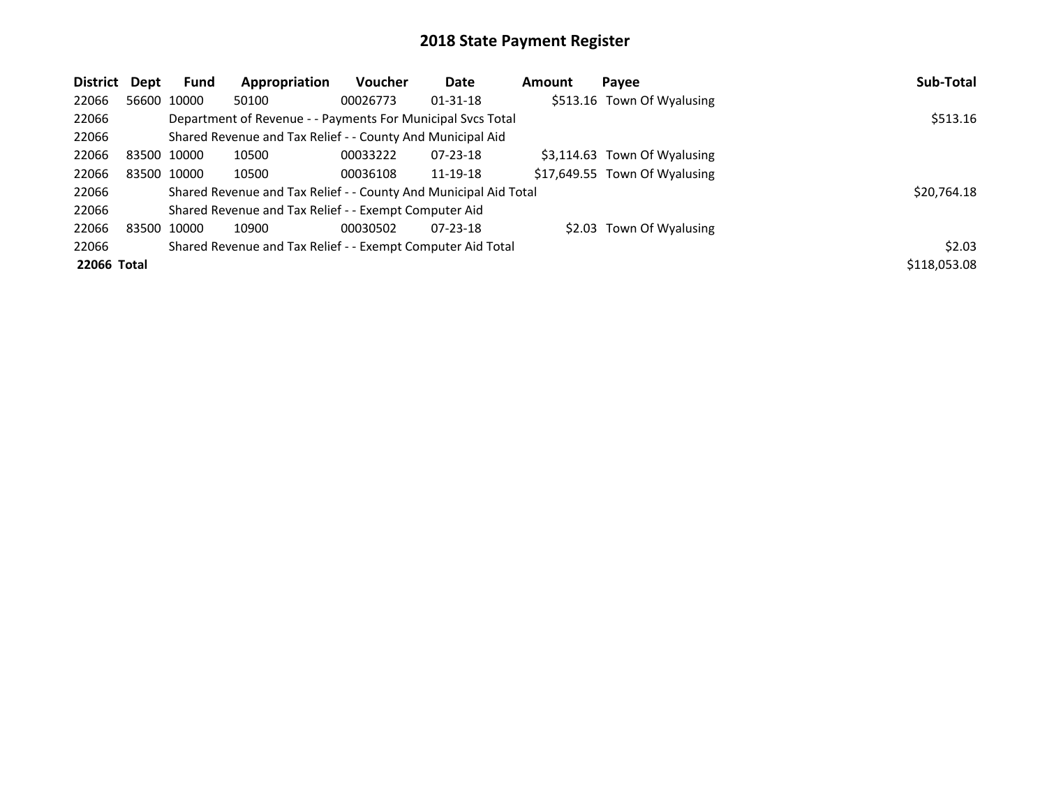| District    | Dept | <b>Fund</b> | Appropriation                                                    | Voucher  | Date           | Amount | Payee                         | Sub-Total    |
|-------------|------|-------------|------------------------------------------------------------------|----------|----------------|--------|-------------------------------|--------------|
| 22066       |      | 56600 10000 | 50100                                                            | 00026773 | $01 - 31 - 18$ |        | \$513.16 Town Of Wyalusing    |              |
| 22066       |      |             | Department of Revenue - - Payments For Municipal Svcs Total      |          |                |        |                               | \$513.16     |
| 22066       |      |             | Shared Revenue and Tax Relief - - County And Municipal Aid       |          |                |        |                               |              |
| 22066       |      | 83500 10000 | 10500                                                            | 00033222 | $07 - 23 - 18$ |        | \$3,114.63 Town Of Wyalusing  |              |
| 22066       |      | 83500 10000 | 10500                                                            | 00036108 | 11-19-18       |        | \$17,649.55 Town Of Wyalusing |              |
| 22066       |      |             | Shared Revenue and Tax Relief - - County And Municipal Aid Total |          |                |        |                               | \$20,764.18  |
| 22066       |      |             | Shared Revenue and Tax Relief - - Exempt Computer Aid            |          |                |        |                               |              |
| 22066       |      | 83500 10000 | 10900                                                            | 00030502 | $07 - 23 - 18$ |        | \$2.03 Town Of Wyalusing      |              |
| 22066       |      |             | Shared Revenue and Tax Relief - - Exempt Computer Aid Total      |          |                |        |                               | \$2.03       |
| 22066 Total |      |             |                                                                  |          |                |        |                               | \$118,053.08 |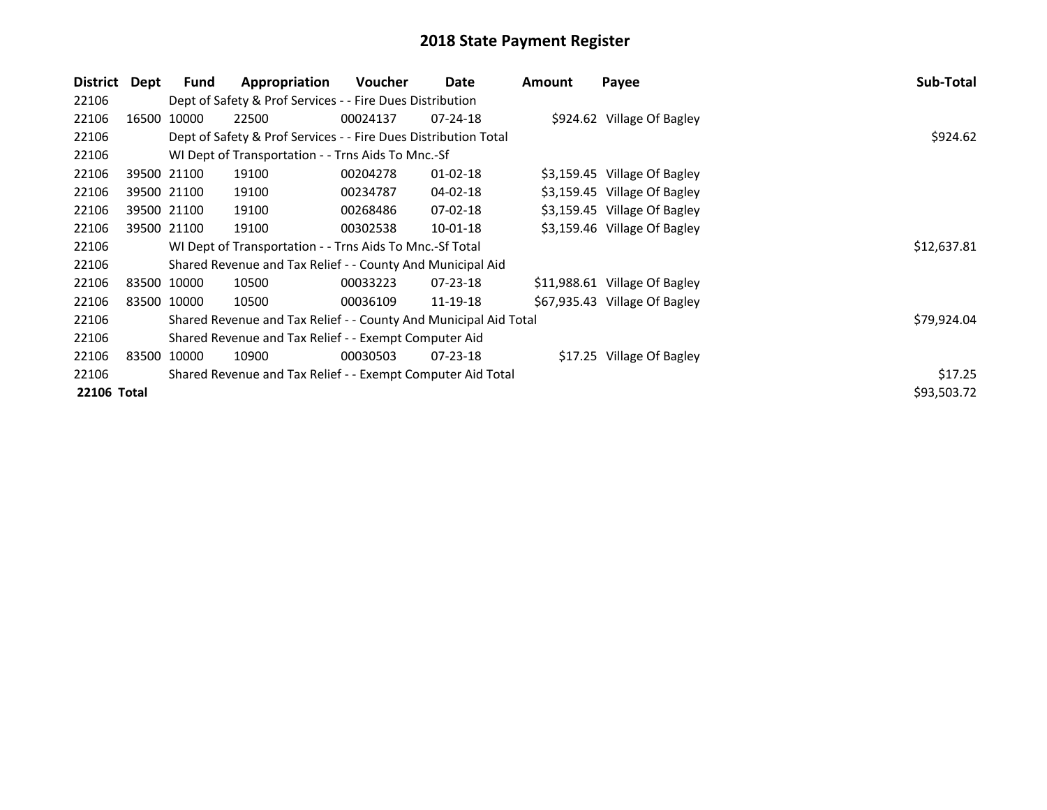| District           | Dept  | Fund        | Appropriation                                                    | Voucher  | Date           | <b>Amount</b> | Payee                         | Sub-Total   |
|--------------------|-------|-------------|------------------------------------------------------------------|----------|----------------|---------------|-------------------------------|-------------|
| 22106              |       |             | Dept of Safety & Prof Services - - Fire Dues Distribution        |          |                |               |                               |             |
| 22106              | 16500 | 10000       | 22500                                                            | 00024137 | 07-24-18       |               | \$924.62 Village Of Bagley    |             |
| 22106              |       |             | Dept of Safety & Prof Services - - Fire Dues Distribution Total  |          |                |               |                               | \$924.62    |
| 22106              |       |             | WI Dept of Transportation - - Trns Aids To Mnc.-Sf               |          |                |               |                               |             |
| 22106              |       | 39500 21100 | 19100                                                            | 00204278 | $01 - 02 - 18$ |               | \$3,159.45 Village Of Bagley  |             |
| 22106              |       | 39500 21100 | 19100                                                            | 00234787 | 04-02-18       |               | \$3,159.45 Village Of Bagley  |             |
| 22106              |       | 39500 21100 | 19100                                                            | 00268486 | 07-02-18       |               | \$3,159.45 Village Of Bagley  |             |
| 22106              |       | 39500 21100 | 19100                                                            | 00302538 | $10 - 01 - 18$ |               | \$3,159.46 Village Of Bagley  |             |
| 22106              |       |             | WI Dept of Transportation - - Trns Aids To Mnc.-Sf Total         |          |                |               |                               | \$12,637.81 |
| 22106              |       |             | Shared Revenue and Tax Relief - - County And Municipal Aid       |          |                |               |                               |             |
| 22106              |       | 83500 10000 | 10500                                                            | 00033223 | 07-23-18       |               | \$11,988.61 Village Of Bagley |             |
| 22106              |       | 83500 10000 | 10500                                                            | 00036109 | 11-19-18       |               | \$67,935.43 Village Of Bagley |             |
| 22106              |       |             | Shared Revenue and Tax Relief - - County And Municipal Aid Total |          |                |               |                               | \$79,924.04 |
| 22106              |       |             | Shared Revenue and Tax Relief - - Exempt Computer Aid            |          |                |               |                               |             |
| 22106              |       | 83500 10000 | 10900                                                            | 00030503 | $07 - 23 - 18$ |               | \$17.25 Village Of Bagley     |             |
| 22106              |       |             | Shared Revenue and Tax Relief - - Exempt Computer Aid Total      |          |                |               |                               | \$17.25     |
| <b>22106 Total</b> |       |             |                                                                  |          |                |               |                               | \$93,503.72 |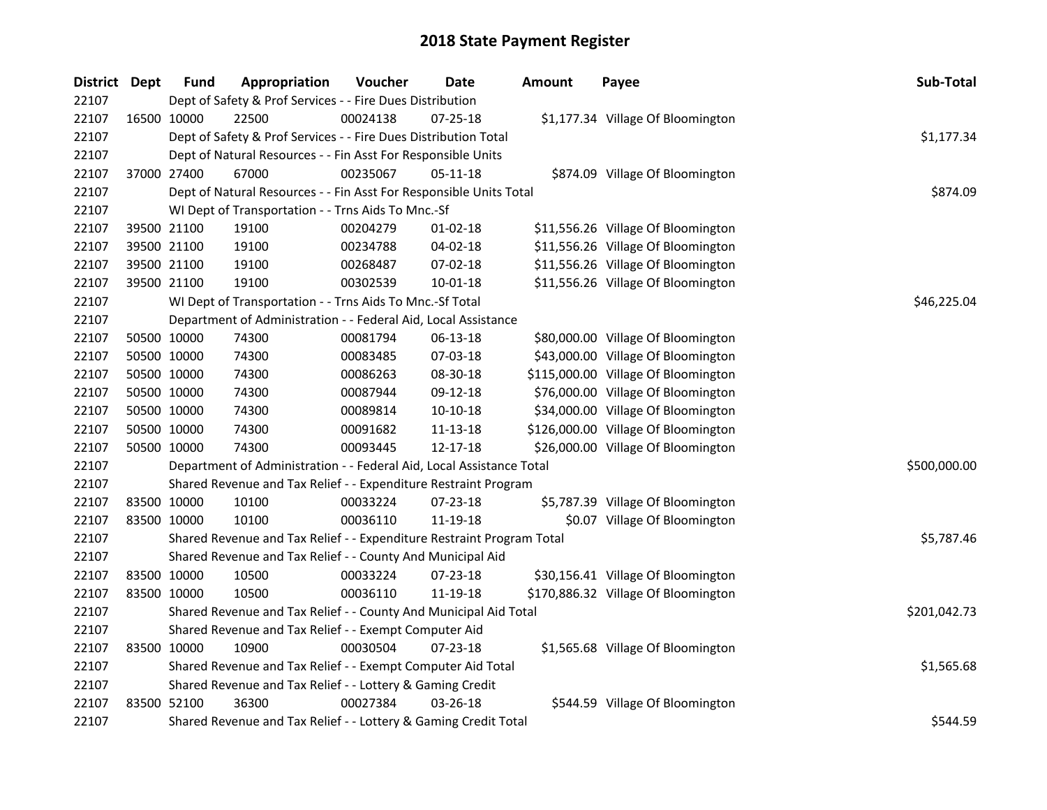| District Dept |             | <b>Fund</b> | Appropriation                                                         | Voucher  | Date           | <b>Amount</b> | Payee                               | Sub-Total    |
|---------------|-------------|-------------|-----------------------------------------------------------------------|----------|----------------|---------------|-------------------------------------|--------------|
| 22107         |             |             | Dept of Safety & Prof Services - - Fire Dues Distribution             |          |                |               |                                     |              |
| 22107         |             | 16500 10000 | 22500                                                                 | 00024138 | 07-25-18       |               | \$1,177.34 Village Of Bloomington   |              |
| 22107         |             |             | Dept of Safety & Prof Services - - Fire Dues Distribution Total       |          |                |               |                                     | \$1,177.34   |
| 22107         |             |             | Dept of Natural Resources - - Fin Asst For Responsible Units          |          |                |               |                                     |              |
| 22107         |             | 37000 27400 | 67000                                                                 | 00235067 | 05-11-18       |               | \$874.09 Village Of Bloomington     |              |
| 22107         |             |             | Dept of Natural Resources - - Fin Asst For Responsible Units Total    |          |                |               |                                     | \$874.09     |
| 22107         |             |             | WI Dept of Transportation - - Trns Aids To Mnc.-Sf                    |          |                |               |                                     |              |
| 22107         |             | 39500 21100 | 19100                                                                 | 00204279 | 01-02-18       |               | \$11,556.26 Village Of Bloomington  |              |
| 22107         |             | 39500 21100 | 19100                                                                 | 00234788 | 04-02-18       |               | \$11,556.26 Village Of Bloomington  |              |
| 22107         |             | 39500 21100 | 19100                                                                 | 00268487 | 07-02-18       |               | \$11,556.26 Village Of Bloomington  |              |
| 22107         |             | 39500 21100 | 19100                                                                 | 00302539 | 10-01-18       |               | \$11,556.26 Village Of Bloomington  |              |
| 22107         |             |             | WI Dept of Transportation - - Trns Aids To Mnc.-Sf Total              |          |                |               |                                     | \$46,225.04  |
| 22107         |             |             | Department of Administration - - Federal Aid, Local Assistance        |          |                |               |                                     |              |
| 22107         |             | 50500 10000 | 74300                                                                 | 00081794 | 06-13-18       |               | \$80,000.00 Village Of Bloomington  |              |
| 22107         |             | 50500 10000 | 74300                                                                 | 00083485 | 07-03-18       |               | \$43,000.00 Village Of Bloomington  |              |
| 22107         |             | 50500 10000 | 74300                                                                 | 00086263 | 08-30-18       |               | \$115,000.00 Village Of Bloomington |              |
| 22107         |             | 50500 10000 | 74300                                                                 | 00087944 | 09-12-18       |               | \$76,000.00 Village Of Bloomington  |              |
| 22107         |             | 50500 10000 | 74300                                                                 | 00089814 | $10-10-18$     |               | \$34,000.00 Village Of Bloomington  |              |
| 22107         |             | 50500 10000 | 74300                                                                 | 00091682 | $11 - 13 - 18$ |               | \$126,000.00 Village Of Bloomington |              |
| 22107         |             | 50500 10000 | 74300                                                                 | 00093445 | 12-17-18       |               | \$26,000.00 Village Of Bloomington  |              |
| 22107         |             |             | Department of Administration - - Federal Aid, Local Assistance Total  |          |                |               |                                     | \$500,000.00 |
| 22107         |             |             | Shared Revenue and Tax Relief - - Expenditure Restraint Program       |          |                |               |                                     |              |
| 22107         |             | 83500 10000 | 10100                                                                 | 00033224 | 07-23-18       |               | \$5,787.39 Village Of Bloomington   |              |
| 22107         |             | 83500 10000 | 10100                                                                 | 00036110 | 11-19-18       |               | \$0.07 Village Of Bloomington       |              |
| 22107         |             |             | Shared Revenue and Tax Relief - - Expenditure Restraint Program Total |          |                |               |                                     | \$5,787.46   |
| 22107         |             |             | Shared Revenue and Tax Relief - - County And Municipal Aid            |          |                |               |                                     |              |
| 22107         |             | 83500 10000 | 10500                                                                 | 00033224 | 07-23-18       |               | \$30,156.41 Village Of Bloomington  |              |
| 22107         |             | 83500 10000 | 10500                                                                 | 00036110 | 11-19-18       |               | \$170,886.32 Village Of Bloomington |              |
| 22107         |             |             | Shared Revenue and Tax Relief - - County And Municipal Aid Total      |          |                |               |                                     | \$201,042.73 |
| 22107         |             |             | Shared Revenue and Tax Relief - - Exempt Computer Aid                 |          |                |               |                                     |              |
| 22107         |             | 83500 10000 | 10900                                                                 | 00030504 | $07 - 23 - 18$ |               | \$1,565.68 Village Of Bloomington   |              |
| 22107         |             |             | Shared Revenue and Tax Relief - - Exempt Computer Aid Total           |          |                |               |                                     | \$1,565.68   |
| 22107         |             |             | Shared Revenue and Tax Relief - - Lottery & Gaming Credit             |          |                |               |                                     |              |
| 22107         | 83500 52100 |             | 36300                                                                 | 00027384 | $03 - 26 - 18$ |               | \$544.59 Village Of Bloomington     |              |
| 22107         |             |             | Shared Revenue and Tax Relief - - Lottery & Gaming Credit Total       |          |                |               |                                     | \$544.59     |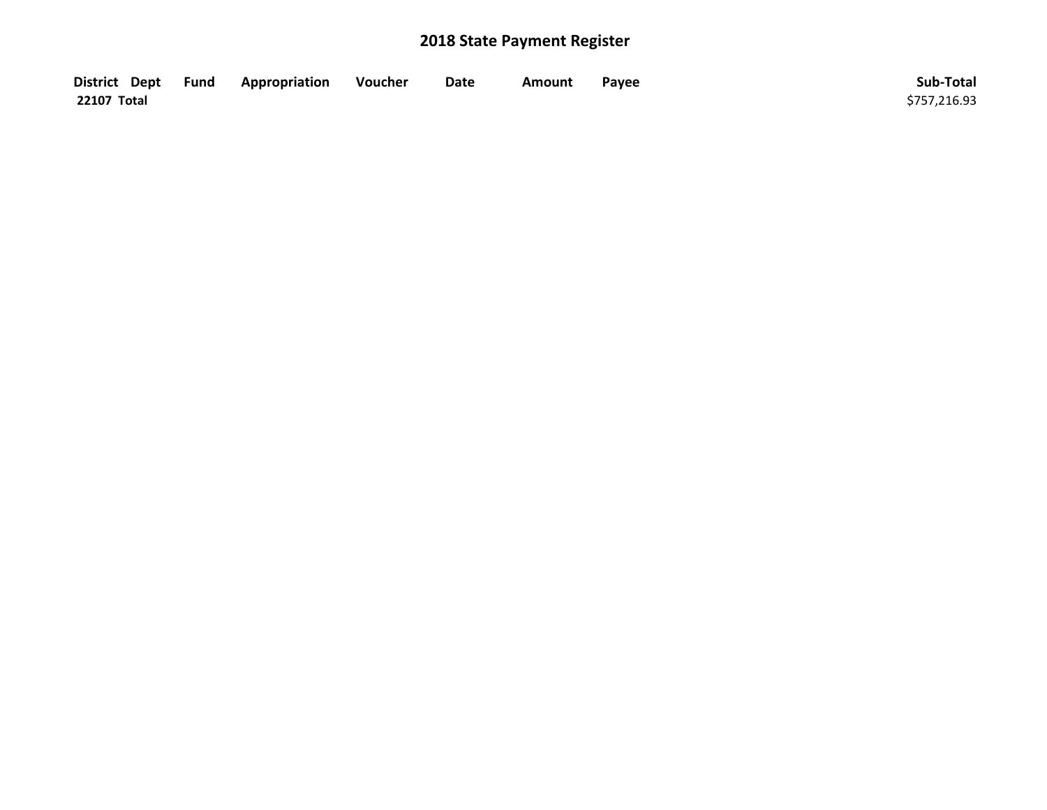| District Dept Fund | Appropriation | Voucher | Date | Amount | Payee | Sub-Total    |
|--------------------|---------------|---------|------|--------|-------|--------------|
| 22107 Total        |               |         |      |        |       | \$757,216.93 |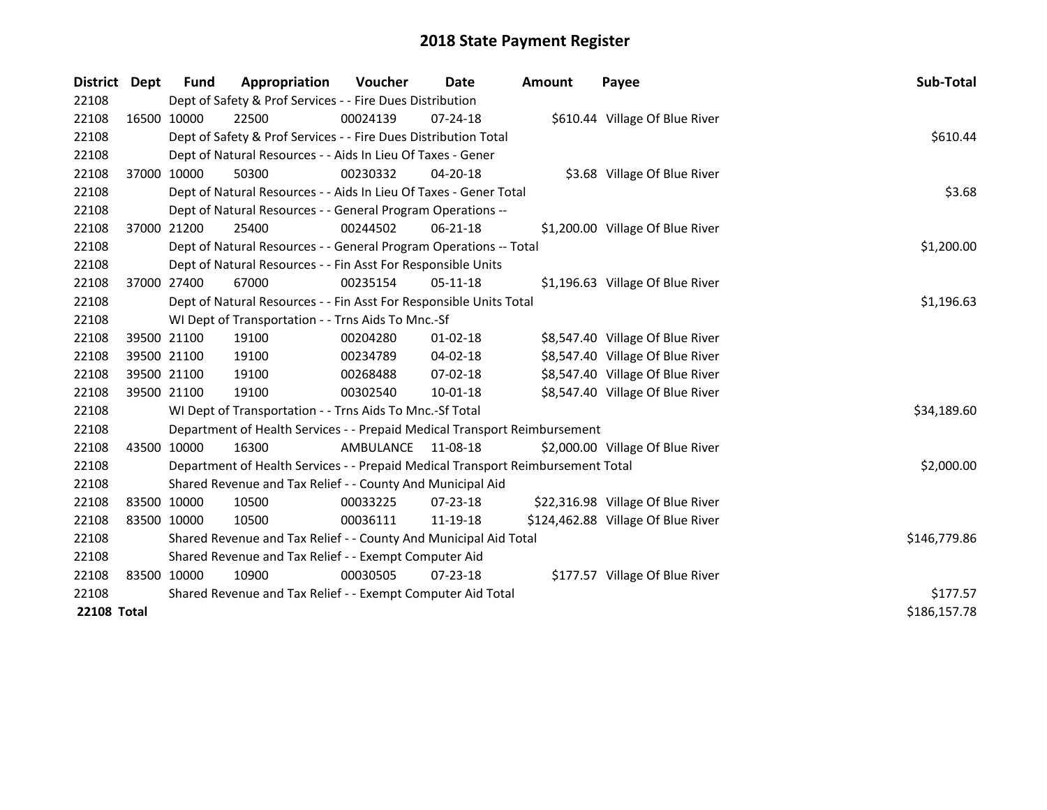| <b>District</b>    | Dept | <b>Fund</b>                                                      | Appropriation                                                                   | Voucher    | <b>Date</b>    | <b>Amount</b> | Payee                              | Sub-Total    |
|--------------------|------|------------------------------------------------------------------|---------------------------------------------------------------------------------|------------|----------------|---------------|------------------------------------|--------------|
| 22108              |      |                                                                  | Dept of Safety & Prof Services - - Fire Dues Distribution                       |            |                |               |                                    |              |
| 22108              |      | 16500 10000                                                      | 22500                                                                           | 00024139   | $07 - 24 - 18$ |               | \$610.44 Village Of Blue River     |              |
| 22108              |      |                                                                  | Dept of Safety & Prof Services - - Fire Dues Distribution Total                 |            |                |               |                                    | \$610.44     |
| 22108              |      |                                                                  | Dept of Natural Resources - - Aids In Lieu Of Taxes - Gener                     |            |                |               |                                    |              |
| 22108              |      | 37000 10000                                                      | 50300                                                                           | 00230332   | $04 - 20 - 18$ |               | \$3.68 Village Of Blue River       |              |
| 22108              |      |                                                                  | Dept of Natural Resources - - Aids In Lieu Of Taxes - Gener Total               |            |                |               |                                    | \$3.68       |
| 22108              |      |                                                                  | Dept of Natural Resources - - General Program Operations --                     |            |                |               |                                    |              |
| 22108              |      | 37000 21200                                                      | 25400                                                                           | 00244502   | $06 - 21 - 18$ |               | \$1,200.00 Village Of Blue River   |              |
| 22108              |      |                                                                  | Dept of Natural Resources - - General Program Operations -- Total               | \$1,200.00 |                |               |                                    |              |
| 22108              |      |                                                                  | Dept of Natural Resources - - Fin Asst For Responsible Units                    |            |                |               |                                    |              |
| 22108              |      | 37000 27400                                                      | 67000                                                                           | 00235154   | $05-11-18$     |               | \$1,196.63 Village Of Blue River   |              |
| 22108              |      |                                                                  | Dept of Natural Resources - - Fin Asst For Responsible Units Total              | \$1,196.63 |                |               |                                    |              |
| 22108              |      |                                                                  | WI Dept of Transportation - - Trns Aids To Mnc.-Sf                              |            |                |               |                                    |              |
| 22108              |      | 39500 21100                                                      | 19100                                                                           | 00204280   | $01 - 02 - 18$ |               | \$8,547.40 Village Of Blue River   |              |
| 22108              |      | 39500 21100                                                      | 19100                                                                           | 00234789   | 04-02-18       |               | \$8,547.40 Village Of Blue River   |              |
| 22108              |      | 39500 21100                                                      | 19100                                                                           | 00268488   | 07-02-18       |               | \$8,547.40 Village Of Blue River   |              |
| 22108              |      | 39500 21100                                                      | 19100                                                                           | 00302540   | 10-01-18       |               | \$8,547.40 Village Of Blue River   |              |
| 22108              |      |                                                                  | WI Dept of Transportation - - Trns Aids To Mnc.-Sf Total                        |            |                |               |                                    | \$34,189.60  |
| 22108              |      |                                                                  | Department of Health Services - - Prepaid Medical Transport Reimbursement       |            |                |               |                                    |              |
| 22108              |      | 43500 10000                                                      | 16300                                                                           | AMBULANCE  | 11-08-18       |               | \$2,000.00 Village Of Blue River   |              |
| 22108              |      |                                                                  | Department of Health Services - - Prepaid Medical Transport Reimbursement Total |            |                |               |                                    | \$2,000.00   |
| 22108              |      |                                                                  | Shared Revenue and Tax Relief - - County And Municipal Aid                      |            |                |               |                                    |              |
| 22108              |      | 83500 10000                                                      | 10500                                                                           | 00033225   | $07 - 23 - 18$ |               | \$22,316.98 Village Of Blue River  |              |
| 22108              |      | 83500 10000                                                      | 10500                                                                           | 00036111   | 11-19-18       |               | \$124,462.88 Village Of Blue River |              |
| 22108              |      | Shared Revenue and Tax Relief - - County And Municipal Aid Total | \$146,779.86                                                                    |            |                |               |                                    |              |
| 22108              |      |                                                                  | Shared Revenue and Tax Relief - - Exempt Computer Aid                           |            |                |               |                                    |              |
| 22108              |      | 83500 10000                                                      | 10900                                                                           | 00030505   | $07 - 23 - 18$ |               | \$177.57 Village Of Blue River     |              |
| 22108              |      |                                                                  | Shared Revenue and Tax Relief - - Exempt Computer Aid Total                     |            |                |               |                                    | \$177.57     |
| <b>22108 Total</b> |      |                                                                  |                                                                                 |            |                |               |                                    | \$186,157.78 |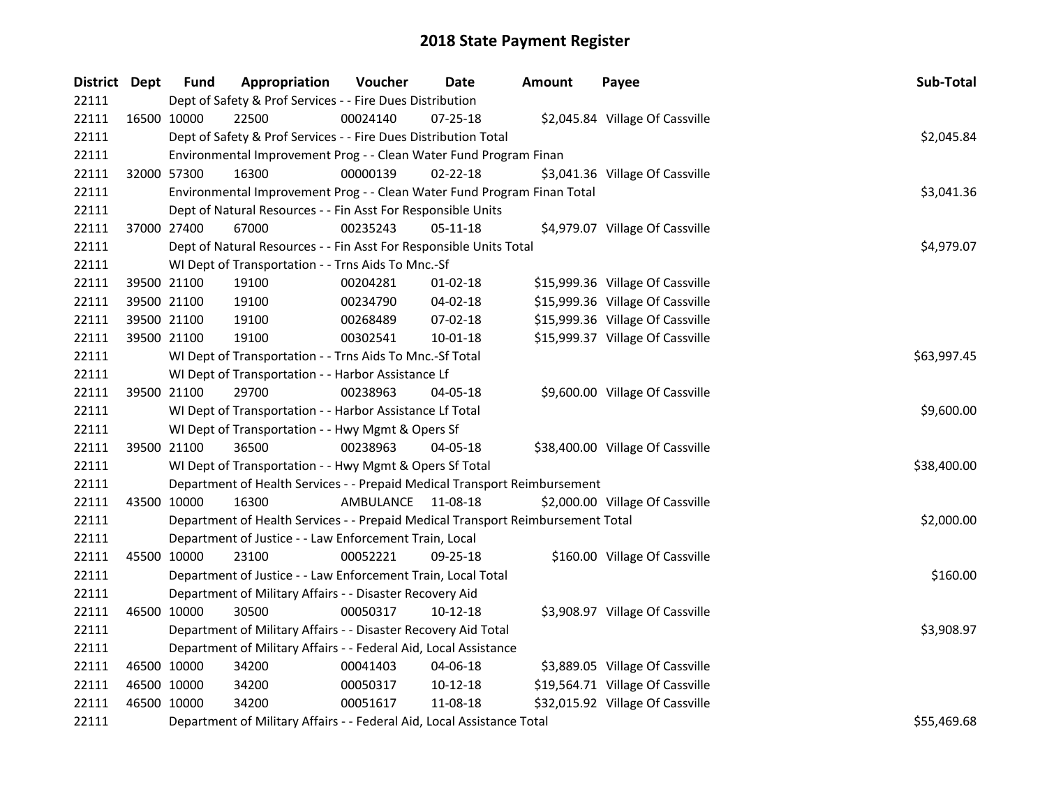| District Dept |             | <b>Fund</b> | Appropriation                                                                   | Voucher            | Date           | <b>Amount</b> | Payee                            | Sub-Total   |
|---------------|-------------|-------------|---------------------------------------------------------------------------------|--------------------|----------------|---------------|----------------------------------|-------------|
| 22111         |             |             | Dept of Safety & Prof Services - - Fire Dues Distribution                       |                    |                |               |                                  |             |
| 22111         |             | 16500 10000 | 22500                                                                           | 00024140           | 07-25-18       |               | \$2,045.84 Village Of Cassville  |             |
| 22111         |             |             | Dept of Safety & Prof Services - - Fire Dues Distribution Total                 |                    |                |               |                                  | \$2,045.84  |
| 22111         |             |             | Environmental Improvement Prog - - Clean Water Fund Program Finan               |                    |                |               |                                  |             |
| 22111         | 32000 57300 |             | 16300                                                                           | 00000139           | $02 - 22 - 18$ |               | \$3,041.36 Village Of Cassville  |             |
| 22111         |             |             | Environmental Improvement Prog - - Clean Water Fund Program Finan Total         |                    |                |               |                                  | \$3,041.36  |
| 22111         |             |             | Dept of Natural Resources - - Fin Asst For Responsible Units                    |                    |                |               |                                  |             |
| 22111         |             | 37000 27400 | 67000                                                                           | 00235243           | 05-11-18       |               | \$4,979.07 Village Of Cassville  |             |
| 22111         |             |             | Dept of Natural Resources - - Fin Asst For Responsible Units Total              |                    |                |               |                                  | \$4,979.07  |
| 22111         |             |             | WI Dept of Transportation - - Trns Aids To Mnc.-Sf                              |                    |                |               |                                  |             |
| 22111         | 39500 21100 |             | 19100                                                                           | 00204281           | $01 - 02 - 18$ |               | \$15,999.36 Village Of Cassville |             |
| 22111         | 39500 21100 |             | 19100                                                                           | 00234790           | 04-02-18       |               | \$15,999.36 Village Of Cassville |             |
| 22111         | 39500 21100 |             | 19100                                                                           | 00268489           | 07-02-18       |               | \$15,999.36 Village Of Cassville |             |
| 22111         | 39500 21100 |             | 19100                                                                           | 00302541           | 10-01-18       |               | \$15,999.37 Village Of Cassville |             |
| 22111         |             |             | WI Dept of Transportation - - Trns Aids To Mnc.-Sf Total                        |                    |                |               |                                  | \$63,997.45 |
| 22111         |             |             | WI Dept of Transportation - - Harbor Assistance Lf                              |                    |                |               |                                  |             |
| 22111         | 39500 21100 |             | 29700                                                                           | 00238963           | 04-05-18       |               | \$9,600.00 Village Of Cassville  |             |
| 22111         |             |             | WI Dept of Transportation - - Harbor Assistance Lf Total                        |                    |                |               |                                  | \$9,600.00  |
| 22111         |             |             | WI Dept of Transportation - - Hwy Mgmt & Opers Sf                               |                    |                |               |                                  |             |
| 22111         | 39500 21100 |             | 36500                                                                           | 00238963           | 04-05-18       |               | \$38,400.00 Village Of Cassville |             |
| 22111         |             |             | WI Dept of Transportation - - Hwy Mgmt & Opers Sf Total                         |                    |                |               |                                  | \$38,400.00 |
| 22111         |             |             | Department of Health Services - - Prepaid Medical Transport Reimbursement       |                    |                |               |                                  |             |
| 22111         | 43500 10000 |             | 16300                                                                           | AMBULANCE 11-08-18 |                |               | \$2,000.00 Village Of Cassville  |             |
| 22111         |             |             | Department of Health Services - - Prepaid Medical Transport Reimbursement Total |                    |                |               |                                  | \$2,000.00  |
| 22111         |             |             | Department of Justice - - Law Enforcement Train, Local                          |                    |                |               |                                  |             |
| 22111         | 45500 10000 |             | 23100                                                                           | 00052221           | 09-25-18       |               | \$160.00 Village Of Cassville    |             |
| 22111         |             |             | Department of Justice - - Law Enforcement Train, Local Total                    |                    |                |               |                                  | \$160.00    |
| 22111         |             |             | Department of Military Affairs - - Disaster Recovery Aid                        |                    |                |               |                                  |             |
| 22111         | 46500 10000 |             | 30500                                                                           | 00050317           | 10-12-18       |               | \$3,908.97 Village Of Cassville  |             |
| 22111         |             |             | Department of Military Affairs - - Disaster Recovery Aid Total                  |                    |                |               |                                  | \$3,908.97  |
| 22111         |             |             | Department of Military Affairs - - Federal Aid, Local Assistance                |                    |                |               |                                  |             |
| 22111         | 46500 10000 |             | 34200                                                                           | 00041403           | 04-06-18       |               | \$3,889.05 Village Of Cassville  |             |
| 22111         | 46500 10000 |             | 34200                                                                           | 00050317           | 10-12-18       |               | \$19,564.71 Village Of Cassville |             |
| 22111         | 46500 10000 |             | 34200                                                                           | 00051617           | 11-08-18       |               | \$32,015.92 Village Of Cassville |             |
| 22111         |             |             | Department of Military Affairs - - Federal Aid, Local Assistance Total          |                    |                |               |                                  | \$55,469.68 |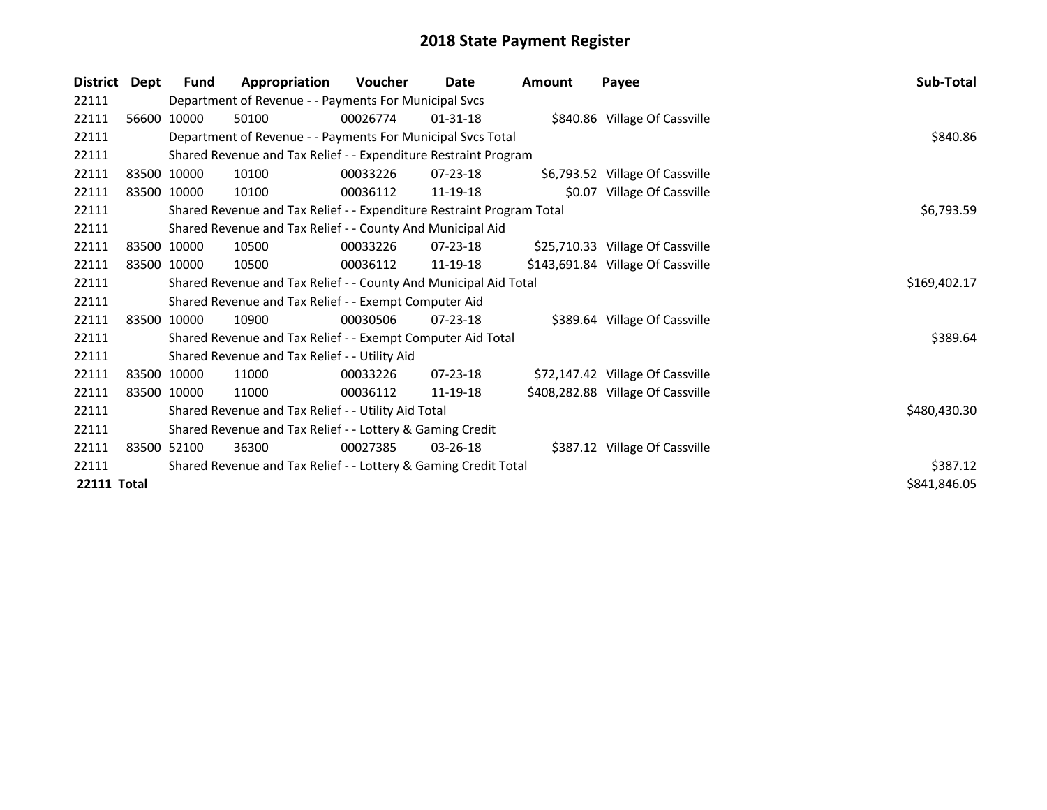| <b>District</b>    | Dept | Fund                                                                  | Appropriation                                                    | <b>Voucher</b> | Date           | Amount | Payee                             | Sub-Total    |
|--------------------|------|-----------------------------------------------------------------------|------------------------------------------------------------------|----------------|----------------|--------|-----------------------------------|--------------|
| 22111              |      |                                                                       | Department of Revenue - - Payments For Municipal Svcs            |                |                |        |                                   |              |
| 22111              |      | 56600 10000                                                           | 50100                                                            | 00026774       | $01 - 31 - 18$ |        | \$840.86 Village Of Cassville     |              |
| 22111              |      |                                                                       | Department of Revenue - - Payments For Municipal Svcs Total      |                |                |        |                                   | \$840.86     |
| 22111              |      |                                                                       | Shared Revenue and Tax Relief - - Expenditure Restraint Program  |                |                |        |                                   |              |
| 22111              |      | 83500 10000                                                           | 10100                                                            | 00033226       | $07 - 23 - 18$ |        | \$6,793.52 Village Of Cassville   |              |
| 22111              |      | 83500 10000                                                           | 10100                                                            | 00036112       | 11-19-18       |        | \$0.07 Village Of Cassville       |              |
| 22111              |      | Shared Revenue and Tax Relief - - Expenditure Restraint Program Total | \$6,793.59                                                       |                |                |        |                                   |              |
| 22111              |      |                                                                       | Shared Revenue and Tax Relief - - County And Municipal Aid       |                |                |        |                                   |              |
| 22111              |      | 83500 10000                                                           | 10500                                                            | 00033226       | $07 - 23 - 18$ |        | \$25,710.33 Village Of Cassville  |              |
| 22111              |      | 83500 10000                                                           | 10500                                                            | 00036112       | 11-19-18       |        | \$143,691.84 Village Of Cassville |              |
| 22111              |      |                                                                       | Shared Revenue and Tax Relief - - County And Municipal Aid Total |                |                |        |                                   | \$169,402.17 |
| 22111              |      |                                                                       | Shared Revenue and Tax Relief - - Exempt Computer Aid            |                |                |        |                                   |              |
| 22111              |      | 83500 10000                                                           | 10900                                                            | 00030506       | $07 - 23 - 18$ |        | \$389.64 Village Of Cassville     |              |
| 22111              |      |                                                                       | Shared Revenue and Tax Relief - - Exempt Computer Aid Total      |                |                |        |                                   | \$389.64     |
| 22111              |      |                                                                       | Shared Revenue and Tax Relief - - Utility Aid                    |                |                |        |                                   |              |
| 22111              |      | 83500 10000                                                           | 11000                                                            | 00033226       | $07 - 23 - 18$ |        | \$72,147.42 Village Of Cassville  |              |
| 22111              |      | 83500 10000                                                           | 11000                                                            | 00036112       | 11-19-18       |        | \$408,282.88 Village Of Cassville |              |
| 22111              |      |                                                                       | Shared Revenue and Tax Relief - - Utility Aid Total              |                |                |        |                                   | \$480,430.30 |
| 22111              |      | Shared Revenue and Tax Relief - - Lottery & Gaming Credit             |                                                                  |                |                |        |                                   |              |
| 22111              |      | 83500 52100                                                           | 36300                                                            | 00027385       | $03 - 26 - 18$ |        | \$387.12 Village Of Cassville     |              |
| 22111              |      |                                                                       | Shared Revenue and Tax Relief - - Lottery & Gaming Credit Total  |                |                |        |                                   | \$387.12     |
| <b>22111 Total</b> |      |                                                                       |                                                                  |                |                |        |                                   | \$841,846.05 |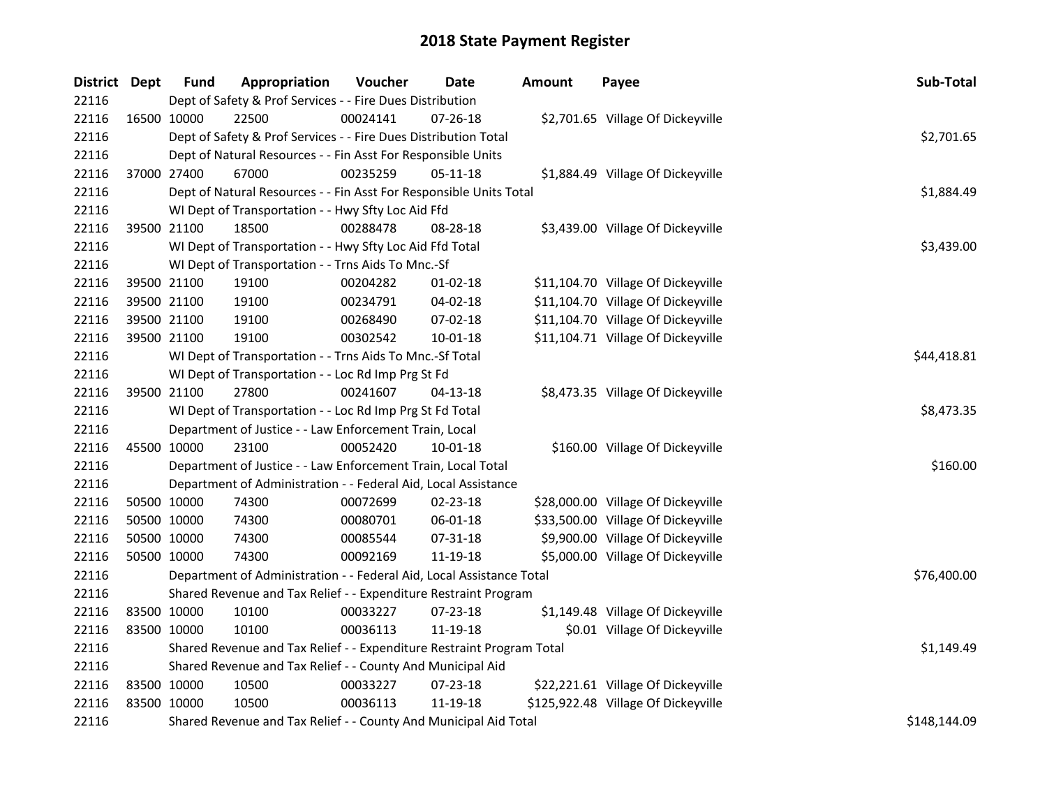| District Dept |             | <b>Fund</b> | Appropriation                                                         | Voucher  | Date           | <b>Amount</b> | Payee                               | Sub-Total    |
|---------------|-------------|-------------|-----------------------------------------------------------------------|----------|----------------|---------------|-------------------------------------|--------------|
| 22116         |             |             | Dept of Safety & Prof Services - - Fire Dues Distribution             |          |                |               |                                     |              |
| 22116         |             | 16500 10000 | 22500                                                                 | 00024141 | $07 - 26 - 18$ |               | \$2,701.65 Village Of Dickeyville   |              |
| 22116         |             |             | Dept of Safety & Prof Services - - Fire Dues Distribution Total       |          |                |               |                                     | \$2,701.65   |
| 22116         |             |             | Dept of Natural Resources - - Fin Asst For Responsible Units          |          |                |               |                                     |              |
| 22116         |             | 37000 27400 | 67000                                                                 | 00235259 | 05-11-18       |               | \$1,884.49 Village Of Dickeyville   |              |
| 22116         |             |             | Dept of Natural Resources - - Fin Asst For Responsible Units Total    |          |                |               |                                     | \$1,884.49   |
| 22116         |             |             | WI Dept of Transportation - - Hwy Sfty Loc Aid Ffd                    |          |                |               |                                     |              |
| 22116         |             | 39500 21100 | 18500                                                                 | 00288478 | 08-28-18       |               | \$3,439.00 Village Of Dickeyville   |              |
| 22116         |             |             | WI Dept of Transportation - - Hwy Sfty Loc Aid Ffd Total              |          |                |               |                                     | \$3,439.00   |
| 22116         |             |             | WI Dept of Transportation - - Trns Aids To Mnc.-Sf                    |          |                |               |                                     |              |
| 22116         |             | 39500 21100 | 19100                                                                 | 00204282 | $01 - 02 - 18$ |               | \$11,104.70 Village Of Dickeyville  |              |
| 22116         |             | 39500 21100 | 19100                                                                 | 00234791 | 04-02-18       |               | \$11,104.70 Village Of Dickeyville  |              |
| 22116         |             | 39500 21100 | 19100                                                                 | 00268490 | 07-02-18       |               | \$11,104.70 Village Of Dickeyville  |              |
| 22116         |             | 39500 21100 | 19100                                                                 | 00302542 | 10-01-18       |               | \$11,104.71 Village Of Dickeyville  |              |
| 22116         |             |             | WI Dept of Transportation - - Trns Aids To Mnc.-Sf Total              |          |                |               |                                     | \$44,418.81  |
| 22116         |             |             | WI Dept of Transportation - - Loc Rd Imp Prg St Fd                    |          |                |               |                                     |              |
| 22116         |             | 39500 21100 | 27800                                                                 | 00241607 | $04 - 13 - 18$ |               | \$8,473.35 Village Of Dickeyville   |              |
| 22116         |             |             | WI Dept of Transportation - - Loc Rd Imp Prg St Fd Total              |          |                |               |                                     | \$8,473.35   |
| 22116         |             |             | Department of Justice - - Law Enforcement Train, Local                |          |                |               |                                     |              |
| 22116         |             | 45500 10000 | 23100                                                                 | 00052420 | $10 - 01 - 18$ |               | \$160.00 Village Of Dickeyville     |              |
| 22116         |             |             | Department of Justice - - Law Enforcement Train, Local Total          |          |                |               |                                     | \$160.00     |
| 22116         |             |             | Department of Administration - - Federal Aid, Local Assistance        |          |                |               |                                     |              |
| 22116         |             | 50500 10000 | 74300                                                                 | 00072699 | 02-23-18       |               | \$28,000.00 Village Of Dickeyville  |              |
| 22116         |             | 50500 10000 | 74300                                                                 | 00080701 | 06-01-18       |               | \$33,500.00 Village Of Dickeyville  |              |
| 22116         |             | 50500 10000 | 74300                                                                 | 00085544 | 07-31-18       |               | \$9,900.00 Village Of Dickeyville   |              |
| 22116         |             | 50500 10000 | 74300                                                                 | 00092169 | 11-19-18       |               | \$5,000.00 Village Of Dickeyville   |              |
| 22116         |             |             | Department of Administration - - Federal Aid, Local Assistance Total  |          |                |               |                                     | \$76,400.00  |
| 22116         |             |             | Shared Revenue and Tax Relief - - Expenditure Restraint Program       |          |                |               |                                     |              |
| 22116         |             | 83500 10000 | 10100                                                                 | 00033227 | 07-23-18       |               | \$1,149.48 Village Of Dickeyville   |              |
| 22116         | 83500 10000 |             | 10100                                                                 | 00036113 | 11-19-18       |               | \$0.01 Village Of Dickeyville       |              |
| 22116         |             |             | Shared Revenue and Tax Relief - - Expenditure Restraint Program Total |          |                |               |                                     | \$1,149.49   |
| 22116         |             |             | Shared Revenue and Tax Relief - - County And Municipal Aid            |          |                |               |                                     |              |
| 22116         |             | 83500 10000 | 10500                                                                 | 00033227 | 07-23-18       |               | \$22,221.61 Village Of Dickeyville  |              |
| 22116         | 83500 10000 |             | 10500                                                                 | 00036113 | 11-19-18       |               | \$125,922.48 Village Of Dickeyville |              |
| 22116         |             |             | Shared Revenue and Tax Relief - - County And Municipal Aid Total      |          |                |               |                                     | \$148,144.09 |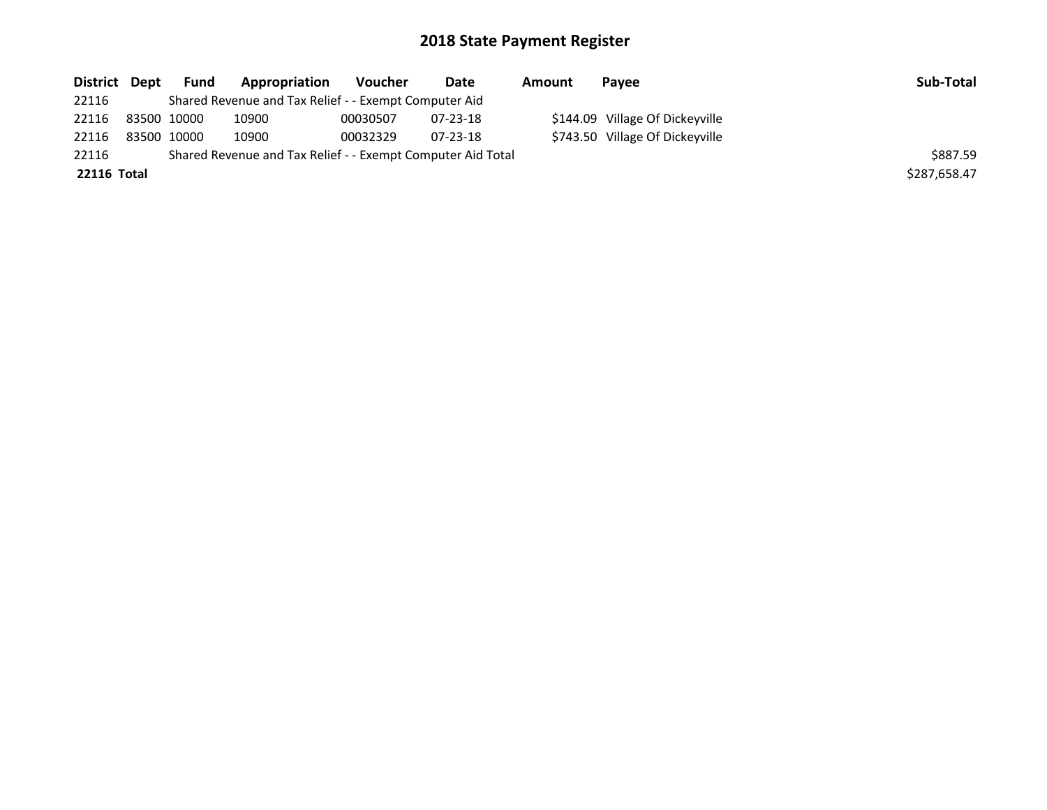| District Dept      | Fund        | Appropriation                                               | Voucher  | Date     | Amount | Pavee                           | Sub-Total    |
|--------------------|-------------|-------------------------------------------------------------|----------|----------|--------|---------------------------------|--------------|
| 22116              |             | Shared Revenue and Tax Relief - - Exempt Computer Aid       |          |          |        |                                 |              |
| 22116              | 83500 10000 | 10900                                                       | 00030507 | 07-23-18 |        | \$144.09 Village Of Dickeyville |              |
| 22116              | 83500 10000 | 10900                                                       | 00032329 | 07-23-18 |        | \$743.50 Village Of Dickeyville |              |
| 22116              |             | Shared Revenue and Tax Relief - - Exempt Computer Aid Total |          |          |        |                                 | \$887.59     |
| <b>22116 Total</b> |             |                                                             |          |          |        |                                 | \$287,658.47 |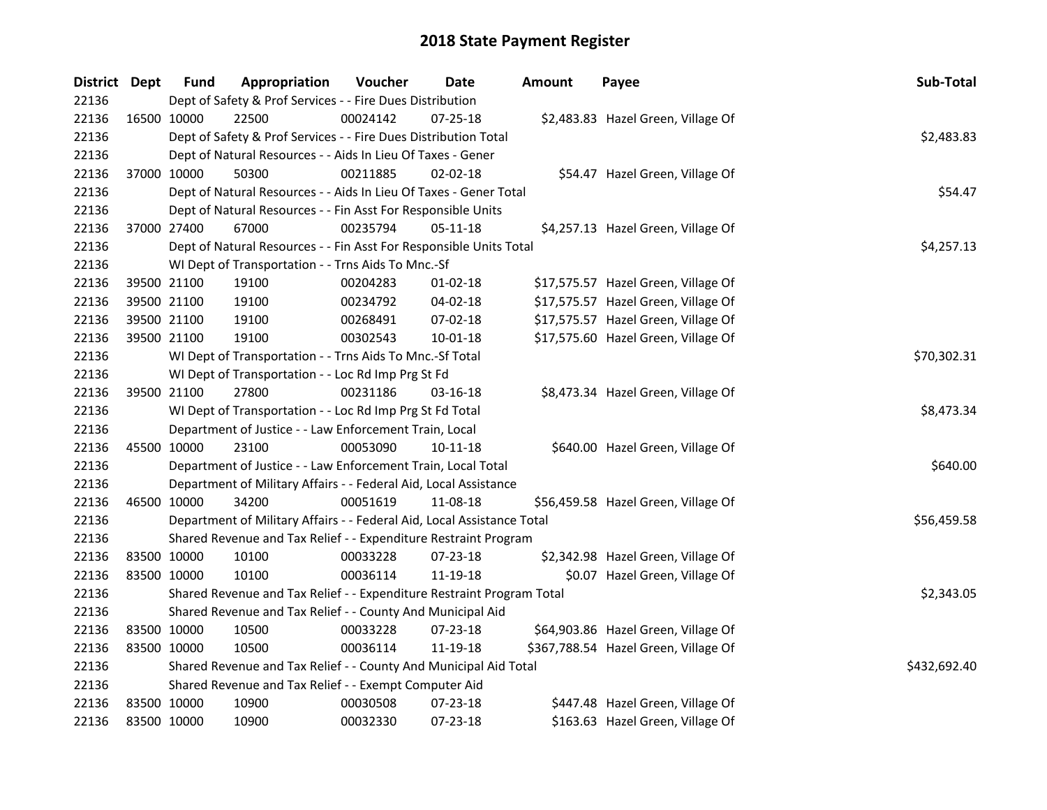| District Dept |             | <b>Fund</b> | Appropriation                                                          | Voucher  | <b>Date</b>    | <b>Amount</b> | Payee                                | Sub-Total    |
|---------------|-------------|-------------|------------------------------------------------------------------------|----------|----------------|---------------|--------------------------------------|--------------|
| 22136         |             |             | Dept of Safety & Prof Services - - Fire Dues Distribution              |          |                |               |                                      |              |
| 22136         |             | 16500 10000 | 22500                                                                  | 00024142 | $07 - 25 - 18$ |               | \$2,483.83 Hazel Green, Village Of   |              |
| 22136         |             |             | Dept of Safety & Prof Services - - Fire Dues Distribution Total        |          |                |               |                                      | \$2,483.83   |
| 22136         |             |             | Dept of Natural Resources - - Aids In Lieu Of Taxes - Gener            |          |                |               |                                      |              |
| 22136         | 37000 10000 |             | 50300                                                                  | 00211885 | $02 - 02 - 18$ |               | \$54.47 Hazel Green, Village Of      |              |
| 22136         |             |             | Dept of Natural Resources - - Aids In Lieu Of Taxes - Gener Total      |          |                |               |                                      | \$54.47      |
| 22136         |             |             | Dept of Natural Resources - - Fin Asst For Responsible Units           |          |                |               |                                      |              |
| 22136         | 37000 27400 |             | 67000                                                                  | 00235794 | 05-11-18       |               | \$4,257.13 Hazel Green, Village Of   |              |
| 22136         |             |             | Dept of Natural Resources - - Fin Asst For Responsible Units Total     |          |                |               |                                      | \$4,257.13   |
| 22136         |             |             | WI Dept of Transportation - - Trns Aids To Mnc.-Sf                     |          |                |               |                                      |              |
| 22136         | 39500 21100 |             | 19100                                                                  | 00204283 | $01 - 02 - 18$ |               | \$17,575.57 Hazel Green, Village Of  |              |
| 22136         | 39500 21100 |             | 19100                                                                  | 00234792 | 04-02-18       |               | \$17,575.57 Hazel Green, Village Of  |              |
| 22136         | 39500 21100 |             | 19100                                                                  | 00268491 | 07-02-18       |               | \$17,575.57 Hazel Green, Village Of  |              |
| 22136         | 39500 21100 |             | 19100                                                                  | 00302543 | 10-01-18       |               | \$17,575.60 Hazel Green, Village Of  |              |
| 22136         |             |             | WI Dept of Transportation - - Trns Aids To Mnc.-Sf Total               |          |                |               |                                      | \$70,302.31  |
| 22136         |             |             | WI Dept of Transportation - - Loc Rd Imp Prg St Fd                     |          |                |               |                                      |              |
| 22136         |             | 39500 21100 | 27800                                                                  | 00231186 | $03 - 16 - 18$ |               | \$8,473.34 Hazel Green, Village Of   |              |
| 22136         |             |             | WI Dept of Transportation - - Loc Rd Imp Prg St Fd Total               |          |                |               |                                      | \$8,473.34   |
| 22136         |             |             | Department of Justice - - Law Enforcement Train, Local                 |          |                |               |                                      |              |
| 22136         |             | 45500 10000 | 23100                                                                  | 00053090 | $10-11-18$     |               | \$640.00 Hazel Green, Village Of     |              |
| 22136         |             |             | Department of Justice - - Law Enforcement Train, Local Total           |          |                |               |                                      | \$640.00     |
| 22136         |             |             | Department of Military Affairs - - Federal Aid, Local Assistance       |          |                |               |                                      |              |
| 22136         | 46500 10000 |             | 34200                                                                  | 00051619 | 11-08-18       |               | \$56,459.58 Hazel Green, Village Of  |              |
| 22136         |             |             | Department of Military Affairs - - Federal Aid, Local Assistance Total |          |                |               |                                      | \$56,459.58  |
| 22136         |             |             | Shared Revenue and Tax Relief - - Expenditure Restraint Program        |          |                |               |                                      |              |
| 22136         | 83500 10000 |             | 10100                                                                  | 00033228 | 07-23-18       |               | \$2,342.98 Hazel Green, Village Of   |              |
| 22136         | 83500 10000 |             | 10100                                                                  | 00036114 | 11-19-18       |               | \$0.07 Hazel Green, Village Of       |              |
| 22136         |             |             | Shared Revenue and Tax Relief - - Expenditure Restraint Program Total  |          |                |               |                                      | \$2,343.05   |
| 22136         |             |             | Shared Revenue and Tax Relief - - County And Municipal Aid             |          |                |               |                                      |              |
| 22136         | 83500 10000 |             | 10500                                                                  | 00033228 | 07-23-18       |               | \$64,903.86 Hazel Green, Village Of  |              |
| 22136         | 83500 10000 |             | 10500                                                                  | 00036114 | 11-19-18       |               | \$367,788.54 Hazel Green, Village Of |              |
| 22136         |             |             | Shared Revenue and Tax Relief - - County And Municipal Aid Total       |          |                |               |                                      | \$432,692.40 |
| 22136         |             |             | Shared Revenue and Tax Relief - - Exempt Computer Aid                  |          |                |               |                                      |              |
| 22136         | 83500 10000 |             | 10900                                                                  | 00030508 | 07-23-18       |               | \$447.48 Hazel Green, Village Of     |              |
| 22136         | 83500 10000 |             | 10900                                                                  | 00032330 | 07-23-18       |               | \$163.63 Hazel Green, Village Of     |              |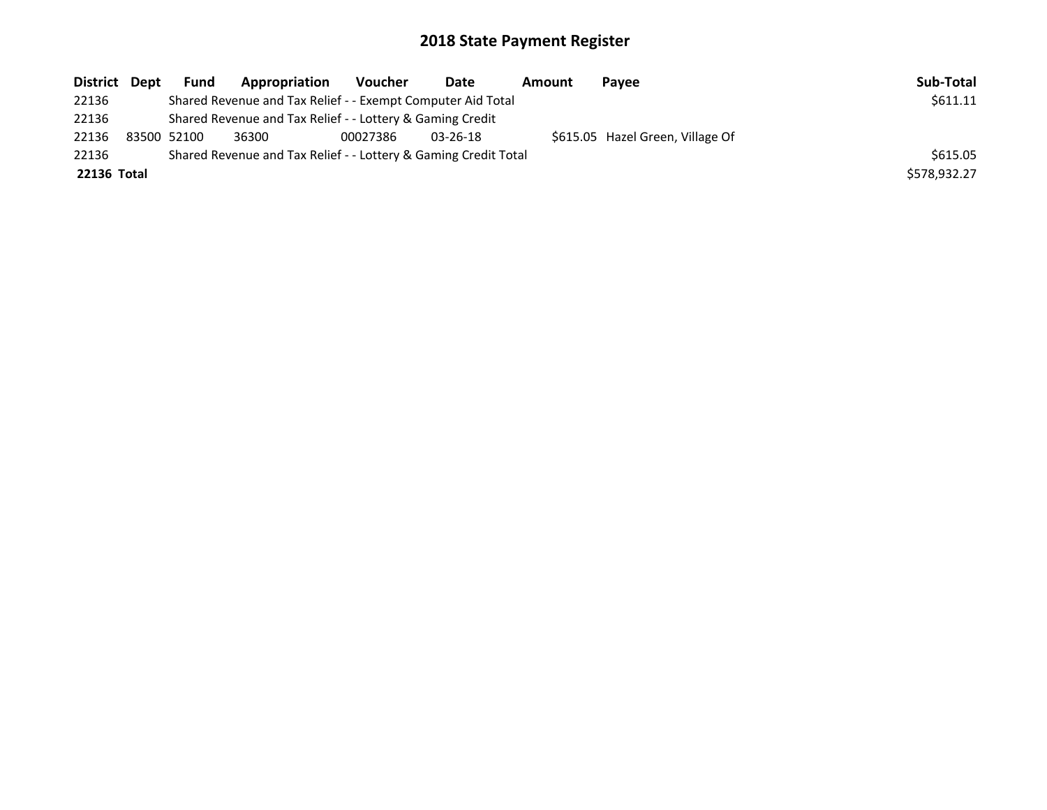| District Dept |                                                                 | <b>Fund</b> | Appropriation                                             | Voucher  | Date           | Amount | Pavee                            | Sub-Total    |
|---------------|-----------------------------------------------------------------|-------------|-----------------------------------------------------------|----------|----------------|--------|----------------------------------|--------------|
| 22136         |                                                                 | \$611.11    |                                                           |          |                |        |                                  |              |
| 22136         |                                                                 |             | Shared Revenue and Tax Relief - - Lottery & Gaming Credit |          |                |        |                                  |              |
| 22136         |                                                                 | 83500 52100 | 36300                                                     | 00027386 | $03 - 26 - 18$ |        | \$615.05 Hazel Green, Village Of |              |
| 22136         | Shared Revenue and Tax Relief - - Lottery & Gaming Credit Total |             |                                                           |          |                |        |                                  | \$615.05     |
| 22136 Total   |                                                                 |             |                                                           |          |                |        |                                  | \$578,932.27 |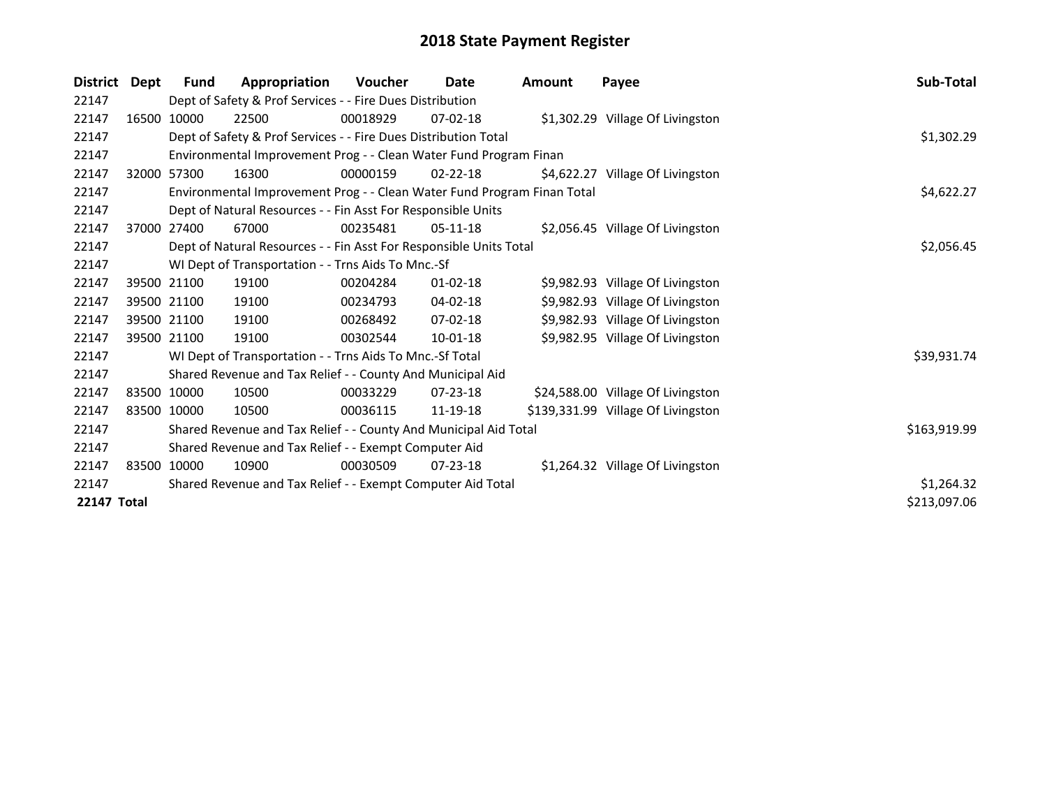| <b>District</b>    | Dept | <b>Fund</b>                                           | Appropriation                                                           | <b>Voucher</b> | Date           | <b>Amount</b> | Payee                              | Sub-Total    |
|--------------------|------|-------------------------------------------------------|-------------------------------------------------------------------------|----------------|----------------|---------------|------------------------------------|--------------|
| 22147              |      |                                                       | Dept of Safety & Prof Services - - Fire Dues Distribution               |                |                |               |                                    |              |
| 22147              |      | 16500 10000                                           | 22500                                                                   | 00018929       | $07 - 02 - 18$ |               | \$1,302.29 Village Of Livingston   |              |
| 22147              |      |                                                       | Dept of Safety & Prof Services - - Fire Dues Distribution Total         |                |                |               |                                    | \$1,302.29   |
| 22147              |      |                                                       | Environmental Improvement Prog - - Clean Water Fund Program Finan       |                |                |               |                                    |              |
| 22147              |      | 32000 57300                                           | 16300                                                                   | 00000159       | $02 - 22 - 18$ |               | \$4,622.27 Village Of Livingston   |              |
| 22147              |      |                                                       | Environmental Improvement Prog - - Clean Water Fund Program Finan Total |                |                |               |                                    | \$4,622.27   |
| 22147              |      |                                                       | Dept of Natural Resources - - Fin Asst For Responsible Units            |                |                |               |                                    |              |
| 22147              |      | 37000 27400                                           | 67000                                                                   | 00235481       | $05-11-18$     |               | \$2,056.45 Village Of Livingston   |              |
| 22147              |      |                                                       | Dept of Natural Resources - - Fin Asst For Responsible Units Total      |                |                |               |                                    | \$2,056.45   |
| 22147              |      |                                                       | WI Dept of Transportation - - Trns Aids To Mnc.-Sf                      |                |                |               |                                    |              |
| 22147              |      | 39500 21100                                           | 19100                                                                   | 00204284       | $01 - 02 - 18$ |               | \$9,982.93 Village Of Livingston   |              |
| 22147              |      | 39500 21100                                           | 19100                                                                   | 00234793       | $04 - 02 - 18$ |               | \$9,982.93 Village Of Livingston   |              |
| 22147              |      | 39500 21100                                           | 19100                                                                   | 00268492       | $07 - 02 - 18$ |               | \$9,982.93 Village Of Livingston   |              |
| 22147              |      | 39500 21100                                           | 19100                                                                   | 00302544       | 10-01-18       |               | \$9,982.95 Village Of Livingston   |              |
| 22147              |      |                                                       | WI Dept of Transportation - - Trns Aids To Mnc.-Sf Total                |                |                |               |                                    | \$39,931.74  |
| 22147              |      |                                                       | Shared Revenue and Tax Relief - - County And Municipal Aid              |                |                |               |                                    |              |
| 22147              |      | 83500 10000                                           | 10500                                                                   | 00033229       | 07-23-18       |               | \$24,588.00 Village Of Livingston  |              |
| 22147              |      | 83500 10000                                           | 10500                                                                   | 00036115       | 11-19-18       |               | \$139,331.99 Village Of Livingston |              |
| 22147              |      |                                                       | Shared Revenue and Tax Relief - - County And Municipal Aid Total        |                |                |               |                                    | \$163,919.99 |
| 22147              |      | Shared Revenue and Tax Relief - - Exempt Computer Aid |                                                                         |                |                |               |                                    |              |
| 22147              |      | 83500 10000                                           | 10900                                                                   | 00030509       | $07 - 23 - 18$ |               | \$1,264.32 Village Of Livingston   |              |
| 22147              |      |                                                       | Shared Revenue and Tax Relief - - Exempt Computer Aid Total             |                |                |               |                                    | \$1,264.32   |
| <b>22147 Total</b> |      |                                                       |                                                                         |                |                |               |                                    | \$213,097.06 |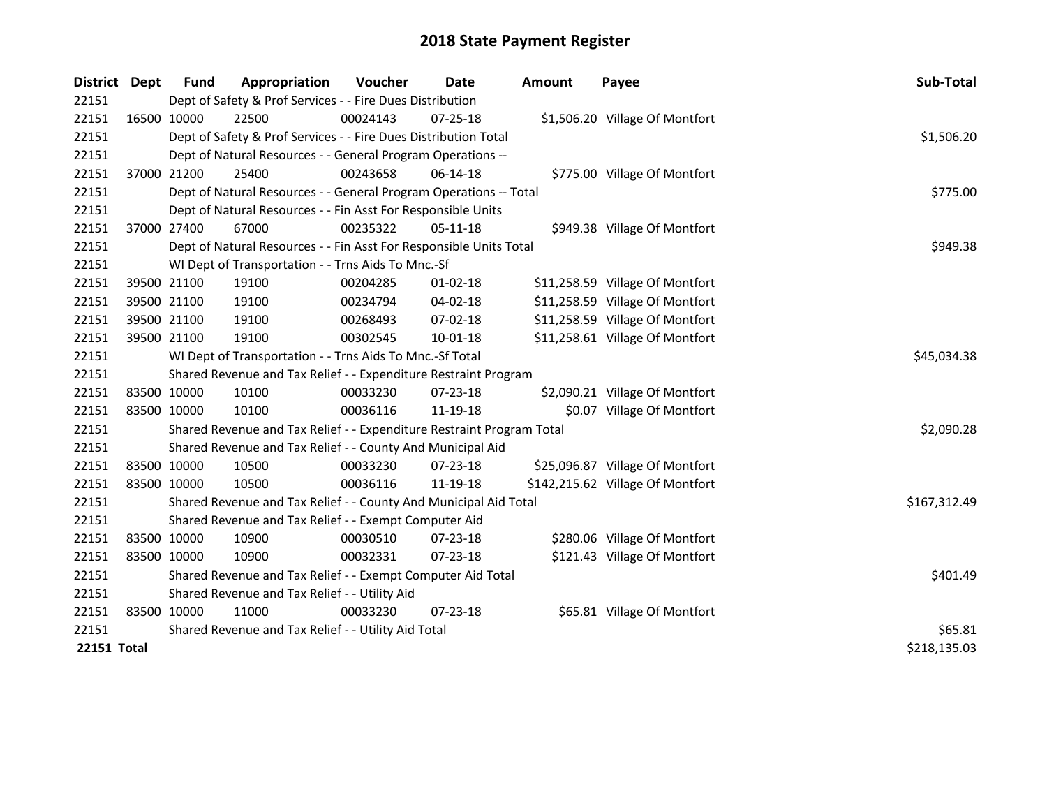| District Dept      |             | <b>Fund</b> | Appropriation                                                         | Voucher  | <b>Date</b>    | <b>Amount</b> | Payee                            | Sub-Total    |
|--------------------|-------------|-------------|-----------------------------------------------------------------------|----------|----------------|---------------|----------------------------------|--------------|
| 22151              |             |             | Dept of Safety & Prof Services - - Fire Dues Distribution             |          |                |               |                                  |              |
| 22151              | 16500 10000 |             | 22500                                                                 | 00024143 | 07-25-18       |               | \$1,506.20 Village Of Montfort   |              |
| 22151              |             |             | Dept of Safety & Prof Services - - Fire Dues Distribution Total       |          |                |               |                                  | \$1,506.20   |
| 22151              |             |             | Dept of Natural Resources - - General Program Operations --           |          |                |               |                                  |              |
| 22151              |             | 37000 21200 | 25400                                                                 | 00243658 | 06-14-18       |               | \$775.00 Village Of Montfort     |              |
| 22151              |             |             | Dept of Natural Resources - - General Program Operations -- Total     |          |                |               |                                  | \$775.00     |
| 22151              |             |             | Dept of Natural Resources - - Fin Asst For Responsible Units          |          |                |               |                                  |              |
| 22151              | 37000 27400 |             | 67000                                                                 | 00235322 | 05-11-18       |               | \$949.38 Village Of Montfort     |              |
| 22151              |             |             | Dept of Natural Resources - - Fin Asst For Responsible Units Total    | \$949.38 |                |               |                                  |              |
| 22151              |             |             | WI Dept of Transportation - - Trns Aids To Mnc.-Sf                    |          |                |               |                                  |              |
| 22151              |             | 39500 21100 | 19100                                                                 | 00204285 | 01-02-18       |               | \$11,258.59 Village Of Montfort  |              |
| 22151              |             | 39500 21100 | 19100                                                                 | 00234794 | $04 - 02 - 18$ |               | \$11,258.59 Village Of Montfort  |              |
| 22151              |             | 39500 21100 | 19100                                                                 | 00268493 | 07-02-18       |               | \$11,258.59 Village Of Montfort  |              |
| 22151              | 39500 21100 |             | 19100                                                                 | 00302545 | $10 - 01 - 18$ |               | \$11,258.61 Village Of Montfort  |              |
| 22151              |             |             | WI Dept of Transportation - - Trns Aids To Mnc.-Sf Total              |          |                |               |                                  | \$45,034.38  |
| 22151              |             |             | Shared Revenue and Tax Relief - - Expenditure Restraint Program       |          |                |               |                                  |              |
| 22151              |             | 83500 10000 | 10100                                                                 | 00033230 | 07-23-18       |               | \$2,090.21 Village Of Montfort   |              |
| 22151              | 83500 10000 |             | 10100                                                                 | 00036116 | 11-19-18       |               | \$0.07 Village Of Montfort       |              |
| 22151              |             |             | Shared Revenue and Tax Relief - - Expenditure Restraint Program Total |          |                |               |                                  | \$2,090.28   |
| 22151              |             |             | Shared Revenue and Tax Relief - - County And Municipal Aid            |          |                |               |                                  |              |
| 22151              |             | 83500 10000 | 10500                                                                 | 00033230 | 07-23-18       |               | \$25,096.87 Village Of Montfort  |              |
| 22151              | 83500 10000 |             | 10500                                                                 | 00036116 | 11-19-18       |               | \$142,215.62 Village Of Montfort |              |
| 22151              |             |             | Shared Revenue and Tax Relief - - County And Municipal Aid Total      |          |                |               |                                  | \$167,312.49 |
| 22151              |             |             | Shared Revenue and Tax Relief - - Exempt Computer Aid                 |          |                |               |                                  |              |
| 22151              |             | 83500 10000 | 10900                                                                 | 00030510 | 07-23-18       |               | \$280.06 Village Of Montfort     |              |
| 22151              | 83500 10000 |             | 10900                                                                 | 00032331 | 07-23-18       |               | \$121.43 Village Of Montfort     |              |
| 22151              |             |             | Shared Revenue and Tax Relief - - Exempt Computer Aid Total           | \$401.49 |                |               |                                  |              |
| 22151              |             |             | Shared Revenue and Tax Relief - - Utility Aid                         |          |                |               |                                  |              |
| 22151              | 83500 10000 |             | 11000                                                                 | 00033230 | 07-23-18       |               | \$65.81 Village Of Montfort      |              |
| 22151              |             |             | Shared Revenue and Tax Relief - - Utility Aid Total                   |          |                |               |                                  | \$65.81      |
| <b>22151 Total</b> |             |             |                                                                       |          |                |               |                                  | \$218,135.03 |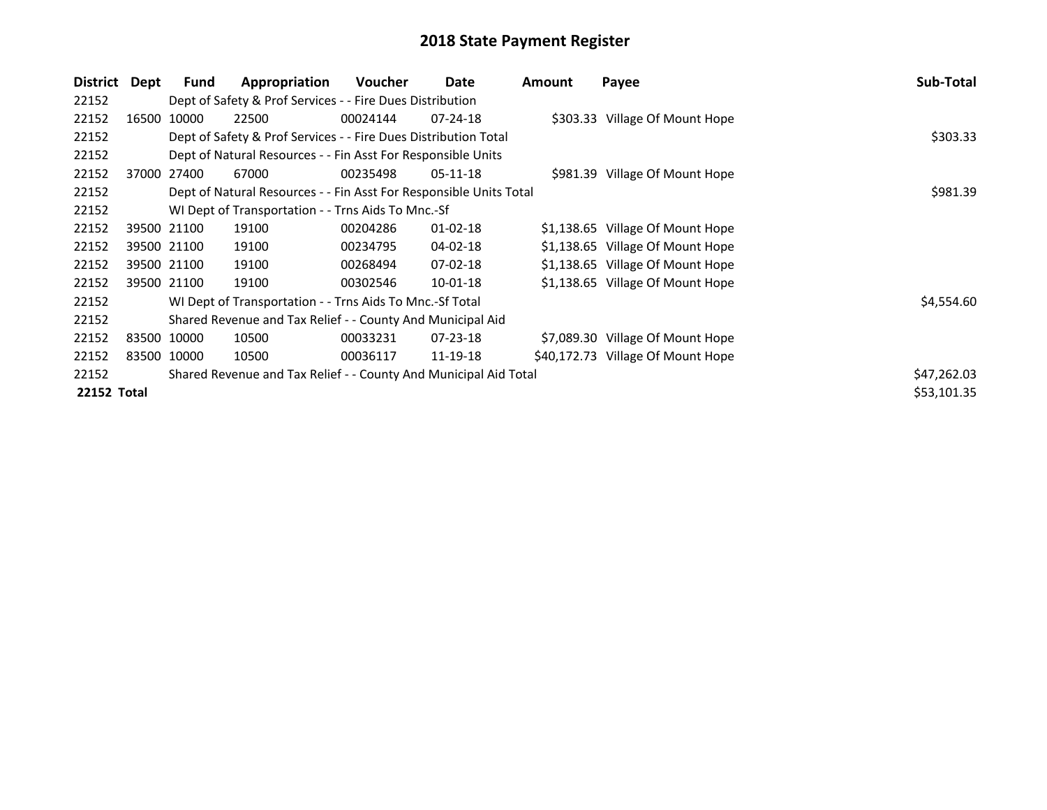| District                                                                  | Dept  | <b>Fund</b> | Appropriation                                                      | <b>Voucher</b> | Date           | <b>Amount</b> | Payee                             | Sub-Total   |
|---------------------------------------------------------------------------|-------|-------------|--------------------------------------------------------------------|----------------|----------------|---------------|-----------------------------------|-------------|
| 22152                                                                     |       |             | Dept of Safety & Prof Services - - Fire Dues Distribution          |                |                |               |                                   |             |
| 22152                                                                     | 16500 | 10000       | 22500                                                              | 00024144       | $07 - 24 - 18$ |               | \$303.33 Village Of Mount Hope    |             |
| 22152                                                                     |       |             | Dept of Safety & Prof Services - - Fire Dues Distribution Total    |                | \$303.33       |               |                                   |             |
| 22152                                                                     |       |             | Dept of Natural Resources - - Fin Asst For Responsible Units       |                |                |               |                                   |             |
| 22152                                                                     |       | 37000 27400 | 67000                                                              | 00235498       | $05-11-18$     |               | \$981.39 Village Of Mount Hope    |             |
| 22152                                                                     |       |             | Dept of Natural Resources - - Fin Asst For Responsible Units Total |                |                |               |                                   | \$981.39    |
| 22152                                                                     |       |             | WI Dept of Transportation - - Trns Aids To Mnc.-Sf                 |                |                |               |                                   |             |
| 22152                                                                     |       | 39500 21100 | 19100                                                              | 00204286       | $01 - 02 - 18$ |               | \$1,138.65 Village Of Mount Hope  |             |
| 22152                                                                     |       | 39500 21100 | 19100                                                              | 00234795       | 04-02-18       |               | \$1,138.65 Village Of Mount Hope  |             |
| 22152                                                                     |       | 39500 21100 | 19100                                                              | 00268494       | $07 - 02 - 18$ |               | \$1,138.65 Village Of Mount Hope  |             |
| 22152                                                                     |       | 39500 21100 | 19100                                                              | 00302546       | $10 - 01 - 18$ |               | \$1,138.65 Village Of Mount Hope  |             |
| 22152                                                                     |       |             | WI Dept of Transportation - - Trns Aids To Mnc.-Sf Total           |                |                |               |                                   | \$4,554.60  |
| 22152                                                                     |       |             | Shared Revenue and Tax Relief - - County And Municipal Aid         |                |                |               |                                   |             |
| 22152                                                                     |       | 83500 10000 | 10500                                                              | 00033231       | $07 - 23 - 18$ |               | \$7,089.30 Village Of Mount Hope  |             |
| 22152                                                                     |       | 83500 10000 | 10500                                                              | 00036117       | 11-19-18       |               | \$40,172.73 Village Of Mount Hope |             |
| 22152<br>Shared Revenue and Tax Relief - - County And Municipal Aid Total |       |             |                                                                    |                |                |               | \$47,262.03                       |             |
| 22152 Total                                                               |       |             |                                                                    |                |                |               |                                   | \$53,101.35 |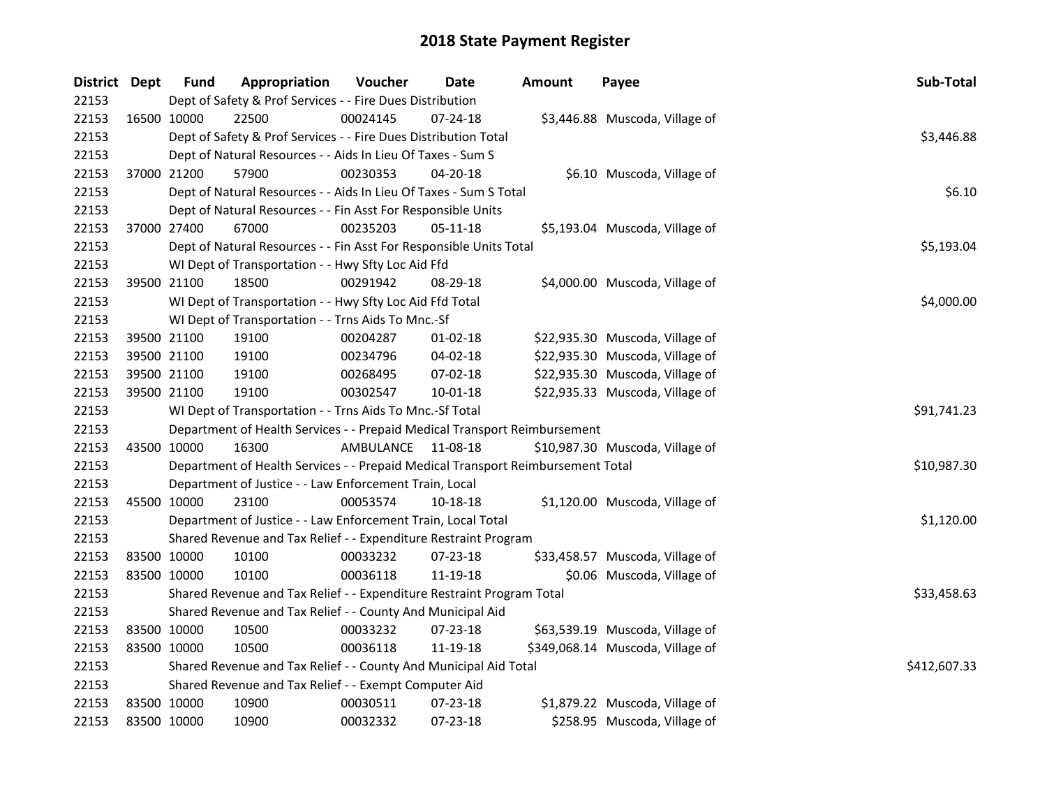| District Dept |             | <b>Fund</b>                                              | Appropriation                                                                   | Voucher   | Date     | <b>Amount</b> | Payee                            | Sub-Total    |
|---------------|-------------|----------------------------------------------------------|---------------------------------------------------------------------------------|-----------|----------|---------------|----------------------------------|--------------|
| 22153         |             |                                                          | Dept of Safety & Prof Services - - Fire Dues Distribution                       |           |          |               |                                  |              |
| 22153         | 16500 10000 |                                                          | 22500                                                                           | 00024145  | 07-24-18 |               | \$3,446.88 Muscoda, Village of   |              |
| 22153         |             |                                                          | Dept of Safety & Prof Services - - Fire Dues Distribution Total                 |           |          |               |                                  | \$3,446.88   |
| 22153         |             |                                                          | Dept of Natural Resources - - Aids In Lieu Of Taxes - Sum S                     |           |          |               |                                  |              |
| 22153         |             | 37000 21200                                              | 57900                                                                           | 00230353  | 04-20-18 |               | \$6.10 Muscoda, Village of       |              |
| 22153         |             |                                                          | Dept of Natural Resources - - Aids In Lieu Of Taxes - Sum S Total               |           |          |               |                                  | \$6.10       |
| 22153         |             |                                                          | Dept of Natural Resources - - Fin Asst For Responsible Units                    |           |          |               |                                  |              |
| 22153         |             | 37000 27400                                              | 67000                                                                           | 00235203  | 05-11-18 |               | \$5,193.04 Muscoda, Village of   |              |
| 22153         |             |                                                          | Dept of Natural Resources - - Fin Asst For Responsible Units Total              |           |          |               |                                  | \$5,193.04   |
| 22153         |             |                                                          | WI Dept of Transportation - - Hwy Sfty Loc Aid Ffd                              |           |          |               |                                  |              |
| 22153         |             | 39500 21100                                              | 18500                                                                           | 00291942  | 08-29-18 |               | \$4,000.00 Muscoda, Village of   |              |
| 22153         |             |                                                          | WI Dept of Transportation - - Hwy Sfty Loc Aid Ffd Total                        |           |          |               |                                  | \$4,000.00   |
| 22153         |             |                                                          | WI Dept of Transportation - - Trns Aids To Mnc.-Sf                              |           |          |               |                                  |              |
| 22153         | 39500 21100 |                                                          | 19100                                                                           | 00204287  | 01-02-18 |               | \$22,935.30 Muscoda, Village of  |              |
| 22153         |             | 39500 21100                                              | 19100                                                                           | 00234796  | 04-02-18 |               | \$22,935.30 Muscoda, Village of  |              |
| 22153         |             | 39500 21100                                              | 19100                                                                           | 00268495  | 07-02-18 |               | \$22,935.30 Muscoda, Village of  |              |
| 22153         |             | 39500 21100                                              | 19100                                                                           | 00302547  | 10-01-18 |               | \$22,935.33 Muscoda, Village of  |              |
| 22153         |             | WI Dept of Transportation - - Trns Aids To Mnc.-Sf Total | \$91,741.23                                                                     |           |          |               |                                  |              |
| 22153         |             |                                                          | Department of Health Services - - Prepaid Medical Transport Reimbursement       |           |          |               |                                  |              |
| 22153         | 43500 10000 |                                                          | 16300                                                                           | AMBULANCE | 11-08-18 |               | \$10,987.30 Muscoda, Village of  |              |
| 22153         |             |                                                          | Department of Health Services - - Prepaid Medical Transport Reimbursement Total |           |          |               |                                  | \$10,987.30  |
| 22153         |             |                                                          | Department of Justice - - Law Enforcement Train, Local                          |           |          |               |                                  |              |
| 22153         | 45500 10000 |                                                          | 23100                                                                           | 00053574  | 10-18-18 |               | \$1,120.00 Muscoda, Village of   |              |
| 22153         |             |                                                          | Department of Justice - - Law Enforcement Train, Local Total                    |           |          |               |                                  | \$1,120.00   |
| 22153         |             |                                                          | Shared Revenue and Tax Relief - - Expenditure Restraint Program                 |           |          |               |                                  |              |
| 22153         | 83500 10000 |                                                          | 10100                                                                           | 00033232  | 07-23-18 |               | \$33,458.57 Muscoda, Village of  |              |
| 22153         | 83500 10000 |                                                          | 10100                                                                           | 00036118  | 11-19-18 |               | \$0.06 Muscoda, Village of       |              |
| 22153         |             |                                                          | Shared Revenue and Tax Relief - - Expenditure Restraint Program Total           |           |          |               |                                  | \$33,458.63  |
| 22153         |             |                                                          | Shared Revenue and Tax Relief - - County And Municipal Aid                      |           |          |               |                                  |              |
| 22153         | 83500 10000 |                                                          | 10500                                                                           | 00033232  | 07-23-18 |               | \$63,539.19 Muscoda, Village of  |              |
| 22153         | 83500 10000 |                                                          | 10500                                                                           | 00036118  | 11-19-18 |               | \$349,068.14 Muscoda, Village of |              |
| 22153         |             |                                                          | Shared Revenue and Tax Relief - - County And Municipal Aid Total                |           |          |               |                                  | \$412,607.33 |
| 22153         |             |                                                          | Shared Revenue and Tax Relief - - Exempt Computer Aid                           |           |          |               |                                  |              |
| 22153         | 83500 10000 |                                                          | 10900                                                                           | 00030511  | 07-23-18 |               | \$1,879.22 Muscoda, Village of   |              |
| 22153         | 83500 10000 |                                                          | 10900                                                                           | 00032332  | 07-23-18 |               | \$258.95 Muscoda, Village of     |              |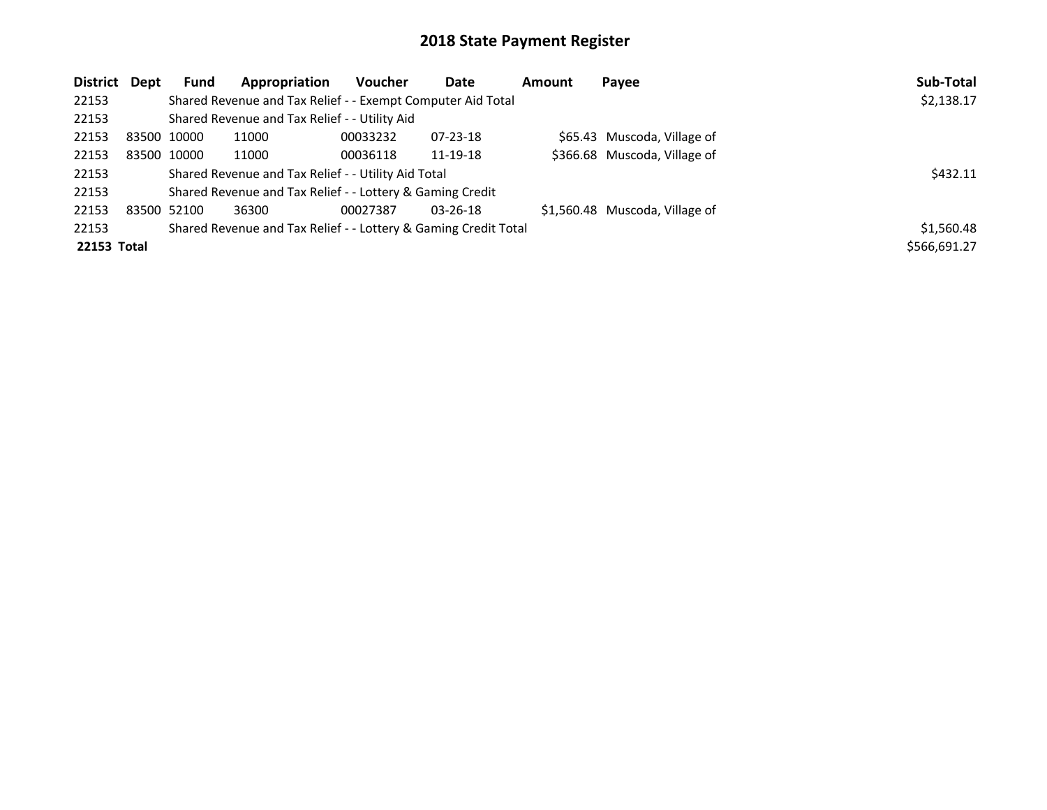| District Dept |             | <b>Fund</b> | Appropriation                                                   | <b>Voucher</b> | Date           | Amount | Payee                          | Sub-Total    |
|---------------|-------------|-------------|-----------------------------------------------------------------|----------------|----------------|--------|--------------------------------|--------------|
| 22153         |             |             | Shared Revenue and Tax Relief - - Exempt Computer Aid Total     |                |                |        |                                | \$2,138.17   |
| 22153         |             |             | Shared Revenue and Tax Relief - - Utility Aid                   |                |                |        |                                |              |
| 22153         |             | 83500 10000 | 11000                                                           | 00033232       | $07 - 23 - 18$ |        | \$65.43 Muscoda, Village of    |              |
| 22153         |             | 83500 10000 | 11000                                                           | 00036118       | 11-19-18       |        | \$366.68 Muscoda, Village of   |              |
| 22153         |             |             | Shared Revenue and Tax Relief - - Utility Aid Total             |                |                |        |                                | \$432.11     |
| 22153         |             |             | Shared Revenue and Tax Relief - - Lottery & Gaming Credit       |                |                |        |                                |              |
| 22153         | 83500 52100 |             | 36300                                                           | 00027387       | $03 - 26 - 18$ |        | \$1,560.48 Muscoda, Village of |              |
| 22153         |             |             | Shared Revenue and Tax Relief - - Lottery & Gaming Credit Total |                |                |        |                                | \$1,560.48   |
| 22153 Total   |             |             |                                                                 |                |                |        |                                | \$566,691.27 |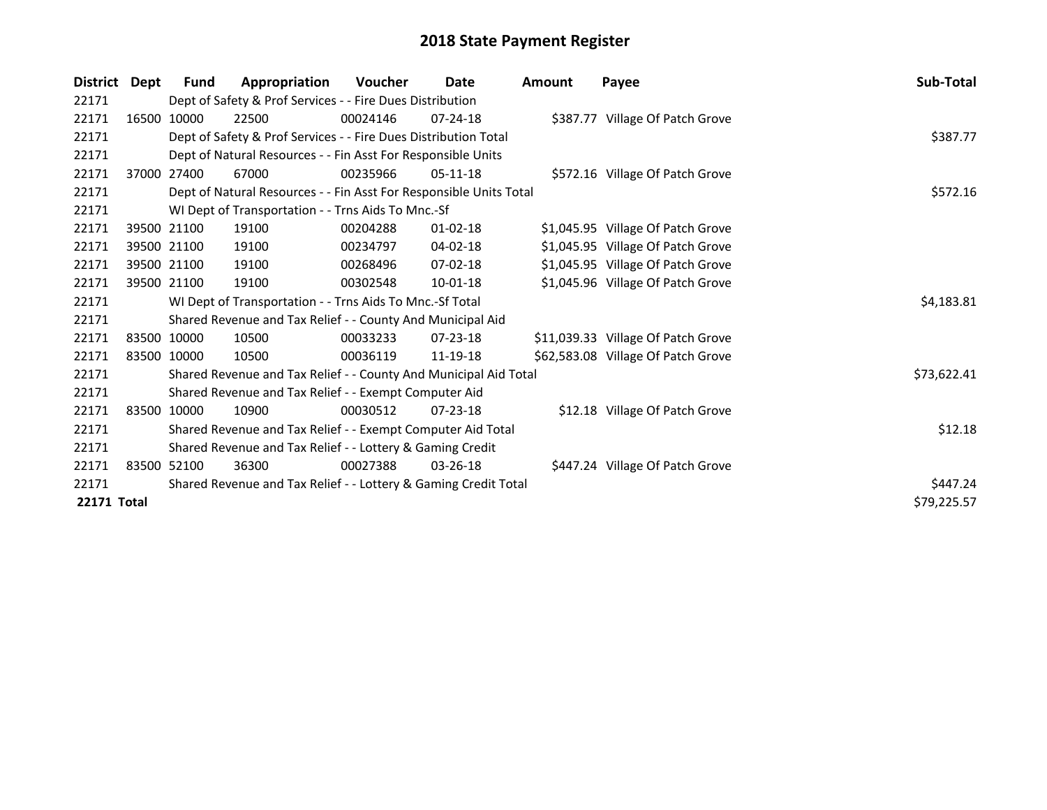| <b>District</b>    | Dept        | Fund        | Appropriation                                                      | <b>Voucher</b> | Date           | Amount | Payee                              | Sub-Total   |  |  |  |
|--------------------|-------------|-------------|--------------------------------------------------------------------|----------------|----------------|--------|------------------------------------|-------------|--|--|--|
| 22171              |             |             | Dept of Safety & Prof Services - - Fire Dues Distribution          |                |                |        |                                    |             |  |  |  |
| 22171              |             | 16500 10000 | 22500                                                              | 00024146       | $07 - 24 - 18$ |        | \$387.77 Village Of Patch Grove    |             |  |  |  |
| 22171              |             |             | Dept of Safety & Prof Services - - Fire Dues Distribution Total    |                |                |        |                                    |             |  |  |  |
| 22171              |             |             | Dept of Natural Resources - - Fin Asst For Responsible Units       |                |                |        |                                    |             |  |  |  |
| 22171              |             | 37000 27400 | 67000                                                              | 00235966       | $05-11-18$     |        | \$572.16 Village Of Patch Grove    |             |  |  |  |
| 22171              |             |             | Dept of Natural Resources - - Fin Asst For Responsible Units Total |                |                |        |                                    | \$572.16    |  |  |  |
| 22171              |             |             | WI Dept of Transportation - - Trns Aids To Mnc.-Sf                 |                |                |        |                                    |             |  |  |  |
| 22171              |             | 39500 21100 | 19100                                                              | 00204288       | $01 - 02 - 18$ |        | \$1,045.95 Village Of Patch Grove  |             |  |  |  |
| 22171              |             | 39500 21100 | 19100                                                              | 00234797       | $04 - 02 - 18$ |        | \$1,045.95 Village Of Patch Grove  |             |  |  |  |
| 22171              |             | 39500 21100 | 19100                                                              | 00268496       | $07 - 02 - 18$ |        | \$1,045.95 Village Of Patch Grove  |             |  |  |  |
| 22171              |             | 39500 21100 | 19100                                                              | 00302548       | 10-01-18       |        | \$1,045.96 Village Of Patch Grove  |             |  |  |  |
| 22171              |             |             | WI Dept of Transportation - - Trns Aids To Mnc.-Sf Total           |                |                |        |                                    | \$4,183.81  |  |  |  |
| 22171              |             |             | Shared Revenue and Tax Relief - - County And Municipal Aid         |                |                |        |                                    |             |  |  |  |
| 22171              |             | 83500 10000 | 10500                                                              | 00033233       | $07 - 23 - 18$ |        | \$11,039.33 Village Of Patch Grove |             |  |  |  |
| 22171              | 83500 10000 |             | 10500                                                              | 00036119       | 11-19-18       |        | \$62,583.08 Village Of Patch Grove |             |  |  |  |
| 22171              |             |             | Shared Revenue and Tax Relief - - County And Municipal Aid Total   |                |                |        |                                    | \$73,622.41 |  |  |  |
| 22171              |             |             | Shared Revenue and Tax Relief - - Exempt Computer Aid              |                |                |        |                                    |             |  |  |  |
| 22171              |             | 83500 10000 | 10900                                                              | 00030512       | $07 - 23 - 18$ |        | \$12.18 Village Of Patch Grove     |             |  |  |  |
| 22171              |             |             | Shared Revenue and Tax Relief - - Exempt Computer Aid Total        |                |                |        |                                    | \$12.18     |  |  |  |
| 22171              |             |             | Shared Revenue and Tax Relief - - Lottery & Gaming Credit          |                |                |        |                                    |             |  |  |  |
| 22171              |             | 83500 52100 | 36300                                                              | 00027388       | $03 - 26 - 18$ |        | \$447.24 Village Of Patch Grove    |             |  |  |  |
| 22171              |             |             | Shared Revenue and Tax Relief - - Lottery & Gaming Credit Total    |                |                |        |                                    | \$447.24    |  |  |  |
| <b>22171 Total</b> |             |             |                                                                    |                |                |        |                                    | \$79,225.57 |  |  |  |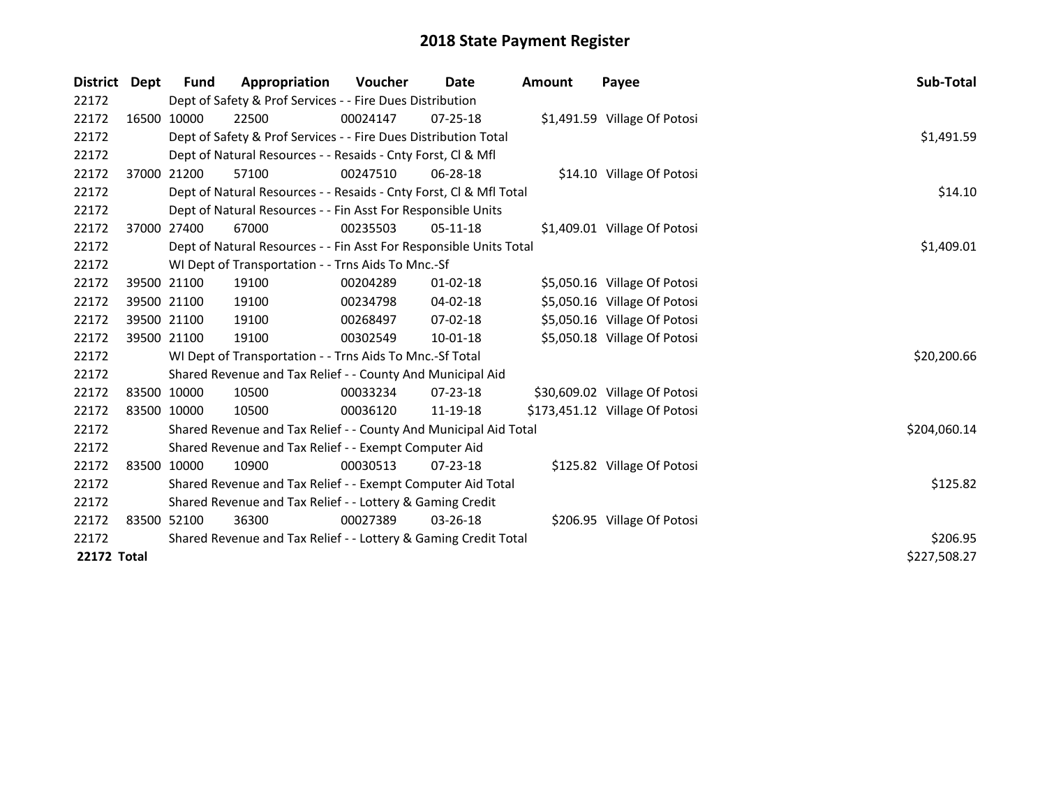| District           | Dept        | <b>Fund</b>                                                     | Appropriation                                                      | <b>Voucher</b> | Date           | Amount | Payee                          | Sub-Total    |
|--------------------|-------------|-----------------------------------------------------------------|--------------------------------------------------------------------|----------------|----------------|--------|--------------------------------|--------------|
| 22172              |             |                                                                 | Dept of Safety & Prof Services - - Fire Dues Distribution          |                |                |        |                                |              |
| 22172              |             | 16500 10000                                                     | 22500                                                              | 00024147       | $07 - 25 - 18$ |        | \$1,491.59 Village Of Potosi   |              |
| 22172              |             |                                                                 | Dept of Safety & Prof Services - - Fire Dues Distribution Total    |                |                |        |                                | \$1,491.59   |
| 22172              |             |                                                                 | Dept of Natural Resources - - Resaids - Cnty Forst, CI & Mfl       |                |                |        |                                |              |
| 22172              |             | 37000 21200                                                     | 57100                                                              | 00247510       | $06 - 28 - 18$ |        | \$14.10 Village Of Potosi      |              |
| 22172              |             |                                                                 | Dept of Natural Resources - - Resaids - Cnty Forst, CI & Mfl Total |                |                |        |                                | \$14.10      |
| 22172              |             |                                                                 | Dept of Natural Resources - - Fin Asst For Responsible Units       |                |                |        |                                |              |
| 22172              |             | 37000 27400                                                     | 67000                                                              | 00235503       | $05-11-18$     |        | \$1,409.01 Village Of Potosi   |              |
| 22172              |             |                                                                 | Dept of Natural Resources - - Fin Asst For Responsible Units Total |                |                |        |                                | \$1,409.01   |
| 22172              |             |                                                                 | WI Dept of Transportation - - Trns Aids To Mnc.-Sf                 |                |                |        |                                |              |
| 22172              |             | 39500 21100                                                     | 19100                                                              | 00204289       | $01 - 02 - 18$ |        | \$5,050.16 Village Of Potosi   |              |
| 22172              |             | 39500 21100                                                     | 19100                                                              | 00234798       | 04-02-18       |        | \$5,050.16 Village Of Potosi   |              |
| 22172              |             | 39500 21100                                                     | 19100                                                              | 00268497       | $07 - 02 - 18$ |        | \$5,050.16 Village Of Potosi   |              |
| 22172              |             | 39500 21100                                                     | 19100                                                              | 00302549       | 10-01-18       |        | \$5,050.18 Village Of Potosi   |              |
| 22172              |             |                                                                 | WI Dept of Transportation - - Trns Aids To Mnc.-Sf Total           |                |                |        |                                | \$20,200.66  |
| 22172              |             |                                                                 | Shared Revenue and Tax Relief - - County And Municipal Aid         |                |                |        |                                |              |
| 22172              |             | 83500 10000                                                     | 10500                                                              | 00033234       | $07 - 23 - 18$ |        | \$30,609.02 Village Of Potosi  |              |
| 22172              | 83500 10000 |                                                                 | 10500                                                              | 00036120       | 11-19-18       |        | \$173,451.12 Village Of Potosi |              |
| 22172              |             |                                                                 | Shared Revenue and Tax Relief - - County And Municipal Aid Total   |                |                |        |                                | \$204,060.14 |
| 22172              |             |                                                                 | Shared Revenue and Tax Relief - - Exempt Computer Aid              |                |                |        |                                |              |
| 22172              |             | 83500 10000                                                     | 10900                                                              | 00030513       | $07 - 23 - 18$ |        | \$125.82 Village Of Potosi     |              |
| 22172              |             |                                                                 | Shared Revenue and Tax Relief - - Exempt Computer Aid Total        |                |                |        |                                | \$125.82     |
| 22172              |             |                                                                 | Shared Revenue and Tax Relief - - Lottery & Gaming Credit          |                |                |        |                                |              |
| 22172              |             | 83500 52100                                                     | 36300                                                              | 00027389       | $03 - 26 - 18$ |        | \$206.95 Village Of Potosi     |              |
| 22172              |             | Shared Revenue and Tax Relief - - Lottery & Gaming Credit Total | \$206.95                                                           |                |                |        |                                |              |
| <b>22172 Total</b> |             |                                                                 |                                                                    |                |                |        |                                | \$227,508.27 |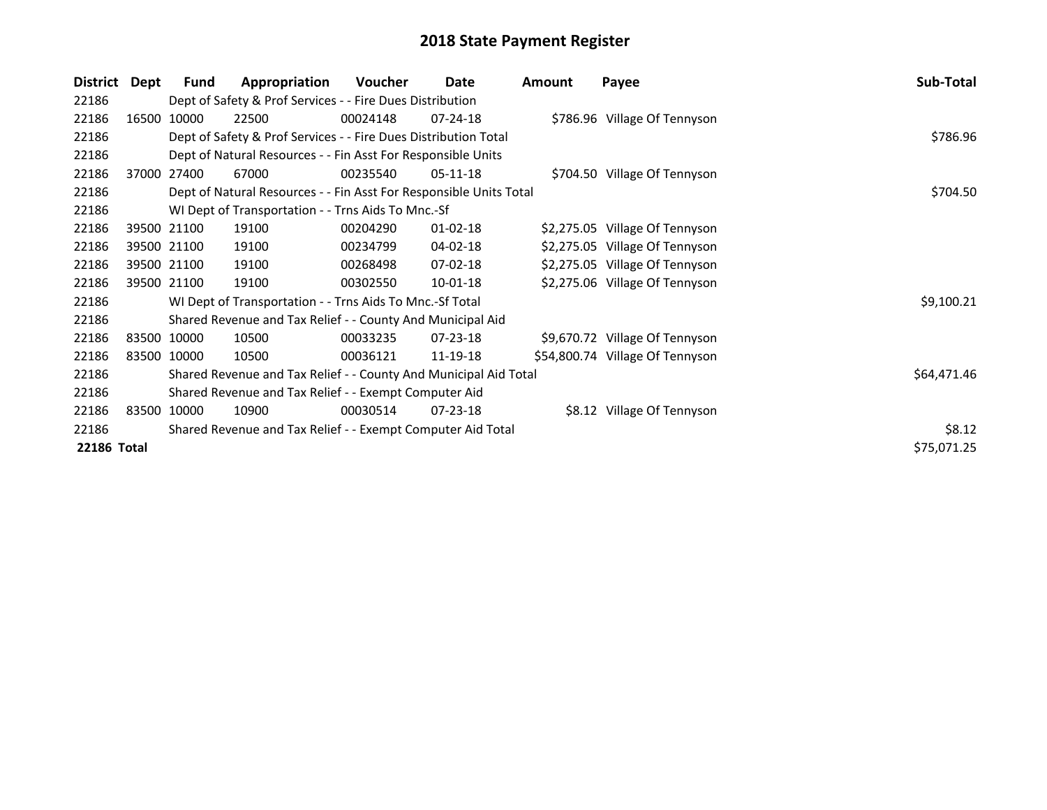| <b>District</b> | Dept        | <b>Fund</b> | Appropriation                                                      | Voucher  | Date           | Amount | Payee                           | Sub-Total   |
|-----------------|-------------|-------------|--------------------------------------------------------------------|----------|----------------|--------|---------------------------------|-------------|
| 22186           |             |             | Dept of Safety & Prof Services - - Fire Dues Distribution          |          |                |        |                                 |             |
| 22186           |             | 16500 10000 | 22500                                                              | 00024148 | 07-24-18       |        | \$786.96 Village Of Tennyson    |             |
| 22186           |             |             | Dept of Safety & Prof Services - - Fire Dues Distribution Total    |          |                |        |                                 | \$786.96    |
| 22186           |             |             | Dept of Natural Resources - - Fin Asst For Responsible Units       |          |                |        |                                 |             |
| 22186           |             | 37000 27400 | 67000                                                              | 00235540 | $05-11-18$     |        | \$704.50 Village Of Tennyson    |             |
| 22186           |             |             | Dept of Natural Resources - - Fin Asst For Responsible Units Total |          |                |        |                                 | \$704.50    |
| 22186           |             |             | WI Dept of Transportation - - Trns Aids To Mnc.-Sf                 |          |                |        |                                 |             |
| 22186           |             | 39500 21100 | 19100                                                              | 00204290 | $01 - 02 - 18$ |        | \$2,275.05 Village Of Tennyson  |             |
| 22186           | 39500 21100 |             | 19100                                                              | 00234799 | 04-02-18       |        | \$2,275.05 Village Of Tennyson  |             |
| 22186           | 39500 21100 |             | 19100                                                              | 00268498 | 07-02-18       |        | \$2,275.05 Village Of Tennyson  |             |
| 22186           | 39500 21100 |             | 19100                                                              | 00302550 | $10-01-18$     |        | \$2,275.06 Village Of Tennyson  |             |
| 22186           |             |             | WI Dept of Transportation - - Trns Aids To Mnc.-Sf Total           |          |                |        |                                 | \$9,100.21  |
| 22186           |             |             | Shared Revenue and Tax Relief - - County And Municipal Aid         |          |                |        |                                 |             |
| 22186           | 83500 10000 |             | 10500                                                              | 00033235 | 07-23-18       |        | \$9,670.72 Village Of Tennyson  |             |
| 22186           | 83500 10000 |             | 10500                                                              | 00036121 | 11-19-18       |        | \$54,800.74 Village Of Tennyson |             |
| 22186           |             |             | Shared Revenue and Tax Relief - - County And Municipal Aid Total   |          |                |        |                                 | \$64,471.46 |
| 22186           |             |             | Shared Revenue and Tax Relief - - Exempt Computer Aid              |          |                |        |                                 |             |
| 22186           | 83500 10000 |             | 10900                                                              | 00030514 | 07-23-18       |        | \$8.12 Village Of Tennyson      |             |
| 22186           |             |             | Shared Revenue and Tax Relief - - Exempt Computer Aid Total        |          |                |        |                                 | \$8.12      |
| 22186 Total     |             |             |                                                                    |          |                |        |                                 | \$75,071.25 |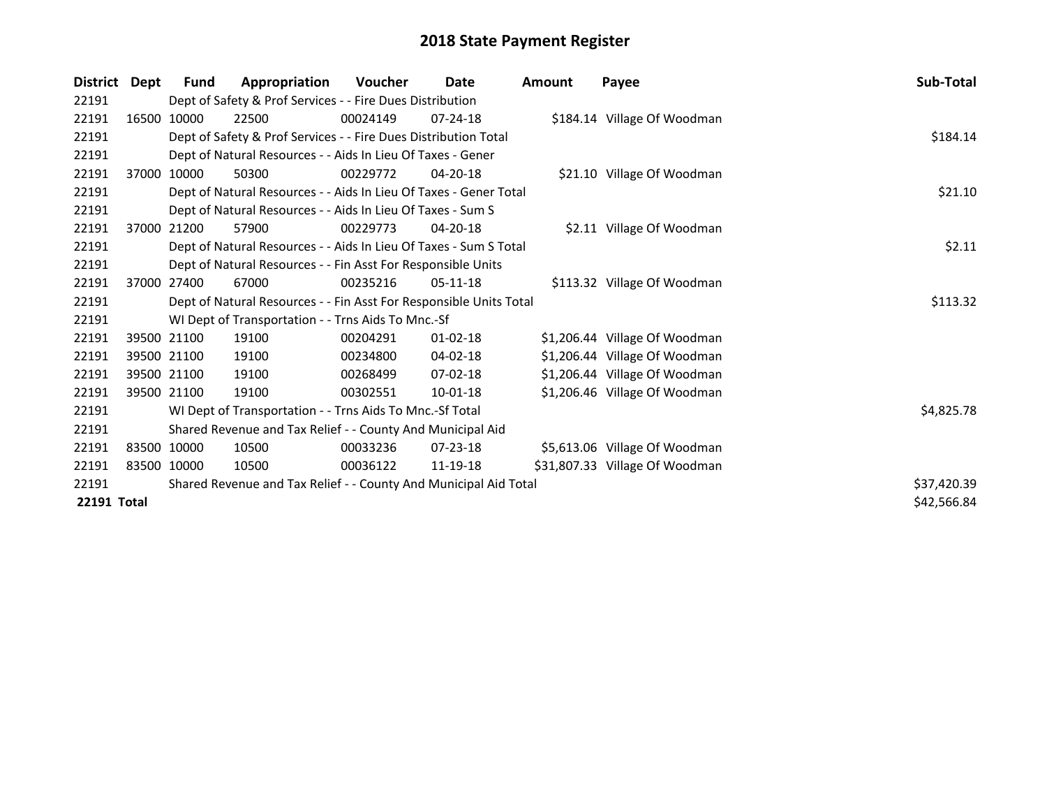| <b>District</b> | Dept | Fund        | Appropriation                                                      | <b>Voucher</b> | Date           | Amount | Payee                          | Sub-Total   |  |  |  |
|-----------------|------|-------------|--------------------------------------------------------------------|----------------|----------------|--------|--------------------------------|-------------|--|--|--|
| 22191           |      |             | Dept of Safety & Prof Services - - Fire Dues Distribution          |                |                |        |                                |             |  |  |  |
| 22191           |      | 16500 10000 | 22500                                                              | 00024149       | $07 - 24 - 18$ |        | \$184.14 Village Of Woodman    |             |  |  |  |
| 22191           |      |             | Dept of Safety & Prof Services - - Fire Dues Distribution Total    |                |                |        |                                |             |  |  |  |
| 22191           |      |             | Dept of Natural Resources - - Aids In Lieu Of Taxes - Gener        |                |                |        |                                |             |  |  |  |
| 22191           |      | 37000 10000 | 50300                                                              | 00229772       | $04 - 20 - 18$ |        | \$21.10 Village Of Woodman     |             |  |  |  |
| 22191           |      |             | Dept of Natural Resources - - Aids In Lieu Of Taxes - Gener Total  |                |                |        |                                | \$21.10     |  |  |  |
| 22191           |      |             | Dept of Natural Resources - - Aids In Lieu Of Taxes - Sum S        |                |                |        |                                |             |  |  |  |
| 22191           |      | 37000 21200 | 57900                                                              | 00229773       | $04 - 20 - 18$ |        | \$2.11 Village Of Woodman      |             |  |  |  |
| 22191           |      |             | Dept of Natural Resources - - Aids In Lieu Of Taxes - Sum S Total  |                |                |        |                                | \$2.11      |  |  |  |
| 22191           |      |             | Dept of Natural Resources - - Fin Asst For Responsible Units       |                |                |        |                                |             |  |  |  |
| 22191           |      | 37000 27400 | 67000                                                              | 00235216       | $05-11-18$     |        | \$113.32 Village Of Woodman    |             |  |  |  |
| 22191           |      |             | Dept of Natural Resources - - Fin Asst For Responsible Units Total |                |                |        |                                | \$113.32    |  |  |  |
| 22191           |      |             | WI Dept of Transportation - - Trns Aids To Mnc.-Sf                 |                |                |        |                                |             |  |  |  |
| 22191           |      | 39500 21100 | 19100                                                              | 00204291       | $01 - 02 - 18$ |        | \$1,206.44 Village Of Woodman  |             |  |  |  |
| 22191           |      | 39500 21100 | 19100                                                              | 00234800       | $04 - 02 - 18$ |        | \$1,206.44 Village Of Woodman  |             |  |  |  |
| 22191           |      | 39500 21100 | 19100                                                              | 00268499       | $07 - 02 - 18$ |        | \$1,206.44 Village Of Woodman  |             |  |  |  |
| 22191           |      | 39500 21100 | 19100                                                              | 00302551       | 10-01-18       |        | \$1,206.46 Village Of Woodman  |             |  |  |  |
| 22191           |      |             | WI Dept of Transportation - - Trns Aids To Mnc.-Sf Total           |                |                |        |                                | \$4,825.78  |  |  |  |
| 22191           |      |             | Shared Revenue and Tax Relief - - County And Municipal Aid         |                |                |        |                                |             |  |  |  |
| 22191           |      | 83500 10000 | 10500                                                              | 00033236       | 07-23-18       |        | \$5,613.06 Village Of Woodman  |             |  |  |  |
| 22191           |      | 83500 10000 | 10500                                                              | 00036122       | 11-19-18       |        | \$31,807.33 Village Of Woodman |             |  |  |  |
| 22191           |      |             | Shared Revenue and Tax Relief - - County And Municipal Aid Total   |                |                |        |                                | \$37,420.39 |  |  |  |
| 22191 Total     |      |             |                                                                    |                |                |        |                                | \$42,566.84 |  |  |  |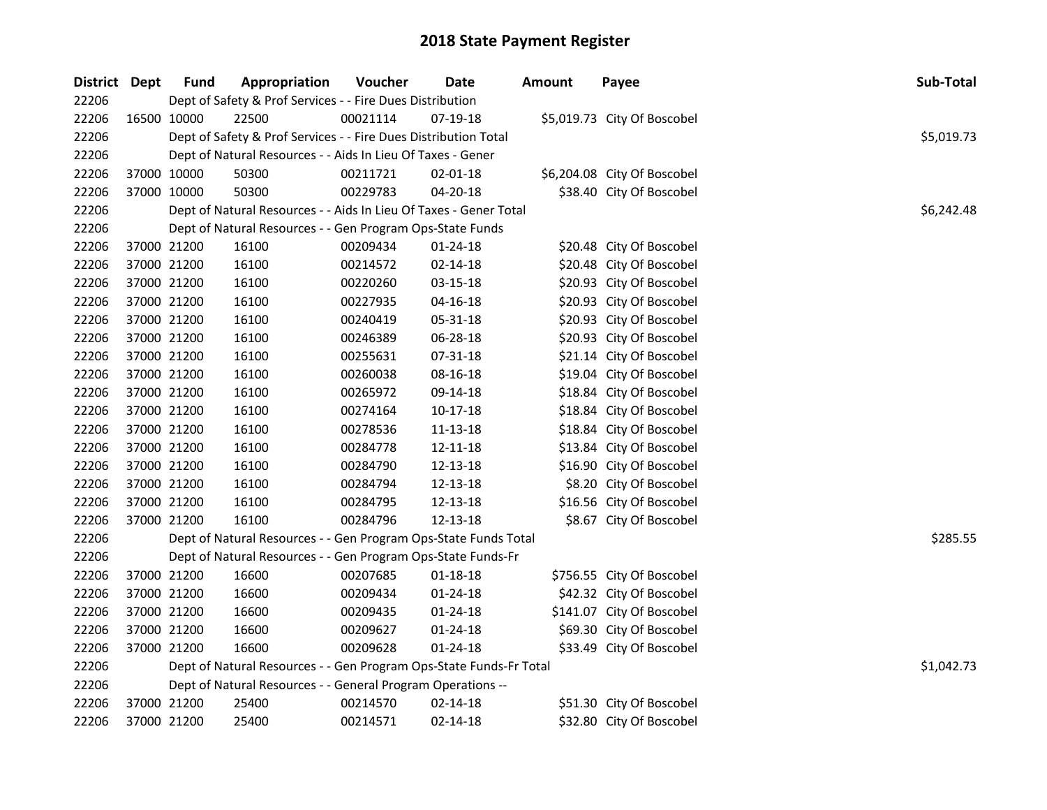| District Dept | <b>Fund</b> | Appropriation                                                      | Voucher  | <b>Date</b>    | <b>Amount</b> | Payee                       | Sub-Total  |
|---------------|-------------|--------------------------------------------------------------------|----------|----------------|---------------|-----------------------------|------------|
| 22206         |             | Dept of Safety & Prof Services - - Fire Dues Distribution          |          |                |               |                             |            |
| 22206         | 16500 10000 | 22500                                                              | 00021114 | 07-19-18       |               | \$5,019.73 City Of Boscobel |            |
| 22206         |             | Dept of Safety & Prof Services - - Fire Dues Distribution Total    |          |                |               |                             | \$5,019.73 |
| 22206         |             | Dept of Natural Resources - - Aids In Lieu Of Taxes - Gener        |          |                |               |                             |            |
| 22206         | 37000 10000 | 50300                                                              | 00211721 | $02 - 01 - 18$ |               | \$6,204.08 City Of Boscobel |            |
| 22206         | 37000 10000 | 50300                                                              | 00229783 | $04 - 20 - 18$ |               | \$38.40 City Of Boscobel    |            |
| 22206         |             | Dept of Natural Resources - - Aids In Lieu Of Taxes - Gener Total  |          |                |               |                             | \$6,242.48 |
| 22206         |             | Dept of Natural Resources - - Gen Program Ops-State Funds          |          |                |               |                             |            |
| 22206         | 37000 21200 | 16100                                                              | 00209434 | $01 - 24 - 18$ |               | \$20.48 City Of Boscobel    |            |
| 22206         | 37000 21200 | 16100                                                              | 00214572 | 02-14-18       |               | \$20.48 City Of Boscobel    |            |
| 22206         | 37000 21200 | 16100                                                              | 00220260 | 03-15-18       |               | \$20.93 City Of Boscobel    |            |
| 22206         | 37000 21200 | 16100                                                              | 00227935 | $04 - 16 - 18$ |               | \$20.93 City Of Boscobel    |            |
| 22206         | 37000 21200 | 16100                                                              | 00240419 | 05-31-18       |               | \$20.93 City Of Boscobel    |            |
| 22206         | 37000 21200 | 16100                                                              | 00246389 | 06-28-18       |               | \$20.93 City Of Boscobel    |            |
| 22206         | 37000 21200 | 16100                                                              | 00255631 | 07-31-18       |               | \$21.14 City Of Boscobel    |            |
| 22206         | 37000 21200 | 16100                                                              | 00260038 | 08-16-18       |               | \$19.04 City Of Boscobel    |            |
| 22206         | 37000 21200 | 16100                                                              | 00265972 | 09-14-18       |               | \$18.84 City Of Boscobel    |            |
| 22206         | 37000 21200 | 16100                                                              | 00274164 | $10-17-18$     |               | \$18.84 City Of Boscobel    |            |
| 22206         | 37000 21200 | 16100                                                              | 00278536 | 11-13-18       |               | \$18.84 City Of Boscobel    |            |
| 22206         | 37000 21200 | 16100                                                              | 00284778 | 12-11-18       |               | \$13.84 City Of Boscobel    |            |
| 22206         | 37000 21200 | 16100                                                              | 00284790 | 12-13-18       |               | \$16.90 City Of Boscobel    |            |
| 22206         | 37000 21200 | 16100                                                              | 00284794 | 12-13-18       |               | \$8.20 City Of Boscobel     |            |
| 22206         | 37000 21200 | 16100                                                              | 00284795 | 12-13-18       |               | \$16.56 City Of Boscobel    |            |
| 22206         | 37000 21200 | 16100                                                              | 00284796 | 12-13-18       |               | \$8.67 City Of Boscobel     |            |
| 22206         |             | Dept of Natural Resources - - Gen Program Ops-State Funds Total    |          |                |               |                             | \$285.55   |
| 22206         |             | Dept of Natural Resources - - Gen Program Ops-State Funds-Fr       |          |                |               |                             |            |
| 22206         | 37000 21200 | 16600                                                              | 00207685 | $01 - 18 - 18$ |               | \$756.55 City Of Boscobel   |            |
| 22206         | 37000 21200 | 16600                                                              | 00209434 | 01-24-18       |               | \$42.32 City Of Boscobel    |            |
| 22206         | 37000 21200 | 16600                                                              | 00209435 | $01 - 24 - 18$ |               | \$141.07 City Of Boscobel   |            |
| 22206         | 37000 21200 | 16600                                                              | 00209627 | 01-24-18       |               | \$69.30 City Of Boscobel    |            |
| 22206         | 37000 21200 | 16600                                                              | 00209628 | $01 - 24 - 18$ |               | \$33.49 City Of Boscobel    |            |
| 22206         |             | Dept of Natural Resources - - Gen Program Ops-State Funds-Fr Total |          |                |               |                             | \$1,042.73 |
| 22206         |             | Dept of Natural Resources - - General Program Operations --        |          |                |               |                             |            |
| 22206         | 37000 21200 | 25400                                                              | 00214570 | $02 - 14 - 18$ |               | \$51.30 City Of Boscobel    |            |
| 22206         | 37000 21200 | 25400                                                              | 00214571 | 02-14-18       |               | \$32.80 City Of Boscobel    |            |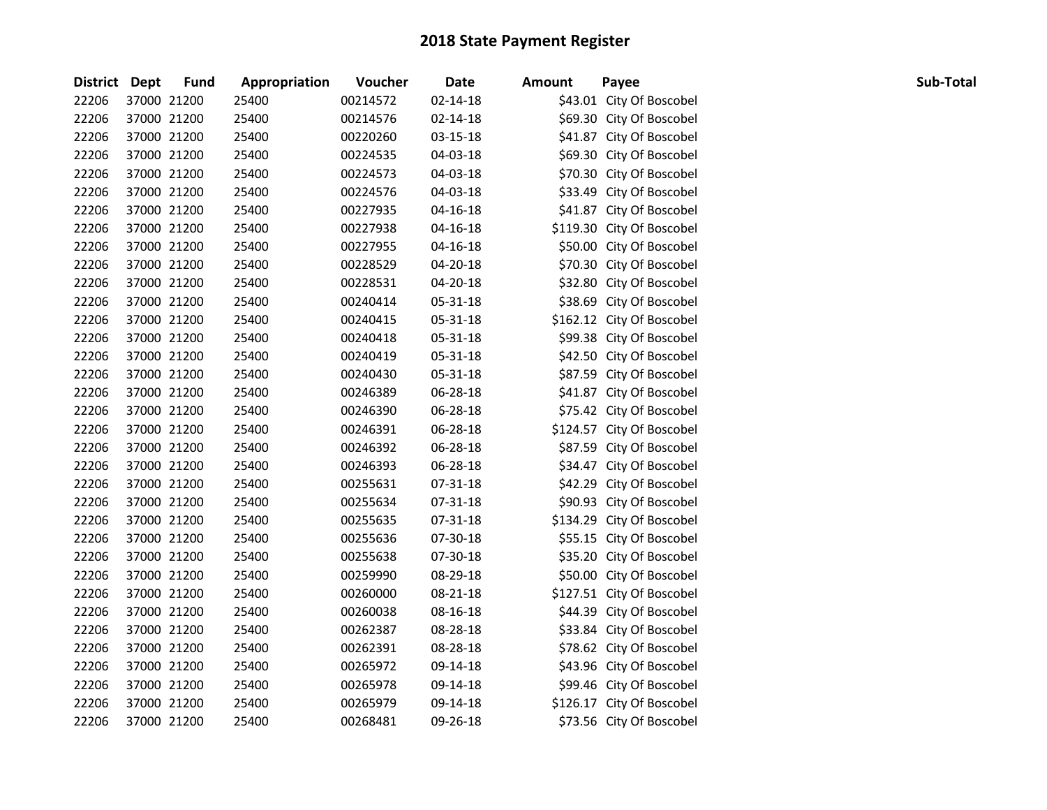| District Dept |             | <b>Fund</b> | Appropriation | Voucher  | <b>Date</b>    | <b>Amount</b> | Payee                     | Sub-Total |
|---------------|-------------|-------------|---------------|----------|----------------|---------------|---------------------------|-----------|
| 22206         | 37000 21200 |             | 25400         | 00214572 | $02 - 14 - 18$ |               | \$43.01 City Of Boscobel  |           |
| 22206         | 37000 21200 |             | 25400         | 00214576 | $02 - 14 - 18$ |               | \$69.30 City Of Boscobel  |           |
| 22206         | 37000 21200 |             | 25400         | 00220260 | 03-15-18       |               | \$41.87 City Of Boscobel  |           |
| 22206         | 37000 21200 |             | 25400         | 00224535 | 04-03-18       |               | \$69.30 City Of Boscobel  |           |
| 22206         | 37000 21200 |             | 25400         | 00224573 | 04-03-18       |               | \$70.30 City Of Boscobel  |           |
| 22206         | 37000 21200 |             | 25400         | 00224576 | 04-03-18       |               | \$33.49 City Of Boscobel  |           |
| 22206         | 37000 21200 |             | 25400         | 00227935 | $04 - 16 - 18$ |               | \$41.87 City Of Boscobel  |           |
| 22206         | 37000 21200 |             | 25400         | 00227938 | $04 - 16 - 18$ |               | \$119.30 City Of Boscobel |           |
| 22206         | 37000 21200 |             | 25400         | 00227955 | 04-16-18       |               | \$50.00 City Of Boscobel  |           |
| 22206         | 37000 21200 |             | 25400         | 00228529 | 04-20-18       |               | \$70.30 City Of Boscobel  |           |
| 22206         | 37000 21200 |             | 25400         | 00228531 | 04-20-18       |               | \$32.80 City Of Boscobel  |           |
| 22206         | 37000 21200 |             | 25400         | 00240414 | 05-31-18       |               | \$38.69 City Of Boscobel  |           |
| 22206         | 37000 21200 |             | 25400         | 00240415 | 05-31-18       |               | \$162.12 City Of Boscobel |           |
| 22206         | 37000 21200 |             | 25400         | 00240418 | 05-31-18       |               | \$99.38 City Of Boscobel  |           |
| 22206         | 37000 21200 |             | 25400         | 00240419 | 05-31-18       |               | \$42.50 City Of Boscobel  |           |
| 22206         | 37000 21200 |             | 25400         | 00240430 | 05-31-18       |               | \$87.59 City Of Boscobel  |           |
| 22206         | 37000 21200 |             | 25400         | 00246389 | 06-28-18       |               | \$41.87 City Of Boscobel  |           |
| 22206         | 37000 21200 |             | 25400         | 00246390 | 06-28-18       |               | \$75.42 City Of Boscobel  |           |
| 22206         | 37000 21200 |             | 25400         | 00246391 | 06-28-18       |               | \$124.57 City Of Boscobel |           |
| 22206         | 37000 21200 |             | 25400         | 00246392 | 06-28-18       |               | \$87.59 City Of Boscobel  |           |
| 22206         | 37000 21200 |             | 25400         | 00246393 | 06-28-18       |               | \$34.47 City Of Boscobel  |           |
| 22206         | 37000 21200 |             | 25400         | 00255631 | 07-31-18       |               | \$42.29 City Of Boscobel  |           |
| 22206         | 37000 21200 |             | 25400         | 00255634 | 07-31-18       |               | \$90.93 City Of Boscobel  |           |
| 22206         | 37000 21200 |             | 25400         | 00255635 | 07-31-18       |               | \$134.29 City Of Boscobel |           |
| 22206         | 37000 21200 |             | 25400         | 00255636 | 07-30-18       |               | \$55.15 City Of Boscobel  |           |
| 22206         | 37000 21200 |             | 25400         | 00255638 | 07-30-18       |               | \$35.20 City Of Boscobel  |           |
| 22206         | 37000 21200 |             | 25400         | 00259990 | 08-29-18       |               | \$50.00 City Of Boscobel  |           |
| 22206         | 37000 21200 |             | 25400         | 00260000 | 08-21-18       |               | \$127.51 City Of Boscobel |           |
| 22206         | 37000 21200 |             | 25400         | 00260038 | 08-16-18       |               | \$44.39 City Of Boscobel  |           |
| 22206         | 37000 21200 |             | 25400         | 00262387 | 08-28-18       |               | \$33.84 City Of Boscobel  |           |
| 22206         | 37000 21200 |             | 25400         | 00262391 | 08-28-18       |               | \$78.62 City Of Boscobel  |           |
| 22206         | 37000 21200 |             | 25400         | 00265972 | 09-14-18       |               | \$43.96 City Of Boscobel  |           |
| 22206         | 37000 21200 |             | 25400         | 00265978 | 09-14-18       |               | \$99.46 City Of Boscobel  |           |
| 22206         | 37000 21200 |             | 25400         | 00265979 | 09-14-18       |               | \$126.17 City Of Boscobel |           |
| 22206         | 37000 21200 |             | 25400         | 00268481 | 09-26-18       |               | \$73.56 City Of Boscobel  |           |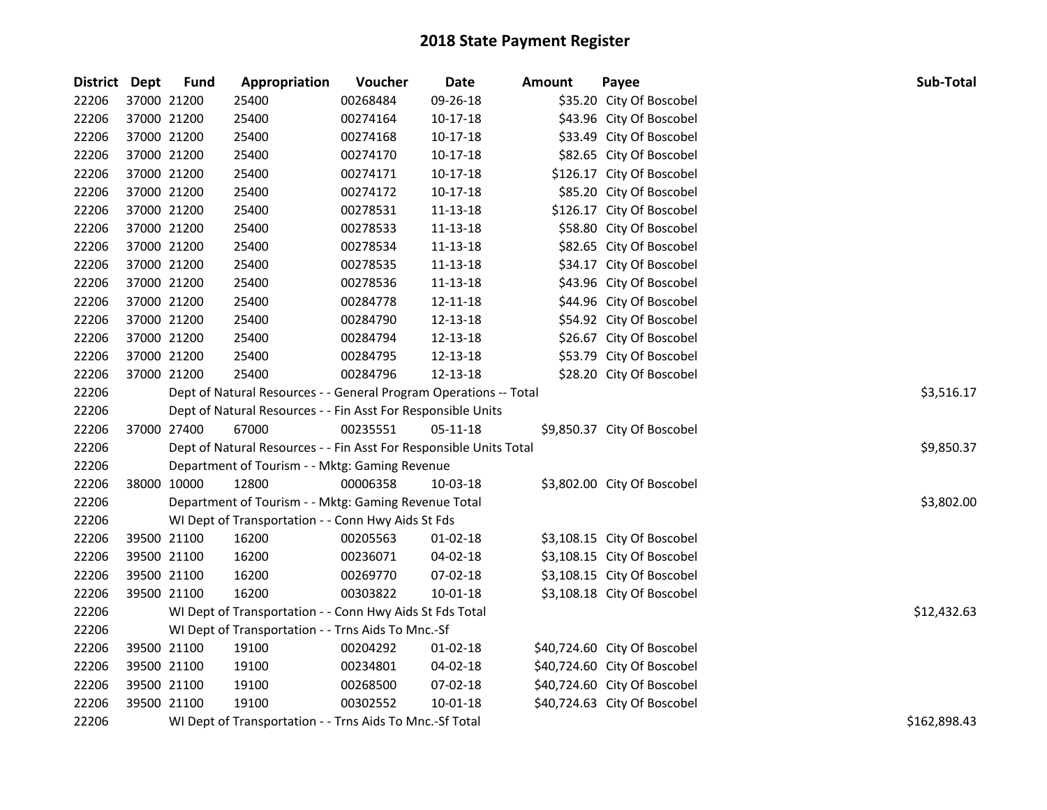| District Dept |             | <b>Fund</b> | Appropriation                                                      | Voucher  | <b>Date</b>    | <b>Amount</b> | Payee                        | Sub-Total    |
|---------------|-------------|-------------|--------------------------------------------------------------------|----------|----------------|---------------|------------------------------|--------------|
| 22206         | 37000 21200 |             | 25400                                                              | 00268484 | 09-26-18       |               | \$35.20 City Of Boscobel     |              |
| 22206         | 37000 21200 |             | 25400                                                              | 00274164 | $10 - 17 - 18$ |               | \$43.96 City Of Boscobel     |              |
| 22206         | 37000 21200 |             | 25400                                                              | 00274168 | $10-17-18$     |               | \$33.49 City Of Boscobel     |              |
| 22206         | 37000 21200 |             | 25400                                                              | 00274170 | 10-17-18       |               | \$82.65 City Of Boscobel     |              |
| 22206         | 37000 21200 |             | 25400                                                              | 00274171 | 10-17-18       |               | \$126.17 City Of Boscobel    |              |
| 22206         | 37000 21200 |             | 25400                                                              | 00274172 | 10-17-18       |               | \$85.20 City Of Boscobel     |              |
| 22206         | 37000 21200 |             | 25400                                                              | 00278531 | 11-13-18       |               | \$126.17 City Of Boscobel    |              |
| 22206         | 37000 21200 |             | 25400                                                              | 00278533 | $11 - 13 - 18$ |               | \$58.80 City Of Boscobel     |              |
| 22206         | 37000 21200 |             | 25400                                                              | 00278534 | 11-13-18       |               | \$82.65 City Of Boscobel     |              |
| 22206         | 37000 21200 |             | 25400                                                              | 00278535 | 11-13-18       |               | \$34.17 City Of Boscobel     |              |
| 22206         | 37000 21200 |             | 25400                                                              | 00278536 | 11-13-18       |               | \$43.96 City Of Boscobel     |              |
| 22206         | 37000 21200 |             | 25400                                                              | 00284778 | 12-11-18       |               | \$44.96 City Of Boscobel     |              |
| 22206         | 37000 21200 |             | 25400                                                              | 00284790 | 12-13-18       |               | \$54.92 City Of Boscobel     |              |
| 22206         | 37000 21200 |             | 25400                                                              | 00284794 | 12-13-18       |               | \$26.67 City Of Boscobel     |              |
| 22206         | 37000 21200 |             | 25400                                                              | 00284795 | 12-13-18       |               | \$53.79 City Of Boscobel     |              |
| 22206         |             | 37000 21200 | 25400                                                              | 00284796 | 12-13-18       |               | \$28.20 City Of Boscobel     |              |
| 22206         |             |             | Dept of Natural Resources - - General Program Operations -- Total  |          | \$3,516.17     |               |                              |              |
| 22206         |             |             | Dept of Natural Resources - - Fin Asst For Responsible Units       |          |                |               |                              |              |
| 22206         | 37000 27400 |             | 67000                                                              | 00235551 | 05-11-18       |               | \$9,850.37 City Of Boscobel  |              |
| 22206         |             |             | Dept of Natural Resources - - Fin Asst For Responsible Units Total |          |                |               |                              | \$9,850.37   |
| 22206         |             |             | Department of Tourism - - Mktg: Gaming Revenue                     |          |                |               |                              |              |
| 22206         | 38000 10000 |             | 12800                                                              | 00006358 | 10-03-18       |               | \$3,802.00 City Of Boscobel  |              |
| 22206         |             |             | Department of Tourism - - Mktg: Gaming Revenue Total               |          |                |               |                              | \$3,802.00   |
| 22206         |             |             | WI Dept of Transportation - - Conn Hwy Aids St Fds                 |          |                |               |                              |              |
| 22206         | 39500 21100 |             | 16200                                                              | 00205563 | 01-02-18       |               | \$3,108.15 City Of Boscobel  |              |
| 22206         | 39500 21100 |             | 16200                                                              | 00236071 | 04-02-18       |               | \$3,108.15 City Of Boscobel  |              |
| 22206         | 39500 21100 |             | 16200                                                              | 00269770 | 07-02-18       |               | \$3,108.15 City Of Boscobel  |              |
| 22206         |             | 39500 21100 | 16200                                                              | 00303822 | 10-01-18       |               | \$3,108.18 City Of Boscobel  |              |
| 22206         |             |             | WI Dept of Transportation - - Conn Hwy Aids St Fds Total           |          |                |               |                              | \$12,432.63  |
| 22206         |             |             | WI Dept of Transportation - - Trns Aids To Mnc.-Sf                 |          |                |               |                              |              |
| 22206         | 39500 21100 |             | 19100                                                              | 00204292 | $01-02-18$     |               | \$40,724.60 City Of Boscobel |              |
| 22206         | 39500 21100 |             | 19100                                                              | 00234801 | 04-02-18       |               | \$40,724.60 City Of Boscobel |              |
| 22206         | 39500 21100 |             | 19100                                                              | 00268500 | 07-02-18       |               | \$40,724.60 City Of Boscobel |              |
| 22206         | 39500 21100 |             | 19100                                                              | 00302552 | $10 - 01 - 18$ |               | \$40,724.63 City Of Boscobel |              |
| 22206         |             |             | WI Dept of Transportation - - Trns Aids To Mnc.-Sf Total           |          |                |               |                              | \$162,898.43 |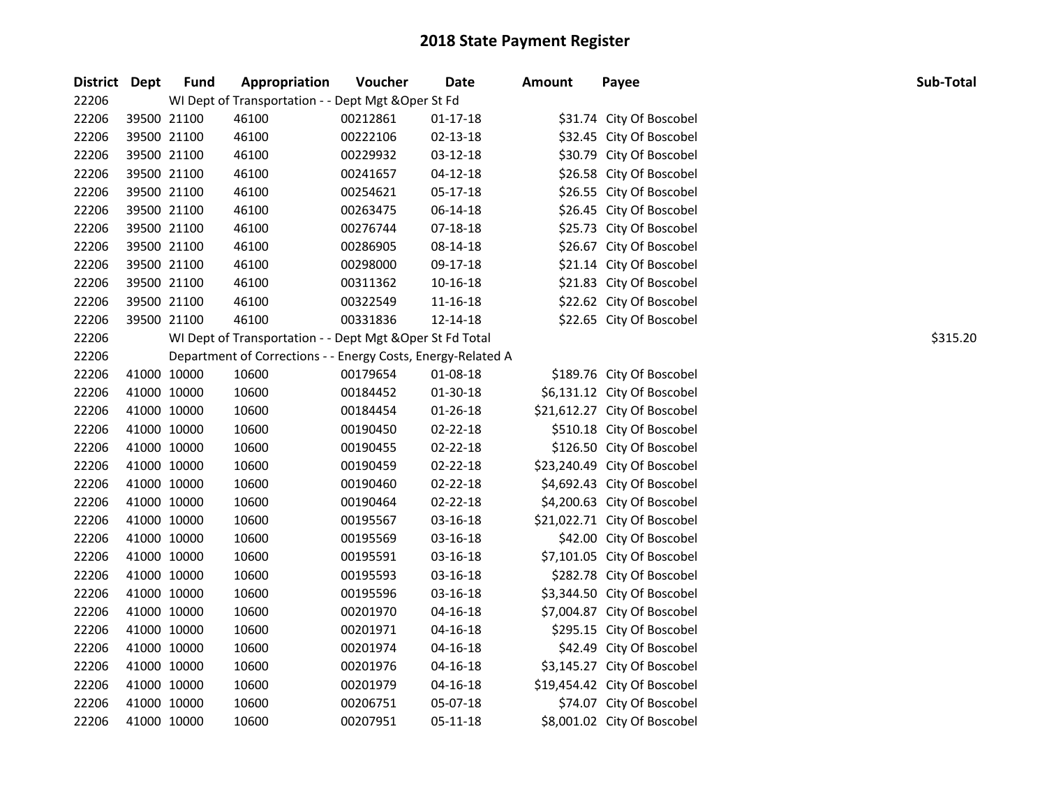| District Dept |             | <b>Fund</b> | Appropriation                                                | Voucher  | Date           | <b>Amount</b> | Payee                        | Sub-Total |
|---------------|-------------|-------------|--------------------------------------------------------------|----------|----------------|---------------|------------------------------|-----------|
| 22206         |             |             | WI Dept of Transportation - - Dept Mgt & Oper St Fd          |          |                |               |                              |           |
| 22206         |             | 39500 21100 | 46100                                                        | 00212861 | $01 - 17 - 18$ |               | \$31.74 City Of Boscobel     |           |
| 22206         | 39500 21100 |             | 46100                                                        | 00222106 | $02 - 13 - 18$ |               | \$32.45 City Of Boscobel     |           |
| 22206         |             | 39500 21100 | 46100                                                        | 00229932 | 03-12-18       |               | \$30.79 City Of Boscobel     |           |
| 22206         |             | 39500 21100 | 46100                                                        | 00241657 | $04 - 12 - 18$ |               | \$26.58 City Of Boscobel     |           |
| 22206         |             | 39500 21100 | 46100                                                        | 00254621 | $05 - 17 - 18$ |               | \$26.55 City Of Boscobel     |           |
| 22206         |             | 39500 21100 | 46100                                                        | 00263475 | 06-14-18       |               | \$26.45 City Of Boscobel     |           |
| 22206         |             | 39500 21100 | 46100                                                        | 00276744 | 07-18-18       |               | \$25.73 City Of Boscobel     |           |
| 22206         |             | 39500 21100 | 46100                                                        | 00286905 | 08-14-18       |               | \$26.67 City Of Boscobel     |           |
| 22206         | 39500 21100 |             | 46100                                                        | 00298000 | 09-17-18       |               | \$21.14 City Of Boscobel     |           |
| 22206         | 39500 21100 |             | 46100                                                        | 00311362 | 10-16-18       |               | \$21.83 City Of Boscobel     |           |
| 22206         |             | 39500 21100 | 46100                                                        | 00322549 | 11-16-18       |               | \$22.62 City Of Boscobel     |           |
| 22206         |             | 39500 21100 | 46100                                                        | 00331836 | 12-14-18       |               | \$22.65 City Of Boscobel     |           |
| 22206         |             |             | WI Dept of Transportation - - Dept Mgt & Oper St Fd Total    |          |                |               |                              | \$315.20  |
| 22206         |             |             | Department of Corrections - - Energy Costs, Energy-Related A |          |                |               |                              |           |
| 22206         | 41000 10000 |             | 10600                                                        | 00179654 | 01-08-18       |               | \$189.76 City Of Boscobel    |           |
| 22206         | 41000 10000 |             | 10600                                                        | 00184452 | 01-30-18       |               | \$6,131.12 City Of Boscobel  |           |
| 22206         | 41000 10000 |             | 10600                                                        | 00184454 | $01 - 26 - 18$ |               | \$21,612.27 City Of Boscobel |           |
| 22206         | 41000 10000 |             | 10600                                                        | 00190450 | 02-22-18       |               | \$510.18 City Of Boscobel    |           |
| 22206         | 41000 10000 |             | 10600                                                        | 00190455 | 02-22-18       |               | \$126.50 City Of Boscobel    |           |
| 22206         | 41000 10000 |             | 10600                                                        | 00190459 | $02 - 22 - 18$ |               | \$23,240.49 City Of Boscobel |           |
| 22206         | 41000 10000 |             | 10600                                                        | 00190460 | 02-22-18       |               | \$4,692.43 City Of Boscobel  |           |
| 22206         | 41000 10000 |             | 10600                                                        | 00190464 | $02 - 22 - 18$ |               | \$4,200.63 City Of Boscobel  |           |
| 22206         | 41000 10000 |             | 10600                                                        | 00195567 | 03-16-18       |               | \$21,022.71 City Of Boscobel |           |
| 22206         | 41000 10000 |             | 10600                                                        | 00195569 | 03-16-18       |               | \$42.00 City Of Boscobel     |           |
| 22206         | 41000 10000 |             | 10600                                                        | 00195591 | 03-16-18       |               | \$7,101.05 City Of Boscobel  |           |
| 22206         | 41000 10000 |             | 10600                                                        | 00195593 | 03-16-18       |               | \$282.78 City Of Boscobel    |           |
| 22206         | 41000 10000 |             | 10600                                                        | 00195596 | 03-16-18       |               | \$3,344.50 City Of Boscobel  |           |
| 22206         | 41000 10000 |             | 10600                                                        | 00201970 | $04 - 16 - 18$ |               | \$7,004.87 City Of Boscobel  |           |
| 22206         | 41000 10000 |             | 10600                                                        | 00201971 | $04 - 16 - 18$ |               | \$295.15 City Of Boscobel    |           |
| 22206         | 41000 10000 |             | 10600                                                        | 00201974 | $04 - 16 - 18$ |               | \$42.49 City Of Boscobel     |           |
| 22206         | 41000 10000 |             | 10600                                                        | 00201976 | $04 - 16 - 18$ |               | \$3,145.27 City Of Boscobel  |           |
| 22206         | 41000 10000 |             | 10600                                                        | 00201979 | $04 - 16 - 18$ |               | \$19,454.42 City Of Boscobel |           |
| 22206         | 41000 10000 |             | 10600                                                        | 00206751 | 05-07-18       |               | \$74.07 City Of Boscobel     |           |
| 22206         | 41000 10000 |             | 10600                                                        | 00207951 | 05-11-18       |               | \$8,001.02 City Of Boscobel  |           |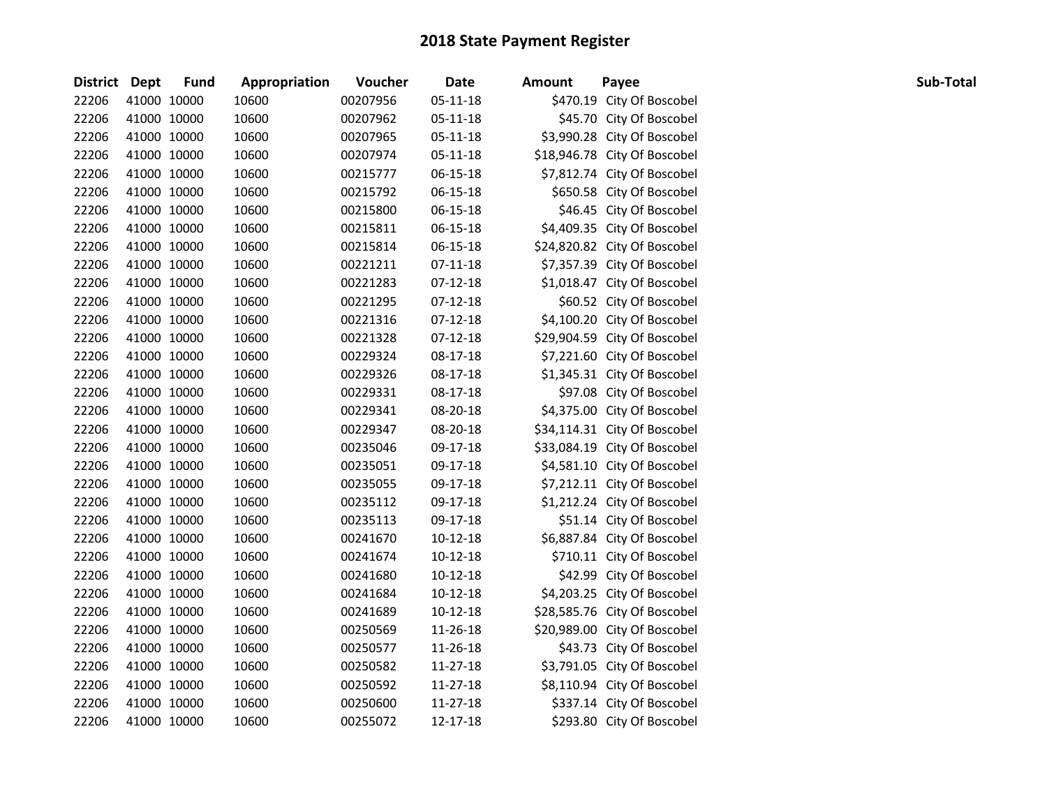| District Dept |             | <b>Fund</b> | Appropriation | Voucher  | <b>Date</b>    | <b>Amount</b> | Payee                        | Sub-Total |
|---------------|-------------|-------------|---------------|----------|----------------|---------------|------------------------------|-----------|
| 22206         | 41000 10000 |             | 10600         | 00207956 | 05-11-18       |               | \$470.19 City Of Boscobel    |           |
| 22206         | 41000 10000 |             | 10600         | 00207962 | $05 - 11 - 18$ |               | \$45.70 City Of Boscobel     |           |
| 22206         | 41000 10000 |             | 10600         | 00207965 | 05-11-18       |               | \$3,990.28 City Of Boscobel  |           |
| 22206         | 41000 10000 |             | 10600         | 00207974 | 05-11-18       |               | \$18,946.78 City Of Boscobel |           |
| 22206         | 41000 10000 |             | 10600         | 00215777 | 06-15-18       |               | \$7,812.74 City Of Boscobel  |           |
| 22206         | 41000 10000 |             | 10600         | 00215792 | 06-15-18       |               | \$650.58 City Of Boscobel    |           |
| 22206         | 41000 10000 |             | 10600         | 00215800 | 06-15-18       |               | \$46.45 City Of Boscobel     |           |
| 22206         | 41000 10000 |             | 10600         | 00215811 | 06-15-18       |               | \$4,409.35 City Of Boscobel  |           |
| 22206         | 41000 10000 |             | 10600         | 00215814 | 06-15-18       |               | \$24,820.82 City Of Boscobel |           |
| 22206         | 41000 10000 |             | 10600         | 00221211 | $07-11-18$     |               | \$7,357.39 City Of Boscobel  |           |
| 22206         | 41000 10000 |             | 10600         | 00221283 | 07-12-18       |               | \$1,018.47 City Of Boscobel  |           |
| 22206         | 41000 10000 |             | 10600         | 00221295 | $07-12-18$     |               | \$60.52 City Of Boscobel     |           |
| 22206         | 41000 10000 |             | 10600         | 00221316 | $07-12-18$     |               | \$4,100.20 City Of Boscobel  |           |
| 22206         | 41000 10000 |             | 10600         | 00221328 | $07-12-18$     |               | \$29,904.59 City Of Boscobel |           |
| 22206         | 41000 10000 |             | 10600         | 00229324 | 08-17-18       |               | \$7,221.60 City Of Boscobel  |           |
| 22206         | 41000 10000 |             | 10600         | 00229326 | 08-17-18       |               | \$1,345.31 City Of Boscobel  |           |
| 22206         | 41000 10000 |             | 10600         | 00229331 | 08-17-18       |               | \$97.08 City Of Boscobel     |           |
| 22206         | 41000 10000 |             | 10600         | 00229341 | 08-20-18       |               | \$4,375.00 City Of Boscobel  |           |
| 22206         | 41000 10000 |             | 10600         | 00229347 | 08-20-18       |               | \$34,114.31 City Of Boscobel |           |
| 22206         | 41000 10000 |             | 10600         | 00235046 | 09-17-18       |               | \$33,084.19 City Of Boscobel |           |
| 22206         | 41000 10000 |             | 10600         | 00235051 | 09-17-18       |               | \$4,581.10 City Of Boscobel  |           |
| 22206         | 41000 10000 |             | 10600         | 00235055 | 09-17-18       |               | \$7,212.11 City Of Boscobel  |           |
| 22206         | 41000 10000 |             | 10600         | 00235112 | 09-17-18       |               | \$1,212.24 City Of Boscobel  |           |
| 22206         | 41000 10000 |             | 10600         | 00235113 | 09-17-18       |               | \$51.14 City Of Boscobel     |           |
| 22206         | 41000 10000 |             | 10600         | 00241670 | 10-12-18       |               | \$6,887.84 City Of Boscobel  |           |
| 22206         | 41000 10000 |             | 10600         | 00241674 | $10-12-18$     |               | \$710.11 City Of Boscobel    |           |
| 22206         | 41000 10000 |             | 10600         | 00241680 | $10-12-18$     |               | \$42.99 City Of Boscobel     |           |
| 22206         | 41000 10000 |             | 10600         | 00241684 | $10-12-18$     |               | \$4,203.25 City Of Boscobel  |           |
| 22206         | 41000 10000 |             | 10600         | 00241689 | $10-12-18$     |               | \$28,585.76 City Of Boscobel |           |
| 22206         | 41000 10000 |             | 10600         | 00250569 | 11-26-18       |               | \$20,989.00 City Of Boscobel |           |
| 22206         | 41000 10000 |             | 10600         | 00250577 | 11-26-18       |               | \$43.73 City Of Boscobel     |           |
| 22206         | 41000 10000 |             | 10600         | 00250582 | 11-27-18       |               | \$3,791.05 City Of Boscobel  |           |
| 22206         | 41000 10000 |             | 10600         | 00250592 | 11-27-18       |               | \$8,110.94 City Of Boscobel  |           |
| 22206         | 41000 10000 |             | 10600         | 00250600 | 11-27-18       |               | \$337.14 City Of Boscobel    |           |
| 22206         | 41000 10000 |             | 10600         | 00255072 | 12-17-18       |               | \$293.80 City Of Boscobel    |           |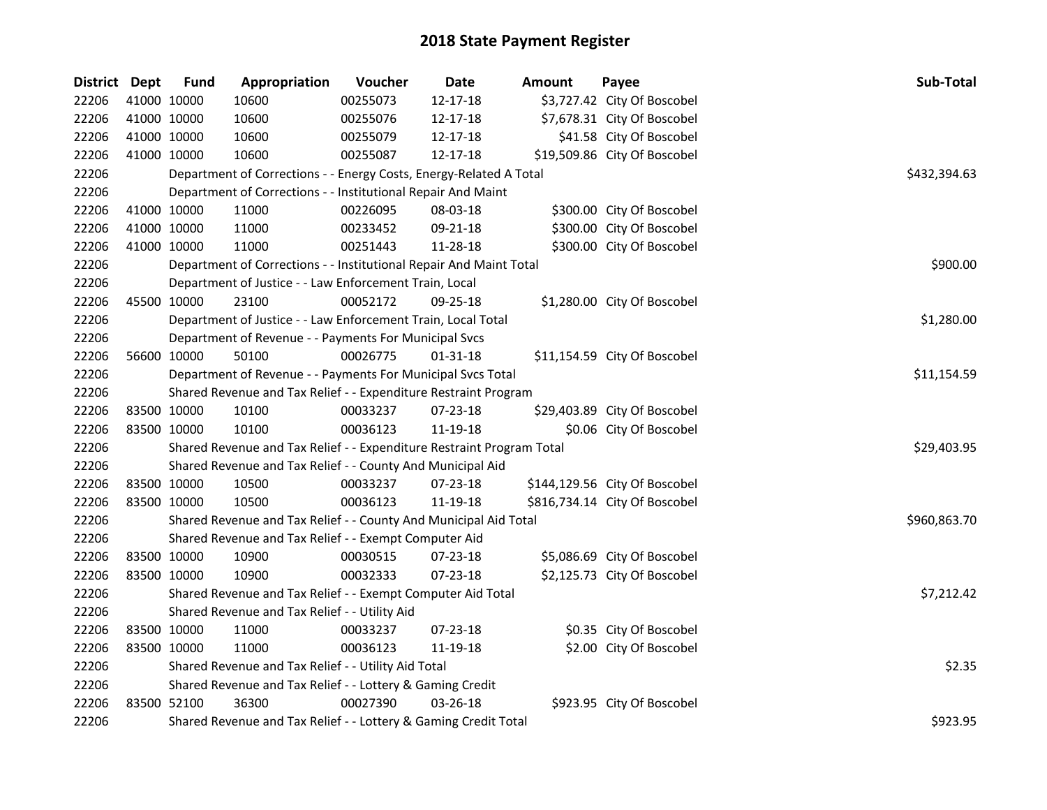| District Dept |             | <b>Fund</b> | Appropriation                                                         | Voucher  | <b>Date</b>    | Amount | Payee                         | Sub-Total    |
|---------------|-------------|-------------|-----------------------------------------------------------------------|----------|----------------|--------|-------------------------------|--------------|
| 22206         |             | 41000 10000 | 10600                                                                 | 00255073 | 12-17-18       |        | \$3,727.42 City Of Boscobel   |              |
| 22206         |             | 41000 10000 | 10600                                                                 | 00255076 | 12-17-18       |        | \$7,678.31 City Of Boscobel   |              |
| 22206         | 41000 10000 |             | 10600                                                                 | 00255079 | 12-17-18       |        | \$41.58 City Of Boscobel      |              |
| 22206         | 41000 10000 |             | 10600                                                                 | 00255087 | 12-17-18       |        | \$19,509.86 City Of Boscobel  |              |
| 22206         |             |             | Department of Corrections - - Energy Costs, Energy-Related A Total    |          |                |        |                               | \$432,394.63 |
| 22206         |             |             | Department of Corrections - - Institutional Repair And Maint          |          |                |        |                               |              |
| 22206         |             | 41000 10000 | 11000                                                                 | 00226095 | 08-03-18       |        | \$300.00 City Of Boscobel     |              |
| 22206         |             | 41000 10000 | 11000                                                                 | 00233452 | 09-21-18       |        | \$300.00 City Of Boscobel     |              |
| 22206         | 41000 10000 |             | 11000                                                                 | 00251443 | 11-28-18       |        | \$300.00 City Of Boscobel     |              |
| 22206         |             |             | Department of Corrections - - Institutional Repair And Maint Total    |          |                |        |                               | \$900.00     |
| 22206         |             |             | Department of Justice - - Law Enforcement Train, Local                |          |                |        |                               |              |
| 22206         | 45500 10000 |             | 23100                                                                 | 00052172 | 09-25-18       |        | \$1,280.00 City Of Boscobel   |              |
| 22206         |             |             | Department of Justice - - Law Enforcement Train, Local Total          |          |                |        |                               | \$1,280.00   |
| 22206         |             |             | Department of Revenue - - Payments For Municipal Svcs                 |          |                |        |                               |              |
| 22206         | 56600 10000 |             | 50100                                                                 | 00026775 | $01 - 31 - 18$ |        | \$11,154.59 City Of Boscobel  |              |
| 22206         |             |             | Department of Revenue - - Payments For Municipal Svcs Total           |          |                |        |                               | \$11,154.59  |
| 22206         |             |             | Shared Revenue and Tax Relief - - Expenditure Restraint Program       |          |                |        |                               |              |
| 22206         | 83500 10000 |             | 10100                                                                 | 00033237 | 07-23-18       |        | \$29,403.89 City Of Boscobel  |              |
| 22206         | 83500 10000 |             | 10100                                                                 | 00036123 | 11-19-18       |        | \$0.06 City Of Boscobel       |              |
| 22206         |             |             | Shared Revenue and Tax Relief - - Expenditure Restraint Program Total |          |                |        |                               | \$29,403.95  |
| 22206         |             |             | Shared Revenue and Tax Relief - - County And Municipal Aid            |          |                |        |                               |              |
| 22206         |             | 83500 10000 | 10500                                                                 | 00033237 | 07-23-18       |        | \$144,129.56 City Of Boscobel |              |
| 22206         | 83500 10000 |             | 10500                                                                 | 00036123 | 11-19-18       |        | \$816,734.14 City Of Boscobel |              |
| 22206         |             |             | Shared Revenue and Tax Relief - - County And Municipal Aid Total      |          |                |        |                               | \$960,863.70 |
| 22206         |             |             | Shared Revenue and Tax Relief - - Exempt Computer Aid                 |          |                |        |                               |              |
| 22206         |             | 83500 10000 | 10900                                                                 | 00030515 | 07-23-18       |        | \$5,086.69 City Of Boscobel   |              |
| 22206         | 83500 10000 |             | 10900                                                                 | 00032333 | 07-23-18       |        | \$2,125.73 City Of Boscobel   |              |
| 22206         |             |             | Shared Revenue and Tax Relief - - Exempt Computer Aid Total           |          |                |        |                               | \$7,212.42   |
| 22206         |             |             | Shared Revenue and Tax Relief - - Utility Aid                         |          |                |        |                               |              |
| 22206         | 83500 10000 |             | 11000                                                                 | 00033237 | 07-23-18       |        | \$0.35 City Of Boscobel       |              |
| 22206         | 83500 10000 |             | 11000                                                                 | 00036123 | 11-19-18       |        | \$2.00 City Of Boscobel       |              |
| 22206         |             |             | Shared Revenue and Tax Relief - - Utility Aid Total                   |          |                |        |                               | \$2.35       |
| 22206         |             |             | Shared Revenue and Tax Relief - - Lottery & Gaming Credit             |          |                |        |                               |              |
| 22206         | 83500 52100 |             | 36300                                                                 | 00027390 | 03-26-18       |        | \$923.95 City Of Boscobel     |              |
| 22206         |             |             | Shared Revenue and Tax Relief - - Lottery & Gaming Credit Total       |          |                |        |                               | \$923.95     |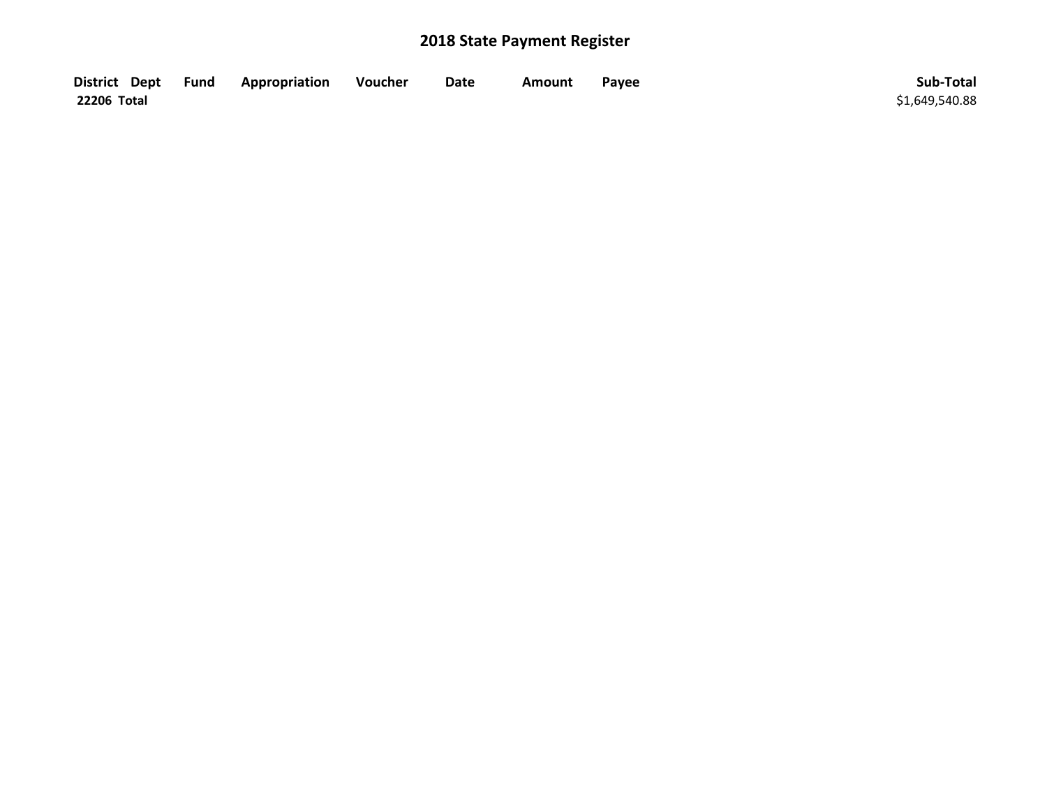| District Dept Fund | Appropriation | Voucher | Date | <b>Amount</b> | Payee | Sub-Total      |
|--------------------|---------------|---------|------|---------------|-------|----------------|
| 22206 Total        |               |         |      |               |       | \$1,649,540.88 |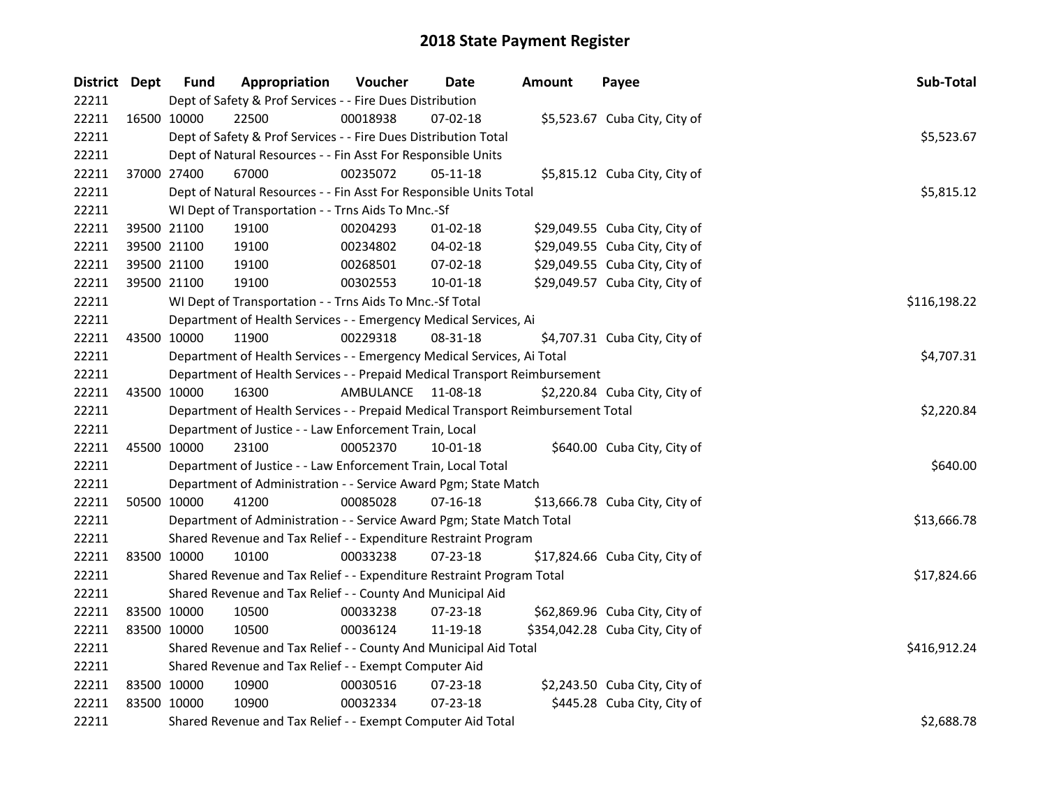| District Dept |             | <b>Fund</b> | Appropriation                                                                   | Voucher    | Date           | <b>Amount</b> | Payee                           | Sub-Total    |
|---------------|-------------|-------------|---------------------------------------------------------------------------------|------------|----------------|---------------|---------------------------------|--------------|
| 22211         |             |             | Dept of Safety & Prof Services - - Fire Dues Distribution                       |            |                |               |                                 |              |
| 22211         |             | 16500 10000 | 22500                                                                           | 00018938   | 07-02-18       |               | \$5,523.67 Cuba City, City of   |              |
| 22211         |             |             | Dept of Safety & Prof Services - - Fire Dues Distribution Total                 |            |                |               |                                 | \$5,523.67   |
| 22211         |             |             | Dept of Natural Resources - - Fin Asst For Responsible Units                    |            |                |               |                                 |              |
| 22211         |             | 37000 27400 | 67000                                                                           | 00235072   | 05-11-18       |               | \$5,815.12 Cuba City, City of   |              |
| 22211         |             |             | Dept of Natural Resources - - Fin Asst For Responsible Units Total              | \$5,815.12 |                |               |                                 |              |
| 22211         |             |             | WI Dept of Transportation - - Trns Aids To Mnc.-Sf                              |            |                |               |                                 |              |
| 22211         |             | 39500 21100 | 19100                                                                           | 00204293   | $01 - 02 - 18$ |               | \$29,049.55 Cuba City, City of  |              |
| 22211         |             | 39500 21100 | 19100                                                                           | 00234802   | 04-02-18       |               | \$29,049.55 Cuba City, City of  |              |
| 22211         |             | 39500 21100 | 19100                                                                           | 00268501   | 07-02-18       |               | \$29,049.55 Cuba City, City of  |              |
| 22211         |             | 39500 21100 | 19100                                                                           | 00302553   | 10-01-18       |               | \$29,049.57 Cuba City, City of  |              |
| 22211         |             |             | WI Dept of Transportation - - Trns Aids To Mnc.-Sf Total                        |            |                |               |                                 | \$116,198.22 |
| 22211         |             |             | Department of Health Services - - Emergency Medical Services, Ai                |            |                |               |                                 |              |
| 22211         |             | 43500 10000 | 11900                                                                           | 00229318   | 08-31-18       |               | \$4,707.31 Cuba City, City of   |              |
| 22211         |             |             | Department of Health Services - - Emergency Medical Services, Ai Total          |            |                |               |                                 | \$4,707.31   |
| 22211         |             |             | Department of Health Services - - Prepaid Medical Transport Reimbursement       |            |                |               |                                 |              |
| 22211         |             | 43500 10000 | 16300                                                                           | AMBULANCE  | 11-08-18       |               | \$2,220.84 Cuba City, City of   |              |
| 22211         |             |             | Department of Health Services - - Prepaid Medical Transport Reimbursement Total |            |                |               |                                 | \$2,220.84   |
| 22211         |             |             | Department of Justice - - Law Enforcement Train, Local                          |            |                |               |                                 |              |
| 22211         |             | 45500 10000 | 23100                                                                           | 00052370   | 10-01-18       |               | \$640.00 Cuba City, City of     |              |
| 22211         |             |             | Department of Justice - - Law Enforcement Train, Local Total                    |            |                |               |                                 | \$640.00     |
| 22211         |             |             | Department of Administration - - Service Award Pgm; State Match                 |            |                |               |                                 |              |
| 22211         | 50500 10000 |             | 41200                                                                           | 00085028   | $07 - 16 - 18$ |               | \$13,666.78 Cuba City, City of  |              |
| 22211         |             |             | Department of Administration - - Service Award Pgm; State Match Total           |            |                |               |                                 | \$13,666.78  |
| 22211         |             |             | Shared Revenue and Tax Relief - - Expenditure Restraint Program                 |            |                |               |                                 |              |
| 22211         |             | 83500 10000 | 10100                                                                           | 00033238   | 07-23-18       |               | \$17,824.66 Cuba City, City of  |              |
| 22211         |             |             | Shared Revenue and Tax Relief - - Expenditure Restraint Program Total           |            |                |               |                                 | \$17,824.66  |
| 22211         |             |             | Shared Revenue and Tax Relief - - County And Municipal Aid                      |            |                |               |                                 |              |
| 22211         |             | 83500 10000 | 10500                                                                           | 00033238   | 07-23-18       |               | \$62,869.96 Cuba City, City of  |              |
| 22211         |             | 83500 10000 | 10500                                                                           | 00036124   | 11-19-18       |               | \$354,042.28 Cuba City, City of |              |
| 22211         |             |             | Shared Revenue and Tax Relief - - County And Municipal Aid Total                |            |                |               |                                 | \$416,912.24 |
| 22211         |             |             | Shared Revenue and Tax Relief - - Exempt Computer Aid                           |            |                |               |                                 |              |
| 22211         |             | 83500 10000 | 10900                                                                           | 00030516   | 07-23-18       |               | \$2,243.50 Cuba City, City of   |              |
| 22211         | 83500 10000 |             | 10900                                                                           | 00032334   | 07-23-18       |               | \$445.28 Cuba City, City of     |              |
| 22211         |             |             | Shared Revenue and Tax Relief - - Exempt Computer Aid Total                     |            |                |               |                                 | \$2,688.78   |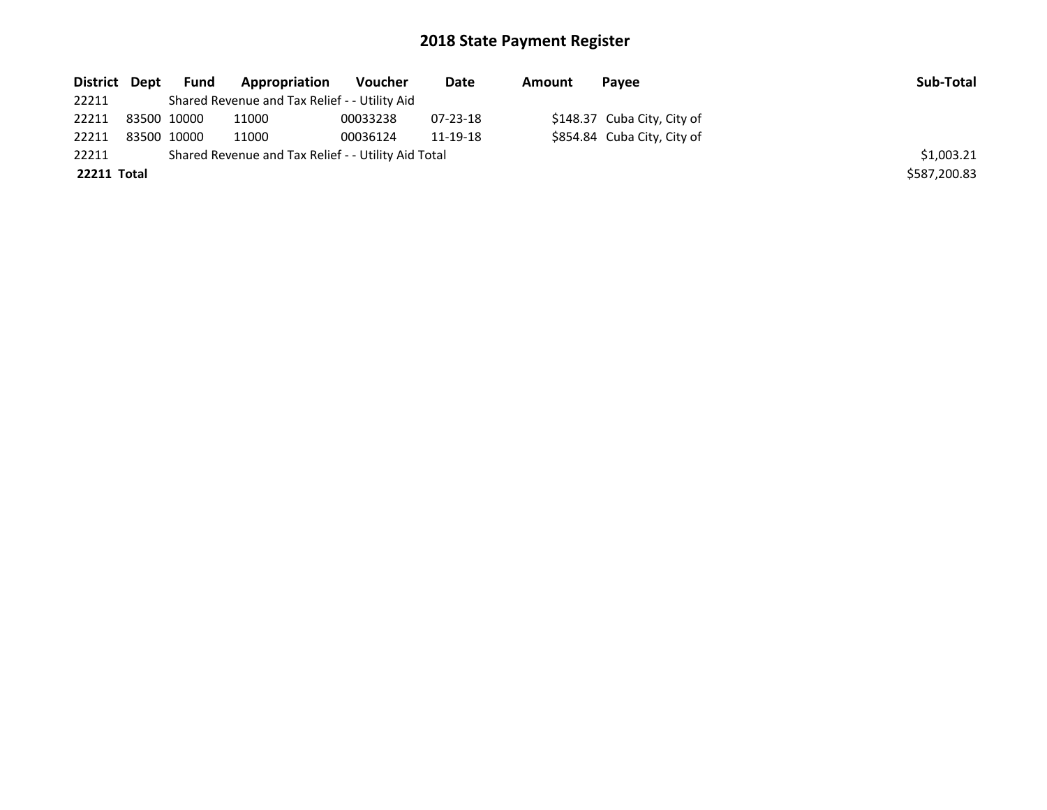| District Dept | Fund        | <b>Appropriation</b>                                | Voucher  | Date     | Amount | Payee                       | Sub-Total    |
|---------------|-------------|-----------------------------------------------------|----------|----------|--------|-----------------------------|--------------|
| 22211         |             | Shared Revenue and Tax Relief - - Utility Aid       |          |          |        |                             |              |
| 22211         | 83500 10000 | 11000                                               | 00033238 | 07-23-18 |        | \$148.37 Cuba City, City of |              |
| 22211         | 83500 10000 | 11000                                               | 00036124 | 11-19-18 |        | \$854.84 Cuba City, City of |              |
| 22211         |             | Shared Revenue and Tax Relief - - Utility Aid Total |          |          |        |                             | \$1,003.21   |
| 22211 Total   |             |                                                     |          |          |        |                             | \$587,200.83 |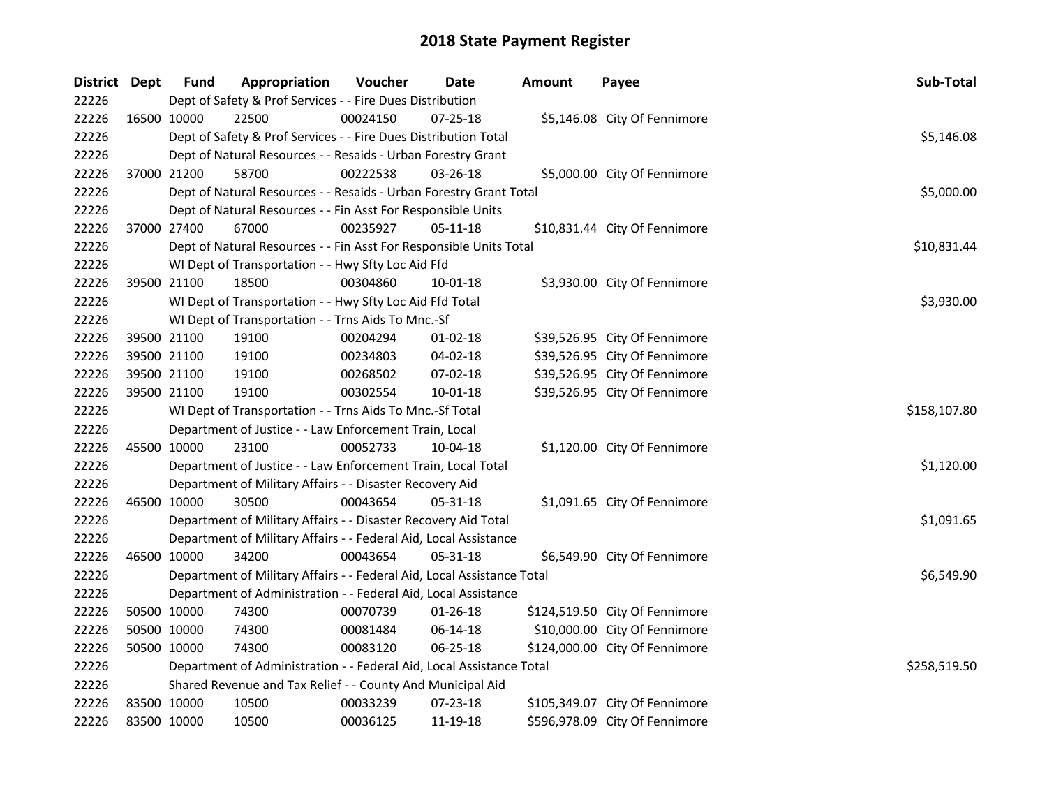| District Dept |             | <b>Fund</b> | Appropriation                                                          | Voucher  | Date           | <b>Amount</b> | Payee                          | Sub-Total    |
|---------------|-------------|-------------|------------------------------------------------------------------------|----------|----------------|---------------|--------------------------------|--------------|
| 22226         |             |             | Dept of Safety & Prof Services - - Fire Dues Distribution              |          |                |               |                                |              |
| 22226         |             | 16500 10000 | 22500                                                                  | 00024150 | 07-25-18       |               | \$5,146.08 City Of Fennimore   |              |
| 22226         |             |             | Dept of Safety & Prof Services - - Fire Dues Distribution Total        |          |                |               |                                | \$5,146.08   |
| 22226         |             |             | Dept of Natural Resources - - Resaids - Urban Forestry Grant           |          |                |               |                                |              |
| 22226         | 37000 21200 |             | 58700                                                                  | 00222538 | 03-26-18       |               | \$5,000.00 City Of Fennimore   |              |
| 22226         |             |             | Dept of Natural Resources - - Resaids - Urban Forestry Grant Total     |          |                |               |                                | \$5,000.00   |
| 22226         |             |             | Dept of Natural Resources - - Fin Asst For Responsible Units           |          |                |               |                                |              |
| 22226         |             | 37000 27400 | 67000                                                                  | 00235927 | 05-11-18       |               | \$10,831.44 City Of Fennimore  |              |
| 22226         |             |             | Dept of Natural Resources - - Fin Asst For Responsible Units Total     |          |                |               |                                | \$10,831.44  |
| 22226         |             |             | WI Dept of Transportation - - Hwy Sfty Loc Aid Ffd                     |          |                |               |                                |              |
| 22226         | 39500 21100 |             | 18500                                                                  | 00304860 | 10-01-18       |               | \$3,930.00 City Of Fennimore   |              |
| 22226         |             |             | WI Dept of Transportation - - Hwy Sfty Loc Aid Ffd Total               |          |                |               |                                | \$3,930.00   |
| 22226         |             |             | WI Dept of Transportation - - Trns Aids To Mnc.-Sf                     |          |                |               |                                |              |
| 22226         | 39500 21100 |             | 19100                                                                  | 00204294 | $01-02-18$     |               | \$39,526.95 City Of Fennimore  |              |
| 22226         | 39500 21100 |             | 19100                                                                  | 00234803 | 04-02-18       |               | \$39,526.95 City Of Fennimore  |              |
| 22226         | 39500 21100 |             | 19100                                                                  | 00268502 | 07-02-18       |               | \$39,526.95 City Of Fennimore  |              |
| 22226         | 39500 21100 |             | 19100                                                                  | 00302554 | 10-01-18       |               | \$39,526.95 City Of Fennimore  |              |
| 22226         |             |             | WI Dept of Transportation - - Trns Aids To Mnc.-Sf Total               |          |                |               |                                | \$158,107.80 |
| 22226         |             |             | Department of Justice - - Law Enforcement Train, Local                 |          |                |               |                                |              |
| 22226         | 45500 10000 |             | 23100                                                                  | 00052733 | 10-04-18       |               | \$1,120.00 City Of Fennimore   |              |
| 22226         |             |             | Department of Justice - - Law Enforcement Train, Local Total           |          |                |               |                                | \$1,120.00   |
| 22226         |             |             | Department of Military Affairs - - Disaster Recovery Aid               |          |                |               |                                |              |
| 22226         | 46500 10000 |             | 30500                                                                  | 00043654 | 05-31-18       |               | \$1,091.65 City Of Fennimore   |              |
| 22226         |             |             | Department of Military Affairs - - Disaster Recovery Aid Total         |          |                |               |                                | \$1,091.65   |
| 22226         |             |             | Department of Military Affairs - - Federal Aid, Local Assistance       |          |                |               |                                |              |
| 22226         | 46500 10000 |             | 34200                                                                  | 00043654 | 05-31-18       |               | \$6,549.90 City Of Fennimore   |              |
| 22226         |             |             | Department of Military Affairs - - Federal Aid, Local Assistance Total |          |                |               |                                | \$6,549.90   |
| 22226         |             |             | Department of Administration - - Federal Aid, Local Assistance         |          |                |               |                                |              |
| 22226         | 50500 10000 |             | 74300                                                                  | 00070739 | $01 - 26 - 18$ |               | \$124,519.50 City Of Fennimore |              |
| 22226         | 50500 10000 |             | 74300                                                                  | 00081484 | 06-14-18       |               | \$10,000.00 City Of Fennimore  |              |
| 22226         | 50500 10000 |             | 74300                                                                  | 00083120 | 06-25-18       |               | \$124,000.00 City Of Fennimore |              |
| 22226         |             |             | Department of Administration - - Federal Aid, Local Assistance Total   |          |                |               |                                | \$258,519.50 |
| 22226         |             |             | Shared Revenue and Tax Relief - - County And Municipal Aid             |          |                |               |                                |              |
| 22226         | 83500 10000 |             | 10500                                                                  | 00033239 | 07-23-18       |               | \$105,349.07 City Of Fennimore |              |
| 22226         | 83500 10000 |             | 10500                                                                  | 00036125 | 11-19-18       |               | \$596,978.09 City Of Fennimore |              |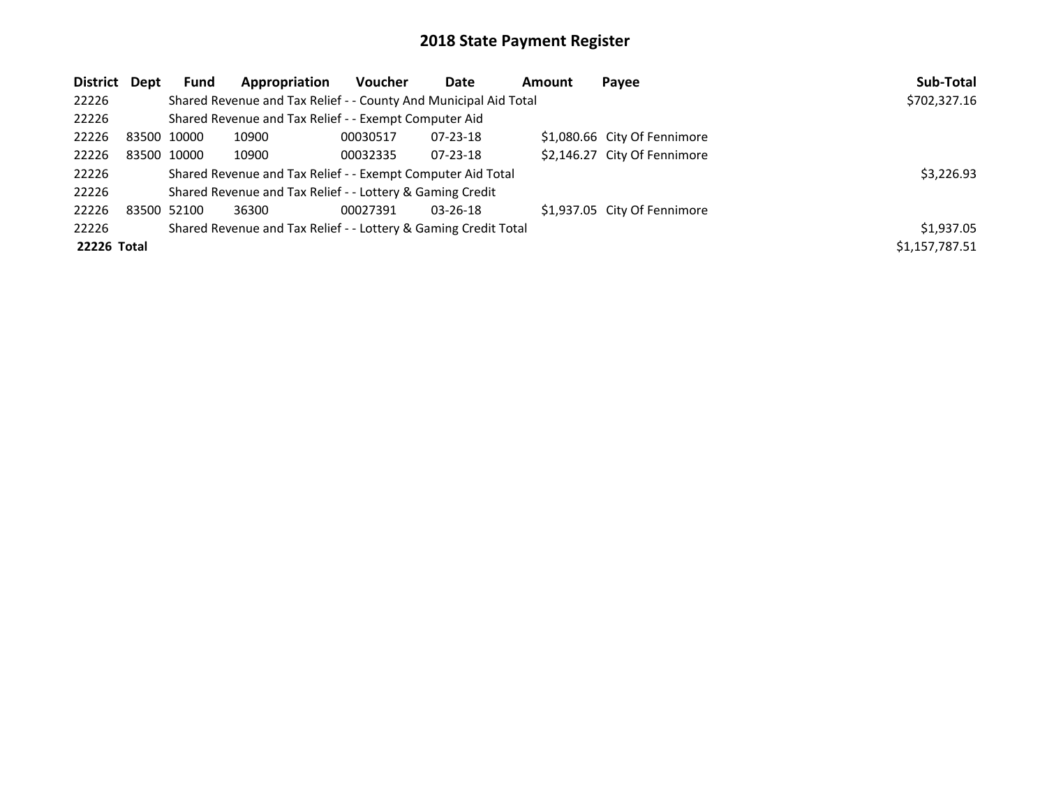| District Dept | <b>Fund</b> | Appropriation                                                    | Voucher    | Date           | Amount | Payee                        | Sub-Total      |
|---------------|-------------|------------------------------------------------------------------|------------|----------------|--------|------------------------------|----------------|
| 22226         |             | Shared Revenue and Tax Relief - - County And Municipal Aid Total |            |                |        |                              | \$702,327.16   |
| 22226         |             | Shared Revenue and Tax Relief - - Exempt Computer Aid            |            |                |        |                              |                |
| 22226         | 83500 10000 | 10900                                                            | 00030517   | 07-23-18       |        | \$1,080.66 City Of Fennimore |                |
| 22226         | 83500 10000 | 10900                                                            | 00032335   | 07-23-18       |        | \$2,146.27 City Of Fennimore |                |
| 22226         |             | Shared Revenue and Tax Relief - - Exempt Computer Aid Total      |            |                |        |                              | \$3,226.93     |
| 22226         |             | Shared Revenue and Tax Relief - - Lottery & Gaming Credit        |            |                |        |                              |                |
| 22226         | 83500 52100 | 36300                                                            | 00027391   | $03 - 26 - 18$ |        | \$1,937.05 City Of Fennimore |                |
| 22226         |             | Shared Revenue and Tax Relief - - Lottery & Gaming Credit Total  | \$1,937.05 |                |        |                              |                |
| 22226 Total   |             |                                                                  |            |                |        |                              | \$1,157,787.51 |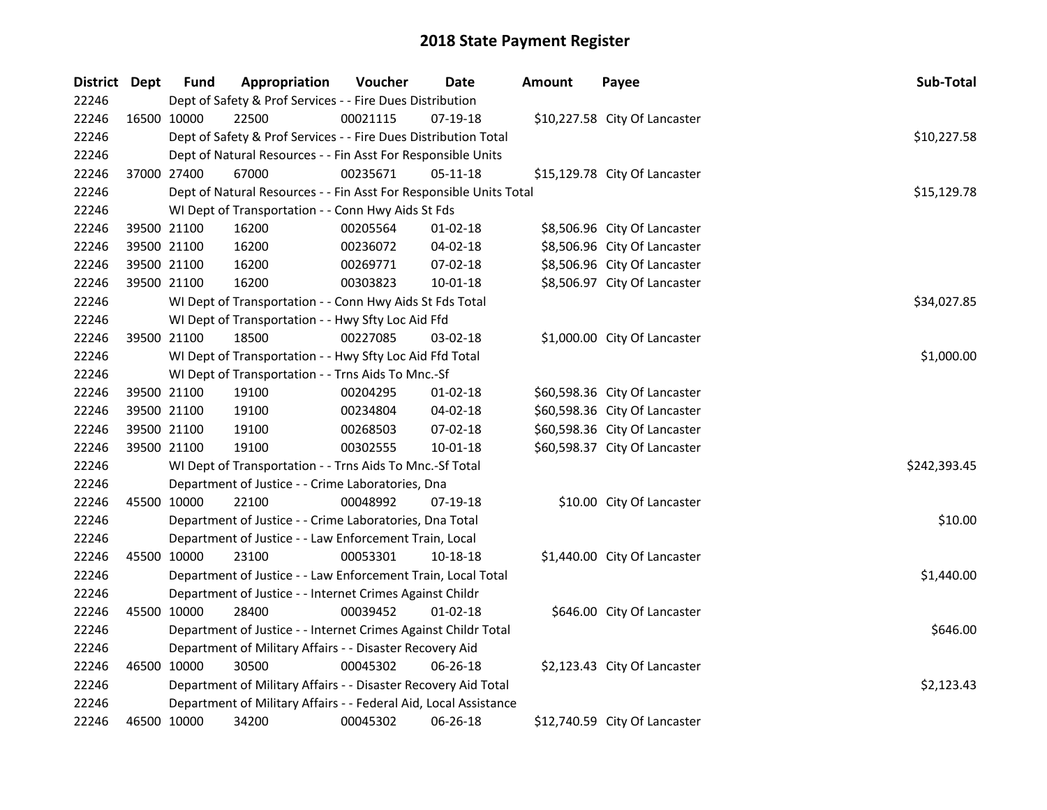| District Dept |             | <b>Fund</b> | Appropriation                                                      | Voucher     | <b>Date</b>    | <b>Amount</b> | Payee                         | Sub-Total    |
|---------------|-------------|-------------|--------------------------------------------------------------------|-------------|----------------|---------------|-------------------------------|--------------|
| 22246         |             |             | Dept of Safety & Prof Services - - Fire Dues Distribution          |             |                |               |                               |              |
| 22246         |             | 16500 10000 | 22500                                                              | 00021115    | 07-19-18       |               | \$10,227.58 City Of Lancaster |              |
| 22246         |             |             | Dept of Safety & Prof Services - - Fire Dues Distribution Total    | \$10,227.58 |                |               |                               |              |
| 22246         |             |             | Dept of Natural Resources - - Fin Asst For Responsible Units       |             |                |               |                               |              |
| 22246         |             | 37000 27400 | 67000                                                              | 00235671    | $05-11-18$     |               | \$15,129.78 City Of Lancaster |              |
| 22246         |             |             | Dept of Natural Resources - - Fin Asst For Responsible Units Total |             |                |               |                               | \$15,129.78  |
| 22246         |             |             | WI Dept of Transportation - - Conn Hwy Aids St Fds                 |             |                |               |                               |              |
| 22246         |             | 39500 21100 | 16200                                                              | 00205564    | 01-02-18       |               | \$8,506.96 City Of Lancaster  |              |
| 22246         | 39500 21100 |             | 16200                                                              | 00236072    | 04-02-18       |               | \$8,506.96 City Of Lancaster  |              |
| 22246         | 39500 21100 |             | 16200                                                              | 00269771    | 07-02-18       |               | \$8,506.96 City Of Lancaster  |              |
| 22246         |             | 39500 21100 | 16200                                                              | 00303823    | 10-01-18       |               | \$8,506.97 City Of Lancaster  |              |
| 22246         |             |             | WI Dept of Transportation - - Conn Hwy Aids St Fds Total           |             |                |               |                               | \$34,027.85  |
| 22246         |             |             | WI Dept of Transportation - - Hwy Sfty Loc Aid Ffd                 |             |                |               |                               |              |
| 22246         |             | 39500 21100 | 18500                                                              | 00227085    | 03-02-18       |               | \$1,000.00 City Of Lancaster  |              |
| 22246         |             |             | WI Dept of Transportation - - Hwy Sfty Loc Aid Ffd Total           |             |                |               |                               | \$1,000.00   |
| 22246         |             |             | WI Dept of Transportation - - Trns Aids To Mnc.-Sf                 |             |                |               |                               |              |
| 22246         |             | 39500 21100 | 19100                                                              | 00204295    | $01-02-18$     |               | \$60,598.36 City Of Lancaster |              |
| 22246         |             | 39500 21100 | 19100                                                              | 00234804    | 04-02-18       |               | \$60,598.36 City Of Lancaster |              |
| 22246         |             | 39500 21100 | 19100                                                              | 00268503    | 07-02-18       |               | \$60,598.36 City Of Lancaster |              |
| 22246         |             | 39500 21100 | 19100                                                              | 00302555    | $10 - 01 - 18$ |               | \$60,598.37 City Of Lancaster |              |
| 22246         |             |             | WI Dept of Transportation - - Trns Aids To Mnc.-Sf Total           |             |                |               |                               | \$242,393.45 |
| 22246         |             |             | Department of Justice - - Crime Laboratories, Dna                  |             |                |               |                               |              |
| 22246         | 45500 10000 |             | 22100                                                              | 00048992    | 07-19-18       |               | \$10.00 City Of Lancaster     |              |
| 22246         |             |             | Department of Justice - - Crime Laboratories, Dna Total            |             |                |               |                               | \$10.00      |
| 22246         |             |             | Department of Justice - - Law Enforcement Train, Local             |             |                |               |                               |              |
| 22246         |             | 45500 10000 | 23100                                                              | 00053301    | 10-18-18       |               | \$1,440.00 City Of Lancaster  |              |
| 22246         |             |             | Department of Justice - - Law Enforcement Train, Local Total       |             |                |               |                               | \$1,440.00   |
| 22246         |             |             | Department of Justice - - Internet Crimes Against Childr           |             |                |               |                               |              |
| 22246         |             | 45500 10000 | 28400                                                              | 00039452    | $01-02-18$     |               | \$646.00 City Of Lancaster    |              |
| 22246         |             |             | Department of Justice - - Internet Crimes Against Childr Total     |             |                |               |                               | \$646.00     |
| 22246         |             |             | Department of Military Affairs - - Disaster Recovery Aid           |             |                |               |                               |              |
| 22246         | 46500 10000 |             | 30500                                                              | 00045302    | $06 - 26 - 18$ |               | \$2,123.43 City Of Lancaster  |              |
| 22246         |             |             | Department of Military Affairs - - Disaster Recovery Aid Total     |             |                |               |                               | \$2,123.43   |
| 22246         |             |             | Department of Military Affairs - - Federal Aid, Local Assistance   |             |                |               |                               |              |
| 22246         |             | 46500 10000 | 34200                                                              | 00045302    | 06-26-18       |               | \$12,740.59 City Of Lancaster |              |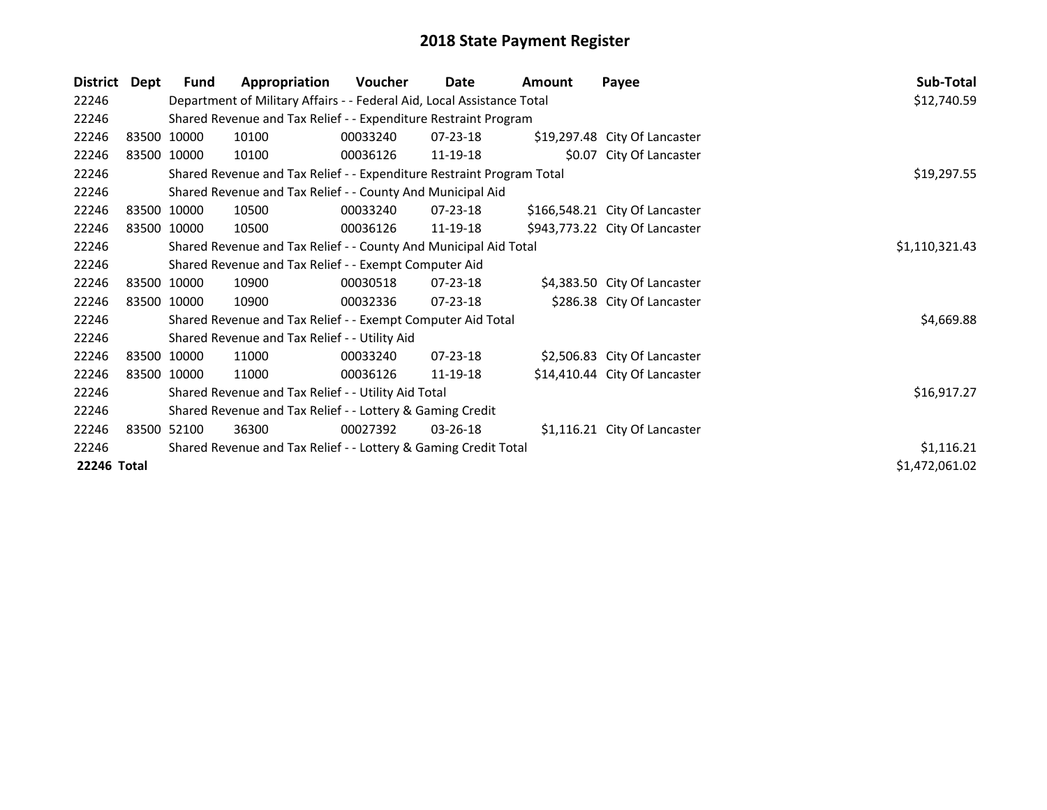| <b>District</b>    | Dept | Fund        | Appropriation                                                          | Voucher  | Date           | <b>Amount</b> | Payee                          | Sub-Total      |
|--------------------|------|-------------|------------------------------------------------------------------------|----------|----------------|---------------|--------------------------------|----------------|
| 22246              |      |             | Department of Military Affairs - - Federal Aid, Local Assistance Total |          |                |               |                                | \$12,740.59    |
| 22246              |      |             | Shared Revenue and Tax Relief - - Expenditure Restraint Program        |          |                |               |                                |                |
| 22246              |      | 83500 10000 | 10100                                                                  | 00033240 | 07-23-18       |               | \$19,297.48 City Of Lancaster  |                |
| 22246              |      | 83500 10000 | 10100                                                                  | 00036126 | 11-19-18       |               | \$0.07 City Of Lancaster       |                |
| 22246              |      |             | Shared Revenue and Tax Relief - - Expenditure Restraint Program Total  |          |                |               |                                | \$19,297.55    |
| 22246              |      |             | Shared Revenue and Tax Relief - - County And Municipal Aid             |          |                |               |                                |                |
| 22246              |      | 83500 10000 | 10500                                                                  | 00033240 | 07-23-18       |               | \$166,548.21 City Of Lancaster |                |
| 22246              |      | 83500 10000 | 10500                                                                  | 00036126 | 11-19-18       |               | \$943,773.22 City Of Lancaster |                |
| 22246              |      |             | Shared Revenue and Tax Relief - - County And Municipal Aid Total       |          |                |               |                                | \$1,110,321.43 |
| 22246              |      |             | Shared Revenue and Tax Relief - - Exempt Computer Aid                  |          |                |               |                                |                |
| 22246              |      | 83500 10000 | 10900                                                                  | 00030518 | $07 - 23 - 18$ |               | \$4,383.50 City Of Lancaster   |                |
| 22246              |      | 83500 10000 | 10900                                                                  | 00032336 | 07-23-18       |               | \$286.38 City Of Lancaster     |                |
| 22246              |      |             | Shared Revenue and Tax Relief - - Exempt Computer Aid Total            |          |                |               |                                | \$4,669.88     |
| 22246              |      |             | Shared Revenue and Tax Relief - - Utility Aid                          |          |                |               |                                |                |
| 22246              |      | 83500 10000 | 11000                                                                  | 00033240 | 07-23-18       |               | \$2,506.83 City Of Lancaster   |                |
| 22246              |      | 83500 10000 | 11000                                                                  | 00036126 | 11-19-18       |               | \$14,410.44 City Of Lancaster  |                |
| 22246              |      |             | Shared Revenue and Tax Relief - - Utility Aid Total                    |          |                |               |                                | \$16,917.27    |
| 22246              |      |             | Shared Revenue and Tax Relief - - Lottery & Gaming Credit              |          |                |               |                                |                |
| 22246              |      | 83500 52100 | 36300                                                                  | 00027392 | $03 - 26 - 18$ |               | \$1,116.21 City Of Lancaster   |                |
| 22246              |      |             | Shared Revenue and Tax Relief - - Lottery & Gaming Credit Total        |          |                |               |                                | \$1,116.21     |
| <b>22246 Total</b> |      |             |                                                                        |          |                |               |                                | \$1,472,061.02 |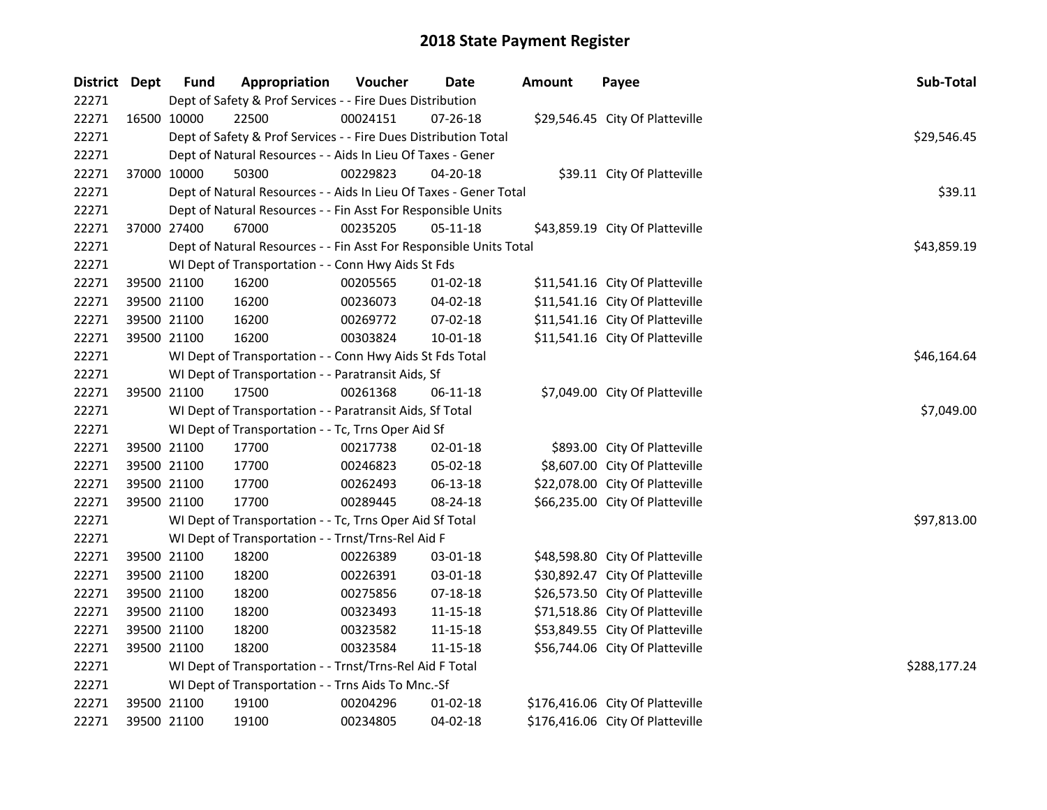| District Dept |             | <b>Fund</b> | Appropriation                                                      | Voucher     | Date           | <b>Amount</b> | Payee                            | Sub-Total    |
|---------------|-------------|-------------|--------------------------------------------------------------------|-------------|----------------|---------------|----------------------------------|--------------|
| 22271         |             |             | Dept of Safety & Prof Services - - Fire Dues Distribution          |             |                |               |                                  |              |
| 22271         |             | 16500 10000 | 22500                                                              | 00024151    | 07-26-18       |               | \$29,546.45 City Of Platteville  |              |
| 22271         |             |             | Dept of Safety & Prof Services - - Fire Dues Distribution Total    | \$29,546.45 |                |               |                                  |              |
| 22271         |             |             | Dept of Natural Resources - - Aids In Lieu Of Taxes - Gener        |             |                |               |                                  |              |
| 22271         |             | 37000 10000 | 50300                                                              | 00229823    | 04-20-18       |               | \$39.11 City Of Platteville      |              |
| 22271         |             |             | Dept of Natural Resources - - Aids In Lieu Of Taxes - Gener Total  |             |                |               |                                  | \$39.11      |
| 22271         |             |             | Dept of Natural Resources - - Fin Asst For Responsible Units       |             |                |               |                                  |              |
| 22271         |             | 37000 27400 | 67000                                                              | 00235205    | $05 - 11 - 18$ |               | \$43,859.19 City Of Platteville  |              |
| 22271         |             |             | Dept of Natural Resources - - Fin Asst For Responsible Units Total |             |                |               |                                  | \$43,859.19  |
| 22271         |             |             | WI Dept of Transportation - - Conn Hwy Aids St Fds                 |             |                |               |                                  |              |
| 22271         | 39500 21100 |             | 16200                                                              | 00205565    | 01-02-18       |               | \$11,541.16 City Of Platteville  |              |
| 22271         |             | 39500 21100 | 16200                                                              | 00236073    | 04-02-18       |               | \$11,541.16 City Of Platteville  |              |
| 22271         |             | 39500 21100 | 16200                                                              | 00269772    | 07-02-18       |               | \$11,541.16 City Of Platteville  |              |
| 22271         |             | 39500 21100 | 16200                                                              | 00303824    | $10 - 01 - 18$ |               | \$11,541.16 City Of Platteville  |              |
| 22271         |             |             | WI Dept of Transportation - - Conn Hwy Aids St Fds Total           |             |                |               |                                  | \$46,164.64  |
| 22271         |             |             | WI Dept of Transportation - - Paratransit Aids, Sf                 |             |                |               |                                  |              |
| 22271         |             | 39500 21100 | 17500                                                              | 00261368    | $06 - 11 - 18$ |               | \$7,049.00 City Of Platteville   |              |
| 22271         |             |             | WI Dept of Transportation - - Paratransit Aids, Sf Total           |             |                |               |                                  | \$7,049.00   |
| 22271         |             |             | WI Dept of Transportation - - Tc, Trns Oper Aid Sf                 |             |                |               |                                  |              |
| 22271         | 39500 21100 |             | 17700                                                              | 00217738    | 02-01-18       |               | \$893.00 City Of Platteville     |              |
| 22271         | 39500 21100 |             | 17700                                                              | 00246823    | 05-02-18       |               | \$8,607.00 City Of Platteville   |              |
| 22271         | 39500 21100 |             | 17700                                                              | 00262493    | 06-13-18       |               | \$22,078.00 City Of Platteville  |              |
| 22271         | 39500 21100 |             | 17700                                                              | 00289445    | 08-24-18       |               | \$66,235.00 City Of Platteville  |              |
| 22271         |             |             | WI Dept of Transportation - - Tc, Trns Oper Aid Sf Total           |             |                |               |                                  | \$97,813.00  |
| 22271         |             |             | WI Dept of Transportation - - Trnst/Trns-Rel Aid F                 |             |                |               |                                  |              |
| 22271         |             | 39500 21100 | 18200                                                              | 00226389    | 03-01-18       |               | \$48,598.80 City Of Platteville  |              |
| 22271         | 39500 21100 |             | 18200                                                              | 00226391    | 03-01-18       |               | \$30,892.47 City Of Platteville  |              |
| 22271         |             | 39500 21100 | 18200                                                              | 00275856    | $07 - 18 - 18$ |               | \$26,573.50 City Of Platteville  |              |
| 22271         |             | 39500 21100 | 18200                                                              | 00323493    | 11-15-18       |               | \$71,518.86 City Of Platteville  |              |
| 22271         |             | 39500 21100 | 18200                                                              | 00323582    | 11-15-18       |               | \$53,849.55 City Of Platteville  |              |
| 22271         |             | 39500 21100 | 18200                                                              | 00323584    | 11-15-18       |               | \$56,744.06 City Of Platteville  |              |
| 22271         |             |             | WI Dept of Transportation - - Trnst/Trns-Rel Aid F Total           |             |                |               |                                  | \$288,177.24 |
| 22271         |             |             | WI Dept of Transportation - - Trns Aids To Mnc.-Sf                 |             |                |               |                                  |              |
| 22271         | 39500 21100 |             | 19100                                                              | 00204296    | $01 - 02 - 18$ |               | \$176,416.06 City Of Platteville |              |
| 22271         |             | 39500 21100 | 19100                                                              | 00234805    | 04-02-18       |               | \$176,416.06 City Of Platteville |              |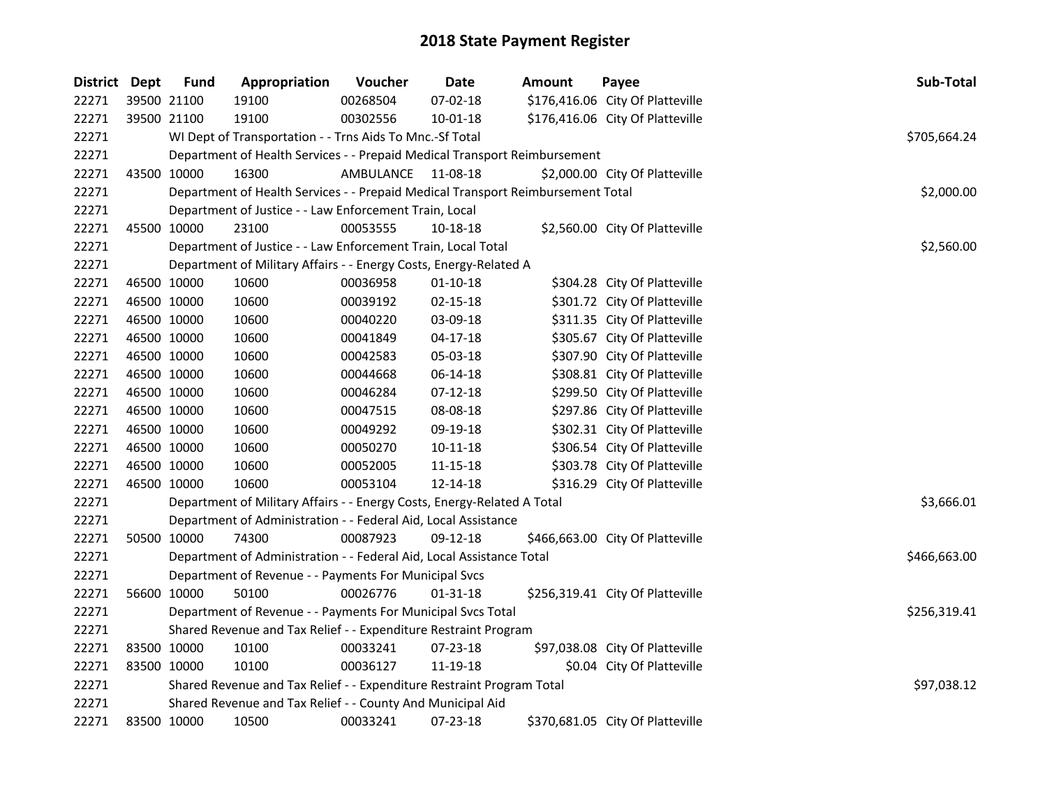| District Dept | <b>Fund</b> | Appropriation                                                                   | Voucher            | <b>Date</b>    | Amount | Payee                            | Sub-Total    |
|---------------|-------------|---------------------------------------------------------------------------------|--------------------|----------------|--------|----------------------------------|--------------|
| 22271         | 39500 21100 | 19100                                                                           | 00268504           | 07-02-18       |        | \$176,416.06 City Of Platteville |              |
| 22271         | 39500 21100 | 19100                                                                           | 00302556           | 10-01-18       |        | \$176,416.06 City Of Platteville |              |
| 22271         |             | WI Dept of Transportation - - Trns Aids To Mnc.-Sf Total                        |                    |                |        |                                  | \$705,664.24 |
| 22271         |             | Department of Health Services - - Prepaid Medical Transport Reimbursement       |                    |                |        |                                  |              |
| 22271         | 43500 10000 | 16300                                                                           | AMBULANCE 11-08-18 |                |        | \$2,000.00 City Of Platteville   |              |
| 22271         |             | Department of Health Services - - Prepaid Medical Transport Reimbursement Total |                    |                |        |                                  | \$2,000.00   |
| 22271         |             | Department of Justice - - Law Enforcement Train, Local                          |                    |                |        |                                  |              |
| 22271         | 45500 10000 | 23100                                                                           | 00053555           | 10-18-18       |        | \$2,560.00 City Of Platteville   |              |
| 22271         |             | Department of Justice - - Law Enforcement Train, Local Total                    |                    |                |        |                                  | \$2,560.00   |
| 22271         |             | Department of Military Affairs - - Energy Costs, Energy-Related A               |                    |                |        |                                  |              |
| 22271         | 46500 10000 | 10600                                                                           | 00036958           | $01 - 10 - 18$ |        | \$304.28 City Of Platteville     |              |
| 22271         | 46500 10000 | 10600                                                                           | 00039192           | 02-15-18       |        | \$301.72 City Of Platteville     |              |
| 22271         | 46500 10000 | 10600                                                                           | 00040220           | 03-09-18       |        | \$311.35 City Of Platteville     |              |
| 22271         | 46500 10000 | 10600                                                                           | 00041849           | $04 - 17 - 18$ |        | \$305.67 City Of Platteville     |              |
| 22271         | 46500 10000 | 10600                                                                           | 00042583           | 05-03-18       |        | \$307.90 City Of Platteville     |              |
| 22271         | 46500 10000 | 10600                                                                           | 00044668           | 06-14-18       |        | \$308.81 City Of Platteville     |              |
| 22271         | 46500 10000 | 10600                                                                           | 00046284           | $07 - 12 - 18$ |        | \$299.50 City Of Platteville     |              |
| 22271         | 46500 10000 | 10600                                                                           | 00047515           | 08-08-18       |        | \$297.86 City Of Platteville     |              |
| 22271         | 46500 10000 | 10600                                                                           | 00049292           | 09-19-18       |        | \$302.31 City Of Platteville     |              |
| 22271         | 46500 10000 | 10600                                                                           | 00050270           | $10 - 11 - 18$ |        | \$306.54 City Of Platteville     |              |
| 22271         | 46500 10000 | 10600                                                                           | 00052005           | 11-15-18       |        | \$303.78 City Of Platteville     |              |
| 22271         | 46500 10000 | 10600                                                                           | 00053104           | 12-14-18       |        | \$316.29 City Of Platteville     |              |
| 22271         |             | Department of Military Affairs - - Energy Costs, Energy-Related A Total         |                    |                |        |                                  | \$3,666.01   |
| 22271         |             | Department of Administration - - Federal Aid, Local Assistance                  |                    |                |        |                                  |              |
| 22271         | 50500 10000 | 74300                                                                           | 00087923           | 09-12-18       |        | \$466,663.00 City Of Platteville |              |
| 22271         |             | Department of Administration - - Federal Aid, Local Assistance Total            |                    |                |        |                                  | \$466,663.00 |
| 22271         |             | Department of Revenue - - Payments For Municipal Svcs                           |                    |                |        |                                  |              |
| 22271         | 56600 10000 | 50100                                                                           | 00026776           | 01-31-18       |        | \$256,319.41 City Of Platteville |              |
| 22271         |             | Department of Revenue - - Payments For Municipal Svcs Total                     |                    |                |        |                                  | \$256,319.41 |
| 22271         |             | Shared Revenue and Tax Relief - - Expenditure Restraint Program                 |                    |                |        |                                  |              |
| 22271         | 83500 10000 | 10100                                                                           | 00033241           | 07-23-18       |        | \$97,038.08 City Of Platteville  |              |
| 22271         | 83500 10000 | 10100                                                                           | 00036127           | 11-19-18       |        | \$0.04 City Of Platteville       |              |
| 22271         |             | Shared Revenue and Tax Relief - - Expenditure Restraint Program Total           |                    |                |        |                                  | \$97,038.12  |
| 22271         |             | Shared Revenue and Tax Relief - - County And Municipal Aid                      |                    |                |        |                                  |              |
| 22271         | 83500 10000 | 10500                                                                           | 00033241           | 07-23-18       |        | \$370,681.05 City Of Platteville |              |